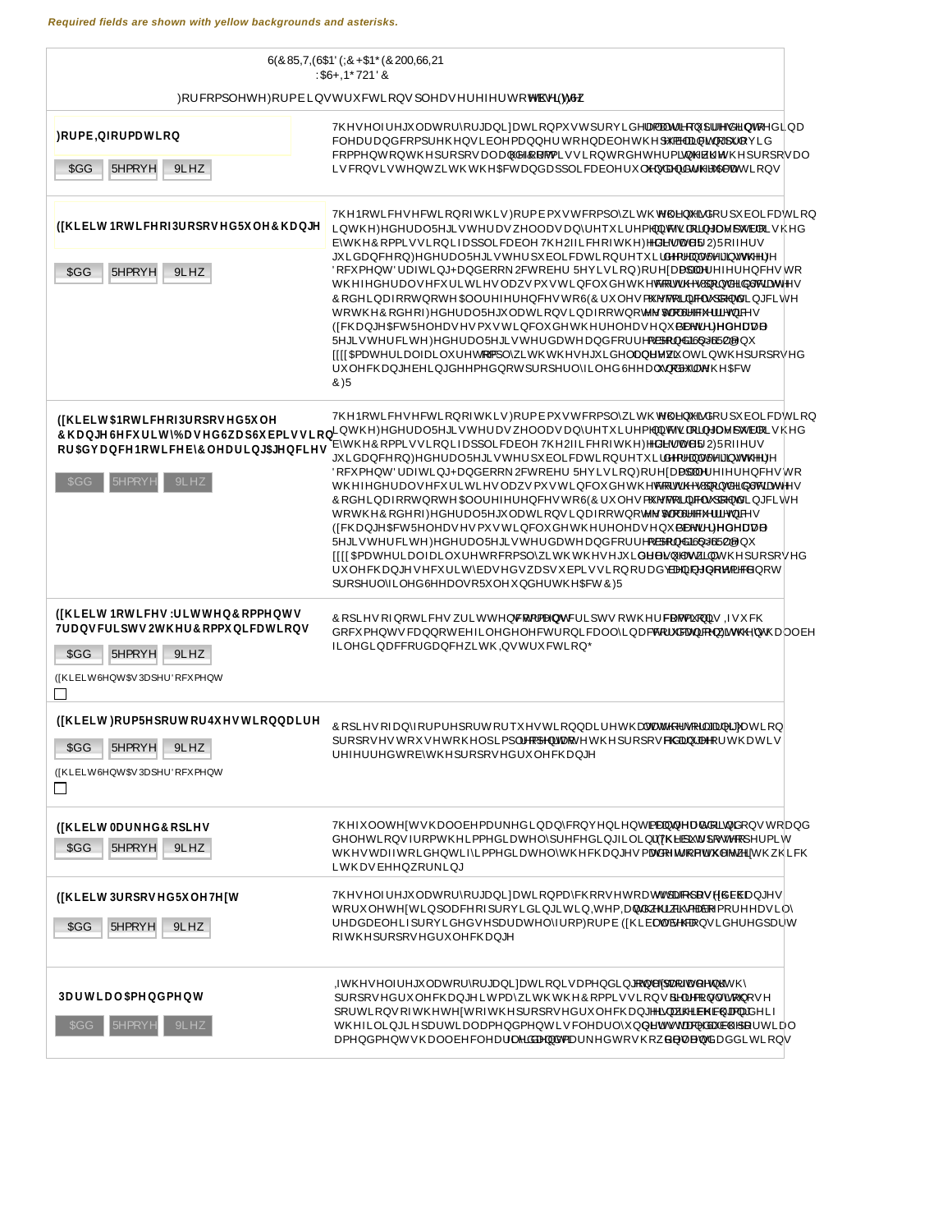| <b>Contract Contract</b>                              |
|-------------------------------------------------------|
|                                                       |
|                                                       |
| and the state<br><u>a sa T</u>                        |
| <b>Contract Contract</b>                              |
| $\Box$<br>the contract of the contract of the         |
| $\Box$                                                |
| $\mathcal{L}(\mathcal{L}) = \mathcal{L}(\mathcal{L})$ |
| and the state of the                                  |
| <b>Contract Contract</b>                              |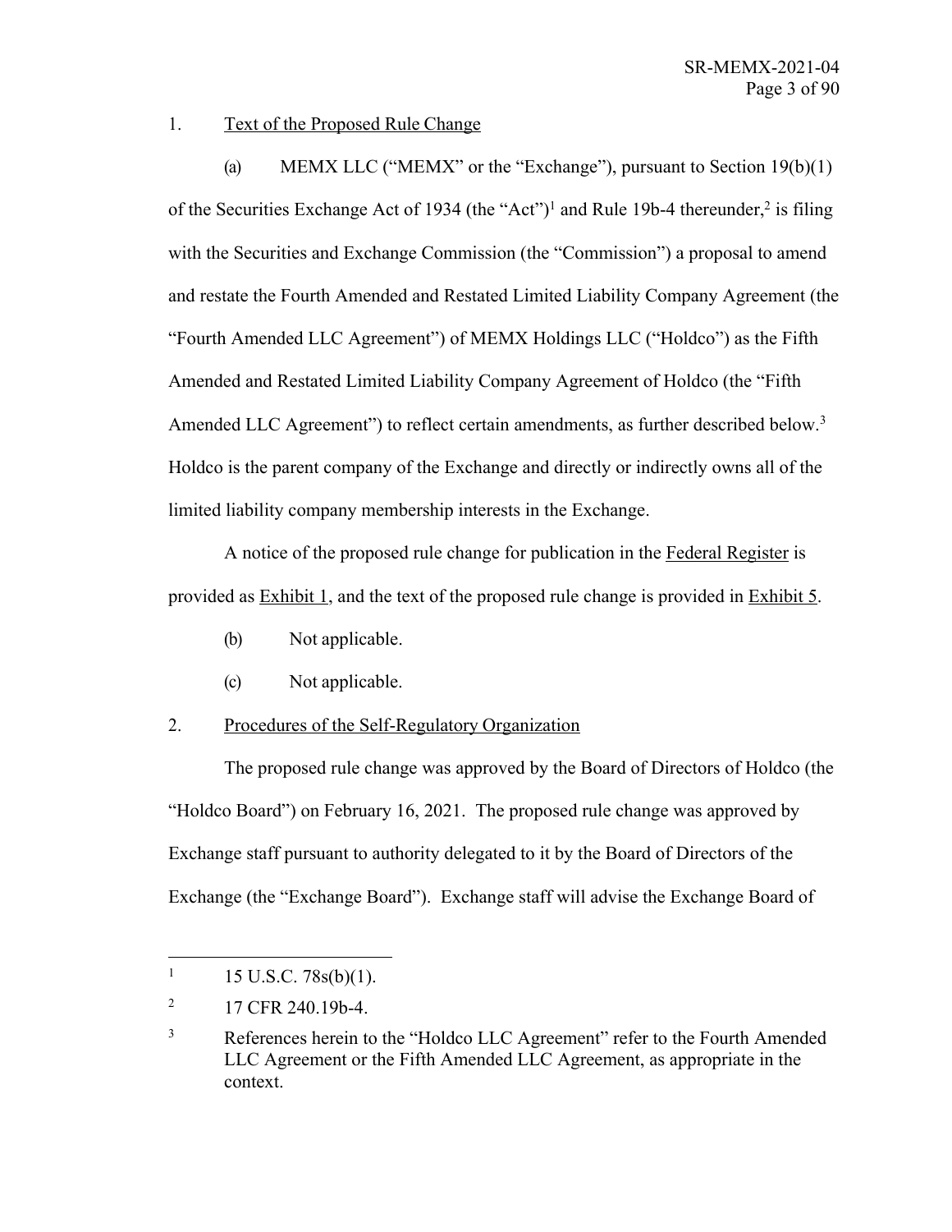1. Text of the Proposed Rule Change

(a) MEMX LLC ("MEMX" or the "Exchange"), pursuant to Section 19(b)(1) of the Securities Exchange Act of 1934 (the "Act")<sup>1</sup> and Rule 19b-4 thereunder,<sup>2</sup> is filing with the Securities and Exchange Commission (the "Commission") a proposal to amend and restate the Fourth Amended and Restated Limited Liability Company Agreement (the "Fourth Amended LLC Agreement") of MEMX Holdings LLC ("Holdco") as the Fifth Amended and Restated Limited Liability Company Agreement of Holdco (the "Fifth Amended LLC Agreement") to reflect certain amendments, as further described below.<sup>3</sup> Holdco is the parent company of the Exchange and directly or indirectly owns all of the limited liability company membership interests in the Exchange.

A notice of the proposed rule change for publication in the Federal Register is provided as Exhibit 1, and the text of the proposed rule change is provided in Exhibit 5.

- (b) Not applicable.
- (c) Not applicable.

# 2. Procedures of the Self-Regulatory Organization

The proposed rule change was approved by the Board of Directors of Holdco (the "Holdco Board") on February 16, 2021. The proposed rule change was approved by Exchange staff pursuant to authority delegated to it by the Board of Directors of the Exchange (the "Exchange Board"). Exchange staff will advise the Exchange Board of

 $1 \quad 15 \text{ U.S.C. } 78 \text{s(b)}(1).$ 

<sup>&</sup>lt;sup>2</sup> 17 CFR 240.19b-4.

<sup>&</sup>lt;sup>3</sup> References herein to the "Holdco LLC Agreement" refer to the Fourth Amended LLC Agreement or the Fifth Amended LLC Agreement, as appropriate in the context.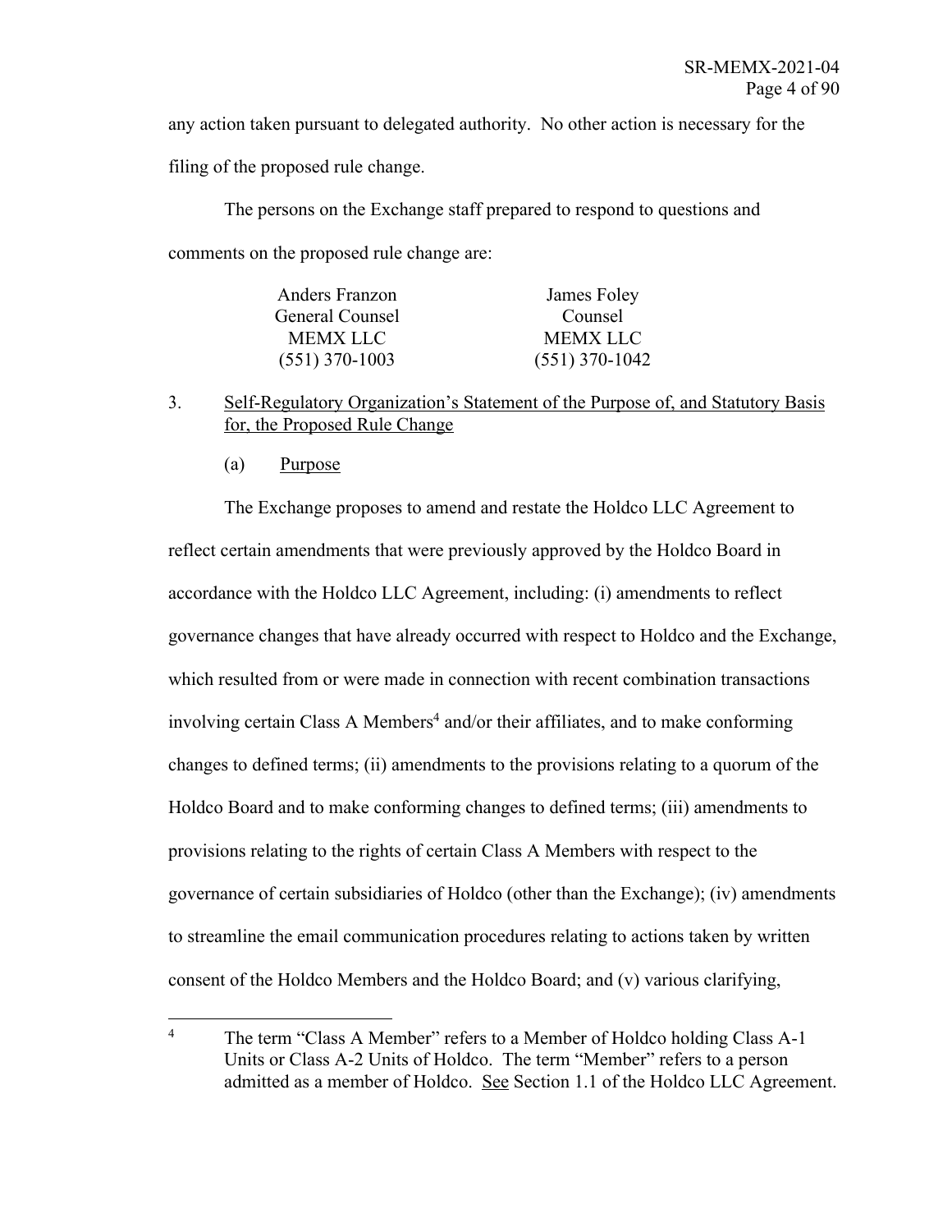any action taken pursuant to delegated authority. No other action is necessary for the

filing of the proposed rule change.

The persons on the Exchange staff prepared to respond to questions and comments on the proposed rule change are:

| Anders Franzon   | James Foley      |
|------------------|------------------|
| General Counsel  | Counsel          |
| MEMX LLC         | <b>MEMX LLC</b>  |
| $(551)$ 370-1003 | $(551)$ 370-1042 |

- 3. Self-Regulatory Organization's Statement of the Purpose of, and Statutory Basis for, the Proposed Rule Change
	- (a) Purpose

The Exchange proposes to amend and restate the Holdco LLC Agreement to reflect certain amendments that were previously approved by the Holdco Board in accordance with the Holdco LLC Agreement, including: (i) amendments to reflect governance changes that have already occurred with respect to Holdco and the Exchange, which resulted from or were made in connection with recent combination transactions involving certain Class A Members<sup>4</sup> and/or their affiliates, and to make conforming changes to defined terms; (ii) amendments to the provisions relating to a quorum of the Holdco Board and to make conforming changes to defined terms; (iii) amendments to provisions relating to the rights of certain Class A Members with respect to the governance of certain subsidiaries of Holdco (other than the Exchange); (iv) amendments to streamline the email communication procedures relating to actions taken by written consent of the Holdco Members and the Holdco Board; and (v) various clarifying,

<sup>&</sup>lt;sup>4</sup> The term "Class A Member" refers to a Member of Holdco holding Class A-1 Units or Class A-2 Units of Holdco. The term "Member" refers to a person admitted as a member of Holdco. See Section 1.1 of the Holdco LLC Agreement.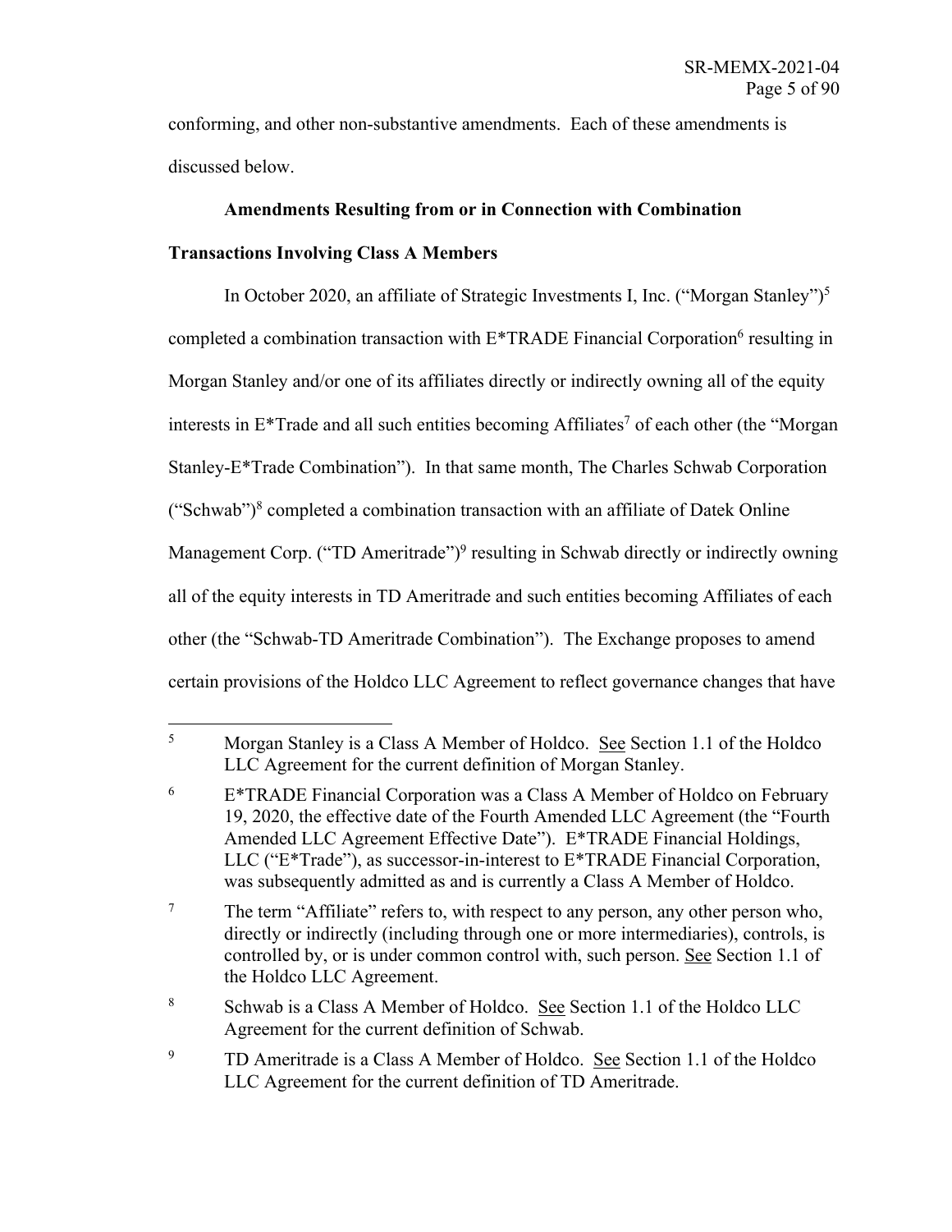conforming, and other non-substantive amendments. Each of these amendments is discussed below.

## **Amendments Resulting from or in Connection with Combination**

## **Transactions Involving Class A Members**

In October 2020, an affiliate of Strategic Investments I, Inc. ("Morgan Stanley")<sup>5</sup> completed a combination transaction with  $E^*$ TRADE Financial Corporation<sup>6</sup> resulting in Morgan Stanley and/or one of its affiliates directly or indirectly owning all of the equity interests in  $E^*$ Trade and all such entities becoming Affiliates<sup>7</sup> of each other (the "Morgan Stanley-E\*Trade Combination"). In that same month, The Charles Schwab Corporation ("Schwab") $8$  completed a combination transaction with an affiliate of Datek Online Management Corp. ("TD Ameritrade")<sup>9</sup> resulting in Schwab directly or indirectly owning all of the equity interests in TD Ameritrade and such entities becoming Affiliates of each other (the "Schwab-TD Ameritrade Combination"). The Exchange proposes to amend certain provisions of the Holdco LLC Agreement to reflect governance changes that have

<sup>5</sup> Morgan Stanley is a Class A Member of Holdco. See Section 1.1 of the Holdco LLC Agreement for the current definition of Morgan Stanley.

 $6$  E<sup>\*</sup>TRADE Financial Corporation was a Class A Member of Holdco on February 19, 2020, the effective date of the Fourth Amended LLC Agreement (the "Fourth Amended LLC Agreement Effective Date"). E\*TRADE Financial Holdings, LLC ("E\*Trade"), as successor-in-interest to E\*TRADE Financial Corporation, was subsequently admitted as and is currently a Class A Member of Holdco.

<sup>&</sup>lt;sup>7</sup> The term "Affiliate" refers to, with respect to any person, any other person who, directly or indirectly (including through one or more intermediaries), controls, is controlled by, or is under common control with, such person. See Section 1.1 of the Holdco LLC Agreement.

<sup>8</sup> Schwab is a Class A Member of Holdco. See Section 1.1 of the Holdco LLC Agreement for the current definition of Schwab.

<sup>&</sup>lt;sup>9</sup> TD Ameritrade is a Class A Member of Holdco. <u>See</u> Section 1.1 of the Holdco LLC Agreement for the current definition of TD Ameritrade.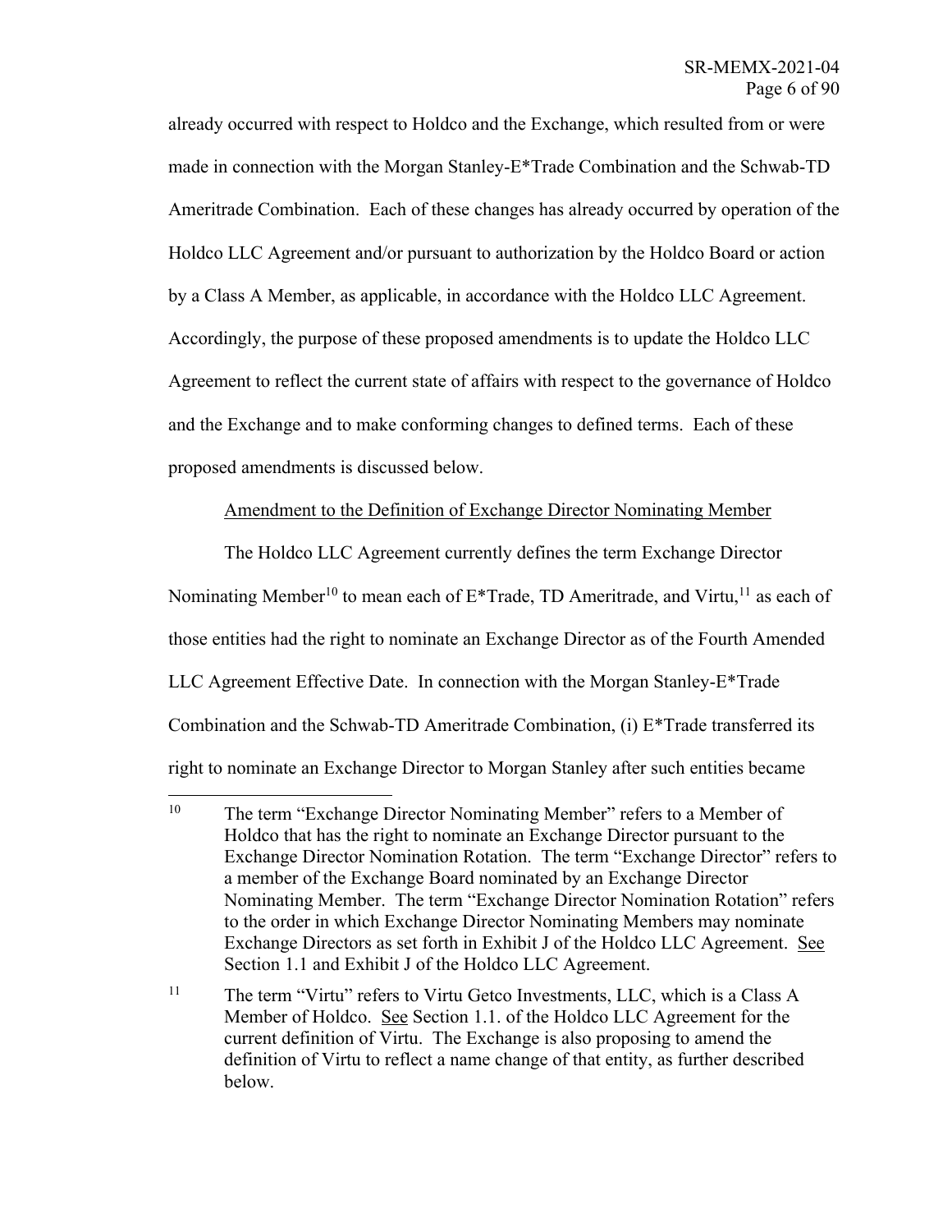already occurred with respect to Holdco and the Exchange, which resulted from or were made in connection with the Morgan Stanley-E\*Trade Combination and the Schwab-TD Ameritrade Combination. Each of these changes has already occurred by operation of the Holdco LLC Agreement and/or pursuant to authorization by the Holdco Board or action by a Class A Member, as applicable, in accordance with the Holdco LLC Agreement. Accordingly, the purpose of these proposed amendments is to update the Holdco LLC Agreement to reflect the current state of affairs with respect to the governance of Holdco and the Exchange and to make conforming changes to defined terms. Each of these proposed amendments is discussed below.

## Amendment to the Definition of Exchange Director Nominating Member

The Holdco LLC Agreement currently defines the term Exchange Director Nominating Member<sup>10</sup> to mean each of  $E^*$ Trade, TD Ameritrade, and Virtu,<sup>11</sup> as each of those entities had the right to nominate an Exchange Director as of the Fourth Amended LLC Agreement Effective Date. In connection with the Morgan Stanley-E\*Trade Combination and the Schwab-TD Ameritrade Combination, (i) E\*Trade transferred its right to nominate an Exchange Director to Morgan Stanley after such entities became

<sup>&</sup>lt;sup>10</sup> The term "Exchange Director Nominating Member" refers to a Member of Holdco that has the right to nominate an Exchange Director pursuant to the Exchange Director Nomination Rotation. The term "Exchange Director" refers to a member of the Exchange Board nominated by an Exchange Director Nominating Member. The term "Exchange Director Nomination Rotation" refers to the order in which Exchange Director Nominating Members may nominate Exchange Directors as set forth in Exhibit J of the Holdco LLC Agreement. See Section 1.1 and Exhibit J of the Holdco LLC Agreement.

<sup>&</sup>lt;sup>11</sup> The term "Virtu" refers to Virtu Getco Investments, LLC, which is a Class A Member of Holdco. See Section 1.1. of the Holdco LLC Agreement for the current definition of Virtu. The Exchange is also proposing to amend the definition of Virtu to reflect a name change of that entity, as further described below.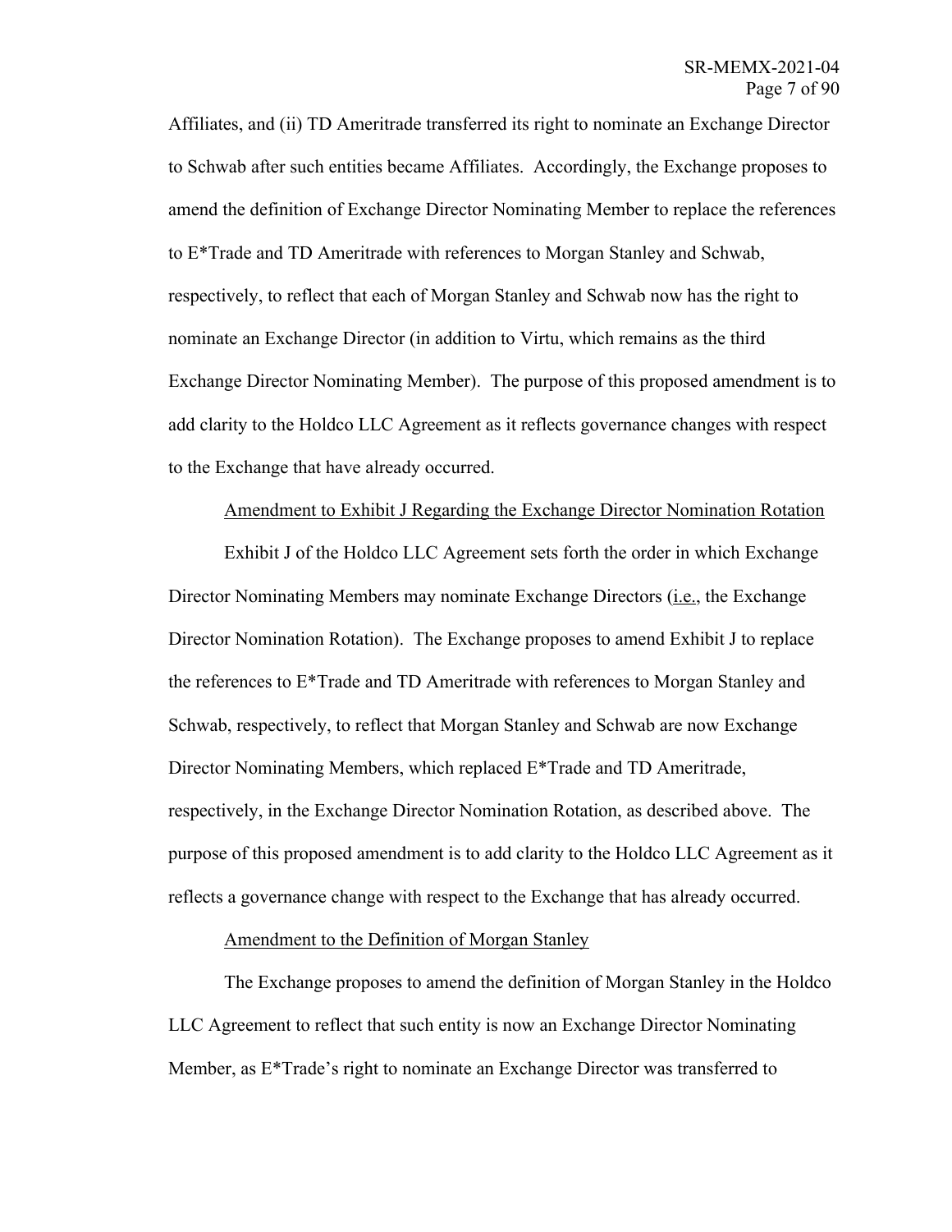Affiliates, and (ii) TD Ameritrade transferred its right to nominate an Exchange Director to Schwab after such entities became Affiliates. Accordingly, the Exchange proposes to amend the definition of Exchange Director Nominating Member to replace the references to E\*Trade and TD Ameritrade with references to Morgan Stanley and Schwab, respectively, to reflect that each of Morgan Stanley and Schwab now has the right to nominate an Exchange Director (in addition to Virtu, which remains as the third Exchange Director Nominating Member). The purpose of this proposed amendment is to add clarity to the Holdco LLC Agreement as it reflects governance changes with respect to the Exchange that have already occurred.

### Amendment to Exhibit J Regarding the Exchange Director Nomination Rotation

Exhibit J of the Holdco LLC Agreement sets forth the order in which Exchange Director Nominating Members may nominate Exchange Directors (*i.e.*, the Exchange Director Nomination Rotation). The Exchange proposes to amend Exhibit J to replace the references to  $E^*$ Trade and TD Ameritrade with references to Morgan Stanley and Schwab, respectively, to reflect that Morgan Stanley and Schwab are now Exchange Director Nominating Members, which replaced E\*Trade and TD Ameritrade, respectively, in the Exchange Director Nomination Rotation, as described above. The purpose of this proposed amendment is to add clarity to the Holdco LLC Agreement as it reflects a governance change with respect to the Exchange that has already occurred.

## Amendment to the Definition of Morgan Stanley

The Exchange proposes to amend the definition of Morgan Stanley in the Holdco LLC Agreement to reflect that such entity is now an Exchange Director Nominating Member, as E\*Trade's right to nominate an Exchange Director was transferred to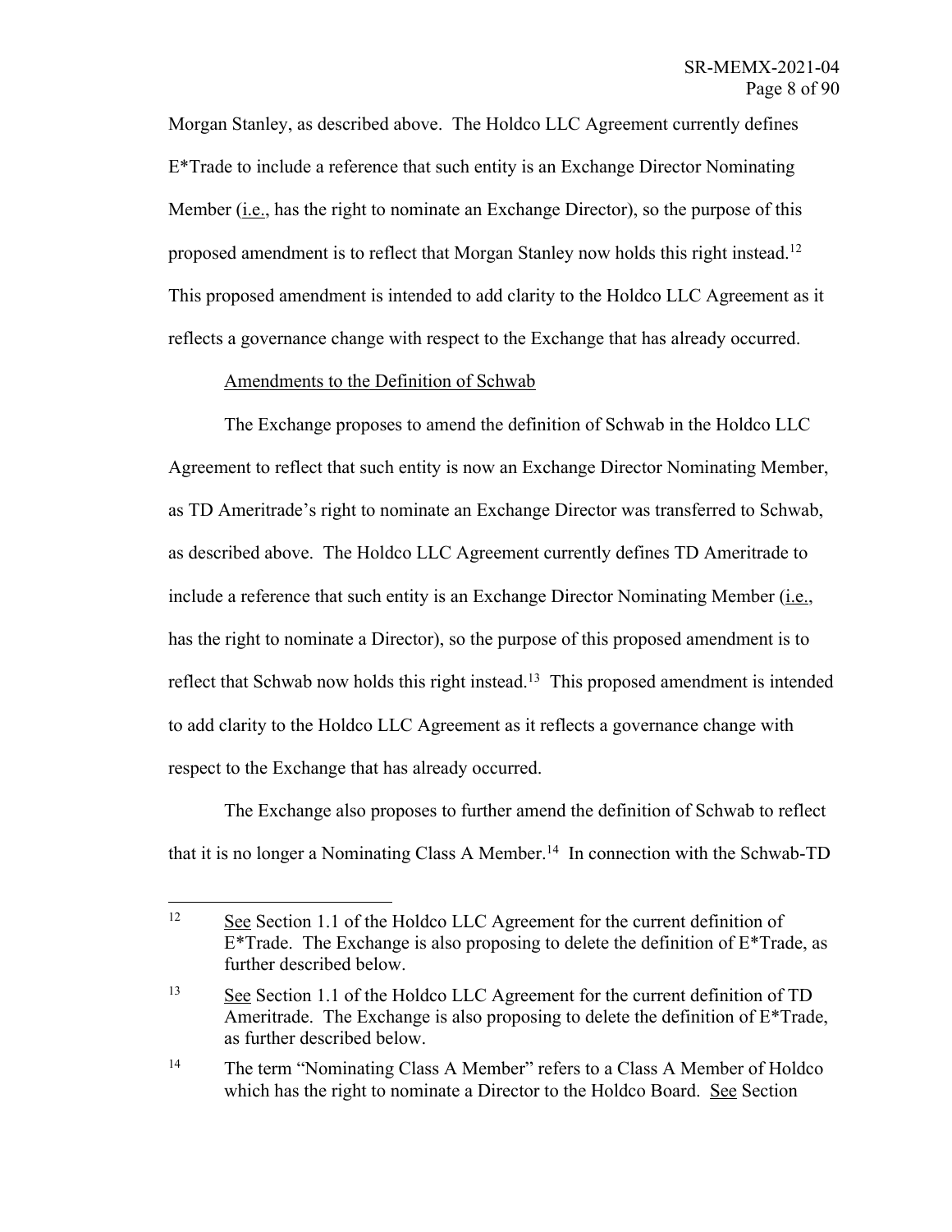Morgan Stanley, as described above. The Holdco LLC Agreement currently defines E\*Trade to include a reference that such entity is an Exchange Director Nominating Member (i.e., has the right to nominate an Exchange Director), so the purpose of this proposed amendment is to reflect that Morgan Stanley now holds this right instead.<sup>12</sup> This proposed amendment is intended to add clarity to the Holdco LLC Agreement as it reflects a governance change with respect to the Exchange that has already occurred.

## Amendments to the Definition of Schwab

The Exchange proposes to amend the definition of Schwab in the Holdco LLC Agreement to reflect that such entity is now an Exchange Director Nominating Member, as TD Ameritrade's right to nominate an Exchange Director was transferred to Schwab, as described above. The Holdco LLC Agreement currently defines TD Ameritrade to include a reference that such entity is an Exchange Director Nominating Member  $(i.e.,$ has the right to nominate a Director), so the purpose of this proposed amendment is to reflect that Schwab now holds this right instead.<sup>13</sup> This proposed amendment is intended to add clarity to the Holdco LLC Agreement as it reflects a governance change with respect to the Exchange that has already occurred.

The Exchange also proposes to further amend the definition of Schwab to reflect that it is no longer a Nominating Class A Member. 14 In connection with the Schwab-TD

<sup>&</sup>lt;sup>12</sup> See Section 1.1 of the Holdco LLC Agreement for the current definition of  $E^*$ Trade. The Exchange is also proposing to delete the definition of  $E^*$ Trade, as further described below.

<sup>13</sup> See Section 1.1 of the Holdco LLC Agreement for the current definition of TD Ameritrade. The Exchange is also proposing to delete the definition of E\*Trade, as further described below.

<sup>&</sup>lt;sup>14</sup> The term "Nominating Class A Member" refers to a Class A Member of Holdco which has the right to nominate a Director to the Holdco Board. See Section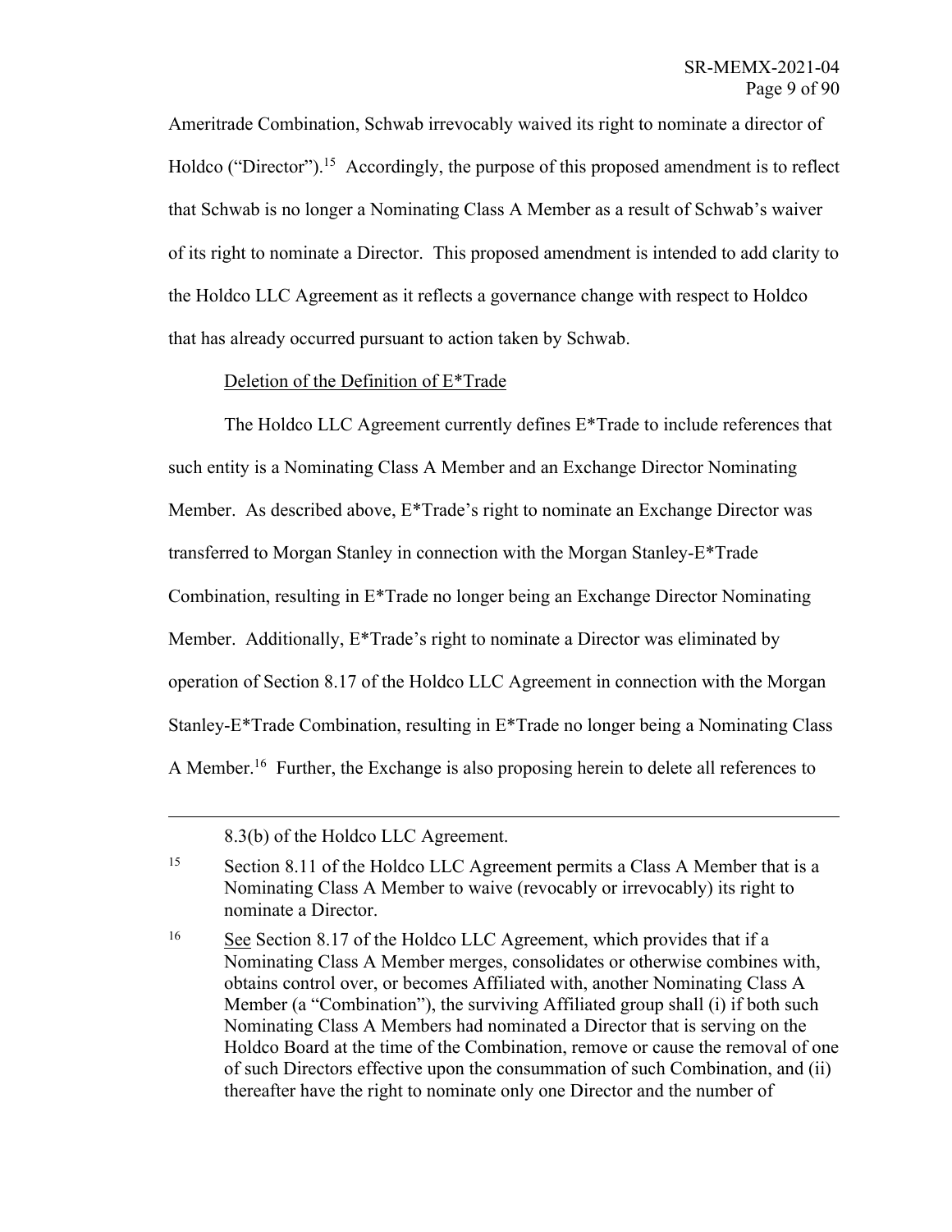Ameritrade Combination, Schwab irrevocably waived its right to nominate a director of Holdco ("Director").<sup>15</sup> Accordingly, the purpose of this proposed amendment is to reflect that Schwab is no longer a Nominating Class A Member as a result of Schwab's waiver of its right to nominate a Director. This proposed amendment is intended to add clarity to the Holdco LLC Agreement as it reflects a governance change with respect to Holdco that has already occurred pursuant to action taken by Schwab.

## Deletion of the Definition of E\*Trade

The Holdco LLC Agreement currently defines E\*Trade to include references that such entity is a Nominating Class A Member and an Exchange Director Nominating Member. As described above, E\*Trade's right to nominate an Exchange Director was transferred to Morgan Stanley in connection with the Morgan Stanley-E\*Trade Combination, resulting in E\*Trade no longer being an Exchange Director Nominating Member. Additionally, E\*Trade's right to nominate a Director was eliminated by operation of Section 8.17 of the Holdco LLC Agreement in connection with the Morgan Stanley-E\*Trade Combination, resulting in E\*Trade no longer being a Nominating Class A Member.<sup>16</sup> Further, the Exchange is also proposing herein to delete all references to

<sup>8.3(</sup>b) of the Holdco LLC Agreement.

<sup>&</sup>lt;sup>15</sup> Section 8.11 of the Holdco LLC Agreement permits a Class A Member that is a Nominating Class A Member to waive (revocably or irrevocably) its right to nominate a Director.

<sup>&</sup>lt;sup>16</sup> See Section 8.17 of the Holdco LLC Agreement, which provides that if a Nominating Class A Member merges, consolidates or otherwise combines with, obtains control over, or becomes Affiliated with, another Nominating Class A Member (a "Combination"), the surviving Affiliated group shall (i) if both such Nominating Class A Members had nominated a Director that is serving on the Holdco Board at the time of the Combination, remove or cause the removal of one of such Directors effective upon the consummation of such Combination, and (ii) thereafter have the right to nominate only one Director and the number of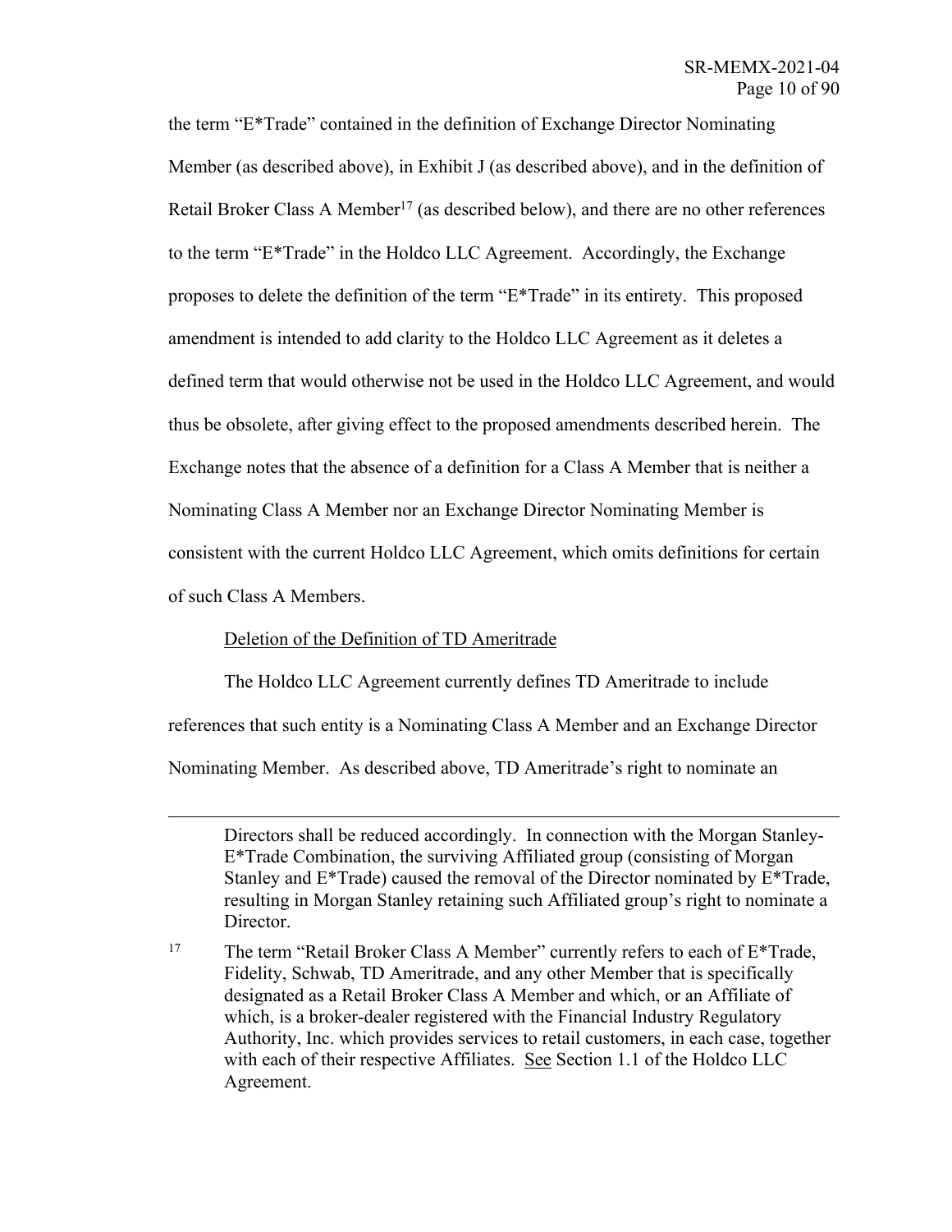the term "E\*Trade" contained in the definition of Exchange Director Nominating Member (as described above), in Exhibit J (as described above), and in the definition of Retail Broker Class A Member<sup>17</sup> (as described below), and there are no other references to the term "E\*Trade" in the Holdco LLC Agreement. Accordingly, the Exchange proposes to delete the definition of the term "E\*Trade" in its entirety. This proposed amendment is intended to add clarity to the Holdco LLC Agreement as it deletes a defined term that would otherwise not be used in the Holdco LLC Agreement, and would thus be obsolete, after giving effect to the proposed amendments described herein. The Exchange notes that the absence of a definition for a Class A Member that is neither a Nominating Class A Member nor an Exchange Director Nominating Member is consistent with the current Holdco LLC Agreement, which omits definitions for certain of such Class A Members.

## Deletion of the Definition of TD Ameritrade

The Holdco LLC Agreement currently defines TD Ameritrade to include references that such entity is a Nominating Class A Member and an Exchange Director Nominating Member. As described above, TD Ameritrade's right to nominate an

Directors shall be reduced accordingly. In connection with the Morgan Stanley-E\*Trade Combination, the surviving Affiliated group (consisting of Morgan Stanley and E\*Trade) caused the removal of the Director nominated by E\*Trade, resulting in Morgan Stanley retaining such Affiliated group's right to nominate a Director.

<sup>&</sup>lt;sup>17</sup> The term "Retail Broker Class A Member" currently refers to each of E\*Trade, Fidelity, Schwab, TD Ameritrade, and any other Member that is specifically designated as a Retail Broker Class A Member and which, or an Affiliate of which, is a broker-dealer registered with the Financial Industry Regulatory Authority, Inc. which provides services to retail customers, in each case, together with each of their respective Affiliates. See Section 1.1 of the Holdco LLC Agreement.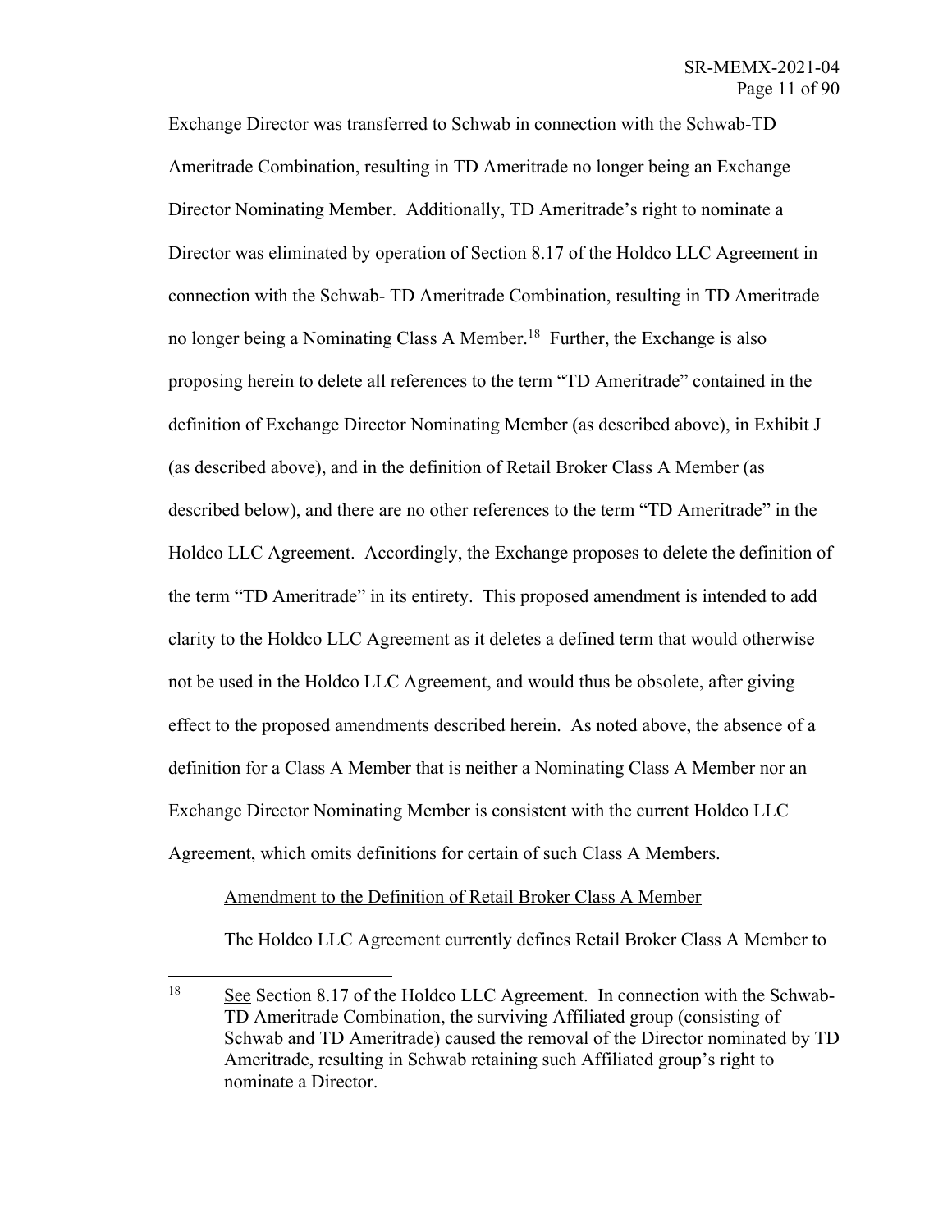Exchange Director was transferred to Schwab in connection with the Schwab-TD Ameritrade Combination, resulting in TD Ameritrade no longer being an Exchange Director Nominating Member. Additionally, TD Ameritrade's right to nominate a Director was eliminated by operation of Section 8.17 of the Holdco LLC Agreement in connection with the Schwab- TD Ameritrade Combination, resulting in TD Ameritrade no longer being a Nominating Class A Member. 18 Further, the Exchange is also proposing herein to delete all references to the term "TD Ameritrade" contained in the definition of Exchange Director Nominating Member (as described above), in Exhibit J (as described above), and in the definition of Retail Broker Class A Member (as described below), and there are no other references to the term "TD Ameritrade" in the Holdco LLC Agreement. Accordingly, the Exchange proposes to delete the definition of the term "TD Ameritrade" in its entirety. This proposed amendment is intended to add clarity to the Holdco LLC Agreement as it deletes a defined term that would otherwise not be used in the Holdco LLC Agreement, and would thus be obsolete, after giving effect to the proposed amendments described herein. As noted above, the absence of a definition for a Class A Member that is neither a Nominating Class A Member nor an Exchange Director Nominating Member is consistent with the current Holdco LLC Agreement, which omits definitions for certain of such Class A Members.

## Amendment to the Definition of Retail Broker Class A Member

The Holdco LLC Agreement currently defines Retail Broker Class A Member to

<sup>&</sup>lt;sup>18</sup> See Section 8.17 of the Holdco LLC Agreement. In connection with the Schwab-TD Ameritrade Combination, the surviving Affiliated group (consisting of Schwab and TD Ameritrade) caused the removal of the Director nominated by TD Ameritrade, resulting in Schwab retaining such Affiliated group's right to nominate a Director.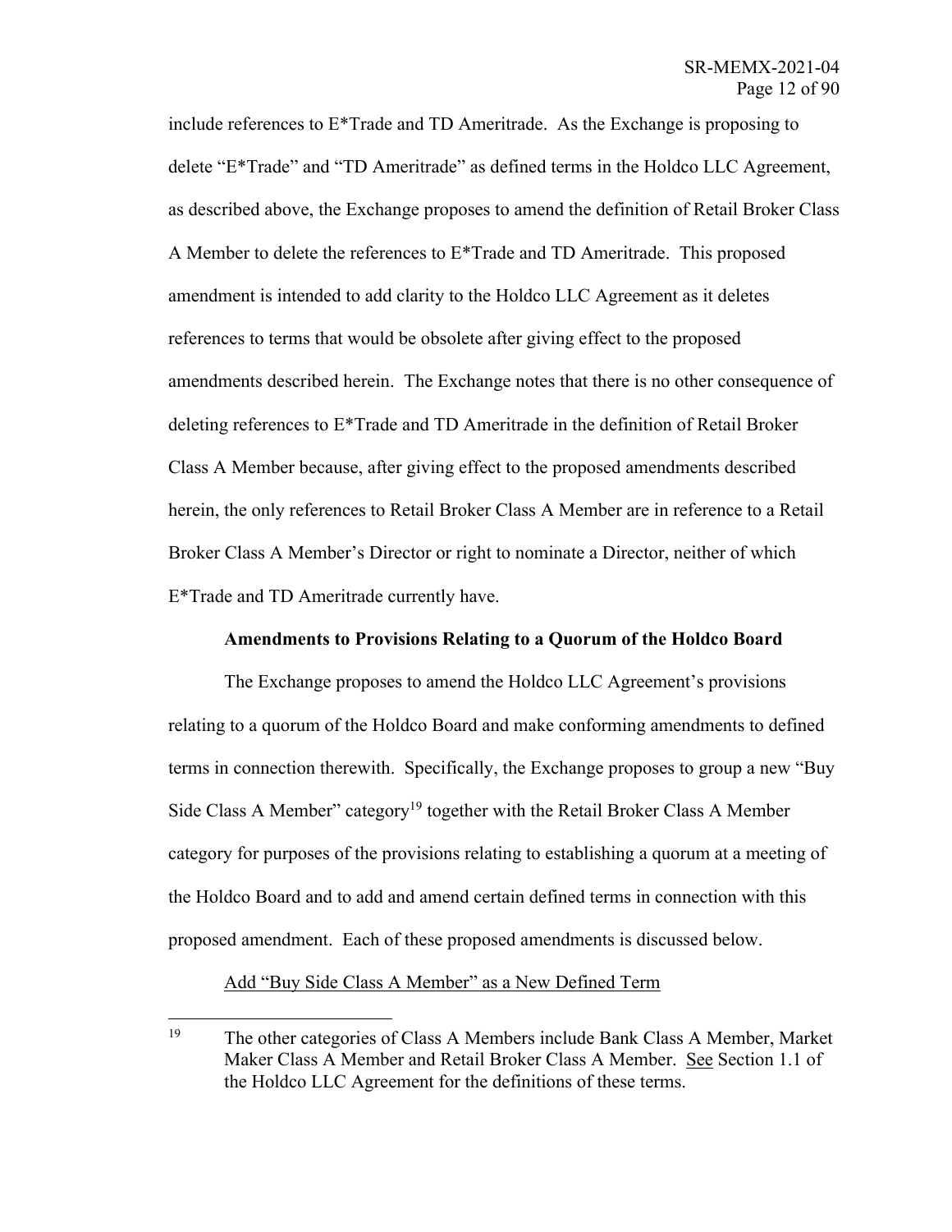include references to E\*Trade and TD Ameritrade. As the Exchange is proposing to delete "E\*Trade" and "TD Ameritrade" as defined terms in the Holdco LLC Agreement, as described above, the Exchange proposes to amend the definition of Retail Broker Class A Member to delete the references to E\*Trade and TD Ameritrade. This proposed amendment is intended to add clarity to the Holdco LLC Agreement as it deletes references to terms that would be obsolete after giving effect to the proposed amendments described herein. The Exchange notes that there is no other consequence of deleting references to E\*Trade and TD Ameritrade in the definition of Retail Broker Class A Member because, after giving effect to the proposed amendments described herein, the only references to Retail Broker Class A Member are in reference to a Retail Broker Class A Member's Director or right to nominate a Director, neither of which E\*Trade and TD Ameritrade currently have.

## **Amendments to Provisions Relating to a Quorum of the Holdco Board**

The Exchange proposes to amend the Holdco LLC Agreement's provisions relating to a quorum of the Holdco Board and make conforming amendments to defined terms in connection therewith. Specifically, the Exchange proposes to group a new "Buy Side Class A Member" category<sup>19</sup> together with the Retail Broker Class A Member category for purposes of the provisions relating to establishing a quorum at a meeting of the Holdco Board and to add and amend certain defined terms in connection with this proposed amendment. Each of these proposed amendments is discussed below.

#### Add "Buy Side Class A Member" as a New Defined Term

<sup>&</sup>lt;sup>19</sup> The other categories of Class A Members include Bank Class A Member, Market Maker Class A Member and Retail Broker Class A Member. See Section 1.1 of the Holdco LLC Agreement for the definitions of these terms.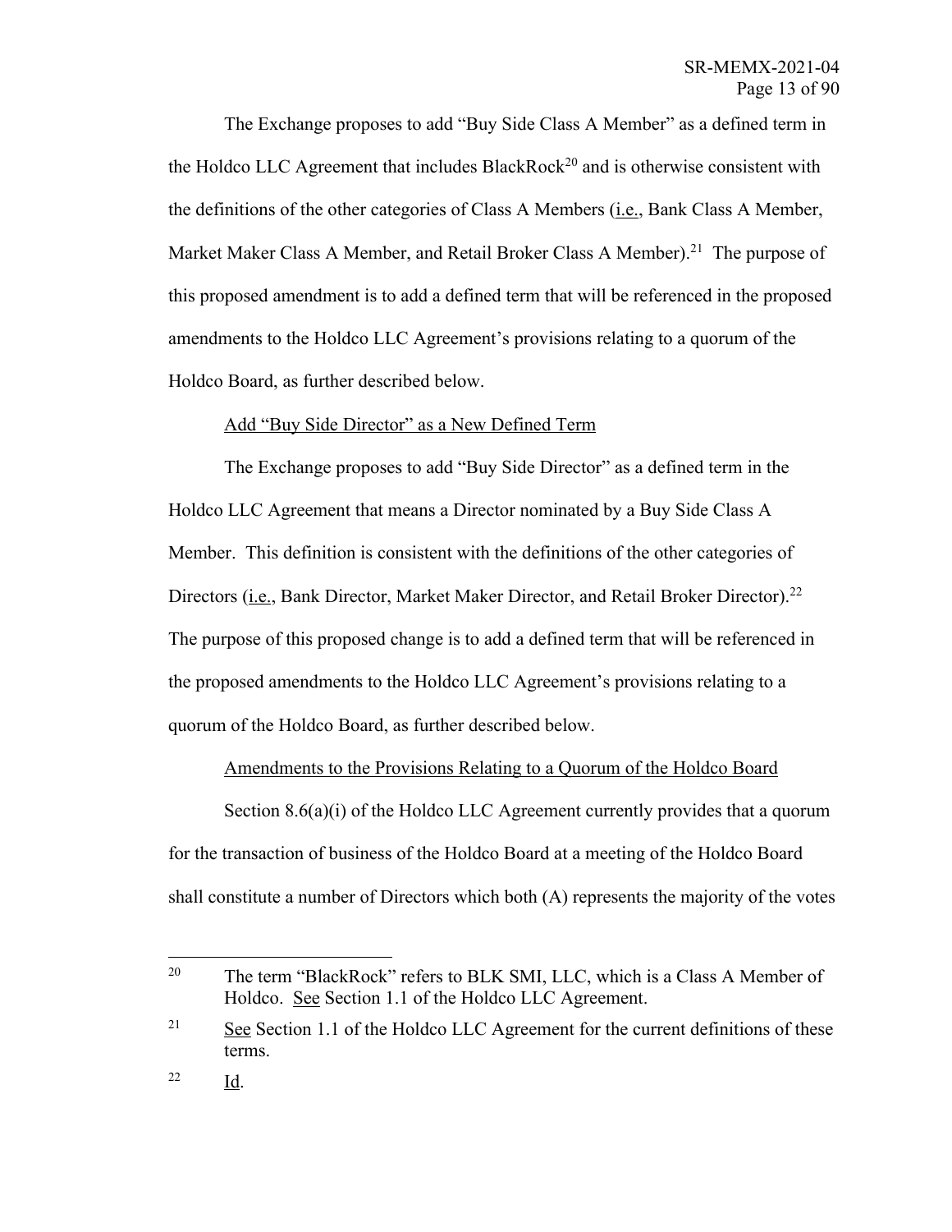The Exchange proposes to add "Buy Side Class A Member" as a defined term in the Holdco LLC Agreement that includes BlackRock<sup>20</sup> and is otherwise consistent with the definitions of the other categories of Class A Members (i.e., Bank Class A Member, Market Maker Class A Member, and Retail Broker Class A Member).<sup>21</sup> The purpose of this proposed amendment is to add a defined term that will be referenced in the proposed amendments to the Holdco LLC Agreement's provisions relating to a quorum of the Holdco Board, as further described below.

### Add "Buy Side Director" as a New Defined Term

The Exchange proposes to add "Buy Side Director" as a defined term in the Holdco LLC Agreement that means a Director nominated by a Buy Side Class A Member. This definition is consistent with the definitions of the other categories of Directors (*i.e.*, Bank Director, Market Maker Director, and Retail Broker Director).<sup>22</sup> The purpose of this proposed change is to add a defined term that will be referenced in the proposed amendments to the Holdco LLC Agreement's provisions relating to a quorum of the Holdco Board, as further described below.

#### Amendments to the Provisions Relating to a Quorum of the Holdco Board

Section 8.6(a)(i) of the Holdco LLC Agreement currently provides that a quorum for the transaction of business of the Holdco Board at a meeting of the Holdco Board shall constitute a number of Directors which both (A) represents the majority of the votes

<sup>&</sup>lt;sup>20</sup> The term "BlackRock" refers to BLK SMI, LLC, which is a Class A Member of Holdco. See Section 1.1 of the Holdco LLC Agreement.

<sup>&</sup>lt;sup>21</sup> See Section 1.1 of the Holdco LLC Agreement for the current definitions of these terms.

<sup>22</sup> Id.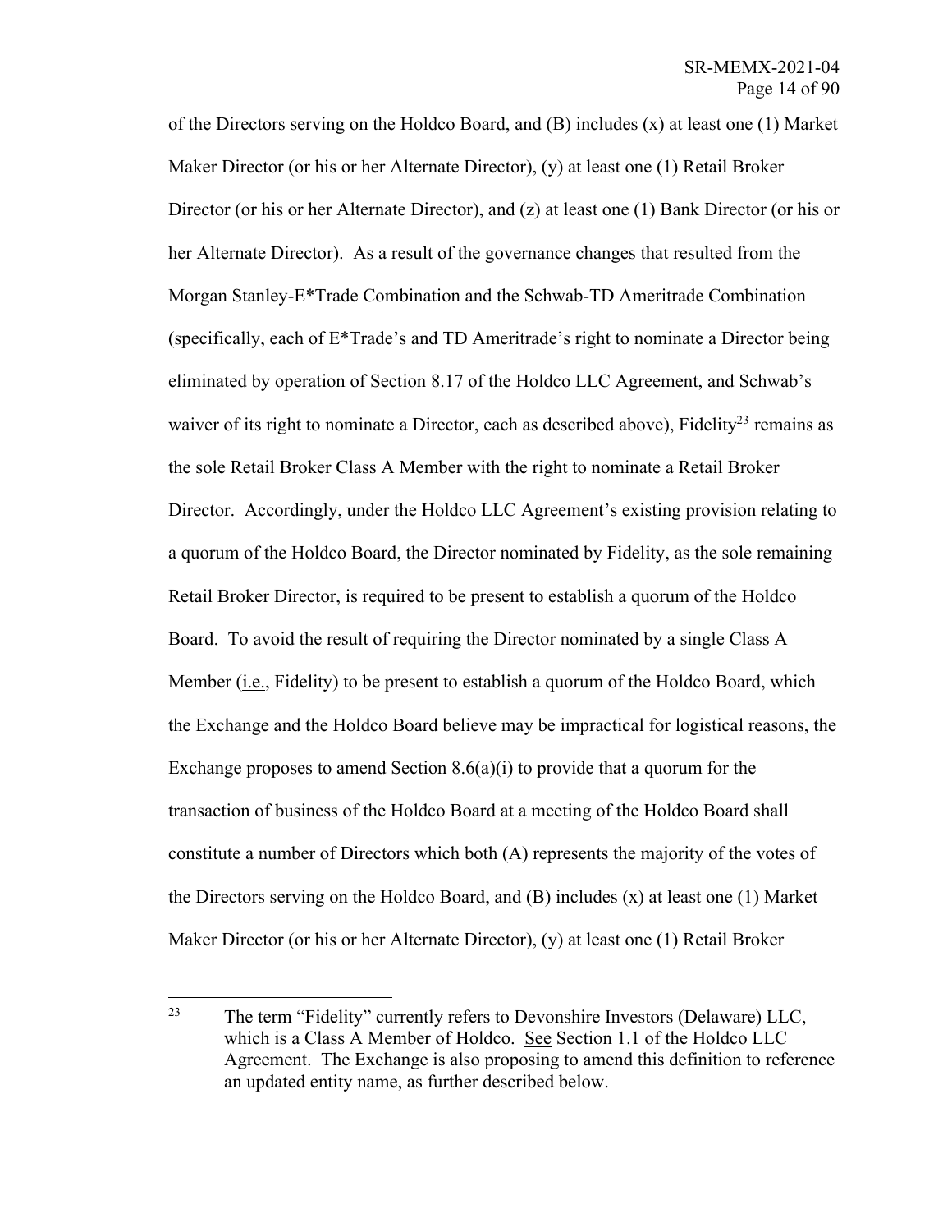of the Directors serving on the Holdco Board, and (B) includes (x) at least one (1) Market Maker Director (or his or her Alternate Director), (y) at least one (1) Retail Broker Director (or his or her Alternate Director), and (z) at least one (1) Bank Director (or his or her Alternate Director). As a result of the governance changes that resulted from the Morgan Stanley-E\*Trade Combination and the Schwab-TD Ameritrade Combination (specifically, each of E\*Trade's and TD Ameritrade's right to nominate a Director being eliminated by operation of Section 8.17 of the Holdco LLC Agreement, and Schwab's waiver of its right to nominate a Director, each as described above), Fidelity<sup>23</sup> remains as the sole Retail Broker Class A Member with the right to nominate a Retail Broker Director. Accordingly, under the Holdco LLC Agreement's existing provision relating to a quorum of the Holdco Board, the Director nominated by Fidelity, as the sole remaining Retail Broker Director, is required to be present to establish a quorum of the Holdco Board. To avoid the result of requiring the Director nominated by a single Class A Member (*i.e.*, Fidelity) to be present to establish a quorum of the Holdco Board, which the Exchange and the Holdco Board believe may be impractical for logistical reasons, the Exchange proposes to amend Section  $8.6(a)(i)$  to provide that a quorum for the transaction of business of the Holdco Board at a meeting of the Holdco Board shall constitute a number of Directors which both (A) represents the majority of the votes of the Directors serving on the Holdco Board, and (B) includes (x) at least one (1) Market Maker Director (or his or her Alternate Director), (y) at least one (1) Retail Broker

<sup>&</sup>lt;sup>23</sup> The term "Fidelity" currently refers to Devonshire Investors (Delaware) LLC, which is a Class A Member of Holdco. See Section 1.1 of the Holdco LLC Agreement. The Exchange is also proposing to amend this definition to reference an updated entity name, as further described below.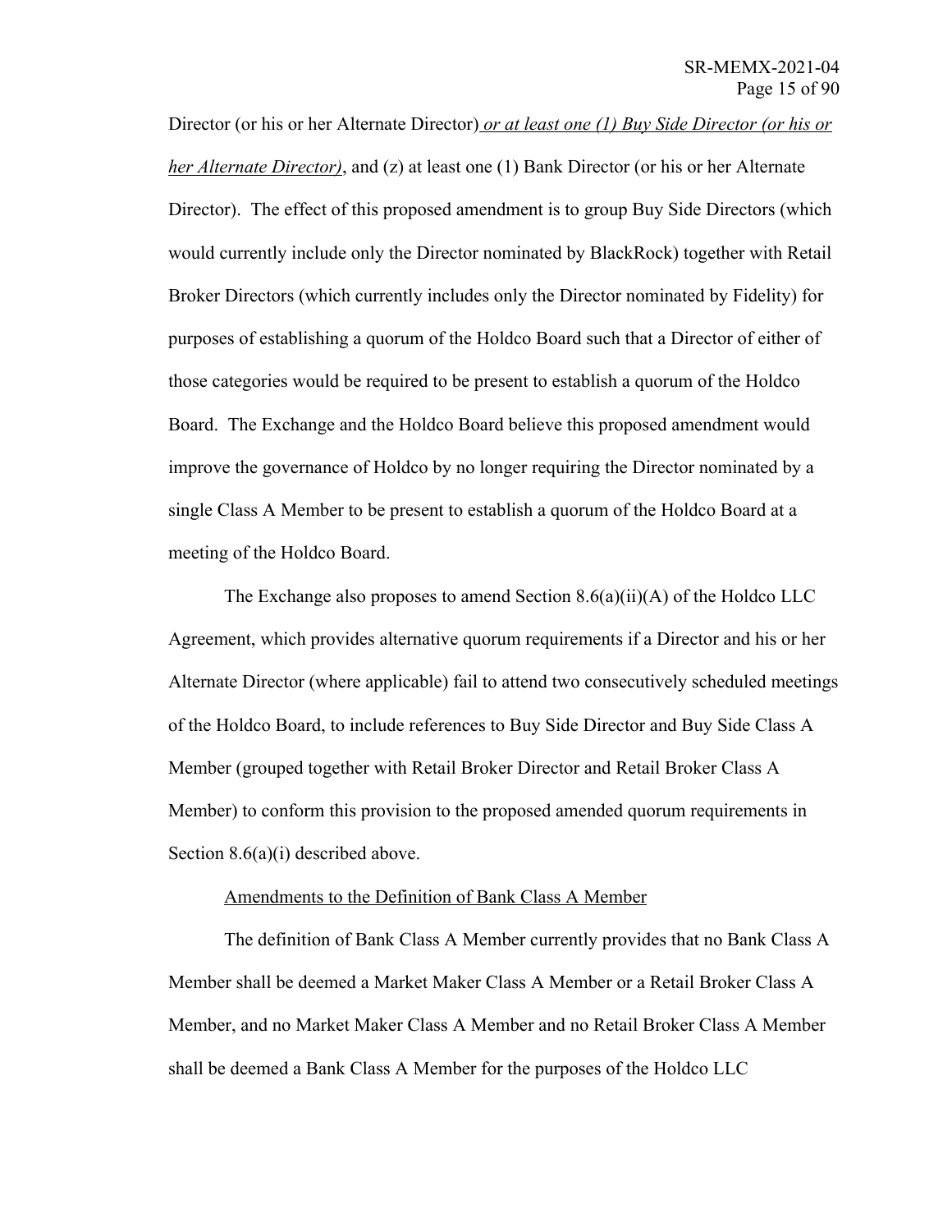Director (or his or her Alternate Director) *or at least one (1) Buy Side Director (or his or her Alternate Director*), and (z) at least one (1) Bank Director (or his or her Alternate Director). The effect of this proposed amendment is to group Buy Side Directors (which would currently include only the Director nominated by BlackRock) together with Retail Broker Directors (which currently includes only the Director nominated by Fidelity) for purposes of establishing a quorum of the Holdco Board such that a Director of either of those categories would be required to be present to establish a quorum of the Holdco Board. The Exchange and the Holdco Board believe this proposed amendment would improve the governance of Holdco by no longer requiring the Director nominated by a single Class A Member to be present to establish a quorum of the Holdco Board at a meeting of the Holdco Board.

The Exchange also proposes to amend Section  $8.6(a)(ii)(A)$  of the Holdco LLC Agreement, which provides alternative quorum requirements if a Director and his or her Alternate Director (where applicable) fail to attend two consecutively scheduled meetings of the Holdco Board, to include references to Buy Side Director and Buy Side Class A Member (grouped together with Retail Broker Director and Retail Broker Class A Member) to conform this provision to the proposed amended quorum requirements in Section 8.6(a)(i) described above.

## Amendments to the Definition of Bank Class A Member

The definition of Bank Class A Member currently provides that no Bank Class A Member shall be deemed a Market Maker Class A Member or a Retail Broker Class A Member, and no Market Maker Class A Member and no Retail Broker Class A Member shall be deemed a Bank Class A Member for the purposes of the Holdco LLC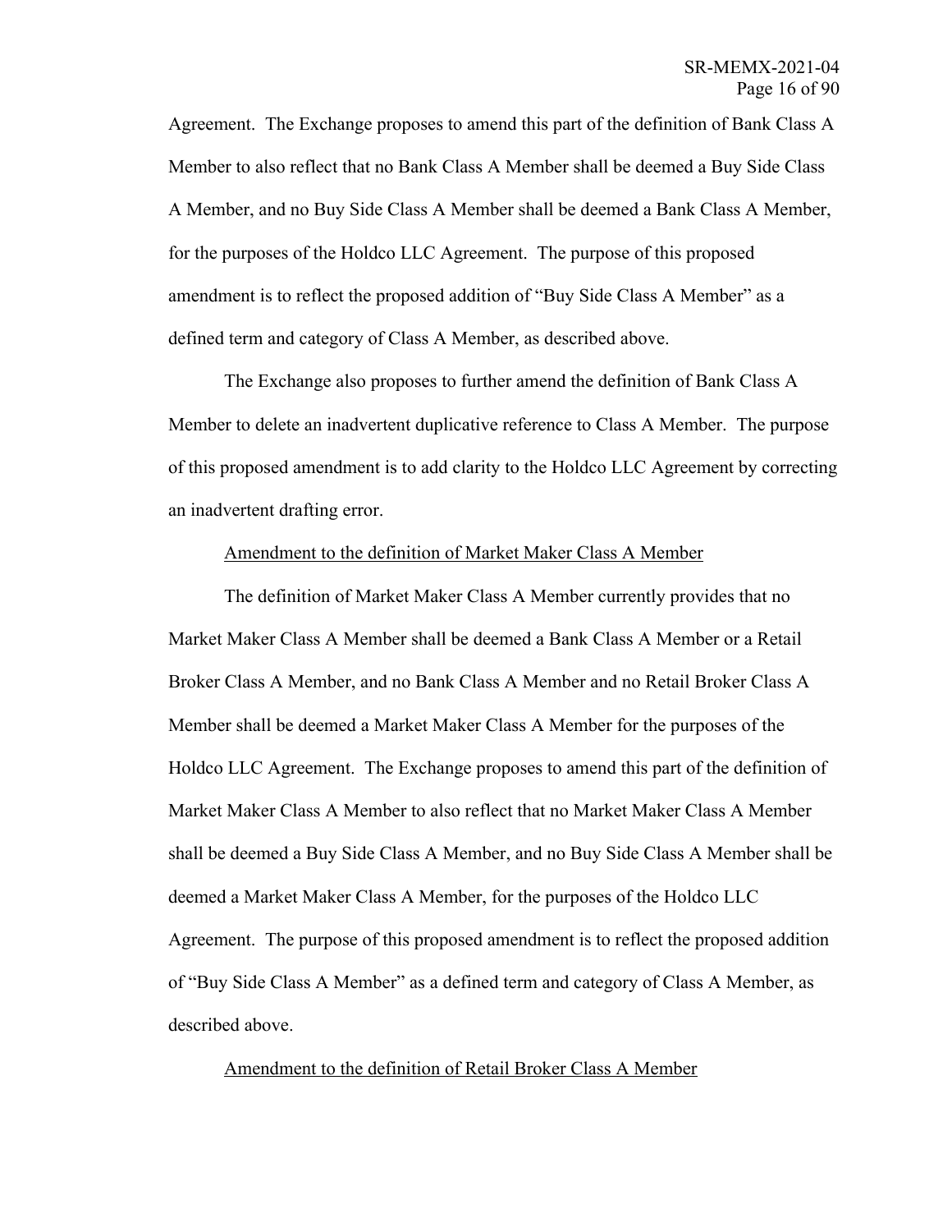Agreement. The Exchange proposes to amend this part of the definition of Bank Class A Member to also reflect that no Bank Class A Member shall be deemed a Buy Side Class A Member, and no Buy Side Class A Member shall be deemed a Bank Class A Member, for the purposes of the Holdco LLC Agreement. The purpose of this proposed amendment is to reflect the proposed addition of "Buy Side Class A Member" as a defined term and category of Class A Member, as described above.

The Exchange also proposes to further amend the definition of Bank Class A Member to delete an inadvertent duplicative reference to Class A Member. The purpose of this proposed amendment is to add clarity to the Holdco LLC Agreement by correcting an inadvertent drafting error.

#### Amendment to the definition of Market Maker Class A Member

The definition of Market Maker Class A Member currently provides that no Market Maker Class A Member shall be deemed a Bank Class A Member or a Retail Broker Class A Member, and no Bank Class A Member and no Retail Broker Class A Member shall be deemed a Market Maker Class A Member for the purposes of the Holdco LLC Agreement. The Exchange proposes to amend this part of the definition of Market Maker Class A Member to also reflect that no Market Maker Class A Member shall be deemed a Buy Side Class A Member, and no Buy Side Class A Member shall be deemed a Market Maker Class A Member, for the purposes of the Holdco LLC Agreement. The purpose of this proposed amendment is to reflect the proposed addition of "Buy Side Class A Member" as a defined term and category of Class A Member, as described above.

Amendment to the definition of Retail Broker Class A Member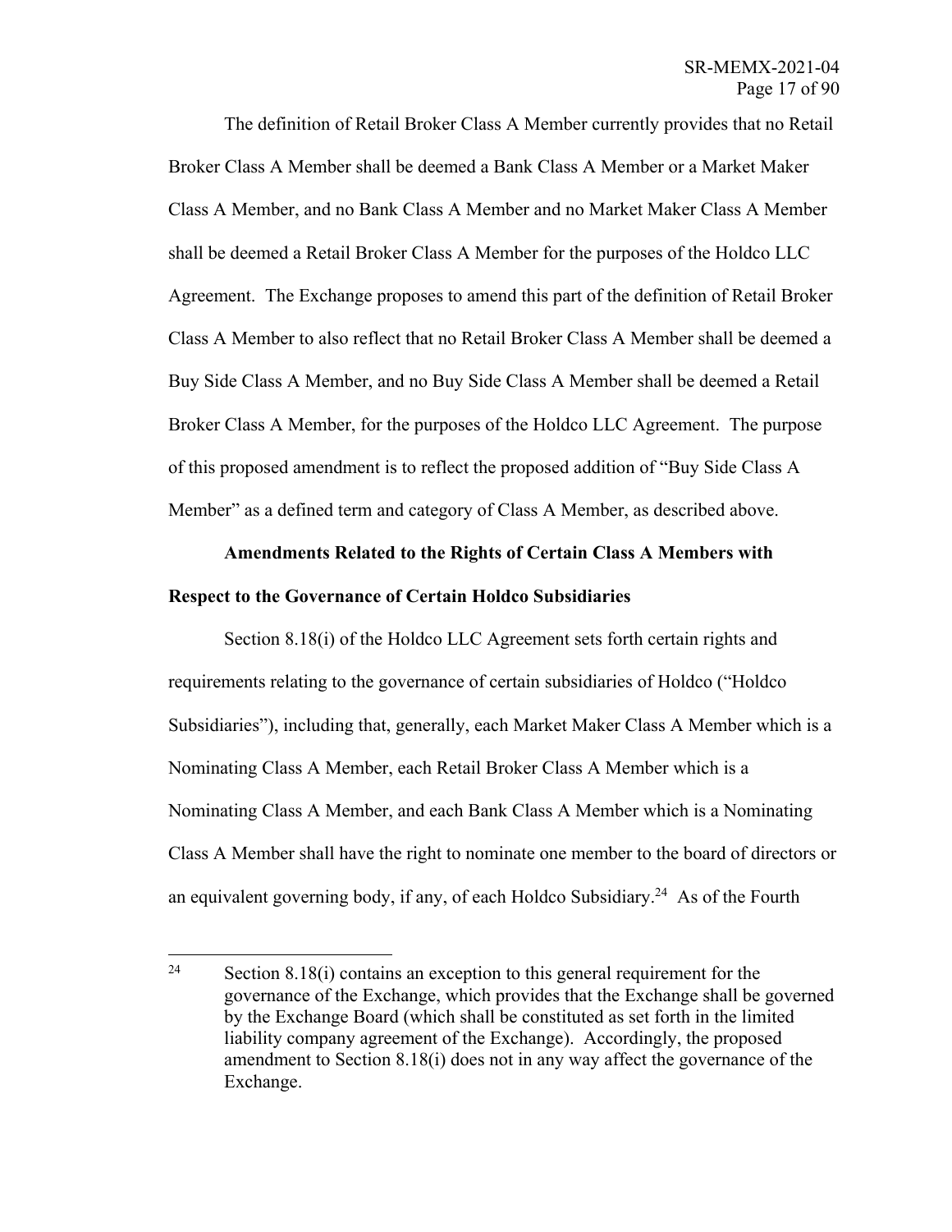The definition of Retail Broker Class A Member currently provides that no Retail Broker Class A Member shall be deemed a Bank Class A Member or a Market Maker Class A Member, and no Bank Class A Member and no Market Maker Class A Member shall be deemed a Retail Broker Class A Member for the purposes of the Holdco LLC Agreement. The Exchange proposes to amend this part of the definition of Retail Broker Class A Member to also reflect that no Retail Broker Class A Member shall be deemed a Buy Side Class A Member, and no Buy Side Class A Member shall be deemed a Retail Broker Class A Member, for the purposes of the Holdco LLC Agreement. The purpose of this proposed amendment is to reflect the proposed addition of "Buy Side Class A Member" as a defined term and category of Class A Member, as described above.

# **Amendments Related to the Rights of Certain Class A Members with Respect to the Governance of Certain Holdco Subsidiaries**

Section 8.18(i) of the Holdco LLC Agreement sets forth certain rights and requirements relating to the governance of certain subsidiaries of Holdco ("Holdco Subsidiaries"), including that, generally, each Market Maker Class A Member which is a Nominating Class A Member, each Retail Broker Class A Member which is a Nominating Class A Member, and each Bank Class A Member which is a Nominating Class A Member shall have the right to nominate one member to the board of directors or an equivalent governing body, if any, of each Holdco Subsidiary.<sup>24</sup> As of the Fourth

<sup>&</sup>lt;sup>24</sup> Section 8.18(i) contains an exception to this general requirement for the governance of the Exchange, which provides that the Exchange shall be governed by the Exchange Board (which shall be constituted as set forth in the limited liability company agreement of the Exchange). Accordingly, the proposed amendment to Section 8.18(i) does not in any way affect the governance of the Exchange.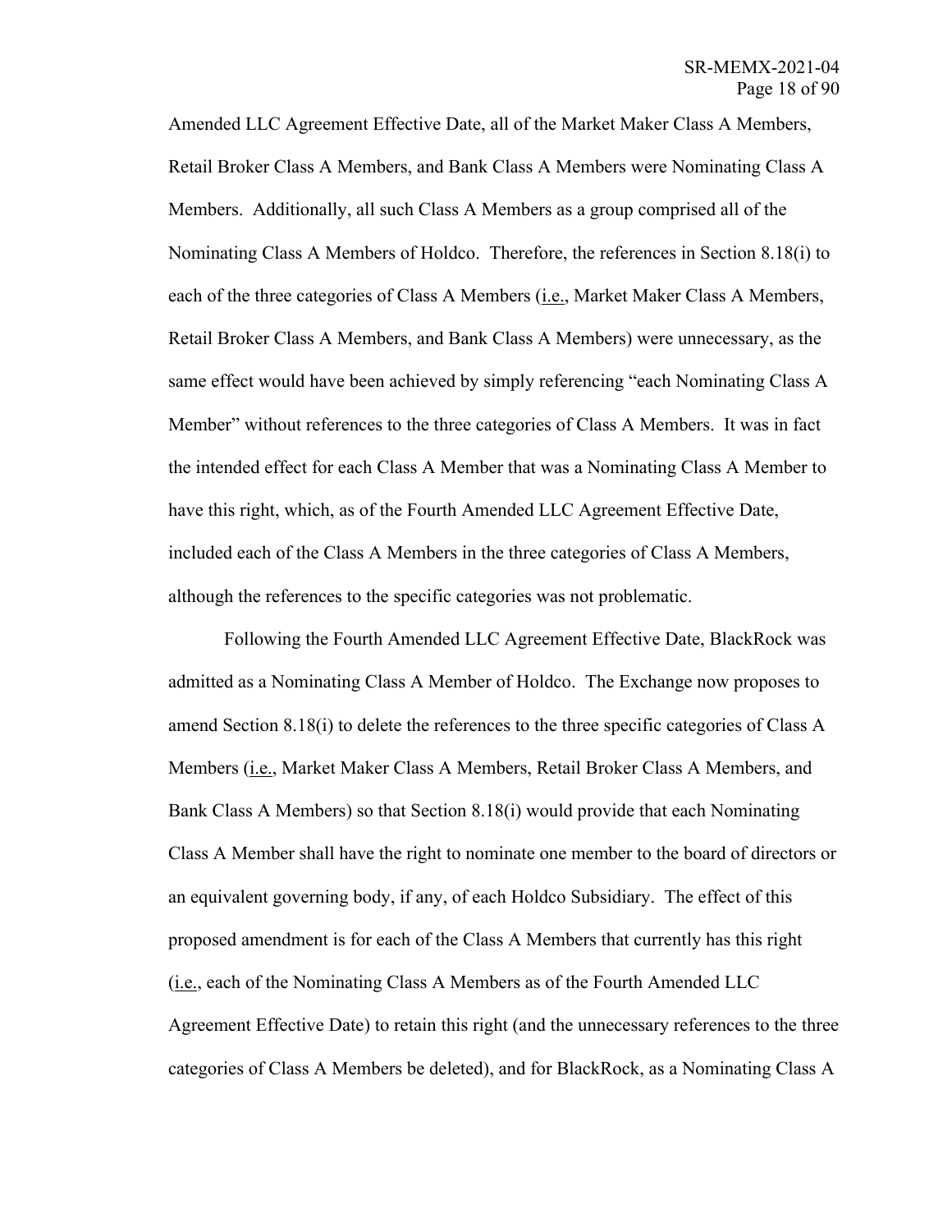Amended LLC Agreement Effective Date, all of the Market Maker Class A Members, Retail Broker Class A Members, and Bank Class A Members were Nominating Class A Members. Additionally, all such Class A Members as a group comprised all of the Nominating Class A Members of Holdco. Therefore, the references in Section 8.18(i) to each of the three categories of Class A Members (i.e., Market Maker Class A Members, Retail Broker Class A Members, and Bank Class A Members) were unnecessary, as the same effect would have been achieved by simply referencing "each Nominating Class A Member" without references to the three categories of Class A Members. It was in fact the intended effect for each Class A Member that was a Nominating Class A Member to have this right, which, as of the Fourth Amended LLC Agreement Effective Date, included each of the Class A Members in the three categories of Class A Members, although the references to the specific categories was not problematic.

Following the Fourth Amended LLC Agreement Effective Date, BlackRock was admitted as a Nominating Class A Member of Holdco. The Exchange now proposes to amend Section 8.18(i) to delete the references to the three specific categories of Class A Members (i.e., Market Maker Class A Members, Retail Broker Class A Members, and Bank Class A Members) so that Section 8.18(i) would provide that each Nominating Class A Member shall have the right to nominate one member to the board of directors or an equivalent governing body, if any, of each Holdco Subsidiary. The effect of this proposed amendment is for each of the Class A Members that currently has this right (i.e., each of the Nominating Class A Members as of the Fourth Amended LLC Agreement Effective Date) to retain this right (and the unnecessary references to the three categories of Class A Members be deleted), and for BlackRock, as a Nominating Class A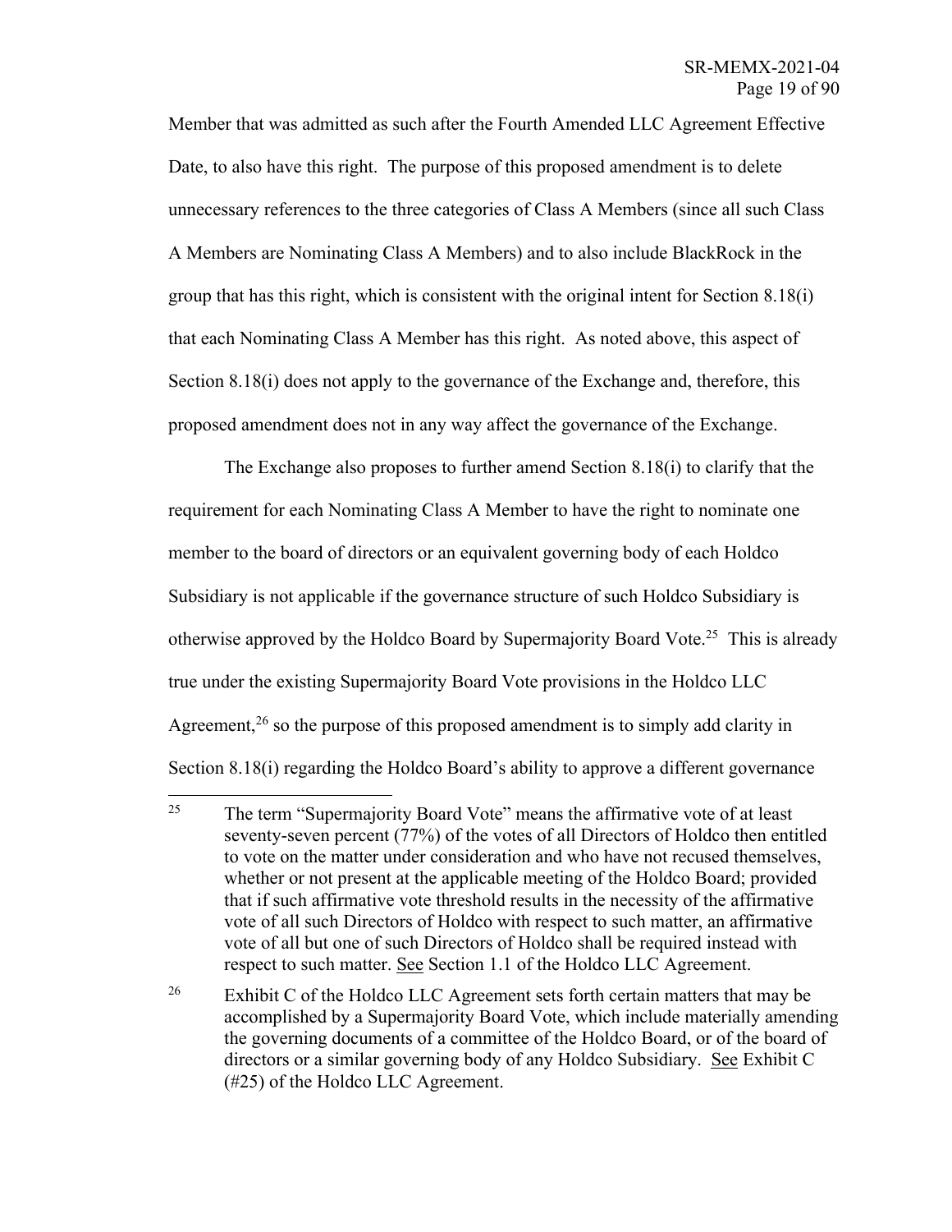Member that was admitted as such after the Fourth Amended LLC Agreement Effective Date, to also have this right. The purpose of this proposed amendment is to delete unnecessary references to the three categories of Class A Members (since all such Class A Members are Nominating Class A Members) and to also include BlackRock in the group that has this right, which is consistent with the original intent for Section 8.18(i) that each Nominating Class A Member has this right. As noted above, this aspect of Section 8.18(i) does not apply to the governance of the Exchange and, therefore, this proposed amendment does not in any way affect the governance of the Exchange.

The Exchange also proposes to further amend Section 8.18(i) to clarify that the requirement for each Nominating Class A Member to have the right to nominate one member to the board of directors or an equivalent governing body of each Holdco Subsidiary is not applicable if the governance structure of such Holdco Subsidiary is otherwise approved by the Holdco Board by Supermajority Board Vote.<sup>25</sup> This is already true under the existing Supermajority Board Vote provisions in the Holdco LLC Agreement,<sup>26</sup> so the purpose of this proposed amendment is to simply add clarity in Section 8.18(i) regarding the Holdco Board's ability to approve a different governance

<sup>26</sup> Exhibit C of the Holdco LLC Agreement sets forth certain matters that may be accomplished by a Supermajority Board Vote, which include materially amending the governing documents of a committee of the Holdco Board, or of the board of directors or a similar governing body of any Holdco Subsidiary. See Exhibit C (#25) of the Holdco LLC Agreement.

<sup>&</sup>lt;sup>25</sup> The term "Supermajority Board Vote" means the affirmative vote of at least seventy-seven percent (77%) of the votes of all Directors of Holdco then entitled to vote on the matter under consideration and who have not recused themselves, whether or not present at the applicable meeting of the Holdco Board; provided that if such affirmative vote threshold results in the necessity of the affirmative vote of all such Directors of Holdco with respect to such matter, an affirmative vote of all but one of such Directors of Holdco shall be required instead with respect to such matter. See Section 1.1 of the Holdco LLC Agreement.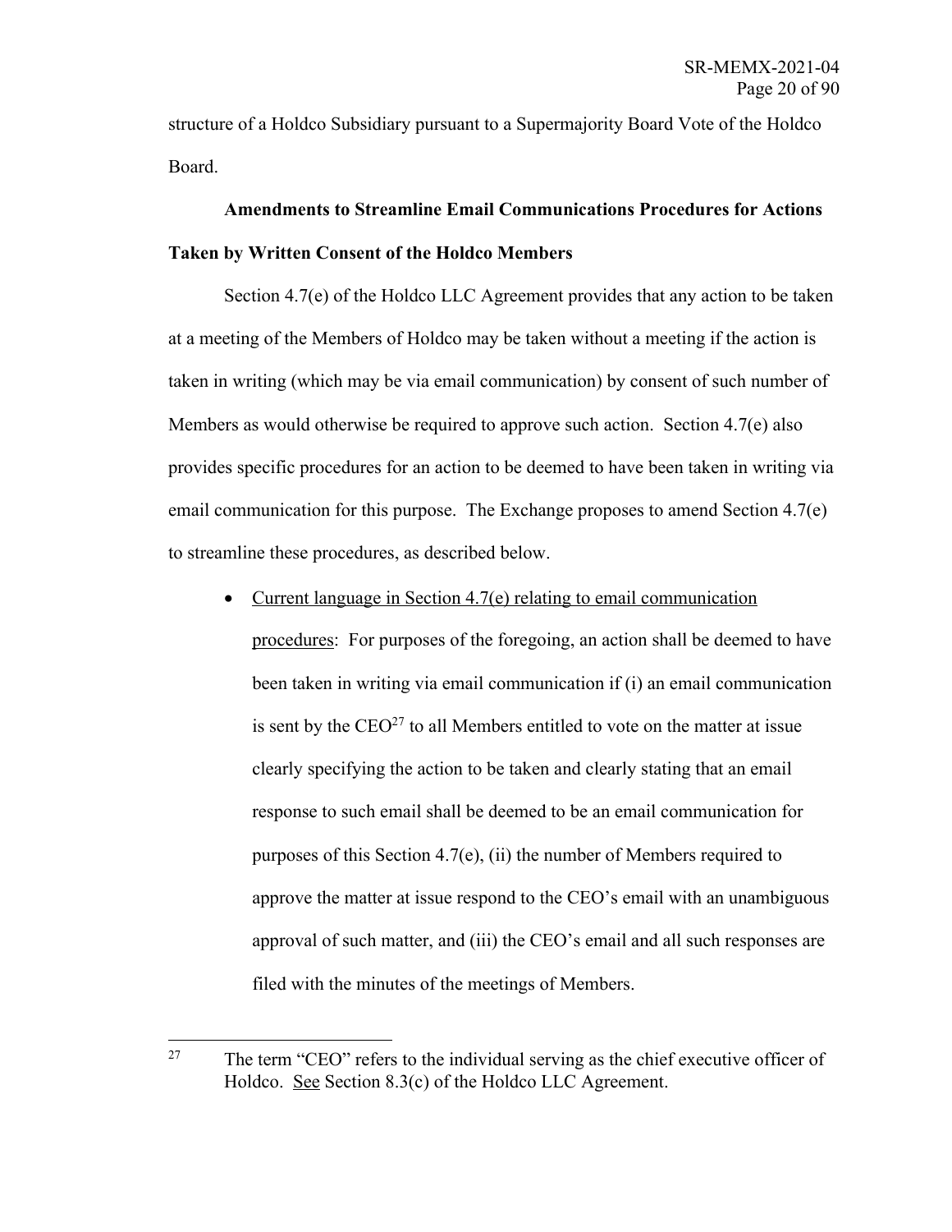structure of a Holdco Subsidiary pursuant to a Supermajority Board Vote of the Holdco Board.

# **Amendments to Streamline Email Communications Procedures for Actions Taken by Written Consent of the Holdco Members**

Section 4.7(e) of the Holdco LLC Agreement provides that any action to be taken at a meeting of the Members of Holdco may be taken without a meeting if the action is taken in writing (which may be via email communication) by consent of such number of Members as would otherwise be required to approve such action. Section 4.7(e) also provides specific procedures for an action to be deemed to have been taken in writing via email communication for this purpose. The Exchange proposes to amend Section 4.7(e) to streamline these procedures, as described below.

• Current language in Section 4.7(e) relating to email communication

procedures: For purposes of the foregoing, an action shall be deemed to have been taken in writing via email communication if (i) an email communication is sent by the  $CEO<sup>27</sup>$  to all Members entitled to vote on the matter at issue clearly specifying the action to be taken and clearly stating that an email response to such email shall be deemed to be an email communication for purposes of this Section 4.7(e), (ii) the number of Members required to approve the matter at issue respond to the CEO's email with an unambiguous approval of such matter, and (iii) the CEO's email and all such responses are filed with the minutes of the meetings of Members.

<sup>&</sup>lt;sup>27</sup> The term "CEO" refers to the individual serving as the chief executive officer of Holdco. See Section 8.3(c) of the Holdco LLC Agreement.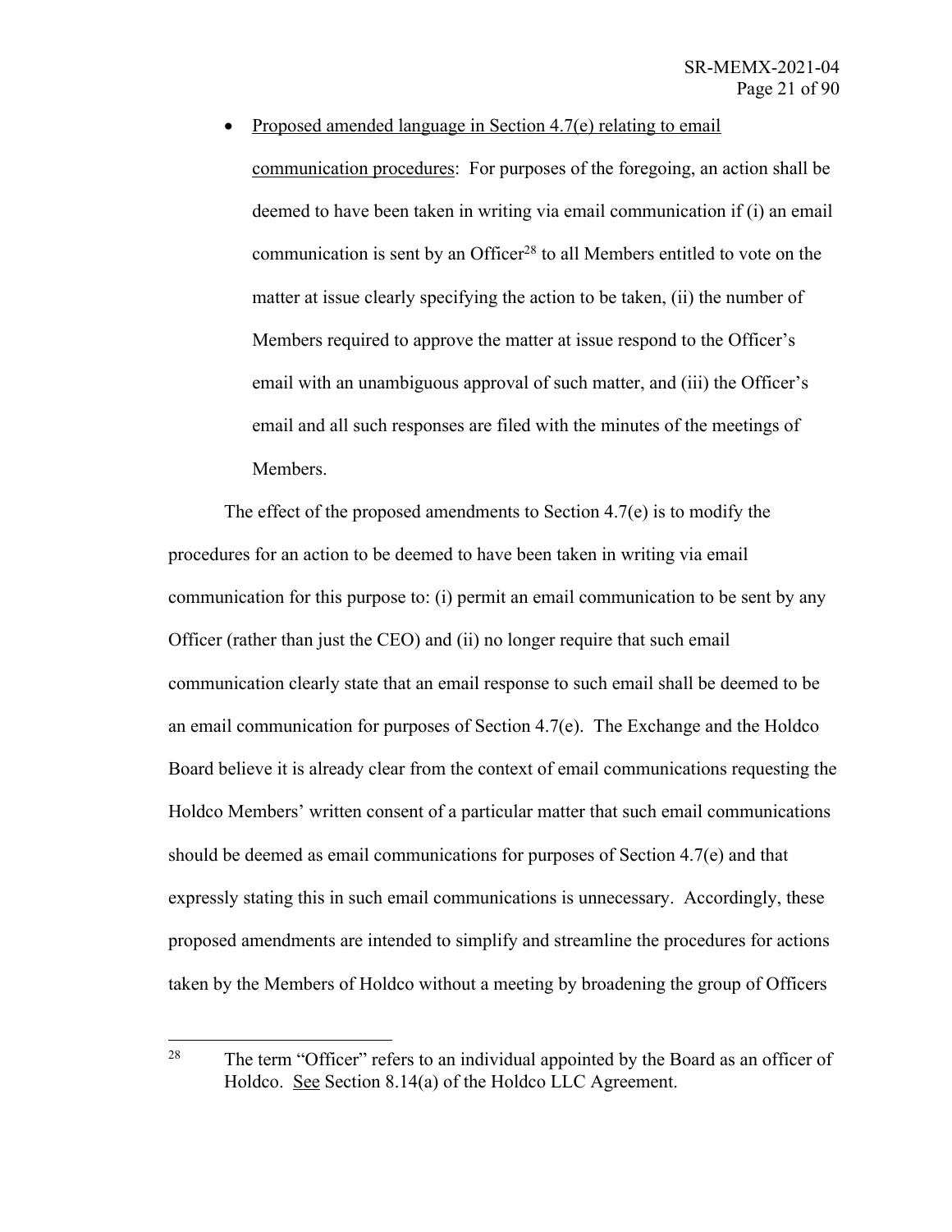• Proposed amended language in Section 4.7(e) relating to email communication procedures: For purposes of the foregoing, an action shall be deemed to have been taken in writing via email communication if (i) an email communication is sent by an Officer<sup>28</sup> to all Members entitled to vote on the matter at issue clearly specifying the action to be taken, (ii) the number of Members required to approve the matter at issue respond to the Officer's email with an unambiguous approval of such matter, and (iii) the Officer's email and all such responses are filed with the minutes of the meetings of Members.

The effect of the proposed amendments to Section 4.7(e) is to modify the procedures for an action to be deemed to have been taken in writing via email communication for this purpose to: (i) permit an email communication to be sent by any Officer (rather than just the CEO) and (ii) no longer require that such email communication clearly state that an email response to such email shall be deemed to be an email communication for purposes of Section 4.7(e). The Exchange and the Holdco Board believe it is already clear from the context of email communications requesting the Holdco Members' written consent of a particular matter that such email communications should be deemed as email communications for purposes of Section 4.7(e) and that expressly stating this in such email communications is unnecessary. Accordingly, these proposed amendments are intended to simplify and streamline the procedures for actions taken by the Members of Holdco without a meeting by broadening the group of Officers

<sup>&</sup>lt;sup>28</sup> The term "Officer" refers to an individual appointed by the Board as an officer of Holdco. See Section 8.14(a) of the Holdco LLC Agreement.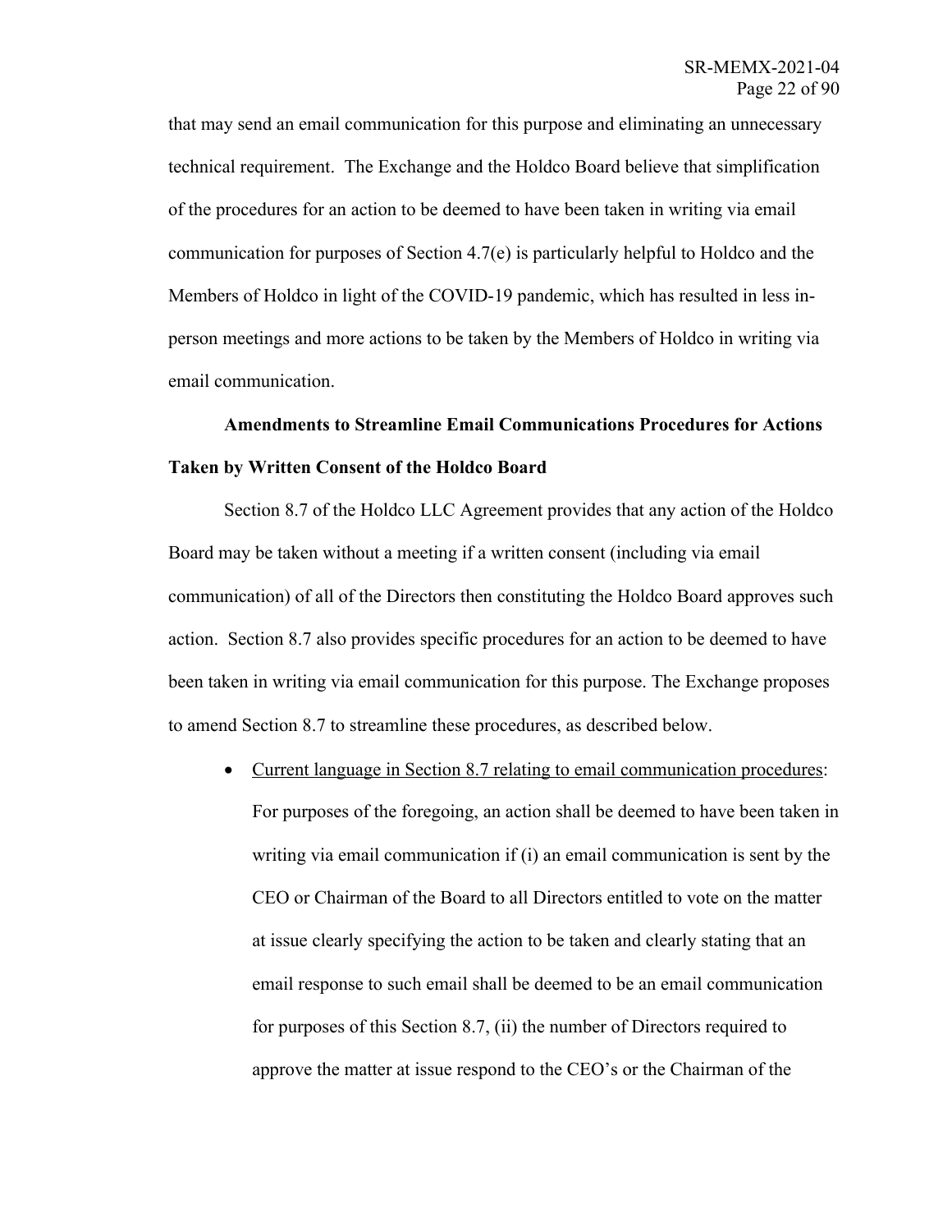that may send an email communication for this purpose and eliminating an unnecessary technical requirement. The Exchange and the Holdco Board believe that simplification of the procedures for an action to be deemed to have been taken in writing via email communication for purposes of Section 4.7(e) is particularly helpful to Holdco and the Members of Holdco in light of the COVID-19 pandemic, which has resulted in less inperson meetings and more actions to be taken by the Members of Holdco in writing via email communication.

# **Amendments to Streamline Email Communications Procedures for Actions Taken by Written Consent of the Holdco Board**

Section 8.7 of the Holdco LLC Agreement provides that any action of the Holdco Board may be taken without a meeting if a written consent (including via email communication) of all of the Directors then constituting the Holdco Board approves such action. Section 8.7 also provides specific procedures for an action to be deemed to have been taken in writing via email communication for this purpose. The Exchange proposes to amend Section 8.7 to streamline these procedures, as described below.

• Current language in Section 8.7 relating to email communication procedures: For purposes of the foregoing, an action shall be deemed to have been taken in writing via email communication if (i) an email communication is sent by the CEO or Chairman of the Board to all Directors entitled to vote on the matter at issue clearly specifying the action to be taken and clearly stating that an email response to such email shall be deemed to be an email communication for purposes of this Section 8.7, (ii) the number of Directors required to approve the matter at issue respond to the CEO's or the Chairman of the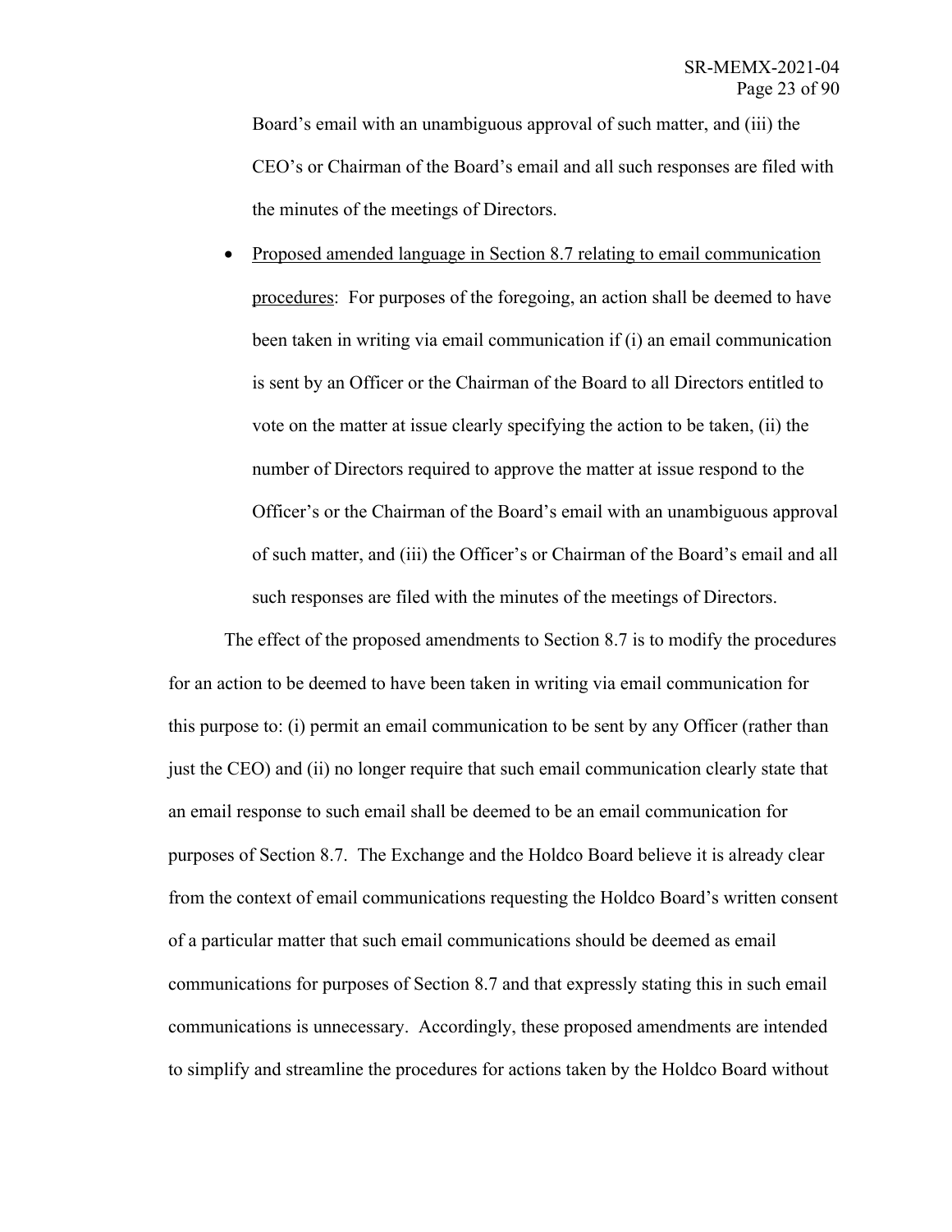Board's email with an unambiguous approval of such matter, and (iii) the CEO's or Chairman of the Board's email and all such responses are filed with the minutes of the meetings of Directors.

• Proposed amended language in Section 8.7 relating to email communication procedures: For purposes of the foregoing, an action shall be deemed to have been taken in writing via email communication if (i) an email communication is sent by an Officer or the Chairman of the Board to all Directors entitled to vote on the matter at issue clearly specifying the action to be taken, (ii) the number of Directors required to approve the matter at issue respond to the Officer's or the Chairman of the Board's email with an unambiguous approval of such matter, and (iii) the Officer's or Chairman of the Board's email and all such responses are filed with the minutes of the meetings of Directors.

The effect of the proposed amendments to Section 8.7 is to modify the procedures for an action to be deemed to have been taken in writing via email communication for this purpose to: (i) permit an email communication to be sent by any Officer (rather than just the CEO) and (ii) no longer require that such email communication clearly state that an email response to such email shall be deemed to be an email communication for purposes of Section 8.7. The Exchange and the Holdco Board believe it is already clear from the context of email communications requesting the Holdco Board's written consent of a particular matter that such email communications should be deemed as email communications for purposes of Section 8.7 and that expressly stating this in such email communications is unnecessary. Accordingly, these proposed amendments are intended to simplify and streamline the procedures for actions taken by the Holdco Board without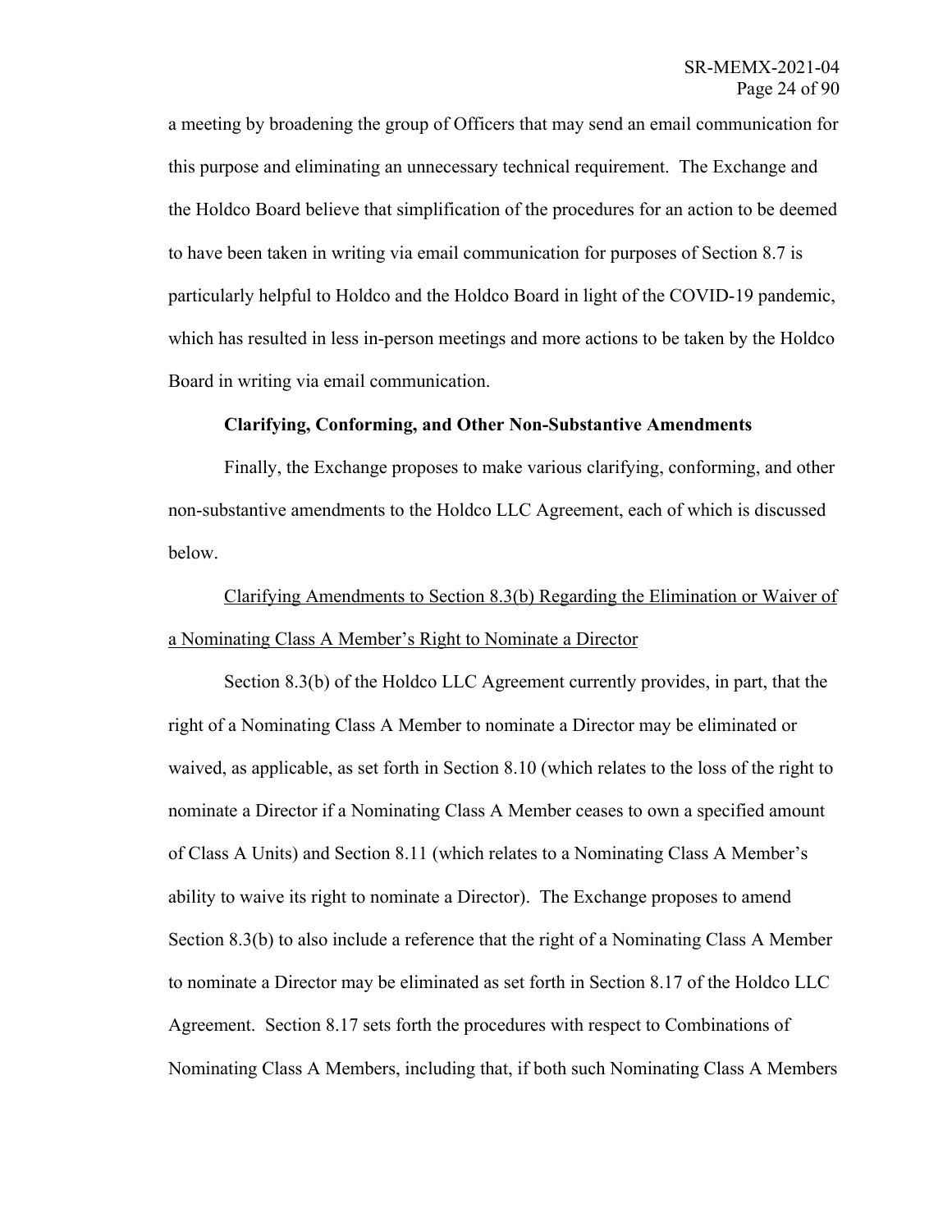a meeting by broadening the group of Officers that may send an email communication for this purpose and eliminating an unnecessary technical requirement. The Exchange and the Holdco Board believe that simplification of the procedures for an action to be deemed to have been taken in writing via email communication for purposes of Section 8.7 is particularly helpful to Holdco and the Holdco Board in light of the COVID-19 pandemic, which has resulted in less in-person meetings and more actions to be taken by the Holdco Board in writing via email communication.

### **Clarifying, Conforming, and Other Non-Substantive Amendments**

Finally, the Exchange proposes to make various clarifying, conforming, and other non-substantive amendments to the Holdco LLC Agreement, each of which is discussed below.

# Clarifying Amendments to Section 8.3(b) Regarding the Elimination or Waiver of a Nominating Class A Member's Right to Nominate a Director

Section 8.3(b) of the Holdco LLC Agreement currently provides, in part, that the right of a Nominating Class A Member to nominate a Director may be eliminated or waived, as applicable, as set forth in Section 8.10 (which relates to the loss of the right to nominate a Director if a Nominating Class A Member ceases to own a specified amount of Class A Units) and Section 8.11 (which relates to a Nominating Class A Member's ability to waive its right to nominate a Director). The Exchange proposes to amend Section 8.3(b) to also include a reference that the right of a Nominating Class A Member to nominate a Director may be eliminated as set forth in Section 8.17 of the Holdco LLC Agreement. Section 8.17 sets forth the procedures with respect to Combinations of Nominating Class A Members, including that, if both such Nominating Class A Members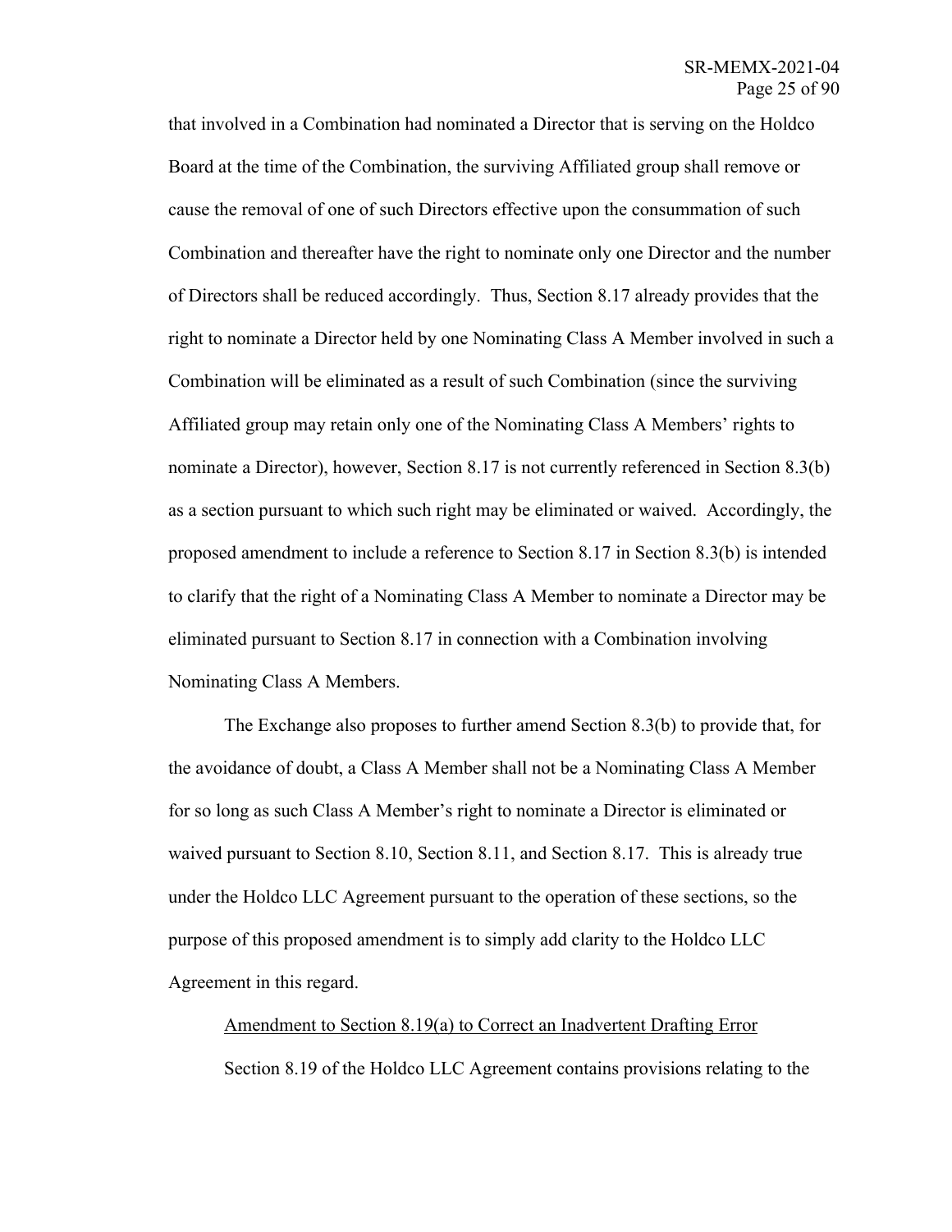that involved in a Combination had nominated a Director that is serving on the Holdco Board at the time of the Combination, the surviving Affiliated group shall remove or cause the removal of one of such Directors effective upon the consummation of such Combination and thereafter have the right to nominate only one Director and the number of Directors shall be reduced accordingly. Thus, Section 8.17 already provides that the right to nominate a Director held by one Nominating Class A Member involved in such a Combination will be eliminated as a result of such Combination (since the surviving Affiliated group may retain only one of the Nominating Class A Members' rights to nominate a Director), however, Section 8.17 is not currently referenced in Section 8.3(b) as a section pursuant to which such right may be eliminated or waived. Accordingly, the proposed amendment to include a reference to Section 8.17 in Section 8.3(b) is intended to clarify that the right of a Nominating Class A Member to nominate a Director may be eliminated pursuant to Section 8.17 in connection with a Combination involving Nominating Class A Members.

The Exchange also proposes to further amend Section 8.3(b) to provide that, for the avoidance of doubt, a Class A Member shall not be a Nominating Class A Member for so long as such Class A Member's right to nominate a Director is eliminated or waived pursuant to Section 8.10, Section 8.11, and Section 8.17. This is already true under the Holdco LLC Agreement pursuant to the operation of these sections, so the purpose of this proposed amendment is to simply add clarity to the Holdco LLC Agreement in this regard.

Amendment to Section 8.19(a) to Correct an Inadvertent Drafting Error Section 8.19 of the Holdco LLC Agreement contains provisions relating to the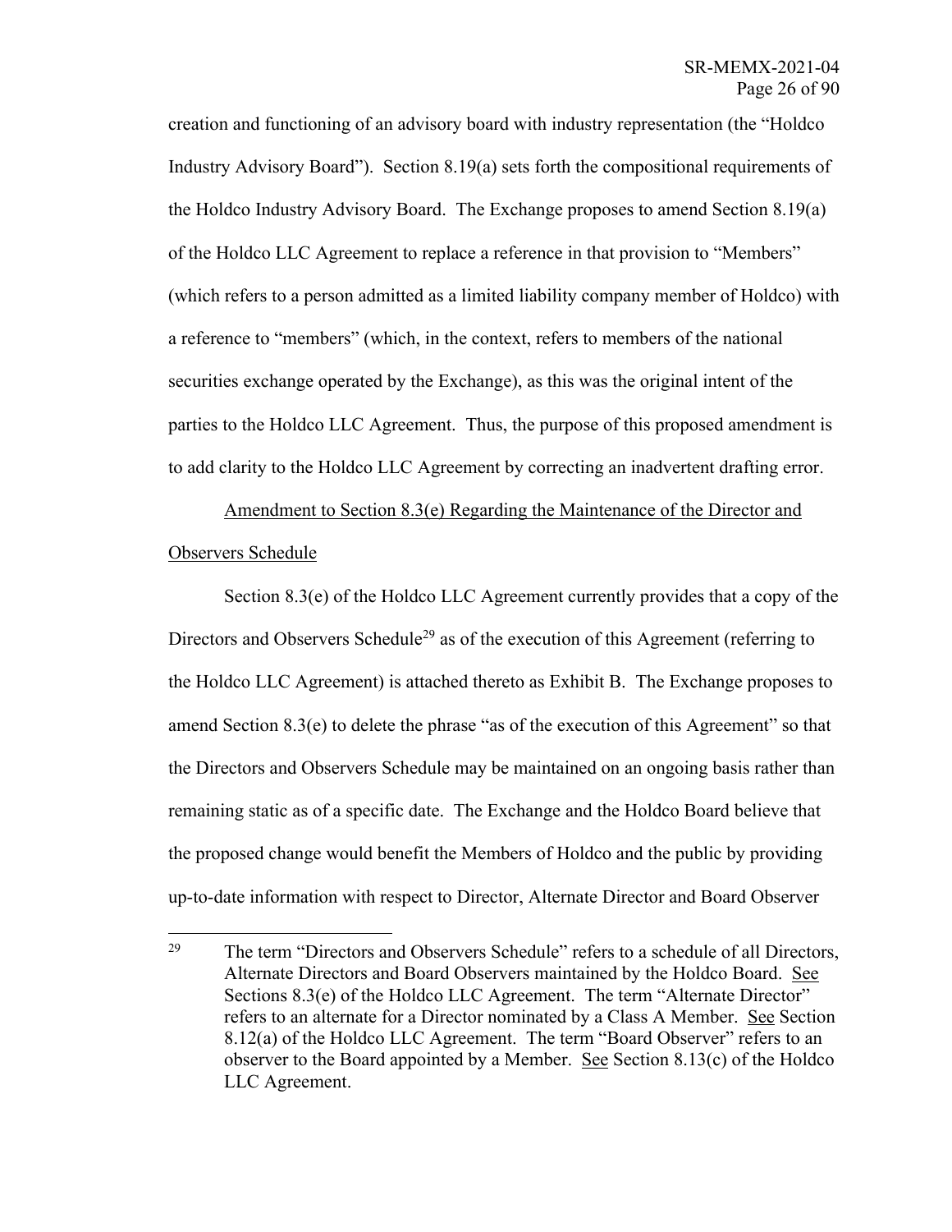creation and functioning of an advisory board with industry representation (the "Holdco Industry Advisory Board"). Section 8.19(a) sets forth the compositional requirements of the Holdco Industry Advisory Board. The Exchange proposes to amend Section 8.19(a) of the Holdco LLC Agreement to replace a reference in that provision to "Members" (which refers to a person admitted as a limited liability company member of Holdco) with a reference to "members" (which, in the context, refers to members of the national securities exchange operated by the Exchange), as this was the original intent of the parties to the Holdco LLC Agreement. Thus, the purpose of this proposed amendment is to add clarity to the Holdco LLC Agreement by correcting an inadvertent drafting error.

Amendment to Section 8.3(e) Regarding the Maintenance of the Director and Observers Schedule

Section 8.3(e) of the Holdco LLC Agreement currently provides that a copy of the Directors and Observers Schedule<sup>29</sup> as of the execution of this Agreement (referring to the Holdco LLC Agreement) is attached thereto as Exhibit B. The Exchange proposes to amend Section 8.3(e) to delete the phrase "as of the execution of this Agreement" so that the Directors and Observers Schedule may be maintained on an ongoing basis rather than remaining static as of a specific date. The Exchange and the Holdco Board believe that the proposed change would benefit the Members of Holdco and the public by providing up-to-date information with respect to Director, Alternate Director and Board Observer

<sup>&</sup>lt;sup>29</sup> The term "Directors and Observers Schedule" refers to a schedule of all Directors, Alternate Directors and Board Observers maintained by the Holdco Board. See Sections 8.3(e) of the Holdco LLC Agreement. The term "Alternate Director" refers to an alternate for a Director nominated by a Class A Member. See Section 8.12(a) of the Holdco LLC Agreement. The term "Board Observer" refers to an observer to the Board appointed by a Member. See Section 8.13(c) of the Holdco LLC Agreement.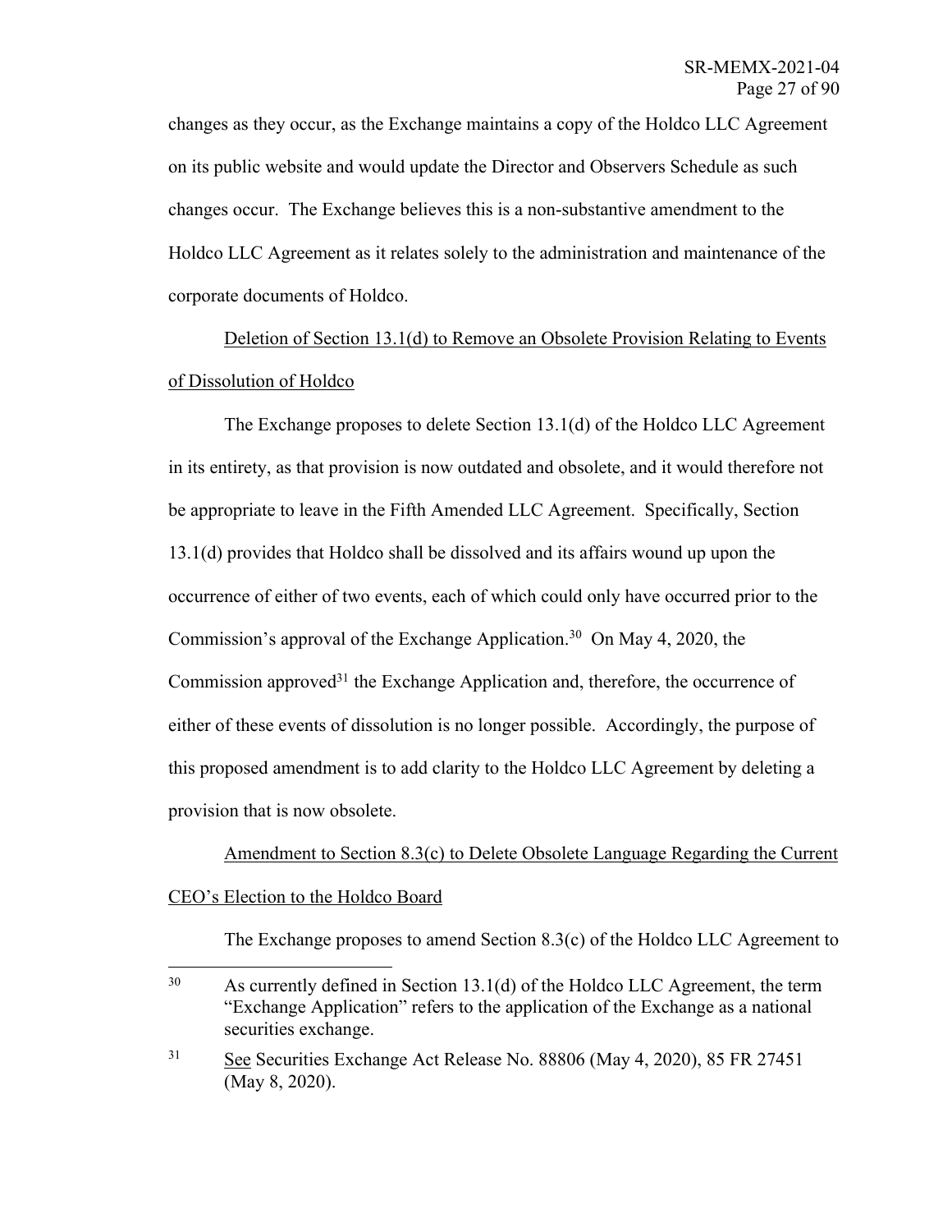changes as they occur, as the Exchange maintains a copy of the Holdco LLC Agreement on its public website and would update the Director and Observers Schedule as such changes occur. The Exchange believes this is a non-substantive amendment to the Holdco LLC Agreement as it relates solely to the administration and maintenance of the corporate documents of Holdco.

Deletion of Section 13.1(d) to Remove an Obsolete Provision Relating to Events of Dissolution of Holdco

The Exchange proposes to delete Section 13.1(d) of the Holdco LLC Agreement in its entirety, as that provision is now outdated and obsolete, and it would therefore not be appropriate to leave in the Fifth Amended LLC Agreement. Specifically, Section 13.1(d) provides that Holdco shall be dissolved and its affairs wound up upon the occurrence of either of two events, each of which could only have occurred prior to the Commission's approval of the Exchange Application. 30 On May 4, 2020, the Commission approved<sup>31</sup> the Exchange Application and, therefore, the occurrence of either of these events of dissolution is no longer possible. Accordingly, the purpose of this proposed amendment is to add clarity to the Holdco LLC Agreement by deleting a provision that is now obsolete.

Amendment to Section 8.3(c) to Delete Obsolete Language Regarding the Current CEO's Election to the Holdco Board

The Exchange proposes to amend Section 8.3(c) of the Holdco LLC Agreement to

<sup>&</sup>lt;sup>30</sup> As currently defined in Section 13.1(d) of the Holdco LLC Agreement, the term "Exchange Application" refers to the application of the Exchange as a national securities exchange.

<sup>31</sup> See Securities Exchange Act Release No. 88806 (May 4, 2020), 85 FR 27451 (May 8, 2020).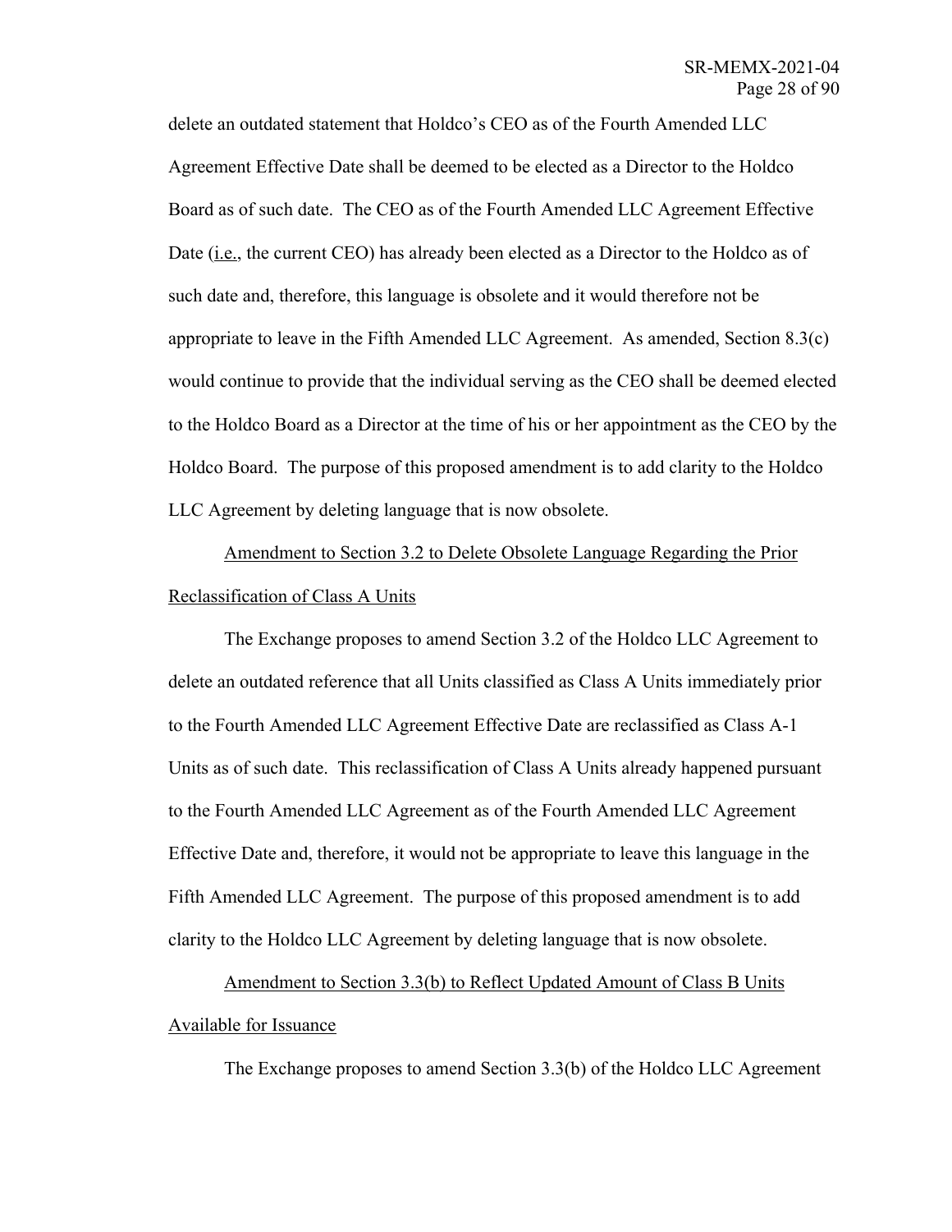delete an outdated statement that Holdco's CEO as of the Fourth Amended LLC Agreement Effective Date shall be deemed to be elected as a Director to the Holdco Board as of such date. The CEO as of the Fourth Amended LLC Agreement Effective Date (i.e., the current CEO) has already been elected as a Director to the Holdco as of such date and, therefore, this language is obsolete and it would therefore not be appropriate to leave in the Fifth Amended LLC Agreement. As amended, Section 8.3(c) would continue to provide that the individual serving as the CEO shall be deemed elected to the Holdco Board as a Director at the time of his or her appointment as the CEO by the Holdco Board. The purpose of this proposed amendment is to add clarity to the Holdco LLC Agreement by deleting language that is now obsolete.

Amendment to Section 3.2 to Delete Obsolete Language Regarding the Prior Reclassification of Class A Units

The Exchange proposes to amend Section 3.2 of the Holdco LLC Agreement to delete an outdated reference that all Units classified as Class A Units immediately prior to the Fourth Amended LLC Agreement Effective Date are reclassified as Class A-1 Units as of such date. This reclassification of Class A Units already happened pursuant to the Fourth Amended LLC Agreement as of the Fourth Amended LLC Agreement Effective Date and, therefore, it would not be appropriate to leave this language in the Fifth Amended LLC Agreement. The purpose of this proposed amendment is to add clarity to the Holdco LLC Agreement by deleting language that is now obsolete.

Amendment to Section 3.3(b) to Reflect Updated Amount of Class B Units Available for Issuance

The Exchange proposes to amend Section 3.3(b) of the Holdco LLC Agreement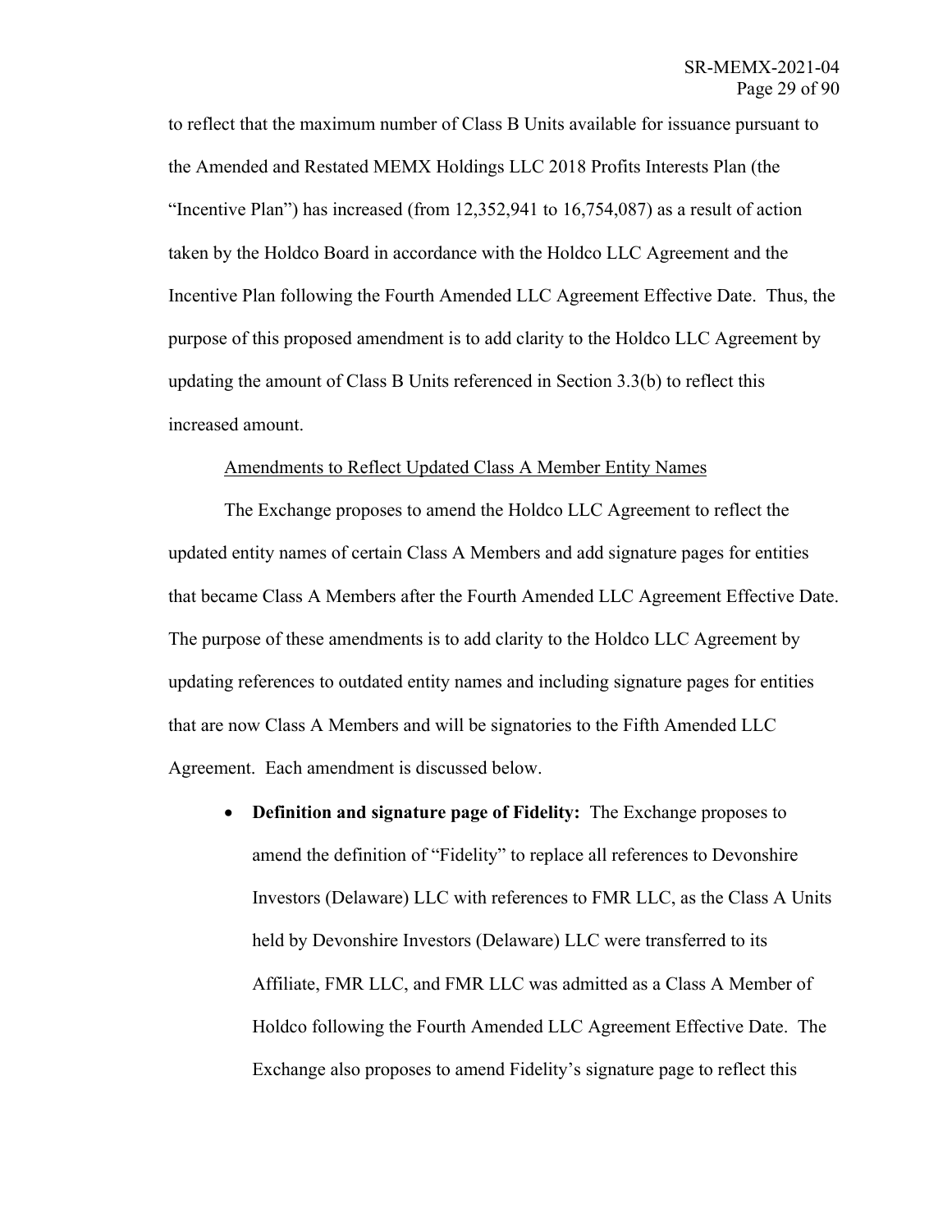to reflect that the maximum number of Class B Units available for issuance pursuant to the Amended and Restated MEMX Holdings LLC 2018 Profits Interests Plan (the "Incentive Plan") has increased (from 12,352,941 to 16,754,087) as a result of action taken by the Holdco Board in accordance with the Holdco LLC Agreement and the Incentive Plan following the Fourth Amended LLC Agreement Effective Date. Thus, the purpose of this proposed amendment is to add clarity to the Holdco LLC Agreement by updating the amount of Class B Units referenced in Section 3.3(b) to reflect this increased amount.

## Amendments to Reflect Updated Class A Member Entity Names

The Exchange proposes to amend the Holdco LLC Agreement to reflect the updated entity names of certain Class A Members and add signature pages for entities that became Class A Members after the Fourth Amended LLC Agreement Effective Date. The purpose of these amendments is to add clarity to the Holdco LLC Agreement by updating references to outdated entity names and including signature pages for entities that are now Class A Members and will be signatories to the Fifth Amended LLC Agreement. Each amendment is discussed below.

• **Definition and signature page of Fidelity:** The Exchange proposes to amend the definition of "Fidelity" to replace all references to Devonshire Investors (Delaware) LLC with references to FMR LLC, as the Class A Units held by Devonshire Investors (Delaware) LLC were transferred to its Affiliate, FMR LLC, and FMR LLC was admitted as a Class A Member of Holdco following the Fourth Amended LLC Agreement Effective Date. The Exchange also proposes to amend Fidelity's signature page to reflect this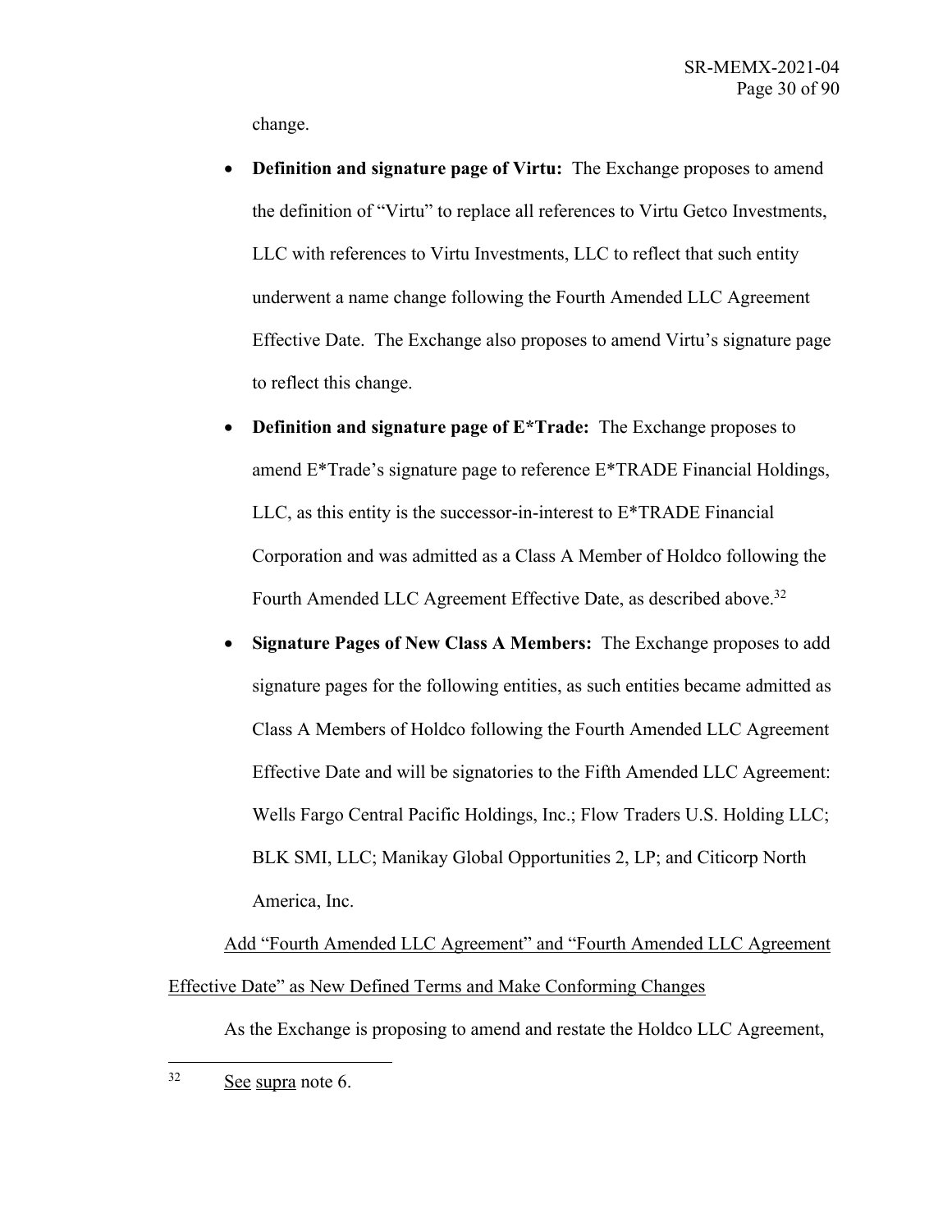change.

- **Definition and signature page of Virtu:** The Exchange proposes to amend the definition of "Virtu" to replace all references to Virtu Getco Investments, LLC with references to Virtu Investments, LLC to reflect that such entity underwent a name change following the Fourth Amended LLC Agreement Effective Date. The Exchange also proposes to amend Virtu's signature page to reflect this change.
- **Definition and signature page of E\*Trade:** The Exchange proposes to amend E\*Trade's signature page to reference E\*TRADE Financial Holdings, LLC, as this entity is the successor-in-interest to E\*TRADE Financial Corporation and was admitted as a Class A Member of Holdco following the Fourth Amended LLC Agreement Effective Date, as described above.<sup>32</sup>
- **Signature Pages of New Class A Members:** The Exchange proposes to add signature pages for the following entities, as such entities became admitted as Class A Members of Holdco following the Fourth Amended LLC Agreement Effective Date and will be signatories to the Fifth Amended LLC Agreement: Wells Fargo Central Pacific Holdings, Inc.; Flow Traders U.S. Holding LLC; BLK SMI, LLC; Manikay Global Opportunities 2, LP; and Citicorp North America, Inc.

Add "Fourth Amended LLC Agreement" and "Fourth Amended LLC Agreement Effective Date" as New Defined Terms and Make Conforming Changes

As the Exchange is proposing to amend and restate the Holdco LLC Agreement,

<sup>32</sup> See supra note 6.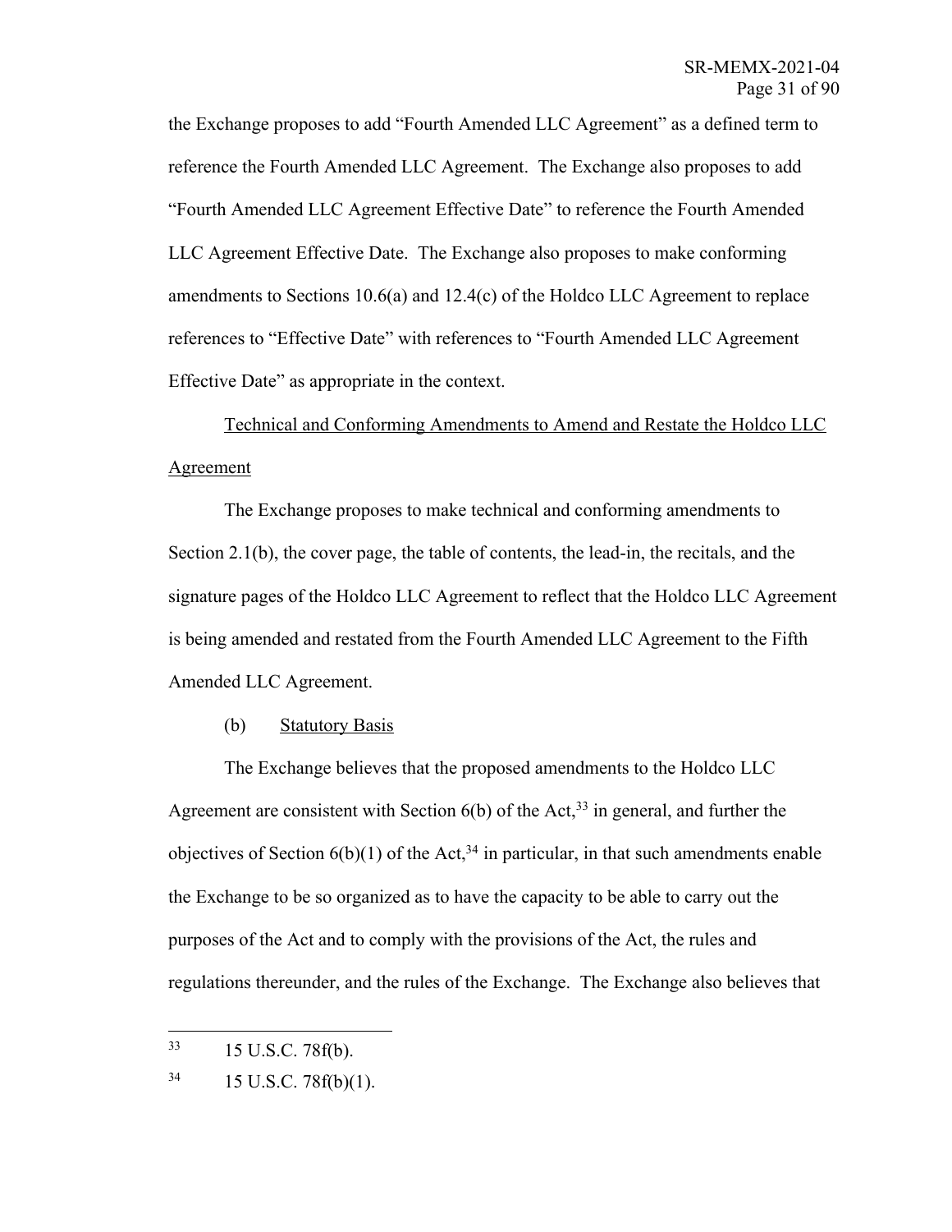the Exchange proposes to add "Fourth Amended LLC Agreement" as a defined term to reference the Fourth Amended LLC Agreement. The Exchange also proposes to add "Fourth Amended LLC Agreement Effective Date" to reference the Fourth Amended LLC Agreement Effective Date. The Exchange also proposes to make conforming amendments to Sections 10.6(a) and 12.4(c) of the Holdco LLC Agreement to replace references to "Effective Date" with references to "Fourth Amended LLC Agreement Effective Date" as appropriate in the context.

Technical and Conforming Amendments to Amend and Restate the Holdco LLC Agreement

The Exchange proposes to make technical and conforming amendments to Section 2.1(b), the cover page, the table of contents, the lead-in, the recitals, and the signature pages of the Holdco LLC Agreement to reflect that the Holdco LLC Agreement is being amended and restated from the Fourth Amended LLC Agreement to the Fifth Amended LLC Agreement.

## (b) Statutory Basis

The Exchange believes that the proposed amendments to the Holdco LLC Agreement are consistent with Section  $6(b)$  of the Act,<sup>33</sup> in general, and further the objectives of Section  $6(b)(1)$  of the Act,<sup>34</sup> in particular, in that such amendments enable the Exchange to be so organized as to have the capacity to be able to carry out the purposes of the Act and to comply with the provisions of the Act, the rules and regulations thereunder, and the rules of the Exchange. The Exchange also believes that

<sup>33</sup> 15 U.S.C. 78f(b).

 $34$  15 U.S.C. 78f(b)(1).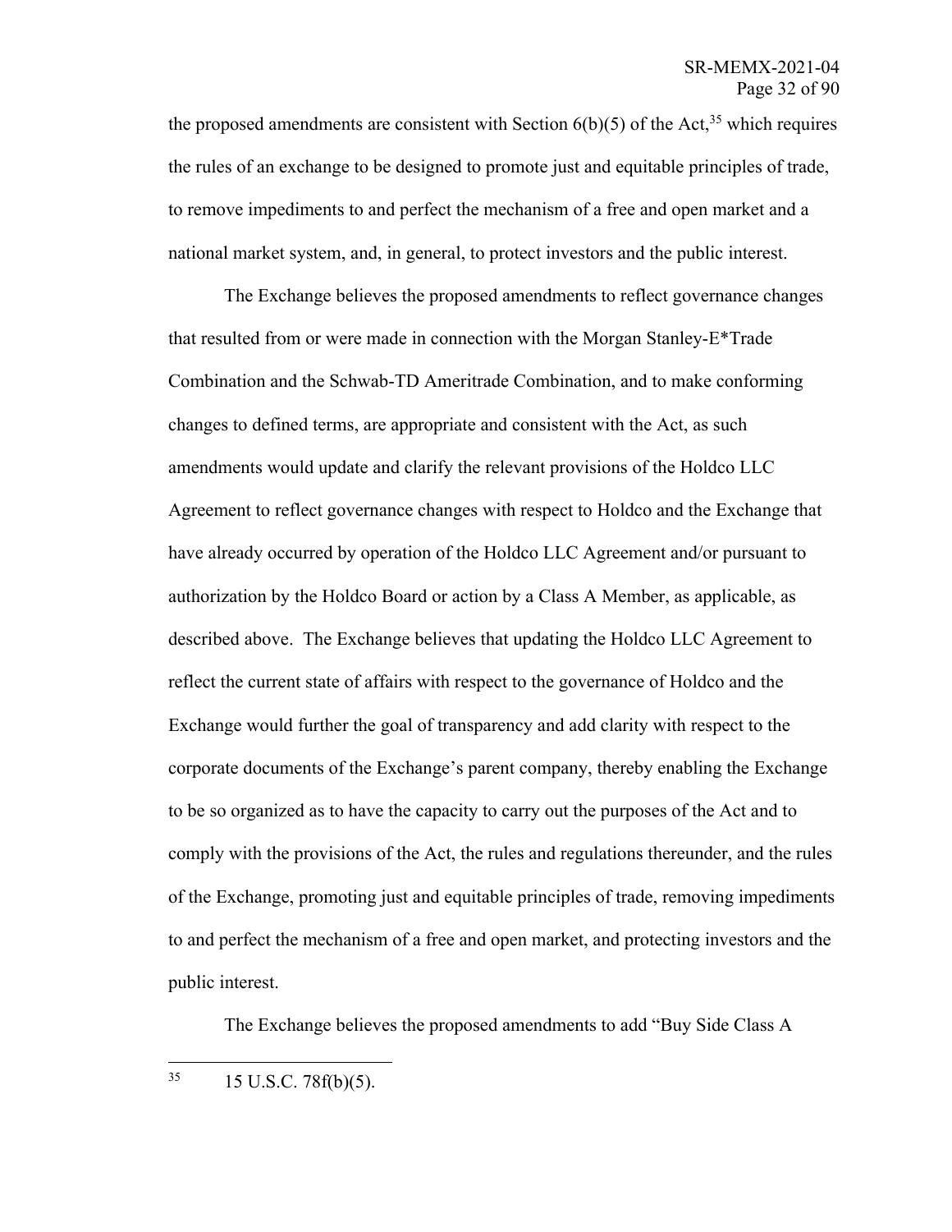the proposed amendments are consistent with Section  $6(b)(5)$  of the Act,<sup>35</sup> which requires the rules of an exchange to be designed to promote just and equitable principles of trade, to remove impediments to and perfect the mechanism of a free and open market and a national market system, and, in general, to protect investors and the public interest.

The Exchange believes the proposed amendments to reflect governance changes that resulted from or were made in connection with the Morgan Stanley-E\*Trade Combination and the Schwab-TD Ameritrade Combination, and to make conforming changes to defined terms, are appropriate and consistent with the Act, as such amendments would update and clarify the relevant provisions of the Holdco LLC Agreement to reflect governance changes with respect to Holdco and the Exchange that have already occurred by operation of the Holdco LLC Agreement and/or pursuant to authorization by the Holdco Board or action by a Class A Member, as applicable, as described above. The Exchange believes that updating the Holdco LLC Agreement to reflect the current state of affairs with respect to the governance of Holdco and the Exchange would further the goal of transparency and add clarity with respect to the corporate documents of the Exchange's parent company, thereby enabling the Exchange to be so organized as to have the capacity to carry out the purposes of the Act and to comply with the provisions of the Act, the rules and regulations thereunder, and the rules of the Exchange, promoting just and equitable principles of trade, removing impediments to and perfect the mechanism of a free and open market, and protecting investors and the public interest.

The Exchange believes the proposed amendments to add "Buy Side Class A

 $35$  15 U.S.C. 78 $f(b)(5)$ .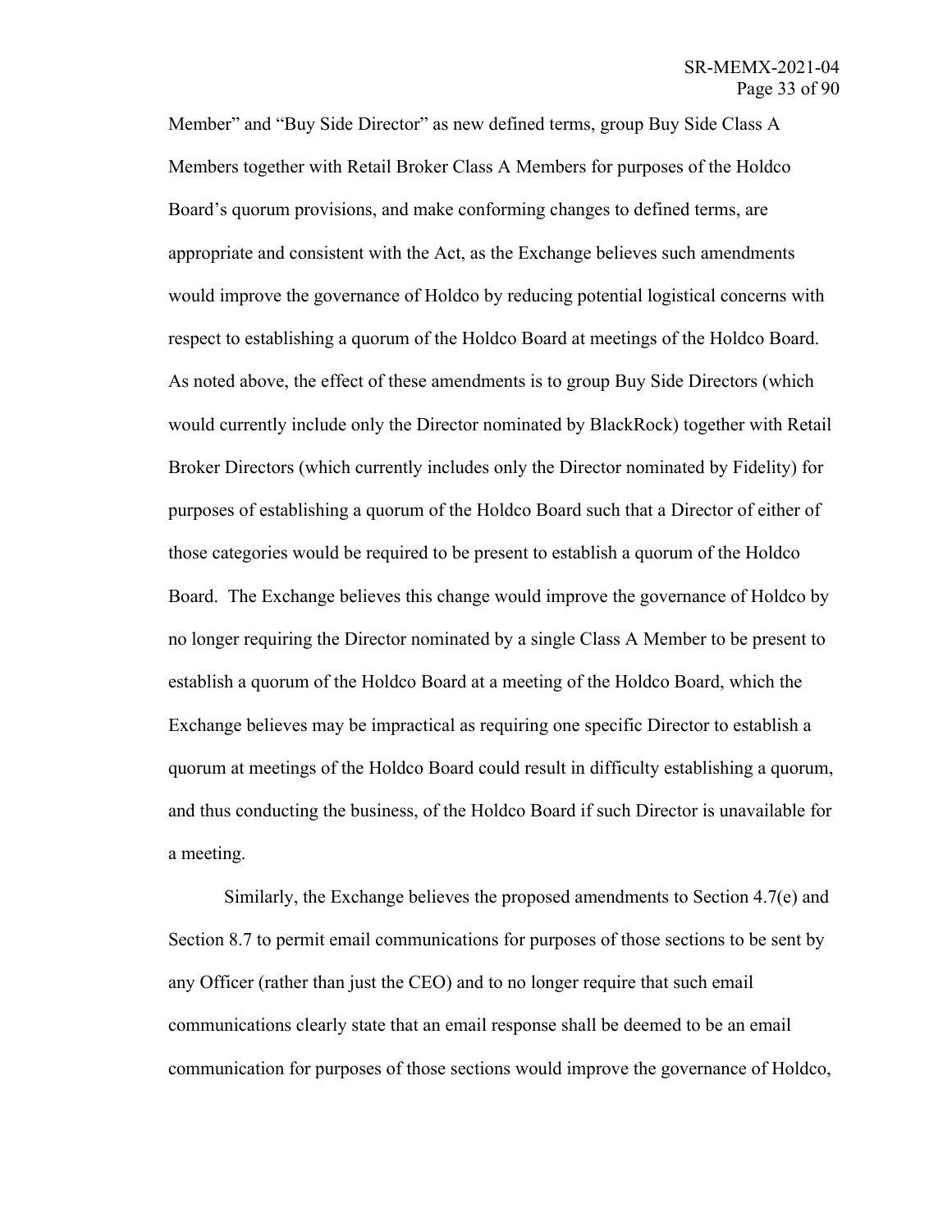Member" and "Buy Side Director" as new defined terms, group Buy Side Class A Members together with Retail Broker Class A Members for purposes of the Holdco Board's quorum provisions, and make conforming changes to defined terms, are appropriate and consistent with the Act, as the Exchange believes such amendments would improve the governance of Holdco by reducing potential logistical concerns with respect to establishing a quorum of the Holdco Board at meetings of the Holdco Board. As noted above, the effect of these amendments is to group Buy Side Directors (which would currently include only the Director nominated by BlackRock) together with Retail Broker Directors (which currently includes only the Director nominated by Fidelity) for purposes of establishing a quorum of the Holdco Board such that a Director of either of those categories would be required to be present to establish a quorum of the Holdco Board. The Exchange believes this change would improve the governance of Holdco by no longer requiring the Director nominated by a single Class A Member to be present to establish a quorum of the Holdco Board at a meeting of the Holdco Board, which the Exchange believes may be impractical as requiring one specific Director to establish a quorum at meetings of the Holdco Board could result in difficulty establishing a quorum, and thus conducting the business, of the Holdco Board if such Director is unavailable for a meeting.

Similarly, the Exchange believes the proposed amendments to Section 4.7(e) and Section 8.7 to permit email communications for purposes of those sections to be sent by any Officer (rather than just the CEO) and to no longer require that such email communications clearly state that an email response shall be deemed to be an email communication for purposes of those sections would improve the governance of Holdco,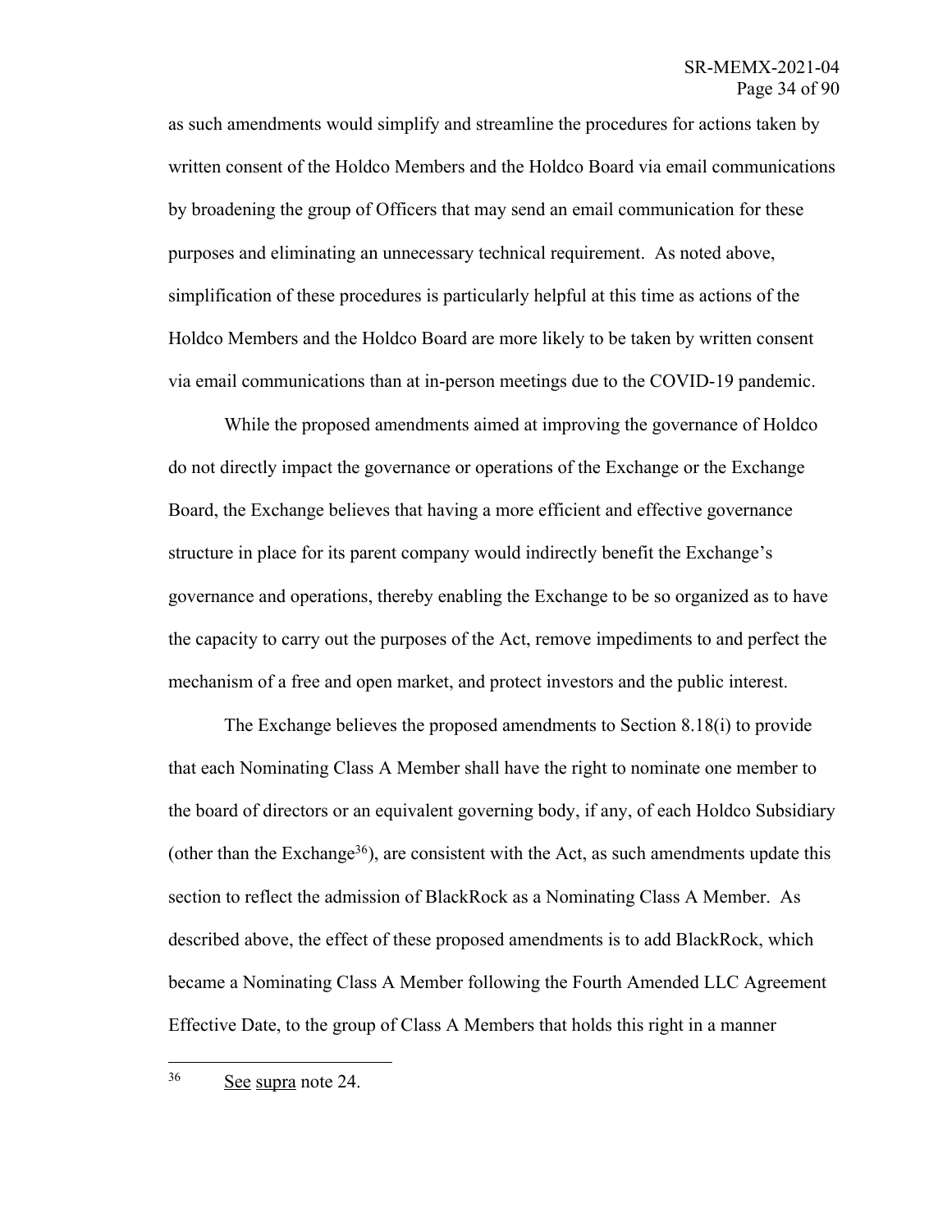as such amendments would simplify and streamline the procedures for actions taken by written consent of the Holdco Members and the Holdco Board via email communications by broadening the group of Officers that may send an email communication for these purposes and eliminating an unnecessary technical requirement. As noted above, simplification of these procedures is particularly helpful at this time as actions of the Holdco Members and the Holdco Board are more likely to be taken by written consent via email communications than at in-person meetings due to the COVID-19 pandemic.

While the proposed amendments aimed at improving the governance of Holdco do not directly impact the governance or operations of the Exchange or the Exchange Board, the Exchange believes that having a more efficient and effective governance structure in place for its parent company would indirectly benefit the Exchange's governance and operations, thereby enabling the Exchange to be so organized as to have the capacity to carry out the purposes of the Act, remove impediments to and perfect the mechanism of a free and open market, and protect investors and the public interest.

The Exchange believes the proposed amendments to Section 8.18(i) to provide that each Nominating Class A Member shall have the right to nominate one member to the board of directors or an equivalent governing body, if any, of each Holdco Subsidiary (other than the Exchange<sup>36</sup>), are consistent with the Act, as such amendments update this section to reflect the admission of BlackRock as a Nominating Class A Member. As described above, the effect of these proposed amendments is to add BlackRock, which became a Nominating Class A Member following the Fourth Amended LLC Agreement Effective Date, to the group of Class A Members that holds this right in a manner

<sup>36</sup> See supra note 24.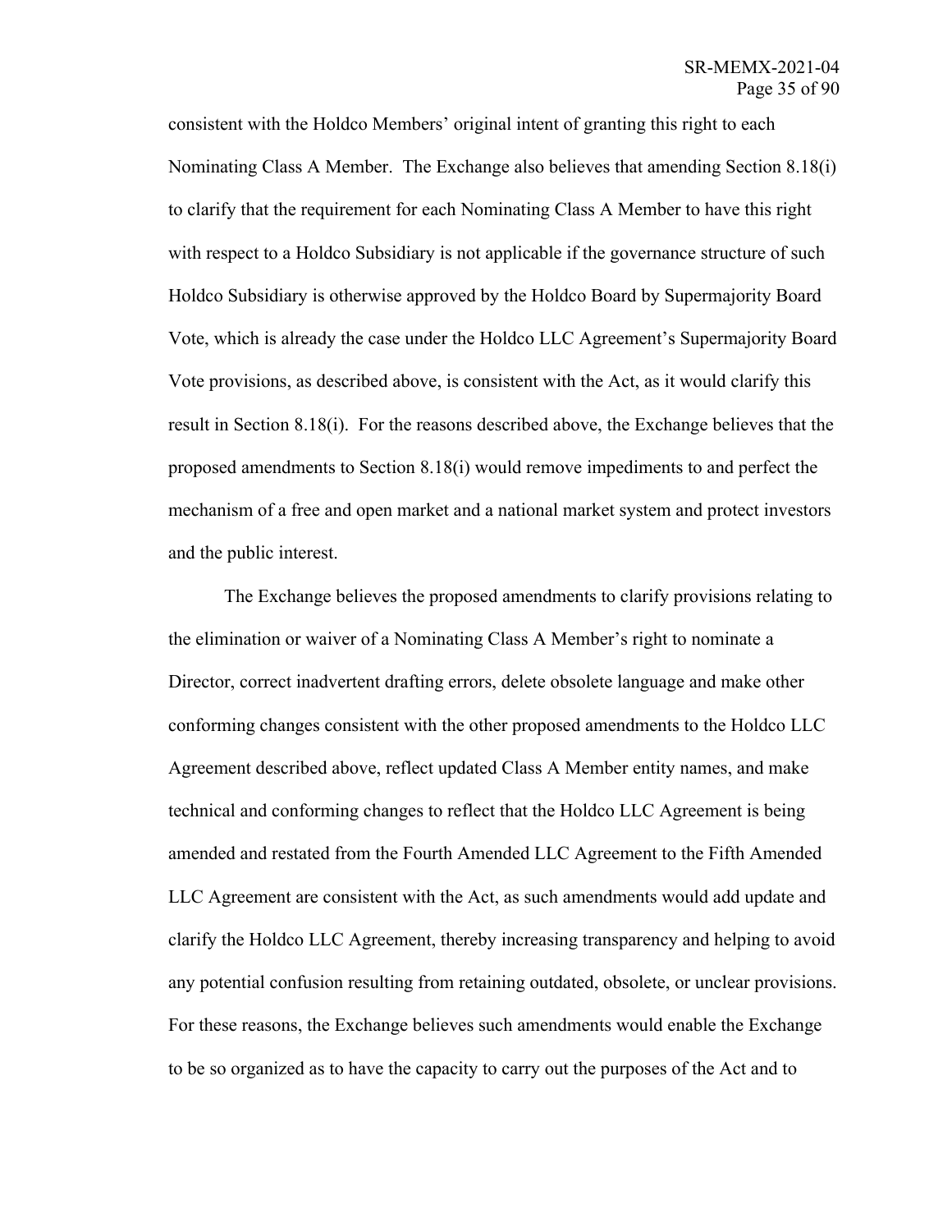consistent with the Holdco Members' original intent of granting this right to each Nominating Class A Member. The Exchange also believes that amending Section 8.18(i) to clarify that the requirement for each Nominating Class A Member to have this right with respect to a Holdco Subsidiary is not applicable if the governance structure of such Holdco Subsidiary is otherwise approved by the Holdco Board by Supermajority Board Vote, which is already the case under the Holdco LLC Agreement's Supermajority Board Vote provisions, as described above, is consistent with the Act, as it would clarify this result in Section 8.18(i). For the reasons described above, the Exchange believes that the proposed amendments to Section 8.18(i) would remove impediments to and perfect the mechanism of a free and open market and a national market system and protect investors and the public interest.

The Exchange believes the proposed amendments to clarify provisions relating to the elimination or waiver of a Nominating Class A Member's right to nominate a Director, correct inadvertent drafting errors, delete obsolete language and make other conforming changes consistent with the other proposed amendments to the Holdco LLC Agreement described above, reflect updated Class A Member entity names, and make technical and conforming changes to reflect that the Holdco LLC Agreement is being amended and restated from the Fourth Amended LLC Agreement to the Fifth Amended LLC Agreement are consistent with the Act, as such amendments would add update and clarify the Holdco LLC Agreement, thereby increasing transparency and helping to avoid any potential confusion resulting from retaining outdated, obsolete, or unclear provisions. For these reasons, the Exchange believes such amendments would enable the Exchange to be so organized as to have the capacity to carry out the purposes of the Act and to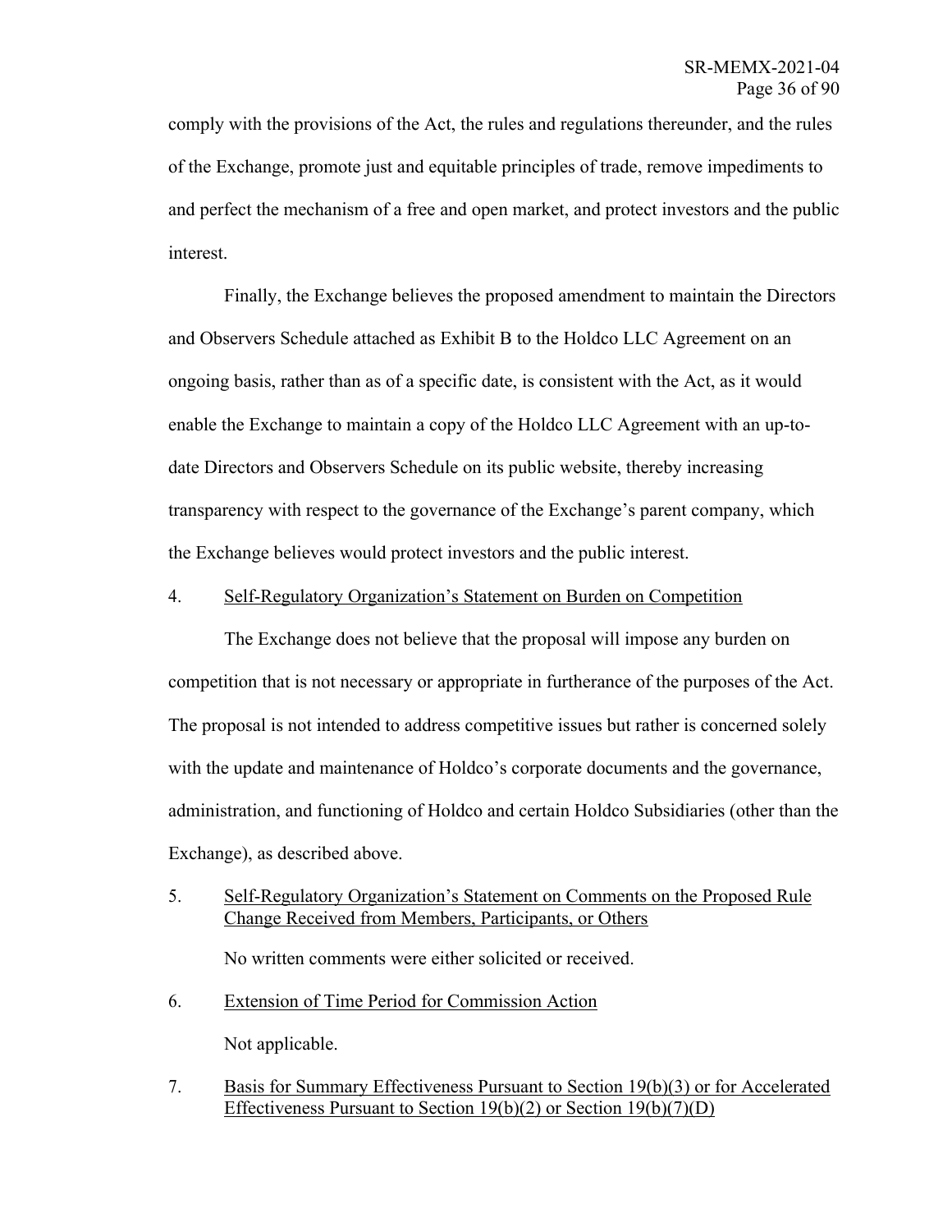comply with the provisions of the Act, the rules and regulations thereunder, and the rules of the Exchange, promote just and equitable principles of trade, remove impediments to and perfect the mechanism of a free and open market, and protect investors and the public interest.

Finally, the Exchange believes the proposed amendment to maintain the Directors and Observers Schedule attached as Exhibit B to the Holdco LLC Agreement on an ongoing basis, rather than as of a specific date, is consistent with the Act, as it would enable the Exchange to maintain a copy of the Holdco LLC Agreement with an up-todate Directors and Observers Schedule on its public website, thereby increasing transparency with respect to the governance of the Exchange's parent company, which the Exchange believes would protect investors and the public interest.

## 4. Self-Regulatory Organization's Statement on Burden on Competition

The Exchange does not believe that the proposal will impose any burden on competition that is not necessary or appropriate in furtherance of the purposes of the Act. The proposal is not intended to address competitive issues but rather is concerned solely with the update and maintenance of Holdco's corporate documents and the governance, administration, and functioning of Holdco and certain Holdco Subsidiaries (other than the Exchange), as described above.

- 5. Self-Regulatory Organization's Statement on Comments on the Proposed Rule Change Received from Members, Participants, or Others No written comments were either solicited or received.
- 6. Extension of Time Period for Commission Action Not applicable.
- 7. Basis for Summary Effectiveness Pursuant to Section 19(b)(3) or for Accelerated Effectiveness Pursuant to Section 19(b)(2) or Section 19(b)(7)(D)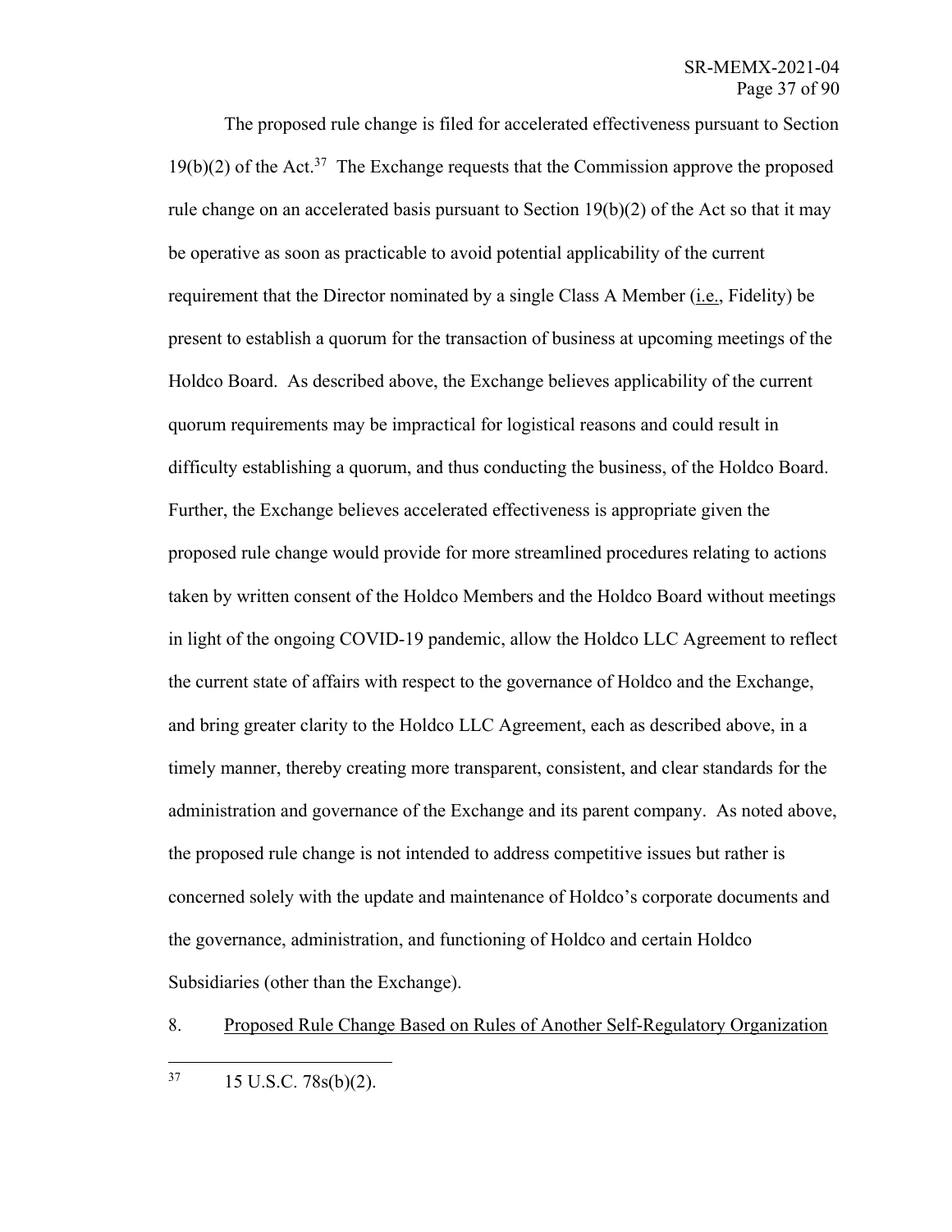The proposed rule change is filed for accelerated effectiveness pursuant to Section  $19(b)(2)$  of the Act.<sup>37</sup> The Exchange requests that the Commission approve the proposed rule change on an accelerated basis pursuant to Section  $19(b)(2)$  of the Act so that it may be operative as soon as practicable to avoid potential applicability of the current requirement that the Director nominated by a single Class A Member (i.e., Fidelity) be present to establish a quorum for the transaction of business at upcoming meetings of the Holdco Board. As described above, the Exchange believes applicability of the current quorum requirements may be impractical for logistical reasons and could result in difficulty establishing a quorum, and thus conducting the business, of the Holdco Board. Further, the Exchange believes accelerated effectiveness is appropriate given the proposed rule change would provide for more streamlined procedures relating to actions taken by written consent of the Holdco Members and the Holdco Board without meetings in light of the ongoing COVID-19 pandemic, allow the Holdco LLC Agreement to reflect the current state of affairs with respect to the governance of Holdco and the Exchange, and bring greater clarity to the Holdco LLC Agreement, each as described above, in a timely manner, thereby creating more transparent, consistent, and clear standards for the administration and governance of the Exchange and its parent company. As noted above, the proposed rule change is not intended to address competitive issues but rather is concerned solely with the update and maintenance of Holdco's corporate documents and the governance, administration, and functioning of Holdco and certain Holdco Subsidiaries (other than the Exchange).

8. Proposed Rule Change Based on Rules of Another Self-Regulatory Organization

 $37 \qquad 15 \text{ U.S.C. } 78 \text{s(b)}(2).$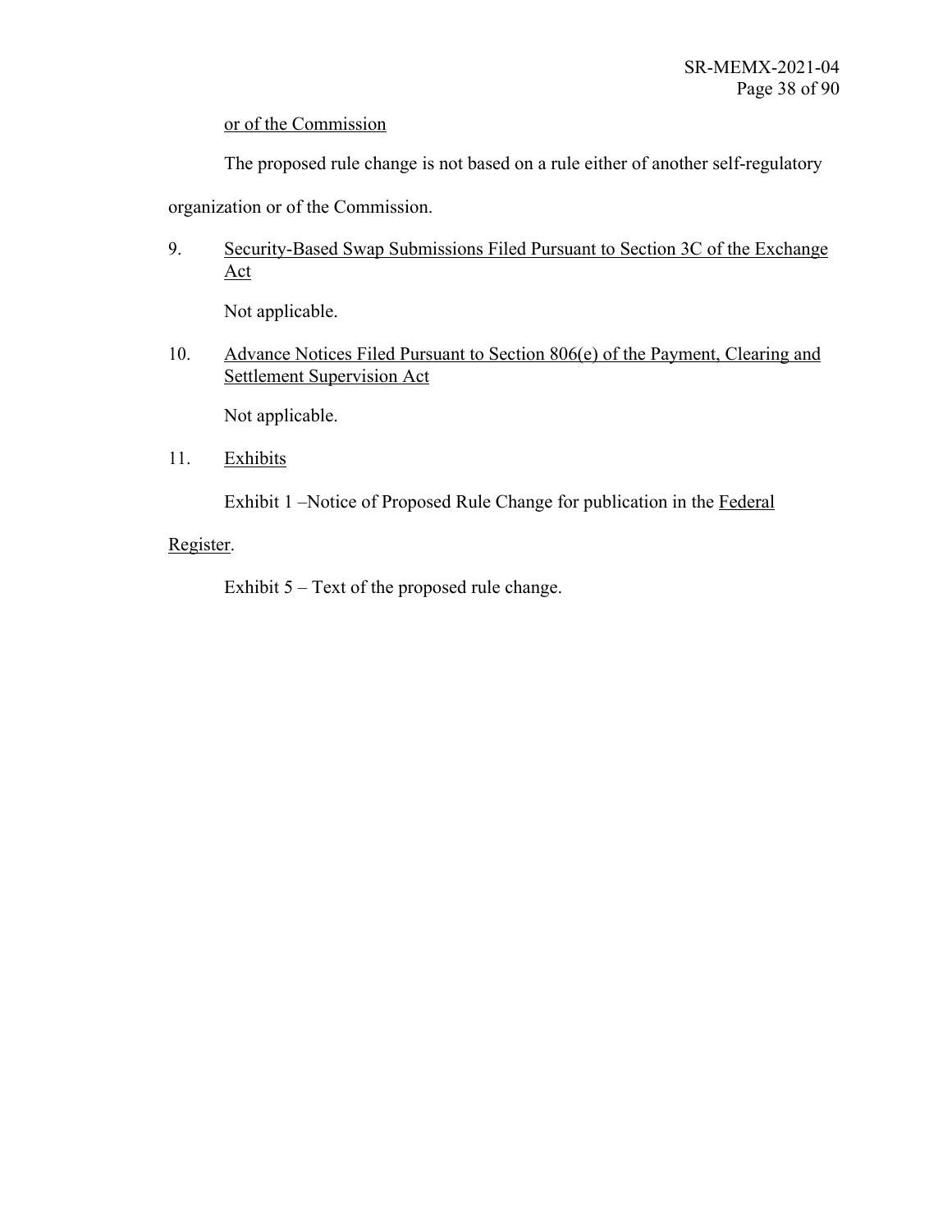## or of the Commission

The proposed rule change is not based on a rule either of another self-regulatory

organization or of the Commission.

9. Security-Based Swap Submissions Filed Pursuant to Section 3C of the Exchange Act

Not applicable.

10. Advance Notices Filed Pursuant to Section 806(e) of the Payment, Clearing and Settlement Supervision Act

Not applicable.

11. Exhibits

Exhibit 1 –Notice of Proposed Rule Change for publication in the Federal

## Register.

Exhibit 5 – Text of the proposed rule change.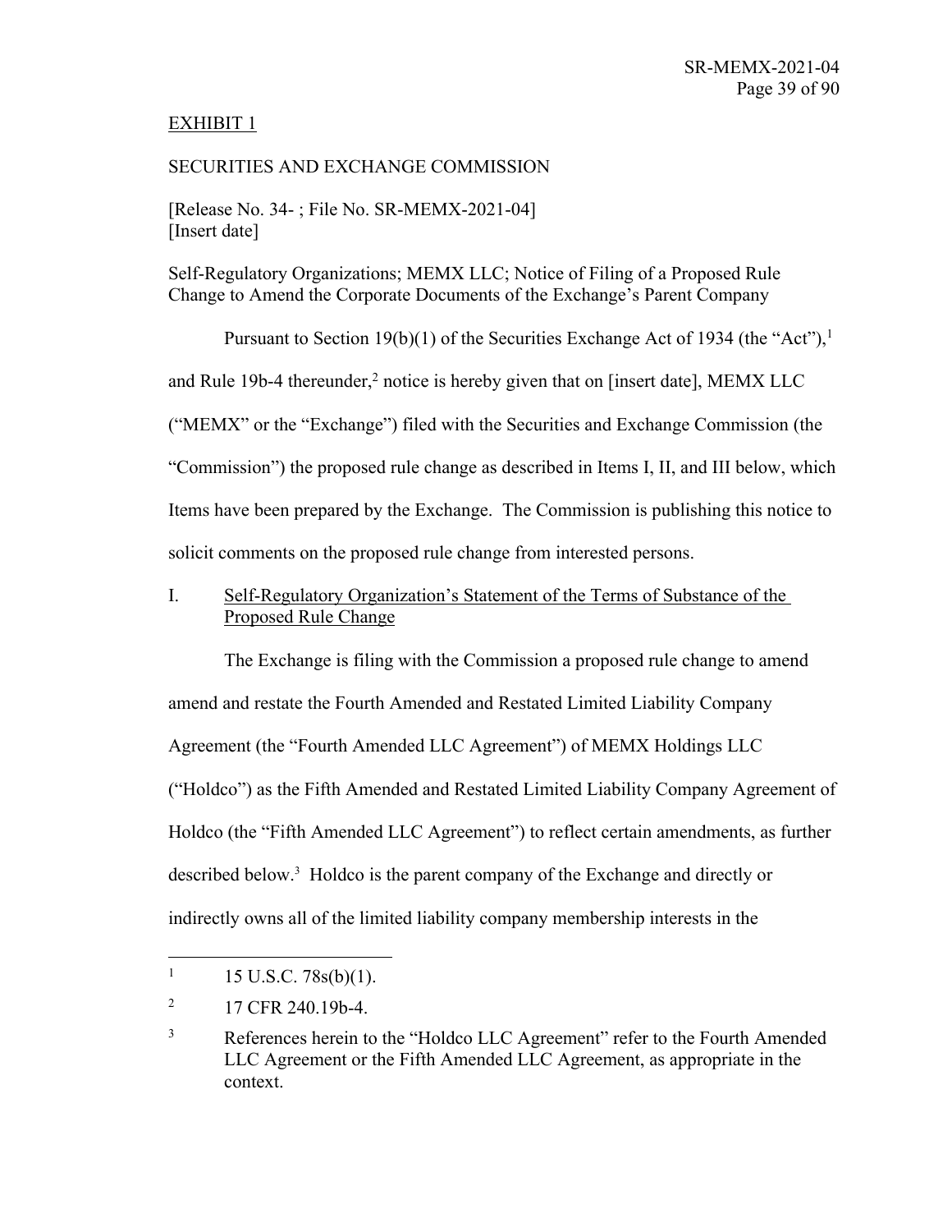## EXHIBIT 1

## SECURITIES AND EXCHANGE COMMISSION

[Release No. 34- ; File No. SR-MEMX-2021-04] [Insert date]

Self-Regulatory Organizations; MEMX LLC; Notice of Filing of a Proposed Rule Change to Amend the Corporate Documents of the Exchange's Parent Company

Pursuant to Section 19(b)(1) of the Securities Exchange Act of 1934 (the "Act"),<sup>1</sup> and Rule 19b-4 thereunder, $<sup>2</sup>$  notice is hereby given that on [insert date], MEMX LLC</sup> ("MEMX" or the "Exchange") filed with the Securities and Exchange Commission (the "Commission") the proposed rule change as described in Items I, II, and III below, which Items have been prepared by the Exchange. The Commission is publishing this notice to solicit comments on the proposed rule change from interested persons.

I. Self-Regulatory Organization's Statement of the Terms of Substance of the Proposed Rule Change

The Exchange is filing with the Commission a proposed rule change to amend amend and restate the Fourth Amended and Restated Limited Liability Company Agreement (the "Fourth Amended LLC Agreement") of MEMX Holdings LLC ("Holdco") as the Fifth Amended and Restated Limited Liability Company Agreement of Holdco (the "Fifth Amended LLC Agreement") to reflect certain amendments, as further described below. 3 Holdco is the parent company of the Exchange and directly or indirectly owns all of the limited liability company membership interests in the

 $1 \quad 15 \text{ U.S.C. } 78 \text{s(b)}(1).$ 

 $^{2}$  17 CFR 240.19b-4.

<sup>&</sup>lt;sup>3</sup> References herein to the "Holdco LLC Agreement" refer to the Fourth Amended LLC Agreement or the Fifth Amended LLC Agreement, as appropriate in the context.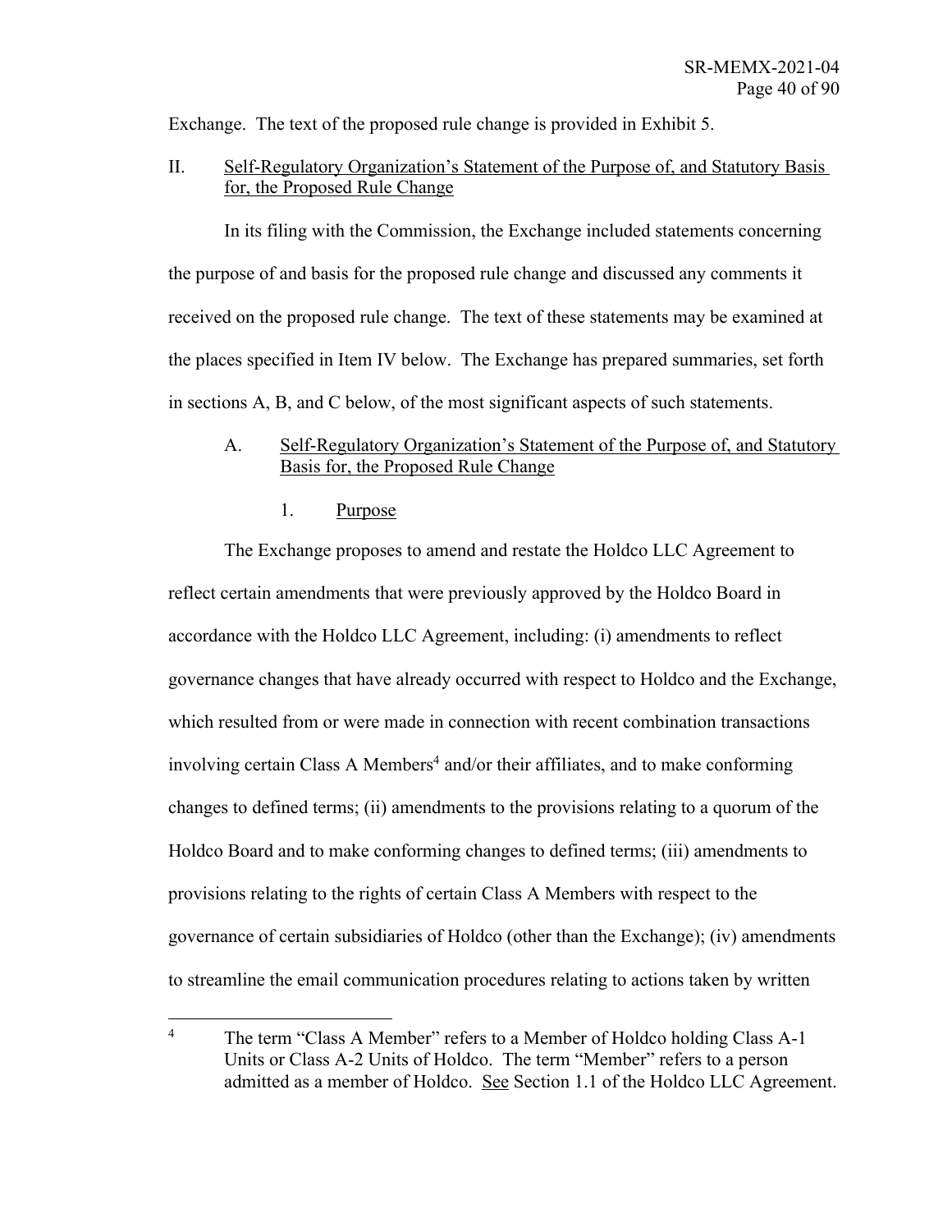Exchange. The text of the proposed rule change is provided in Exhibit 5.

II. Self-Regulatory Organization's Statement of the Purpose of, and Statutory Basis for, the Proposed Rule Change

In its filing with the Commission, the Exchange included statements concerning the purpose of and basis for the proposed rule change and discussed any comments it received on the proposed rule change. The text of these statements may be examined at the places specified in Item IV below. The Exchange has prepared summaries, set forth in sections A, B, and C below, of the most significant aspects of such statements.

## A. Self-Regulatory Organization's Statement of the Purpose of, and Statutory Basis for, the Proposed Rule Change

1. Purpose

The Exchange proposes to amend and restate the Holdco LLC Agreement to reflect certain amendments that were previously approved by the Holdco Board in accordance with the Holdco LLC Agreement, including: (i) amendments to reflect governance changes that have already occurred with respect to Holdco and the Exchange, which resulted from or were made in connection with recent combination transactions involving certain Class A Members<sup>4</sup> and/or their affiliates, and to make conforming changes to defined terms; (ii) amendments to the provisions relating to a quorum of the Holdco Board and to make conforming changes to defined terms; (iii) amendments to provisions relating to the rights of certain Class A Members with respect to the governance of certain subsidiaries of Holdco (other than the Exchange); (iv) amendments to streamline the email communication procedures relating to actions taken by written

<sup>&</sup>lt;sup>4</sup> The term "Class A Member" refers to a Member of Holdco holding Class A-1 Units or Class A-2 Units of Holdco. The term "Member" refers to a person admitted as a member of Holdco. See Section 1.1 of the Holdco LLC Agreement.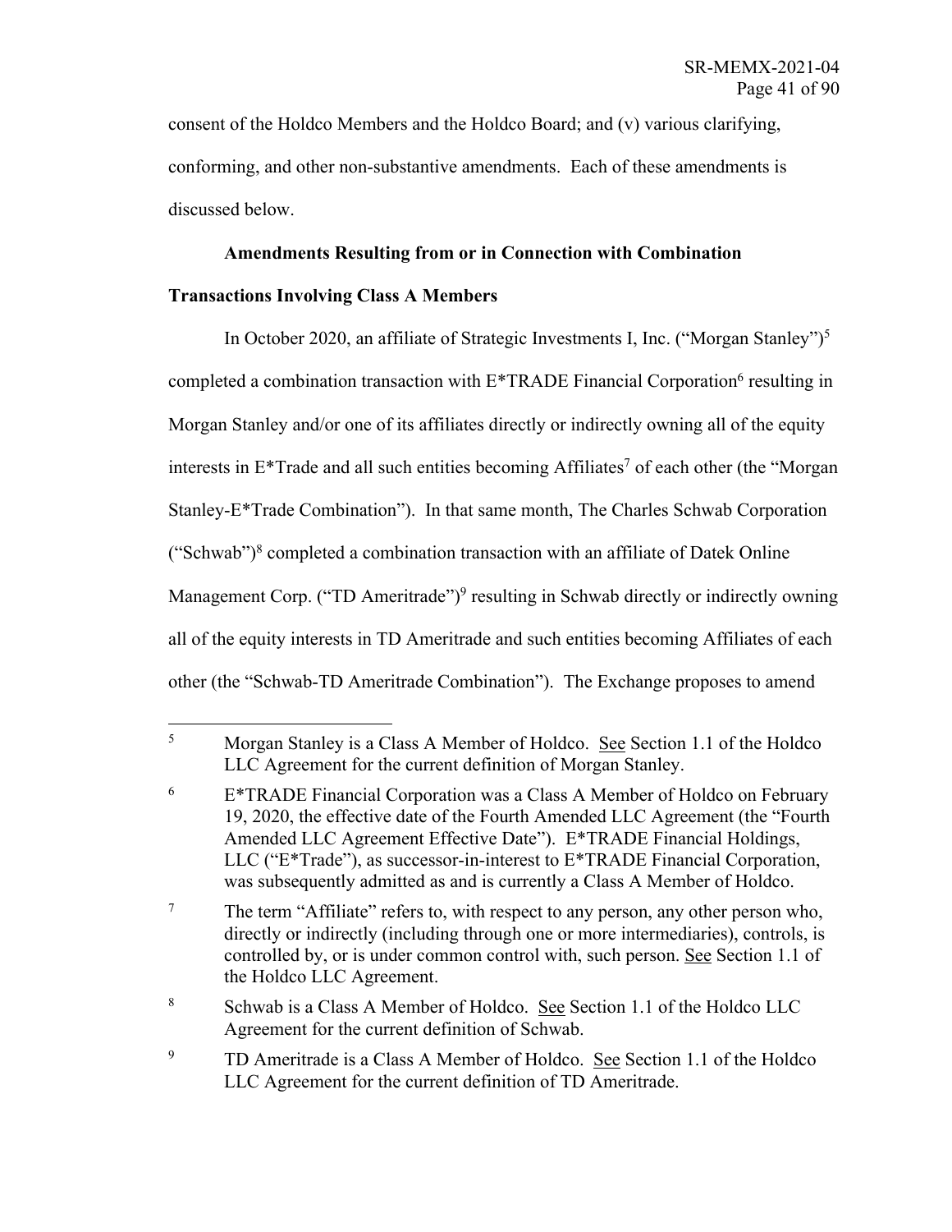consent of the Holdco Members and the Holdco Board; and (v) various clarifying, conforming, and other non-substantive amendments. Each of these amendments is discussed below.

## **Amendments Resulting from or in Connection with Combination**

## **Transactions Involving Class A Members**

In October 2020, an affiliate of Strategic Investments I, Inc. ("Morgan Stanley")5 completed a combination transaction with  $E^*$ TRADE Financial Corporation<sup>6</sup> resulting in Morgan Stanley and/or one of its affiliates directly or indirectly owning all of the equity interests in  $E^*$ Trade and all such entities becoming Affiliates<sup>7</sup> of each other (the "Morgan" Stanley-E\*Trade Combination"). In that same month, The Charles Schwab Corporation ("Schwab") $8$  completed a combination transaction with an affiliate of Datek Online Management Corp. ("TD Ameritrade")<sup>9</sup> resulting in Schwab directly or indirectly owning all of the equity interests in TD Ameritrade and such entities becoming Affiliates of each other (the "Schwab-TD Ameritrade Combination"). The Exchange proposes to amend

<sup>5</sup> Morgan Stanley is a Class A Member of Holdco. See Section 1.1 of the Holdco LLC Agreement for the current definition of Morgan Stanley.

 $6$  E<sup>\*</sup>TRADE Financial Corporation was a Class A Member of Holdco on February 19, 2020, the effective date of the Fourth Amended LLC Agreement (the "Fourth Amended LLC Agreement Effective Date"). E\*TRADE Financial Holdings, LLC ("E\*Trade"), as successor-in-interest to E\*TRADE Financial Corporation, was subsequently admitted as and is currently a Class A Member of Holdco.

<sup>&</sup>lt;sup>7</sup> The term "Affiliate" refers to, with respect to any person, any other person who, directly or indirectly (including through one or more intermediaries), controls, is controlled by, or is under common control with, such person. See Section 1.1 of the Holdco LLC Agreement.

<sup>8</sup> Schwab is a Class A Member of Holdco. See Section 1.1 of the Holdco LLC Agreement for the current definition of Schwab.

<sup>&</sup>lt;sup>9</sup> TD Ameritrade is a Class A Member of Holdco. <u>See</u> Section 1.1 of the Holdco LLC Agreement for the current definition of TD Ameritrade.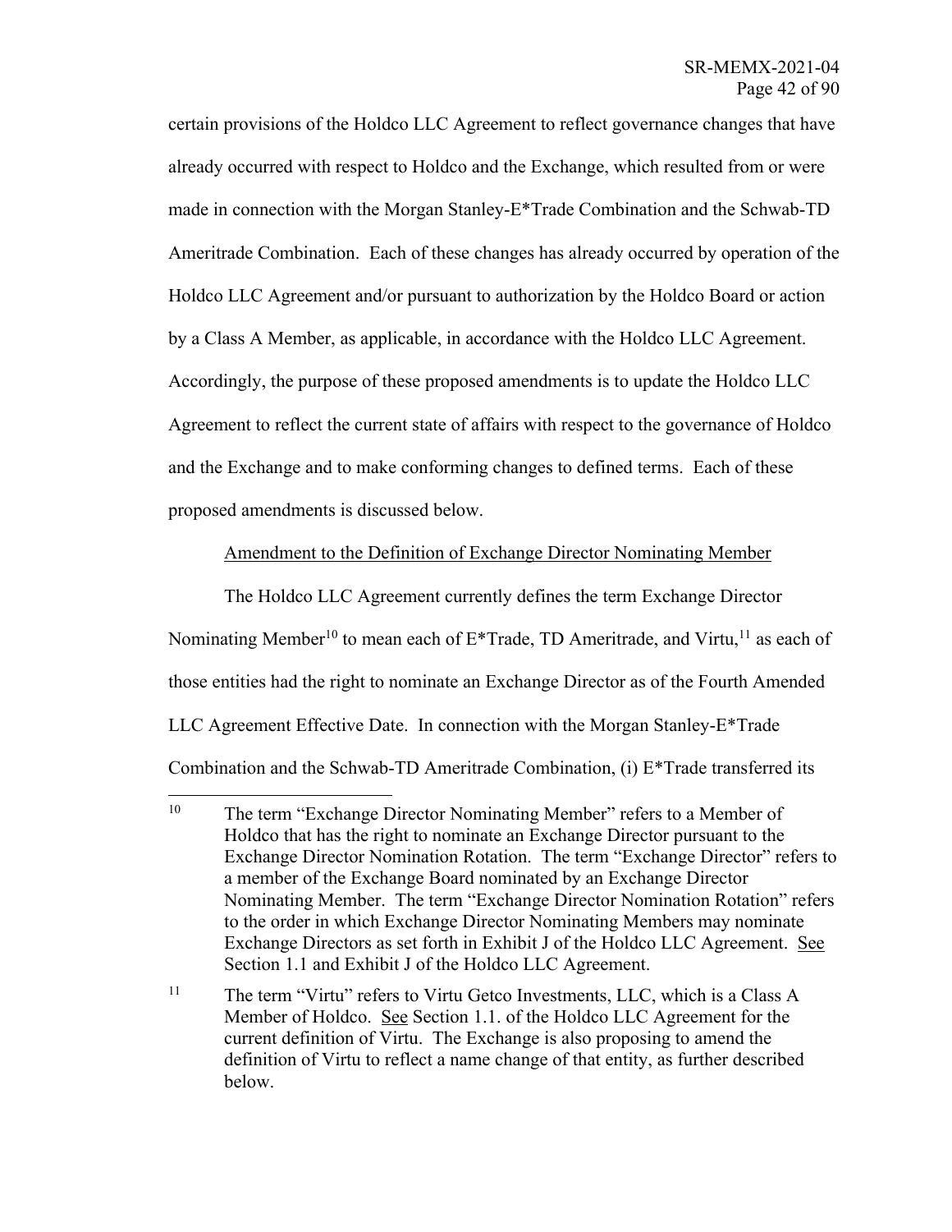certain provisions of the Holdco LLC Agreement to reflect governance changes that have already occurred with respect to Holdco and the Exchange, which resulted from or were made in connection with the Morgan Stanley-E\*Trade Combination and the Schwab-TD Ameritrade Combination. Each of these changes has already occurred by operation of the Holdco LLC Agreement and/or pursuant to authorization by the Holdco Board or action by a Class A Member, as applicable, in accordance with the Holdco LLC Agreement. Accordingly, the purpose of these proposed amendments is to update the Holdco LLC Agreement to reflect the current state of affairs with respect to the governance of Holdco and the Exchange and to make conforming changes to defined terms. Each of these proposed amendments is discussed below.

## Amendment to the Definition of Exchange Director Nominating Member

The Holdco LLC Agreement currently defines the term Exchange Director Nominating Member<sup>10</sup> to mean each of  $E^*$ Trade, TD Ameritrade, and Virtu,<sup>11</sup> as each of those entities had the right to nominate an Exchange Director as of the Fourth Amended LLC Agreement Effective Date. In connection with the Morgan Stanley-E\*Trade Combination and the Schwab-TD Ameritrade Combination, (i) E\*Trade transferred its

<sup>&</sup>lt;sup>10</sup> The term "Exchange Director Nominating Member" refers to a Member of Holdco that has the right to nominate an Exchange Director pursuant to the Exchange Director Nomination Rotation. The term "Exchange Director" refers to a member of the Exchange Board nominated by an Exchange Director Nominating Member. The term "Exchange Director Nomination Rotation" refers to the order in which Exchange Director Nominating Members may nominate Exchange Directors as set forth in Exhibit J of the Holdco LLC Agreement. See Section 1.1 and Exhibit J of the Holdco LLC Agreement.

<sup>&</sup>lt;sup>11</sup> The term "Virtu" refers to Virtu Getco Investments, LLC, which is a Class A Member of Holdco. See Section 1.1. of the Holdco LLC Agreement for the current definition of Virtu. The Exchange is also proposing to amend the definition of Virtu to reflect a name change of that entity, as further described below.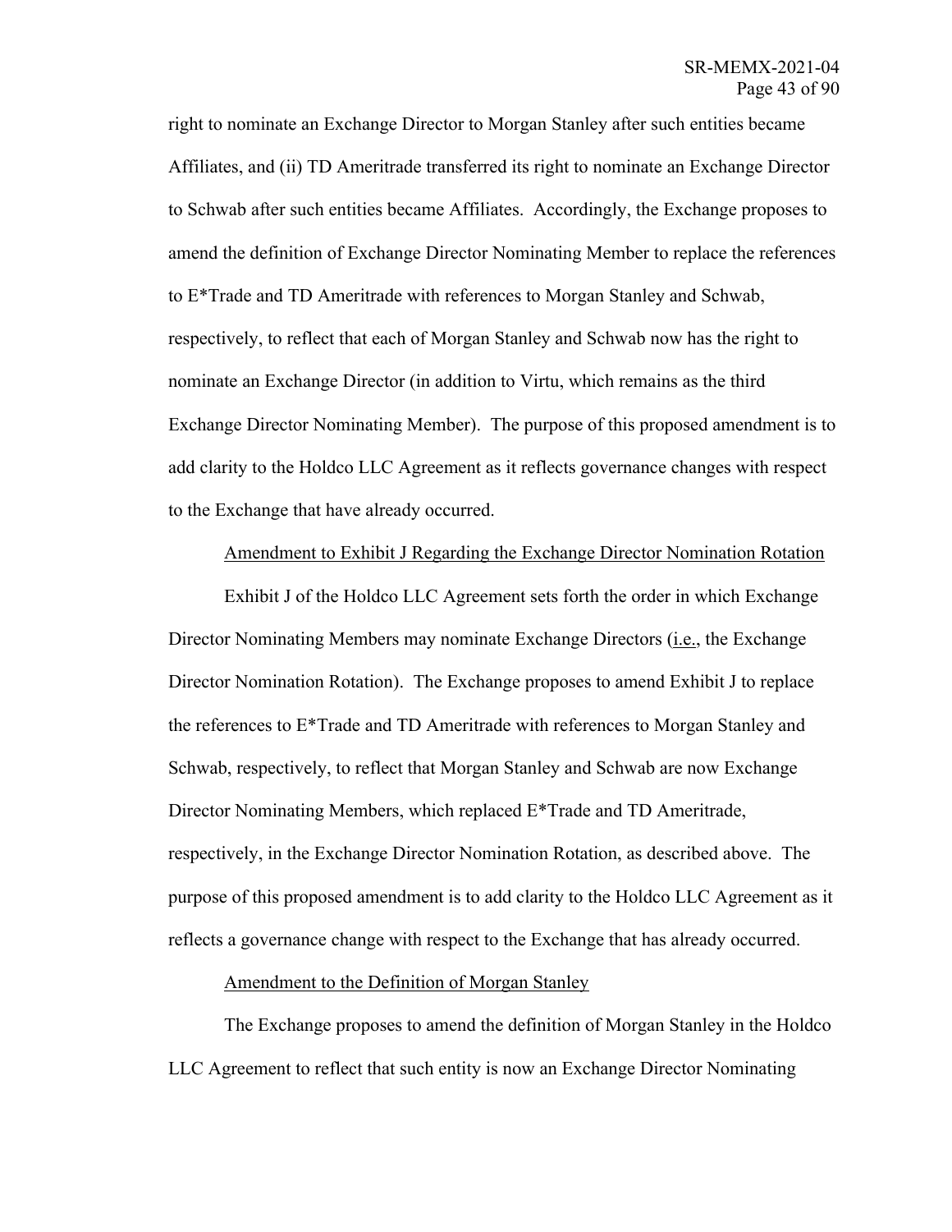right to nominate an Exchange Director to Morgan Stanley after such entities became Affiliates, and (ii) TD Ameritrade transferred its right to nominate an Exchange Director to Schwab after such entities became Affiliates. Accordingly, the Exchange proposes to amend the definition of Exchange Director Nominating Member to replace the references to E\*Trade and TD Ameritrade with references to Morgan Stanley and Schwab, respectively, to reflect that each of Morgan Stanley and Schwab now has the right to nominate an Exchange Director (in addition to Virtu, which remains as the third Exchange Director Nominating Member). The purpose of this proposed amendment is to add clarity to the Holdco LLC Agreement as it reflects governance changes with respect to the Exchange that have already occurred.

## Amendment to Exhibit J Regarding the Exchange Director Nomination Rotation

Exhibit J of the Holdco LLC Agreement sets forth the order in which Exchange Director Nominating Members may nominate Exchange Directors (*i.e.*, the Exchange Director Nomination Rotation). The Exchange proposes to amend Exhibit J to replace the references to  $E^*$ Trade and TD Ameritrade with references to Morgan Stanley and Schwab, respectively, to reflect that Morgan Stanley and Schwab are now Exchange Director Nominating Members, which replaced E\*Trade and TD Ameritrade, respectively, in the Exchange Director Nomination Rotation, as described above. The purpose of this proposed amendment is to add clarity to the Holdco LLC Agreement as it reflects a governance change with respect to the Exchange that has already occurred.

#### Amendment to the Definition of Morgan Stanley

The Exchange proposes to amend the definition of Morgan Stanley in the Holdco LLC Agreement to reflect that such entity is now an Exchange Director Nominating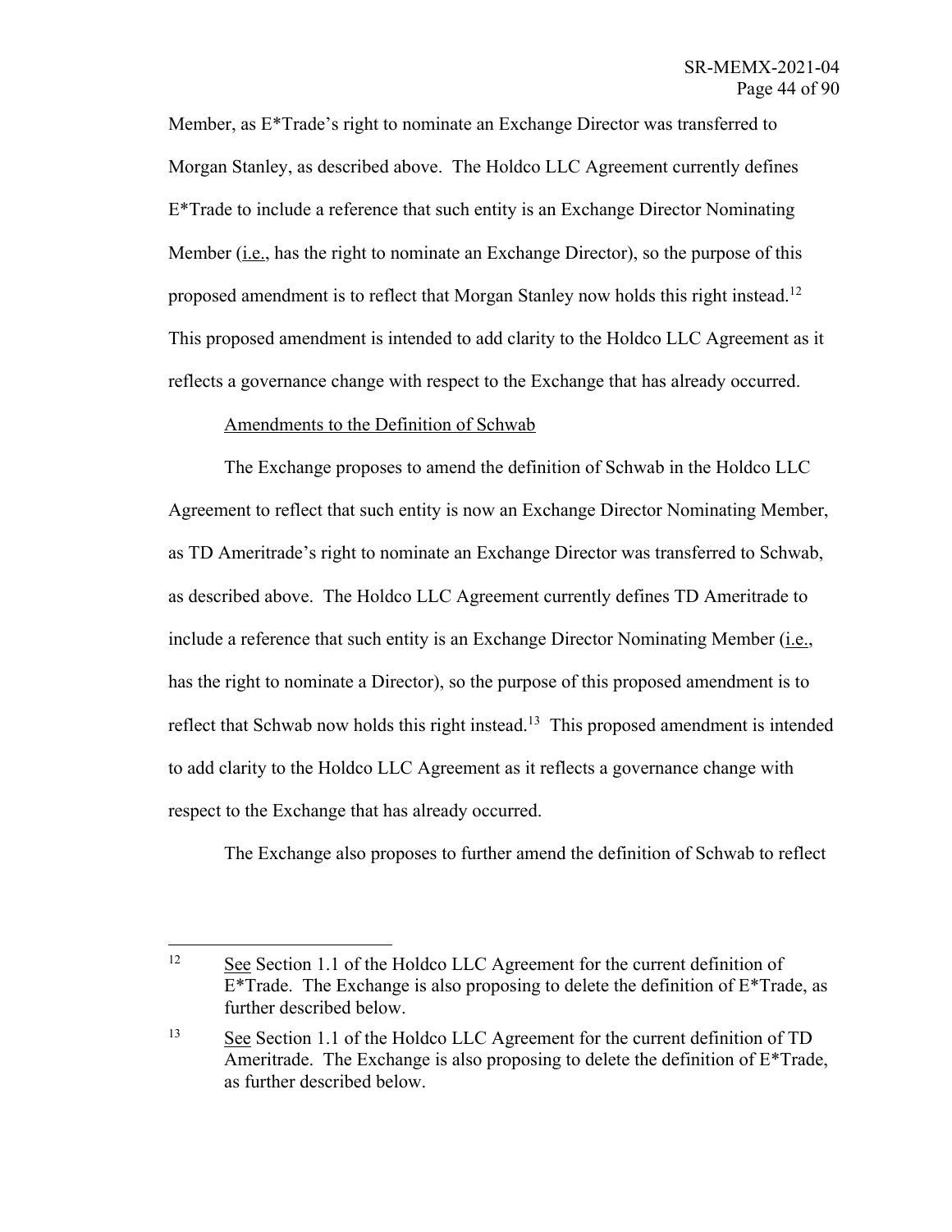Member, as E\*Trade's right to nominate an Exchange Director was transferred to Morgan Stanley, as described above. The Holdco LLC Agreement currently defines E\*Trade to include a reference that such entity is an Exchange Director Nominating Member (i.e., has the right to nominate an Exchange Director), so the purpose of this proposed amendment is to reflect that Morgan Stanley now holds this right instead.<sup>12</sup> This proposed amendment is intended to add clarity to the Holdco LLC Agreement as it reflects a governance change with respect to the Exchange that has already occurred.

## Amendments to the Definition of Schwab

The Exchange proposes to amend the definition of Schwab in the Holdco LLC Agreement to reflect that such entity is now an Exchange Director Nominating Member, as TD Ameritrade's right to nominate an Exchange Director was transferred to Schwab, as described above. The Holdco LLC Agreement currently defines TD Ameritrade to include a reference that such entity is an Exchange Director Nominating Member  $(i.e.,$ has the right to nominate a Director), so the purpose of this proposed amendment is to reflect that Schwab now holds this right instead.<sup>13</sup> This proposed amendment is intended to add clarity to the Holdco LLC Agreement as it reflects a governance change with respect to the Exchange that has already occurred.

The Exchange also proposes to further amend the definition of Schwab to reflect

<sup>&</sup>lt;sup>12</sup> See Section 1.1 of the Holdco LLC Agreement for the current definition of  $E^*$ Trade. The Exchange is also proposing to delete the definition of  $E^*$ Trade, as further described below.

<sup>&</sup>lt;sup>13</sup> See Section 1.1 of the Holdco LLC Agreement for the current definition of TD Ameritrade. The Exchange is also proposing to delete the definition of E\*Trade, as further described below.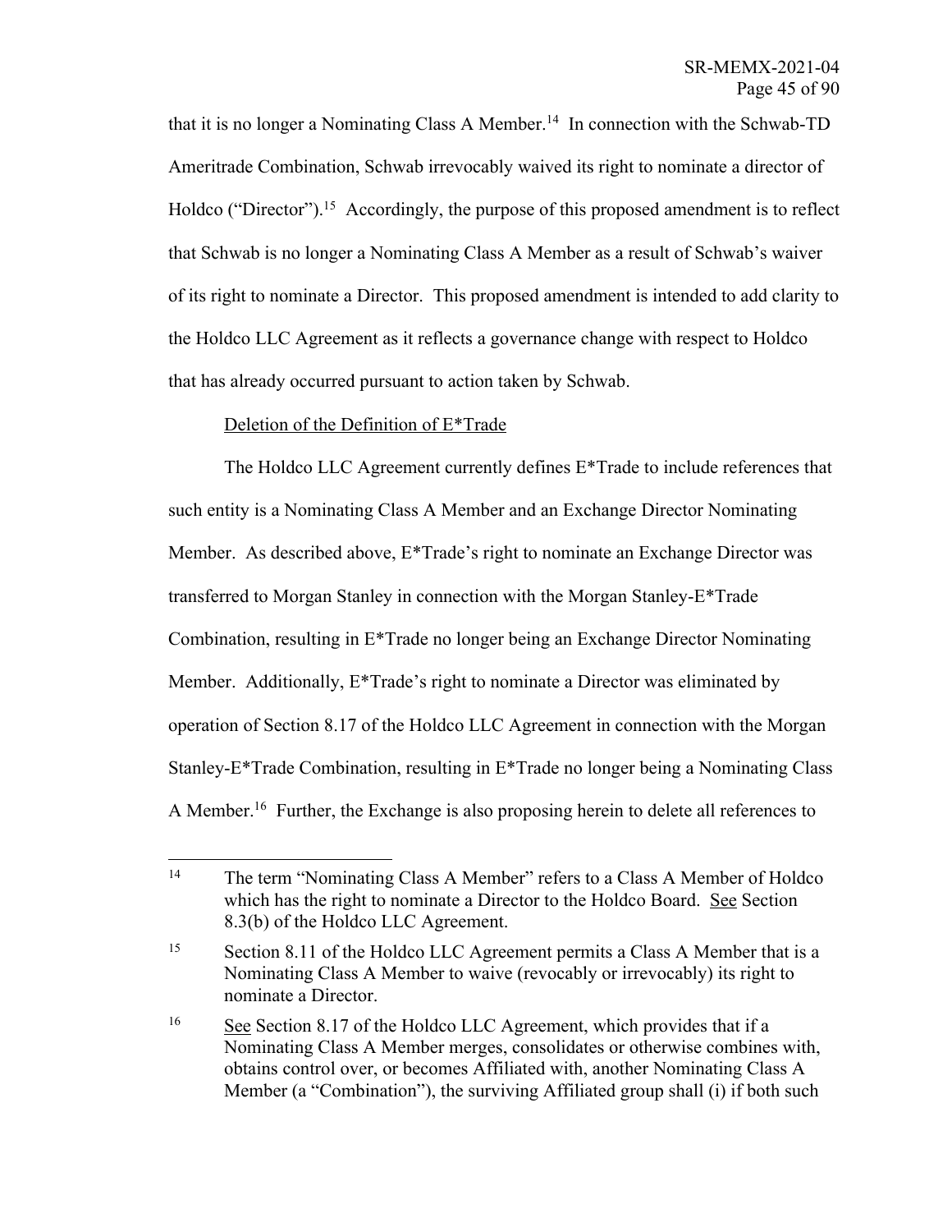that it is no longer a Nominating Class A Member. 14 In connection with the Schwab-TD Ameritrade Combination, Schwab irrevocably waived its right to nominate a director of Holdco ("Director").<sup>15</sup> Accordingly, the purpose of this proposed amendment is to reflect that Schwab is no longer a Nominating Class A Member as a result of Schwab's waiver of its right to nominate a Director. This proposed amendment is intended to add clarity to the Holdco LLC Agreement as it reflects a governance change with respect to Holdco that has already occurred pursuant to action taken by Schwab.

## Deletion of the Definition of E\*Trade

The Holdco LLC Agreement currently defines E\*Trade to include references that such entity is a Nominating Class A Member and an Exchange Director Nominating Member. As described above, E\*Trade's right to nominate an Exchange Director was transferred to Morgan Stanley in connection with the Morgan Stanley-E\*Trade Combination, resulting in E\*Trade no longer being an Exchange Director Nominating Member. Additionally, E\*Trade's right to nominate a Director was eliminated by operation of Section 8.17 of the Holdco LLC Agreement in connection with the Morgan Stanley-E\*Trade Combination, resulting in E\*Trade no longer being a Nominating Class A Member.<sup>16</sup> Further, the Exchange is also proposing herein to delete all references to

<sup>&</sup>lt;sup>14</sup> The term "Nominating Class A Member" refers to a Class A Member of Holdco which has the right to nominate a Director to the Holdco Board. See Section 8.3(b) of the Holdco LLC Agreement.

<sup>&</sup>lt;sup>15</sup> Section 8.11 of the Holdco LLC Agreement permits a Class A Member that is a Nominating Class A Member to waive (revocably or irrevocably) its right to nominate a Director.

<sup>&</sup>lt;sup>16</sup> See Section 8.17 of the Holdco LLC Agreement, which provides that if a Nominating Class A Member merges, consolidates or otherwise combines with, obtains control over, or becomes Affiliated with, another Nominating Class A Member (a "Combination"), the surviving Affiliated group shall (i) if both such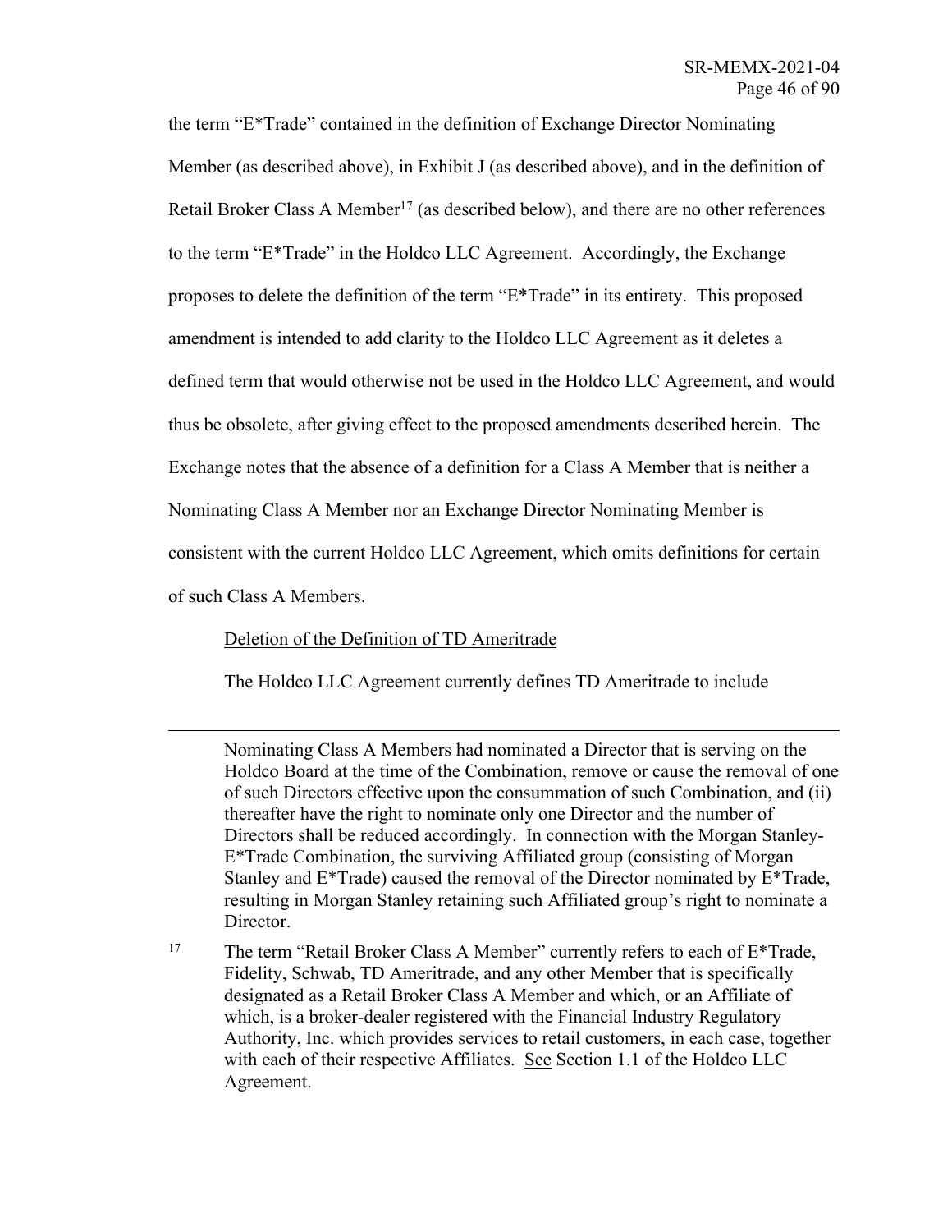the term "E\*Trade" contained in the definition of Exchange Director Nominating Member (as described above), in Exhibit J (as described above), and in the definition of Retail Broker Class A Member<sup>17</sup> (as described below), and there are no other references to the term "E\*Trade" in the Holdco LLC Agreement. Accordingly, the Exchange proposes to delete the definition of the term "E\*Trade" in its entirety. This proposed amendment is intended to add clarity to the Holdco LLC Agreement as it deletes a defined term that would otherwise not be used in the Holdco LLC Agreement, and would thus be obsolete, after giving effect to the proposed amendments described herein. The Exchange notes that the absence of a definition for a Class A Member that is neither a Nominating Class A Member nor an Exchange Director Nominating Member is consistent with the current Holdco LLC Agreement, which omits definitions for certain of such Class A Members.

## Deletion of the Definition of TD Ameritrade

The Holdco LLC Agreement currently defines TD Ameritrade to include

Nominating Class A Members had nominated a Director that is serving on the Holdco Board at the time of the Combination, remove or cause the removal of one of such Directors effective upon the consummation of such Combination, and (ii) thereafter have the right to nominate only one Director and the number of Directors shall be reduced accordingly. In connection with the Morgan Stanley-E\*Trade Combination, the surviving Affiliated group (consisting of Morgan Stanley and E\*Trade) caused the removal of the Director nominated by E\*Trade, resulting in Morgan Stanley retaining such Affiliated group's right to nominate a Director.

<sup>17</sup> The term "Retail Broker Class A Member" currently refers to each of E\*Trade, Fidelity, Schwab, TD Ameritrade, and any other Member that is specifically designated as a Retail Broker Class A Member and which, or an Affiliate of which, is a broker-dealer registered with the Financial Industry Regulatory Authority, Inc. which provides services to retail customers, in each case, together with each of their respective Affiliates. See Section 1.1 of the Holdco LLC Agreement.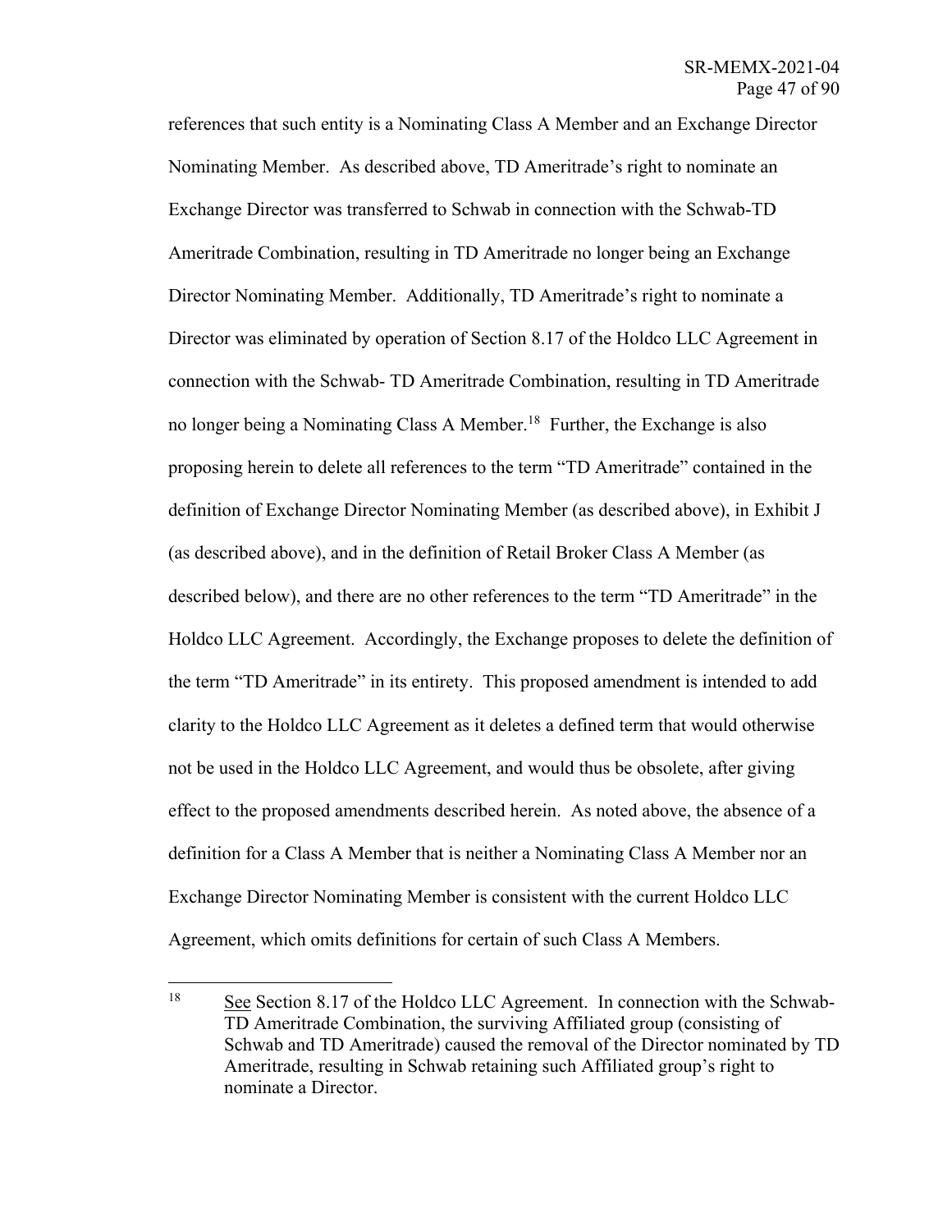references that such entity is a Nominating Class A Member and an Exchange Director Nominating Member. As described above, TD Ameritrade's right to nominate an Exchange Director was transferred to Schwab in connection with the Schwab-TD Ameritrade Combination, resulting in TD Ameritrade no longer being an Exchange Director Nominating Member. Additionally, TD Ameritrade's right to nominate a Director was eliminated by operation of Section 8.17 of the Holdco LLC Agreement in connection with the Schwab- TD Ameritrade Combination, resulting in TD Ameritrade no longer being a Nominating Class A Member.<sup>18</sup> Further, the Exchange is also proposing herein to delete all references to the term "TD Ameritrade" contained in the definition of Exchange Director Nominating Member (as described above), in Exhibit J (as described above), and in the definition of Retail Broker Class A Member (as described below), and there are no other references to the term "TD Ameritrade" in the Holdco LLC Agreement. Accordingly, the Exchange proposes to delete the definition of the term "TD Ameritrade" in its entirety. This proposed amendment is intended to add clarity to the Holdco LLC Agreement as it deletes a defined term that would otherwise not be used in the Holdco LLC Agreement, and would thus be obsolete, after giving effect to the proposed amendments described herein. As noted above, the absence of a definition for a Class A Member that is neither a Nominating Class A Member nor an Exchange Director Nominating Member is consistent with the current Holdco LLC Agreement, which omits definitions for certain of such Class A Members.

<sup>&</sup>lt;sup>18</sup> See Section 8.17 of the Holdco LLC Agreement. In connection with the Schwab-TD Ameritrade Combination, the surviving Affiliated group (consisting of Schwab and TD Ameritrade) caused the removal of the Director nominated by TD Ameritrade, resulting in Schwab retaining such Affiliated group's right to nominate a Director.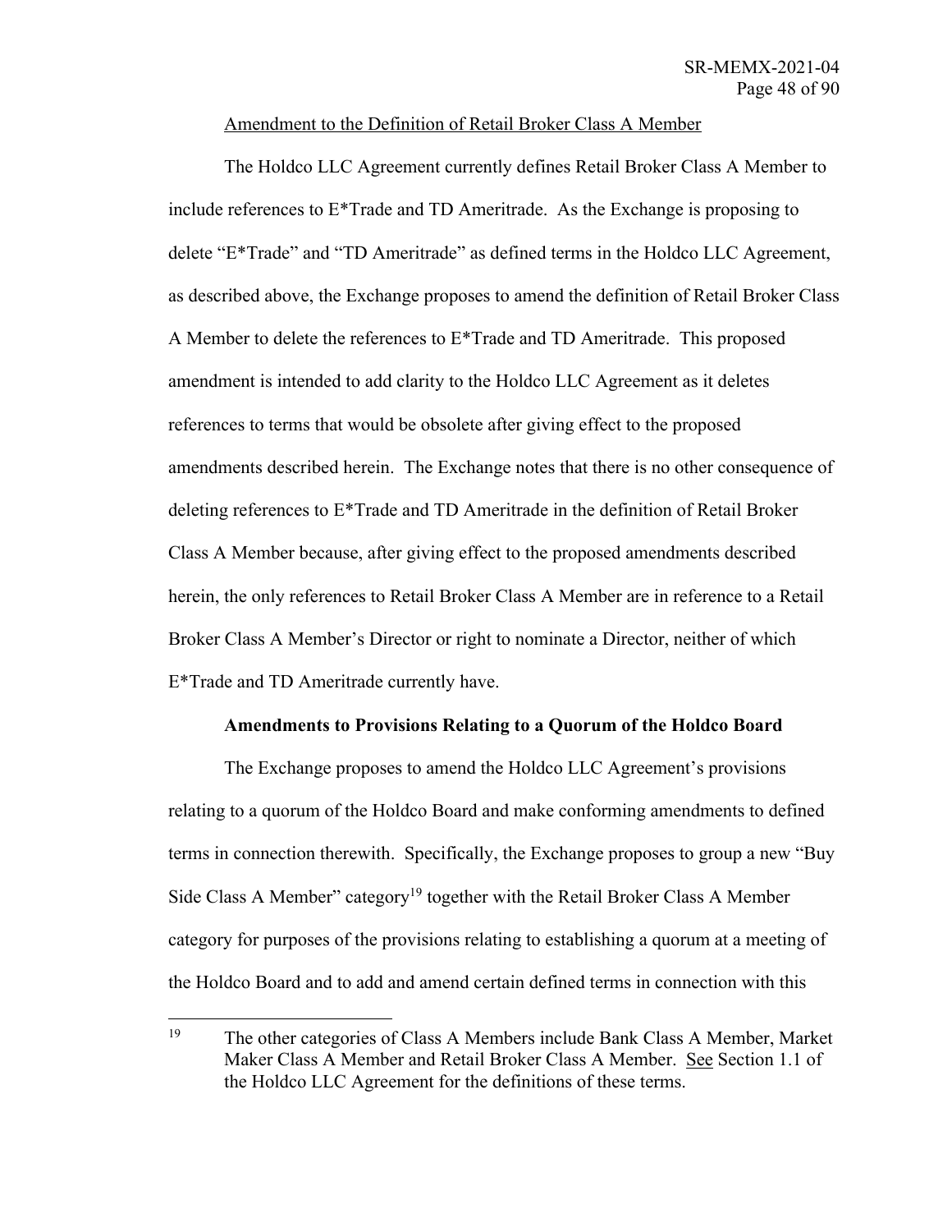## Amendment to the Definition of Retail Broker Class A Member

The Holdco LLC Agreement currently defines Retail Broker Class A Member to include references to E\*Trade and TD Ameritrade. As the Exchange is proposing to delete "E\*Trade" and "TD Ameritrade" as defined terms in the Holdco LLC Agreement, as described above, the Exchange proposes to amend the definition of Retail Broker Class A Member to delete the references to E\*Trade and TD Ameritrade. This proposed amendment is intended to add clarity to the Holdco LLC Agreement as it deletes references to terms that would be obsolete after giving effect to the proposed amendments described herein. The Exchange notes that there is no other consequence of deleting references to E\*Trade and TD Ameritrade in the definition of Retail Broker Class A Member because, after giving effect to the proposed amendments described herein, the only references to Retail Broker Class A Member are in reference to a Retail Broker Class A Member's Director or right to nominate a Director, neither of which E\*Trade and TD Ameritrade currently have.

## **Amendments to Provisions Relating to a Quorum of the Holdco Board**

The Exchange proposes to amend the Holdco LLC Agreement's provisions relating to a quorum of the Holdco Board and make conforming amendments to defined terms in connection therewith. Specifically, the Exchange proposes to group a new "Buy Side Class A Member" category<sup>19</sup> together with the Retail Broker Class A Member category for purposes of the provisions relating to establishing a quorum at a meeting of the Holdco Board and to add and amend certain defined terms in connection with this

<sup>19</sup> The other categories of Class A Members include Bank Class A Member, Market Maker Class A Member and Retail Broker Class A Member. See Section 1.1 of the Holdco LLC Agreement for the definitions of these terms.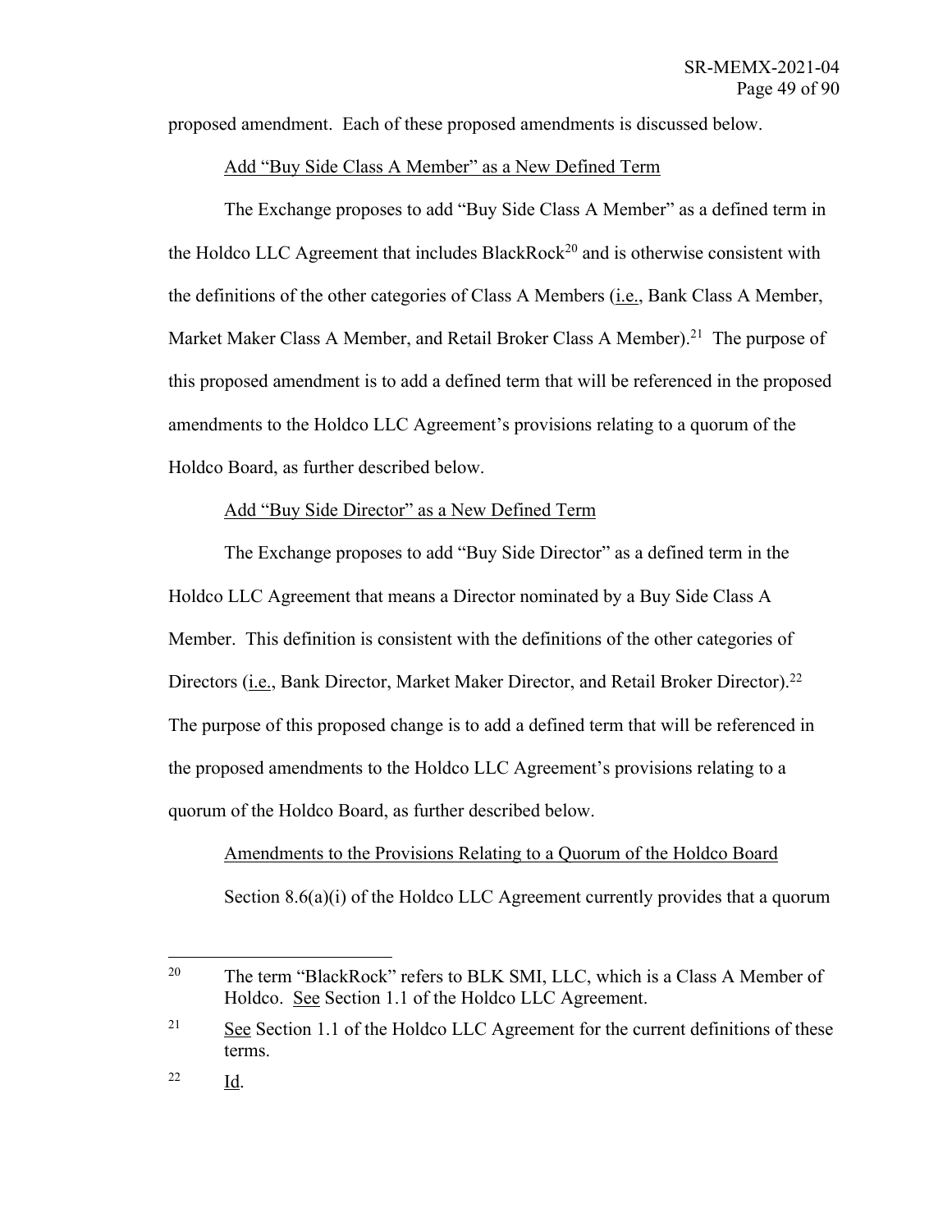proposed amendment. Each of these proposed amendments is discussed below.

## Add "Buy Side Class A Member" as a New Defined Term

The Exchange proposes to add "Buy Side Class A Member" as a defined term in the Holdco LLC Agreement that includes BlackRock<sup>20</sup> and is otherwise consistent with the definitions of the other categories of Class A Members (i.e., Bank Class A Member, Market Maker Class A Member, and Retail Broker Class A Member).<sup>21</sup> The purpose of this proposed amendment is to add a defined term that will be referenced in the proposed amendments to the Holdco LLC Agreement's provisions relating to a quorum of the Holdco Board, as further described below.

## Add "Buy Side Director" as a New Defined Term

The Exchange proposes to add "Buy Side Director" as a defined term in the Holdco LLC Agreement that means a Director nominated by a Buy Side Class A Member. This definition is consistent with the definitions of the other categories of Directors (*i.e.*, Bank Director, Market Maker Director, and Retail Broker Director).<sup>22</sup> The purpose of this proposed change is to add a defined term that will be referenced in the proposed amendments to the Holdco LLC Agreement's provisions relating to a quorum of the Holdco Board, as further described below.

## Amendments to the Provisions Relating to a Quorum of the Holdco Board Section 8.6(a)(i) of the Holdco LLC Agreement currently provides that a quorum

<sup>&</sup>lt;sup>20</sup> The term "BlackRock" refers to BLK SMI, LLC, which is a Class A Member of Holdco. See Section 1.1 of the Holdco LLC Agreement.

<sup>&</sup>lt;sup>21</sup> See Section 1.1 of the Holdco LLC Agreement for the current definitions of these terms.

<sup>22</sup> Id.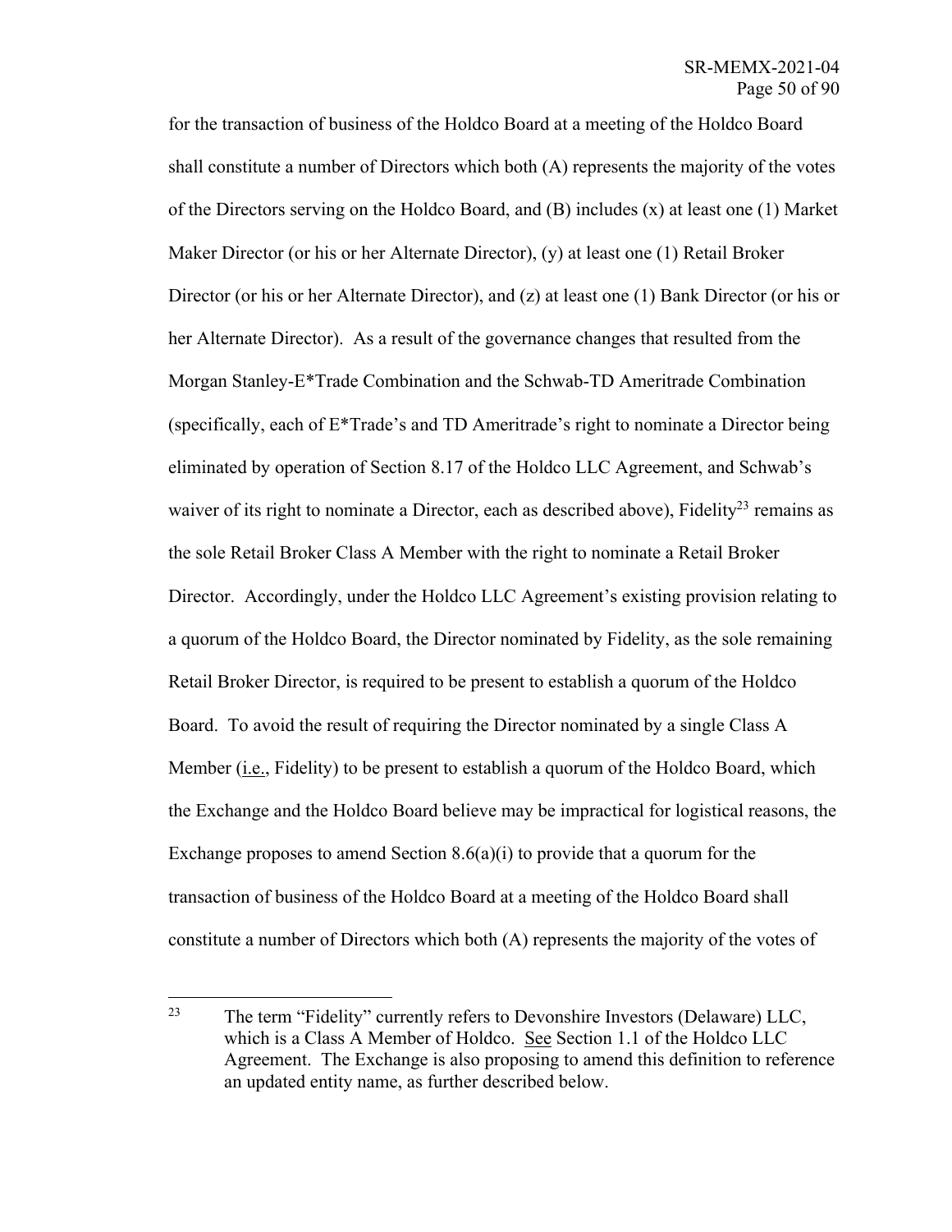for the transaction of business of the Holdco Board at a meeting of the Holdco Board shall constitute a number of Directors which both (A) represents the majority of the votes of the Directors serving on the Holdco Board, and (B) includes (x) at least one (1) Market Maker Director (or his or her Alternate Director), (y) at least one (1) Retail Broker Director (or his or her Alternate Director), and (z) at least one (1) Bank Director (or his or her Alternate Director). As a result of the governance changes that resulted from the Morgan Stanley-E\*Trade Combination and the Schwab-TD Ameritrade Combination (specifically, each of E\*Trade's and TD Ameritrade's right to nominate a Director being eliminated by operation of Section 8.17 of the Holdco LLC Agreement, and Schwab's waiver of its right to nominate a Director, each as described above), Fidelity<sup>23</sup> remains as the sole Retail Broker Class A Member with the right to nominate a Retail Broker Director. Accordingly, under the Holdco LLC Agreement's existing provision relating to a quorum of the Holdco Board, the Director nominated by Fidelity, as the sole remaining Retail Broker Director, is required to be present to establish a quorum of the Holdco Board. To avoid the result of requiring the Director nominated by a single Class A Member (i.e., Fidelity) to be present to establish a quorum of the Holdco Board, which the Exchange and the Holdco Board believe may be impractical for logistical reasons, the Exchange proposes to amend Section  $8.6(a)(i)$  to provide that a quorum for the transaction of business of the Holdco Board at a meeting of the Holdco Board shall constitute a number of Directors which both (A) represents the majority of the votes of

<sup>&</sup>lt;sup>23</sup> The term "Fidelity" currently refers to Devonshire Investors (Delaware) LLC, which is a Class A Member of Holdco. See Section 1.1 of the Holdco LLC Agreement. The Exchange is also proposing to amend this definition to reference an updated entity name, as further described below.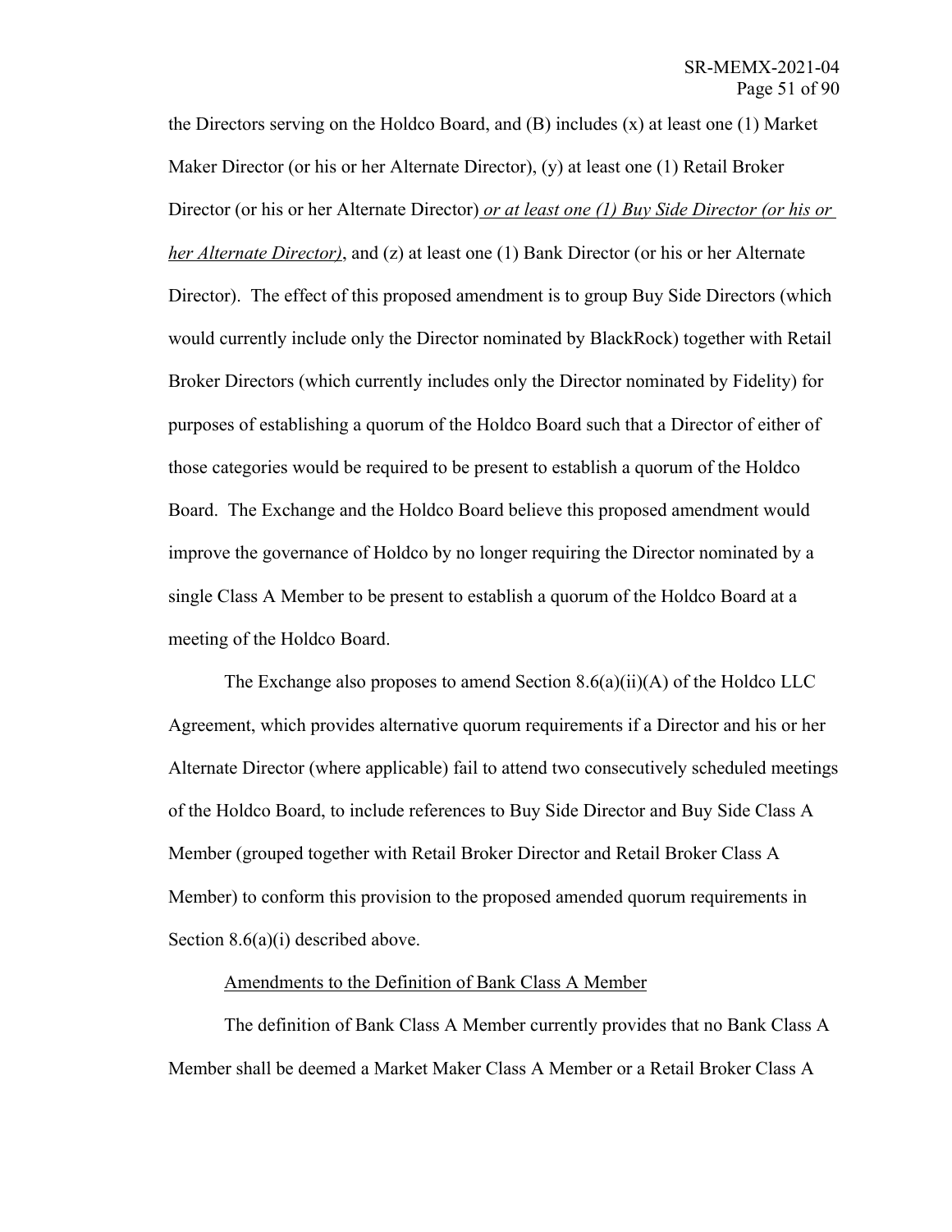the Directors serving on the Holdco Board, and  $(B)$  includes  $(x)$  at least one  $(1)$  Market Maker Director (or his or her Alternate Director), (y) at least one (1) Retail Broker Director (or his or her Alternate Director) *or at least one (1) Buy Side Director (or his or her Alternate Director*), and (z) at least one (1) Bank Director (or his or her Alternate Director). The effect of this proposed amendment is to group Buy Side Directors (which would currently include only the Director nominated by BlackRock) together with Retail Broker Directors (which currently includes only the Director nominated by Fidelity) for purposes of establishing a quorum of the Holdco Board such that a Director of either of those categories would be required to be present to establish a quorum of the Holdco Board. The Exchange and the Holdco Board believe this proposed amendment would improve the governance of Holdco by no longer requiring the Director nominated by a single Class A Member to be present to establish a quorum of the Holdco Board at a meeting of the Holdco Board.

The Exchange also proposes to amend Section  $8.6(a)(ii)(A)$  of the Holdco LLC Agreement, which provides alternative quorum requirements if a Director and his or her Alternate Director (where applicable) fail to attend two consecutively scheduled meetings of the Holdco Board, to include references to Buy Side Director and Buy Side Class A Member (grouped together with Retail Broker Director and Retail Broker Class A Member) to conform this provision to the proposed amended quorum requirements in Section 8.6(a)(i) described above.

#### Amendments to the Definition of Bank Class A Member

The definition of Bank Class A Member currently provides that no Bank Class A Member shall be deemed a Market Maker Class A Member or a Retail Broker Class A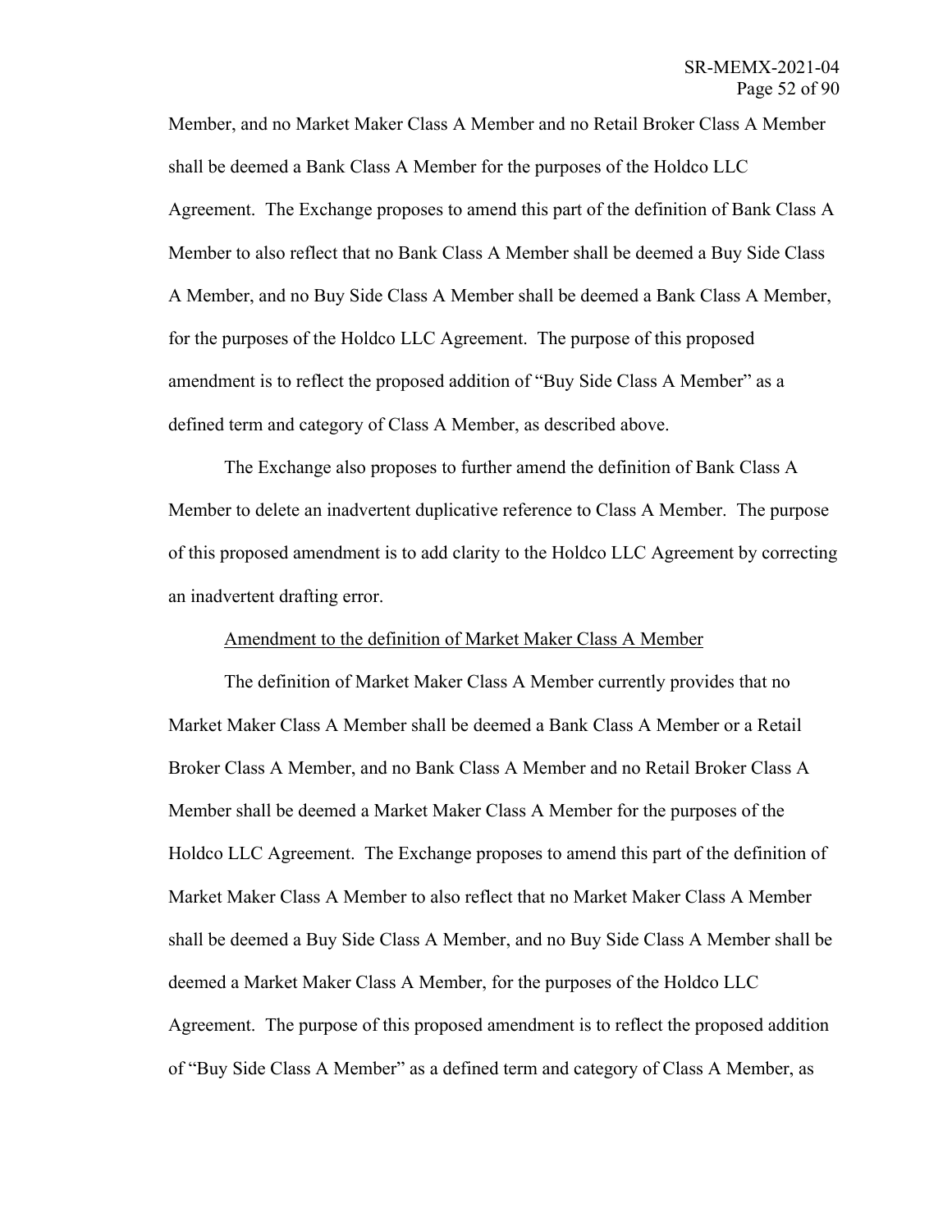Member, and no Market Maker Class A Member and no Retail Broker Class A Member shall be deemed a Bank Class A Member for the purposes of the Holdco LLC Agreement. The Exchange proposes to amend this part of the definition of Bank Class A Member to also reflect that no Bank Class A Member shall be deemed a Buy Side Class A Member, and no Buy Side Class A Member shall be deemed a Bank Class A Member, for the purposes of the Holdco LLC Agreement. The purpose of this proposed amendment is to reflect the proposed addition of "Buy Side Class A Member" as a defined term and category of Class A Member, as described above.

The Exchange also proposes to further amend the definition of Bank Class A Member to delete an inadvertent duplicative reference to Class A Member. The purpose of this proposed amendment is to add clarity to the Holdco LLC Agreement by correcting an inadvertent drafting error.

### Amendment to the definition of Market Maker Class A Member

The definition of Market Maker Class A Member currently provides that no Market Maker Class A Member shall be deemed a Bank Class A Member or a Retail Broker Class A Member, and no Bank Class A Member and no Retail Broker Class A Member shall be deemed a Market Maker Class A Member for the purposes of the Holdco LLC Agreement. The Exchange proposes to amend this part of the definition of Market Maker Class A Member to also reflect that no Market Maker Class A Member shall be deemed a Buy Side Class A Member, and no Buy Side Class A Member shall be deemed a Market Maker Class A Member, for the purposes of the Holdco LLC Agreement. The purpose of this proposed amendment is to reflect the proposed addition of "Buy Side Class A Member" as a defined term and category of Class A Member, as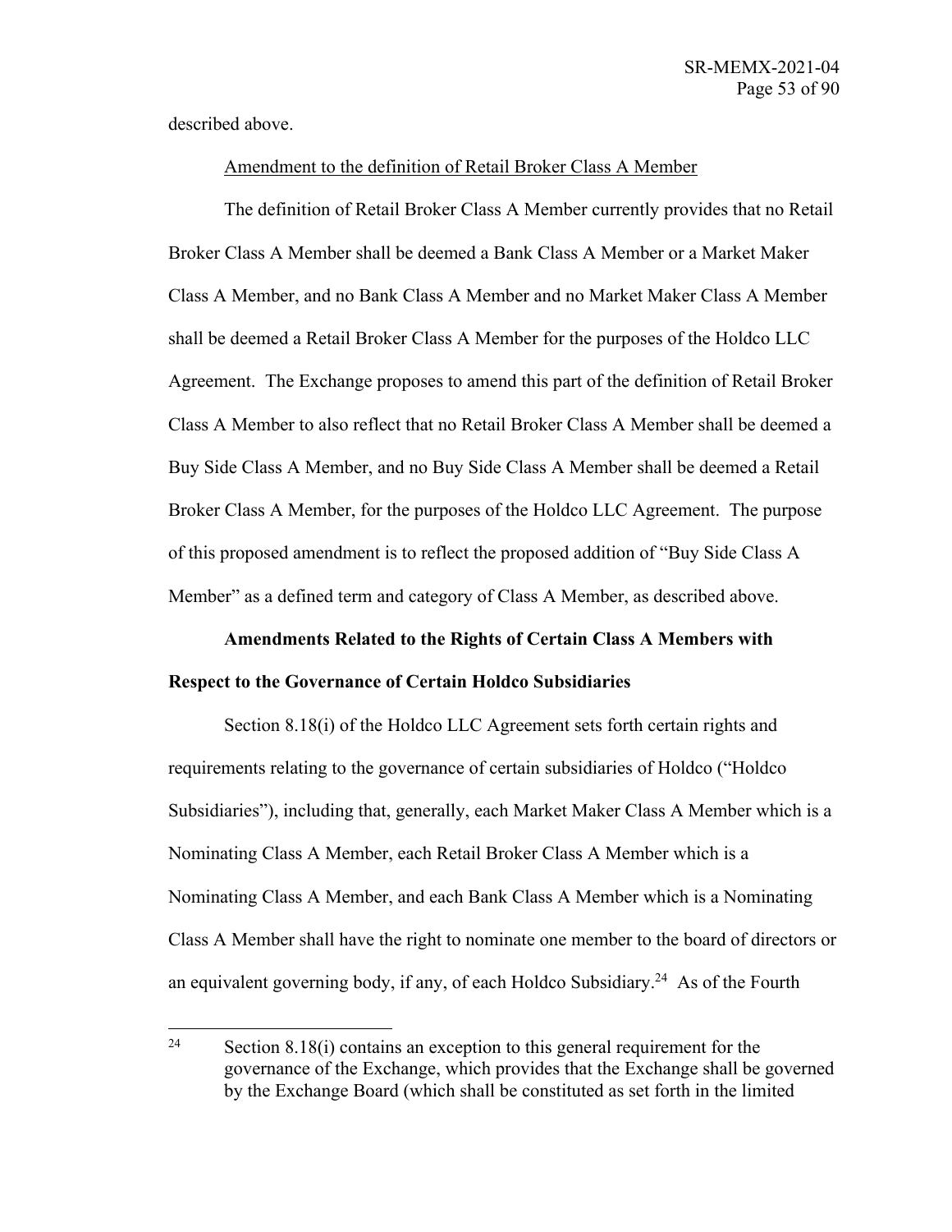described above.

## Amendment to the definition of Retail Broker Class A Member

The definition of Retail Broker Class A Member currently provides that no Retail Broker Class A Member shall be deemed a Bank Class A Member or a Market Maker Class A Member, and no Bank Class A Member and no Market Maker Class A Member shall be deemed a Retail Broker Class A Member for the purposes of the Holdco LLC Agreement. The Exchange proposes to amend this part of the definition of Retail Broker Class A Member to also reflect that no Retail Broker Class A Member shall be deemed a Buy Side Class A Member, and no Buy Side Class A Member shall be deemed a Retail Broker Class A Member, for the purposes of the Holdco LLC Agreement. The purpose of this proposed amendment is to reflect the proposed addition of "Buy Side Class A Member" as a defined term and category of Class A Member, as described above.

## **Amendments Related to the Rights of Certain Class A Members with Respect to the Governance of Certain Holdco Subsidiaries**

Section 8.18(i) of the Holdco LLC Agreement sets forth certain rights and requirements relating to the governance of certain subsidiaries of Holdco ("Holdco Subsidiaries"), including that, generally, each Market Maker Class A Member which is a Nominating Class A Member, each Retail Broker Class A Member which is a Nominating Class A Member, and each Bank Class A Member which is a Nominating Class A Member shall have the right to nominate one member to the board of directors or an equivalent governing body, if any, of each Holdco Subsidiary.<sup>24</sup> As of the Fourth

<sup>&</sup>lt;sup>24</sup> Section 8.18(i) contains an exception to this general requirement for the governance of the Exchange, which provides that the Exchange shall be governed by the Exchange Board (which shall be constituted as set forth in the limited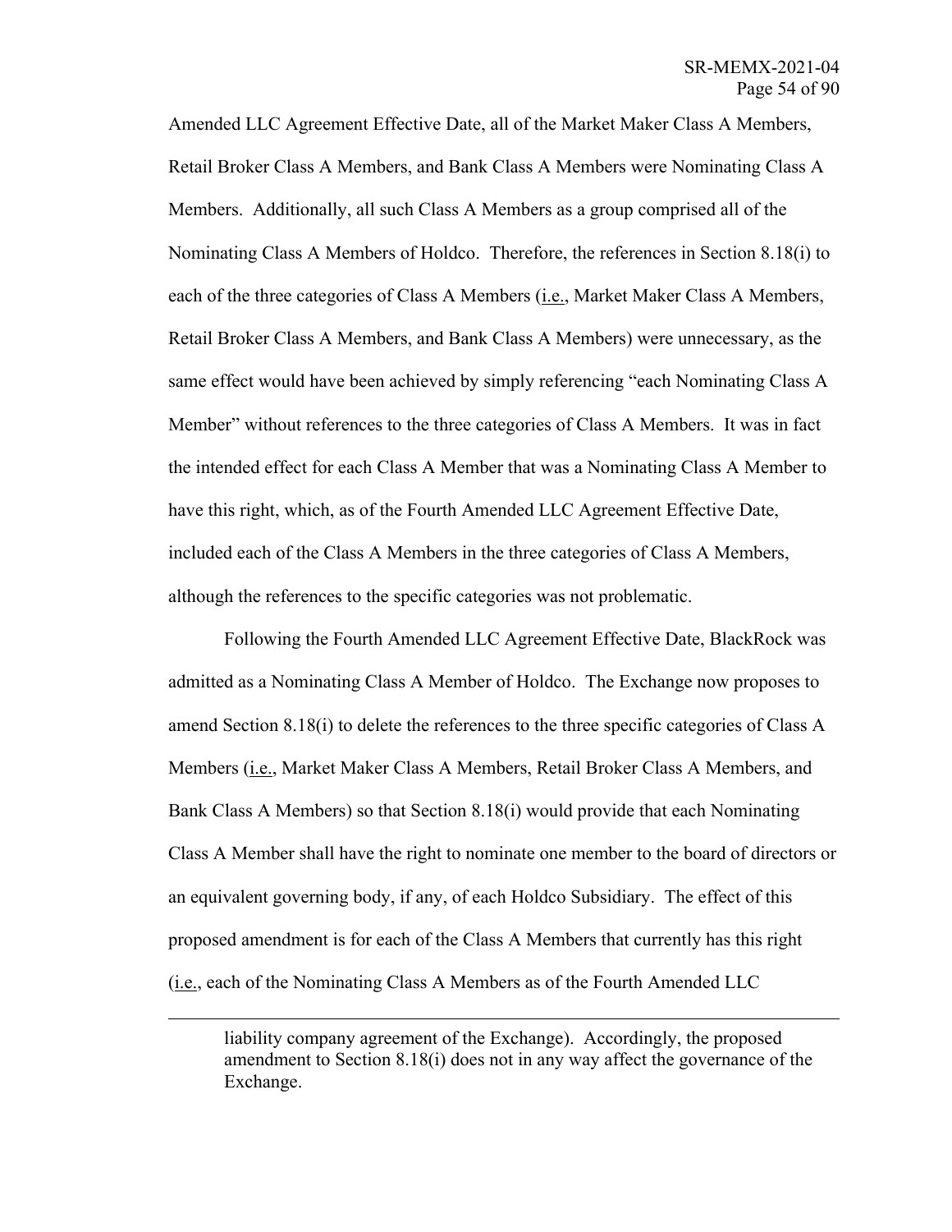Amended LLC Agreement Effective Date, all of the Market Maker Class A Members, Retail Broker Class A Members, and Bank Class A Members were Nominating Class A Members. Additionally, all such Class A Members as a group comprised all of the Nominating Class A Members of Holdco. Therefore, the references in Section 8.18(i) to each of the three categories of Class A Members (i.e., Market Maker Class A Members, Retail Broker Class A Members, and Bank Class A Members) were unnecessary, as the same effect would have been achieved by simply referencing "each Nominating Class A Member" without references to the three categories of Class A Members. It was in fact the intended effect for each Class A Member that was a Nominating Class A Member to have this right, which, as of the Fourth Amended LLC Agreement Effective Date, included each of the Class A Members in the three categories of Class A Members, although the references to the specific categories was not problematic.

Following the Fourth Amended LLC Agreement Effective Date, BlackRock was admitted as a Nominating Class A Member of Holdco. The Exchange now proposes to amend Section 8.18(i) to delete the references to the three specific categories of Class A Members (i.e., Market Maker Class A Members, Retail Broker Class A Members, and Bank Class A Members) so that Section 8.18(i) would provide that each Nominating Class A Member shall have the right to nominate one member to the board of directors or an equivalent governing body, if any, of each Holdco Subsidiary. The effect of this proposed amendment is for each of the Class A Members that currently has this right (i.e., each of the Nominating Class A Members as of the Fourth Amended LLC

liability company agreement of the Exchange). Accordingly, the proposed amendment to Section 8.18(i) does not in any way affect the governance of the Exchange.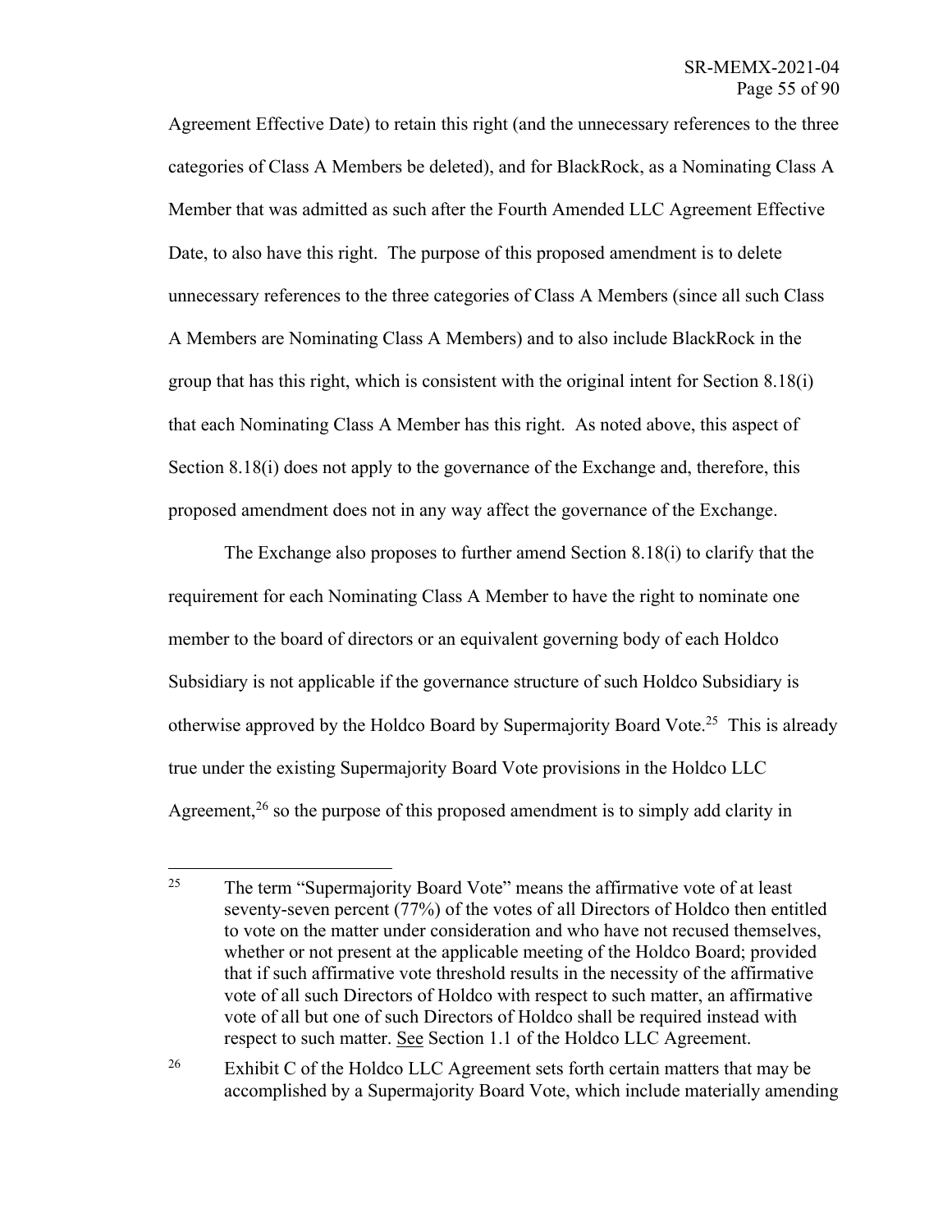Agreement Effective Date) to retain this right (and the unnecessary references to the three categories of Class A Members be deleted), and for BlackRock, as a Nominating Class A Member that was admitted as such after the Fourth Amended LLC Agreement Effective Date, to also have this right. The purpose of this proposed amendment is to delete unnecessary references to the three categories of Class A Members (since all such Class A Members are Nominating Class A Members) and to also include BlackRock in the group that has this right, which is consistent with the original intent for Section 8.18(i) that each Nominating Class A Member has this right. As noted above, this aspect of Section 8.18(i) does not apply to the governance of the Exchange and, therefore, this proposed amendment does not in any way affect the governance of the Exchange.

The Exchange also proposes to further amend Section 8.18(i) to clarify that the requirement for each Nominating Class A Member to have the right to nominate one member to the board of directors or an equivalent governing body of each Holdco Subsidiary is not applicable if the governance structure of such Holdco Subsidiary is otherwise approved by the Holdco Board by Supermajority Board Vote.<sup>25</sup> This is already true under the existing Supermajority Board Vote provisions in the Holdco LLC Agreement,<sup>26</sup> so the purpose of this proposed amendment is to simply add clarity in

<sup>&</sup>lt;sup>25</sup> The term "Supermajority Board Vote" means the affirmative vote of at least seventy-seven percent (77%) of the votes of all Directors of Holdco then entitled to vote on the matter under consideration and who have not recused themselves, whether or not present at the applicable meeting of the Holdco Board; provided that if such affirmative vote threshold results in the necessity of the affirmative vote of all such Directors of Holdco with respect to such matter, an affirmative vote of all but one of such Directors of Holdco shall be required instead with respect to such matter. See Section 1.1 of the Holdco LLC Agreement.

<sup>&</sup>lt;sup>26</sup> Exhibit C of the Holdco LLC Agreement sets forth certain matters that may be accomplished by a Supermajority Board Vote, which include materially amending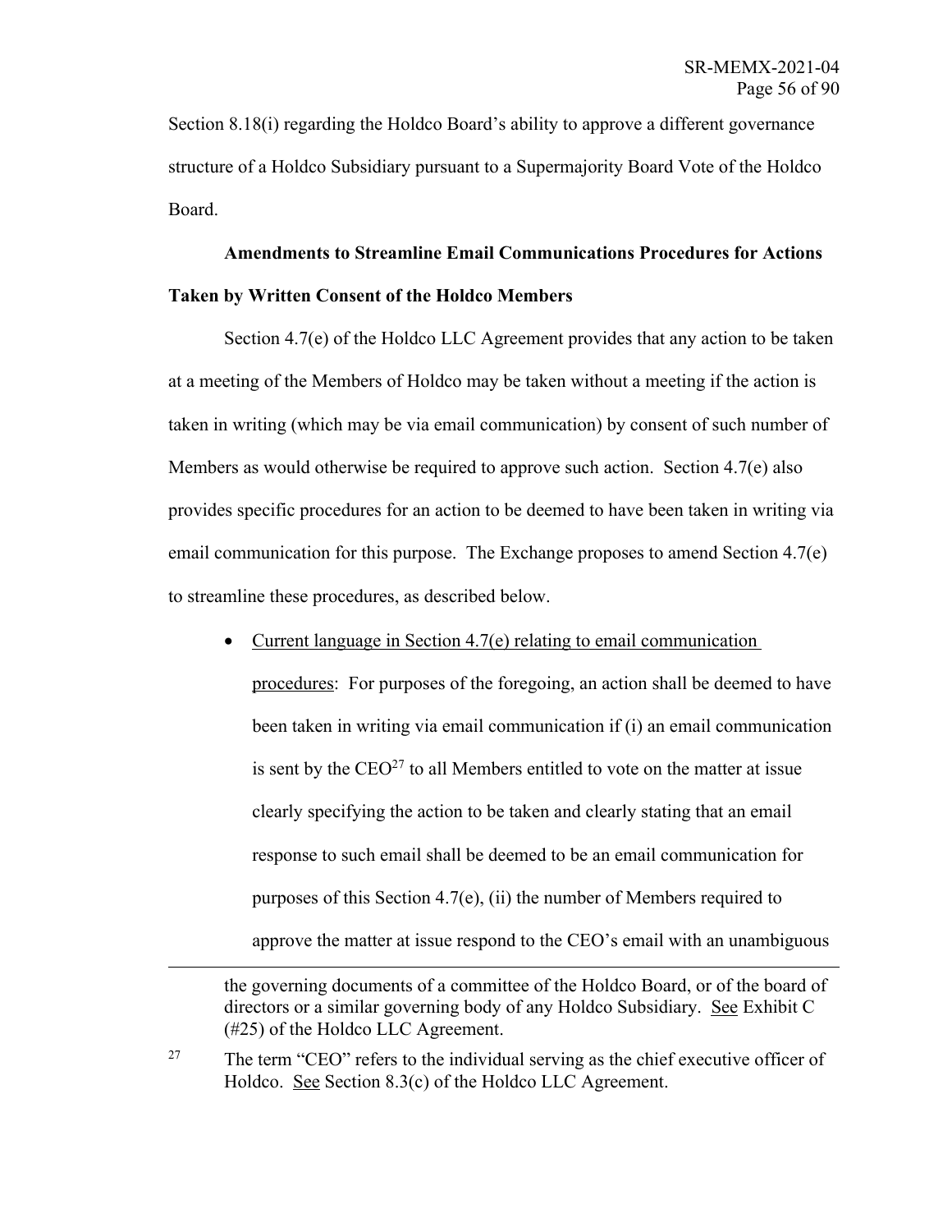Section 8.18(i) regarding the Holdco Board's ability to approve a different governance structure of a Holdco Subsidiary pursuant to a Supermajority Board Vote of the Holdco Board.

## **Amendments to Streamline Email Communications Procedures for Actions Taken by Written Consent of the Holdco Members**

Section 4.7(e) of the Holdco LLC Agreement provides that any action to be taken at a meeting of the Members of Holdco may be taken without a meeting if the action is taken in writing (which may be via email communication) by consent of such number of Members as would otherwise be required to approve such action. Section 4.7(e) also provides specific procedures for an action to be deemed to have been taken in writing via email communication for this purpose. The Exchange proposes to amend Section 4.7(e) to streamline these procedures, as described below.

• Current language in Section 4.7(e) relating to email communication

procedures: For purposes of the foregoing, an action shall be deemed to have been taken in writing via email communication if (i) an email communication is sent by the  $CEO<sup>27</sup>$  to all Members entitled to vote on the matter at issue clearly specifying the action to be taken and clearly stating that an email response to such email shall be deemed to be an email communication for purposes of this Section 4.7(e), (ii) the number of Members required to approve the matter at issue respond to the CEO's email with an unambiguous

the governing documents of a committee of the Holdco Board, or of the board of directors or a similar governing body of any Holdco Subsidiary. See Exhibit C (#25) of the Holdco LLC Agreement.

<sup>&</sup>lt;sup>27</sup> The term "CEO" refers to the individual serving as the chief executive officer of Holdco. See Section 8.3(c) of the Holdco LLC Agreement.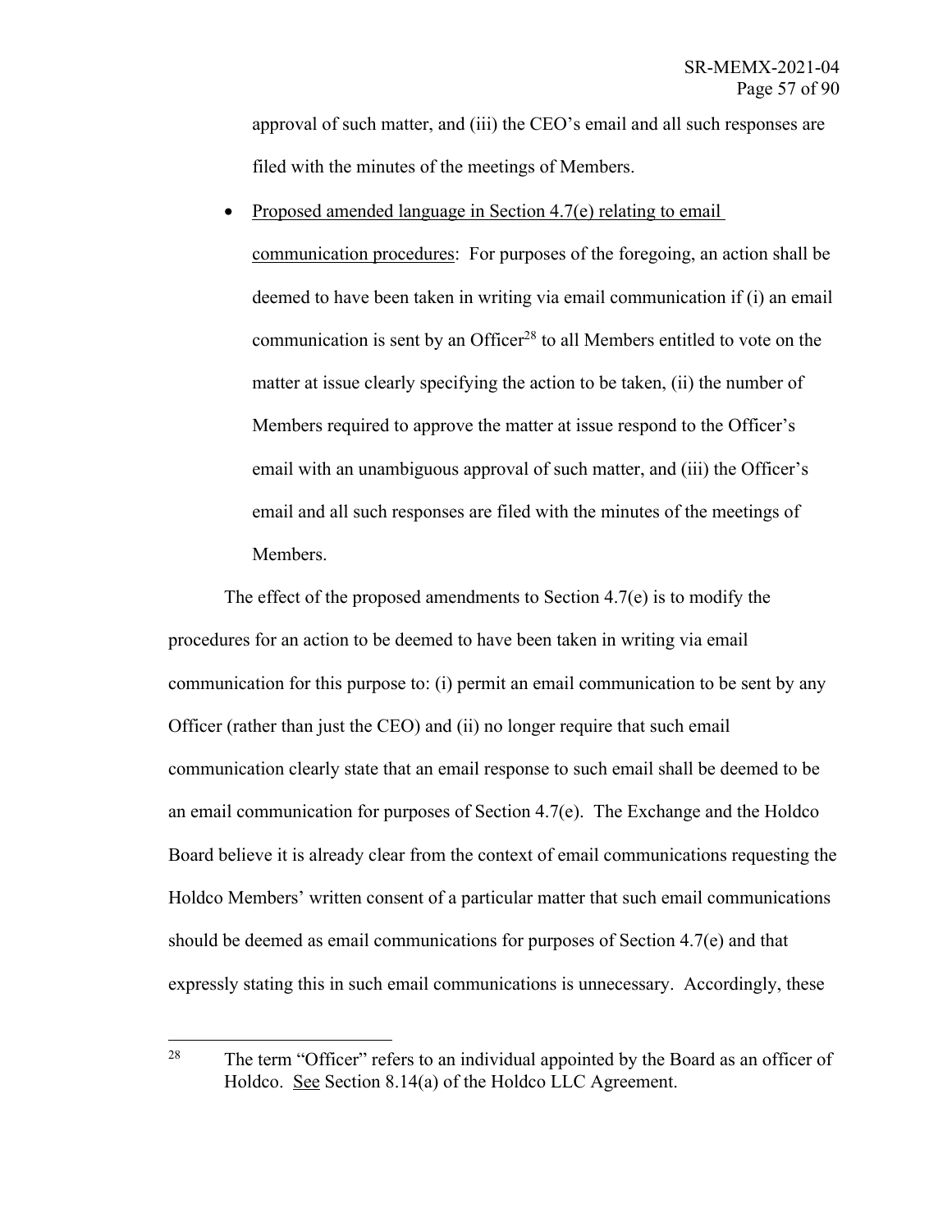approval of such matter, and (iii) the CEO's email and all such responses are filed with the minutes of the meetings of Members.

• Proposed amended language in Section 4.7(e) relating to email

communication procedures: For purposes of the foregoing, an action shall be deemed to have been taken in writing via email communication if (i) an email communication is sent by an Officer<sup>28</sup> to all Members entitled to vote on the matter at issue clearly specifying the action to be taken, (ii) the number of Members required to approve the matter at issue respond to the Officer's email with an unambiguous approval of such matter, and (iii) the Officer's email and all such responses are filed with the minutes of the meetings of Members.

The effect of the proposed amendments to Section 4.7(e) is to modify the procedures for an action to be deemed to have been taken in writing via email communication for this purpose to: (i) permit an email communication to be sent by any Officer (rather than just the CEO) and (ii) no longer require that such email communication clearly state that an email response to such email shall be deemed to be an email communication for purposes of Section 4.7(e). The Exchange and the Holdco Board believe it is already clear from the context of email communications requesting the Holdco Members' written consent of a particular matter that such email communications should be deemed as email communications for purposes of Section 4.7(e) and that expressly stating this in such email communications is unnecessary. Accordingly, these

<sup>&</sup>lt;sup>28</sup> The term "Officer" refers to an individual appointed by the Board as an officer of Holdco. See Section 8.14(a) of the Holdco LLC Agreement.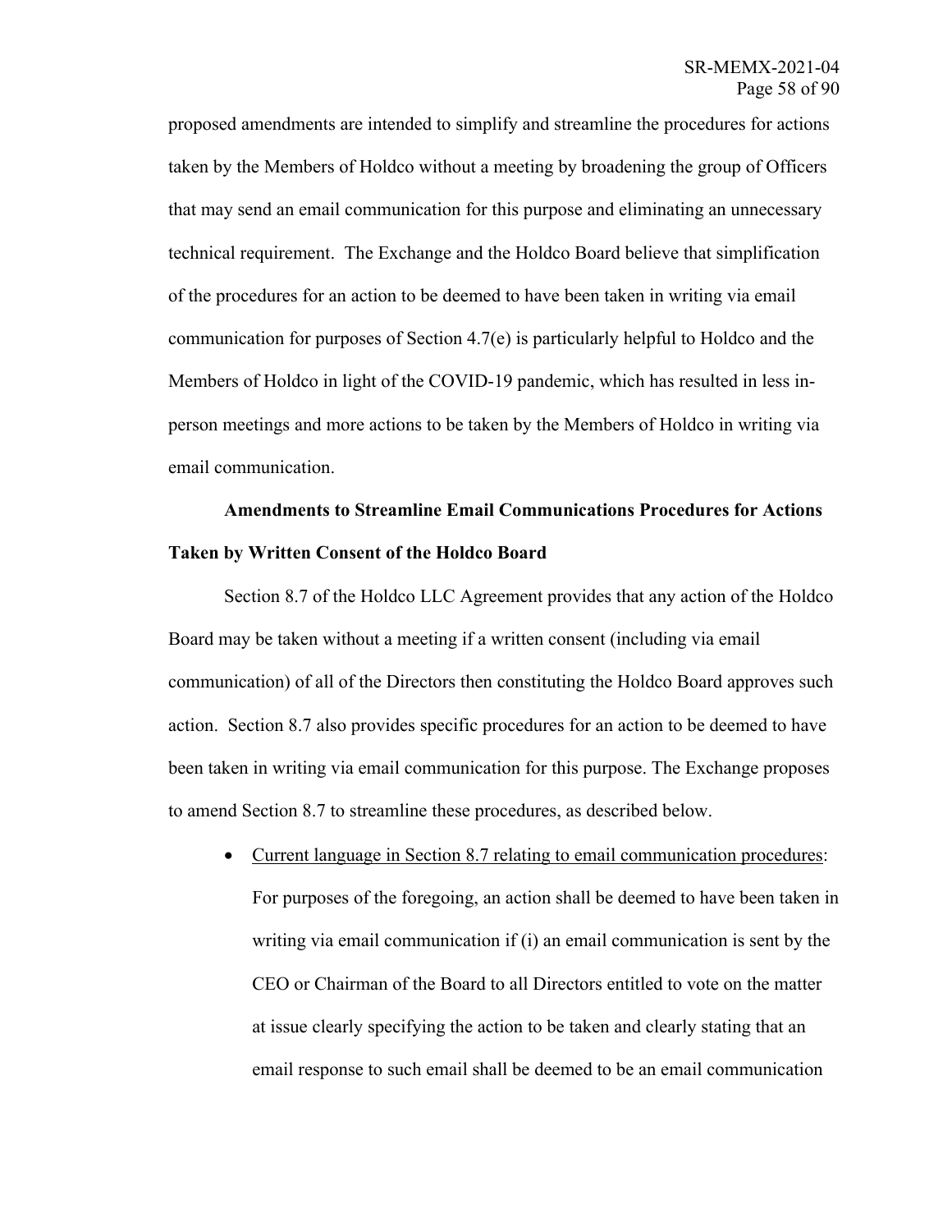proposed amendments are intended to simplify and streamline the procedures for actions taken by the Members of Holdco without a meeting by broadening the group of Officers that may send an email communication for this purpose and eliminating an unnecessary technical requirement. The Exchange and the Holdco Board believe that simplification of the procedures for an action to be deemed to have been taken in writing via email communication for purposes of Section 4.7(e) is particularly helpful to Holdco and the Members of Holdco in light of the COVID-19 pandemic, which has resulted in less inperson meetings and more actions to be taken by the Members of Holdco in writing via email communication.

## **Amendments to Streamline Email Communications Procedures for Actions Taken by Written Consent of the Holdco Board**

Section 8.7 of the Holdco LLC Agreement provides that any action of the Holdco Board may be taken without a meeting if a written consent (including via email communication) of all of the Directors then constituting the Holdco Board approves such action. Section 8.7 also provides specific procedures for an action to be deemed to have been taken in writing via email communication for this purpose. The Exchange proposes to amend Section 8.7 to streamline these procedures, as described below.

• Current language in Section 8.7 relating to email communication procedures: For purposes of the foregoing, an action shall be deemed to have been taken in writing via email communication if (i) an email communication is sent by the CEO or Chairman of the Board to all Directors entitled to vote on the matter at issue clearly specifying the action to be taken and clearly stating that an email response to such email shall be deemed to be an email communication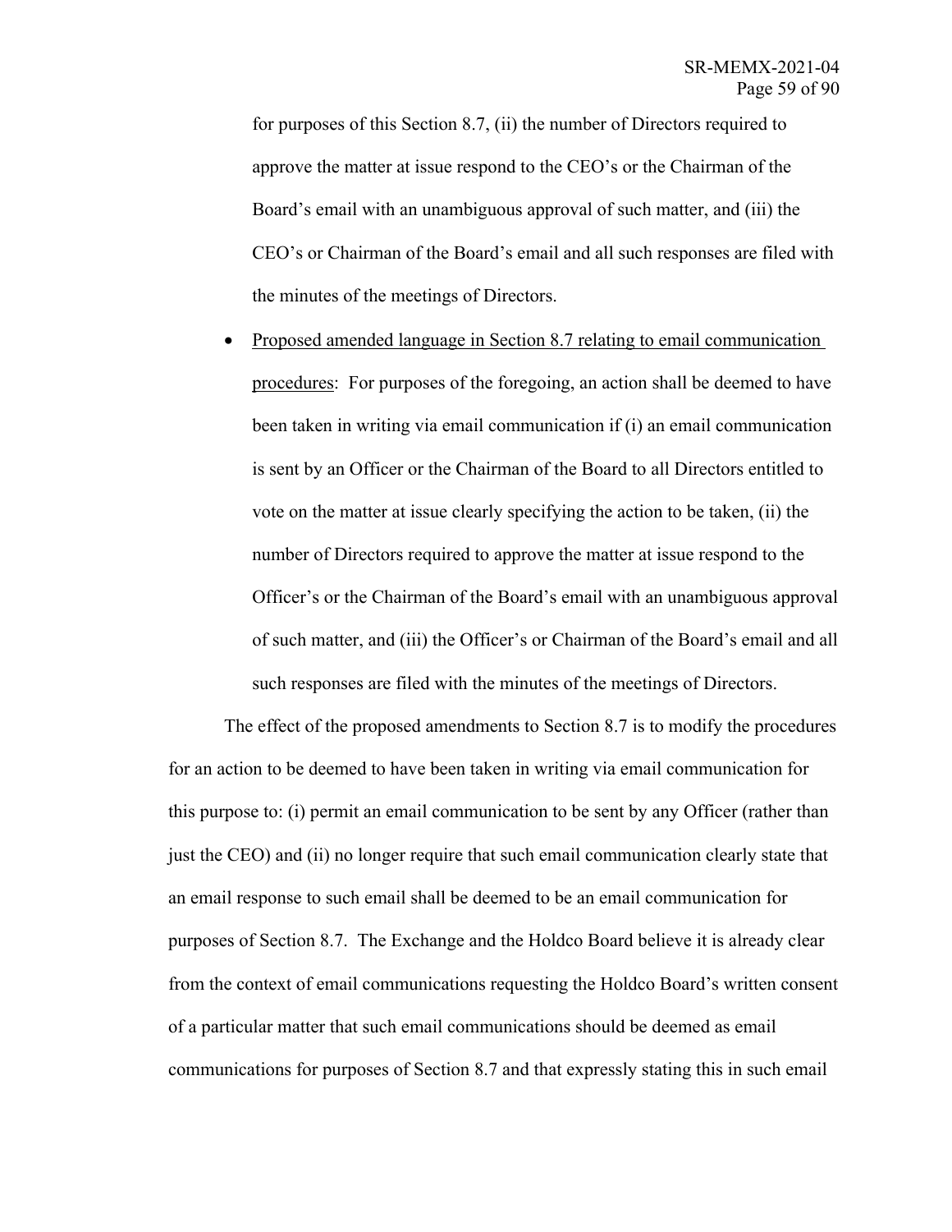for purposes of this Section 8.7, (ii) the number of Directors required to approve the matter at issue respond to the CEO's or the Chairman of the Board's email with an unambiguous approval of such matter, and (iii) the CEO's or Chairman of the Board's email and all such responses are filed with the minutes of the meetings of Directors.

• Proposed amended language in Section 8.7 relating to email communication procedures: For purposes of the foregoing, an action shall be deemed to have been taken in writing via email communication if (i) an email communication is sent by an Officer or the Chairman of the Board to all Directors entitled to vote on the matter at issue clearly specifying the action to be taken, (ii) the number of Directors required to approve the matter at issue respond to the Officer's or the Chairman of the Board's email with an unambiguous approval of such matter, and (iii) the Officer's or Chairman of the Board's email and all such responses are filed with the minutes of the meetings of Directors.

The effect of the proposed amendments to Section 8.7 is to modify the procedures for an action to be deemed to have been taken in writing via email communication for this purpose to: (i) permit an email communication to be sent by any Officer (rather than just the CEO) and (ii) no longer require that such email communication clearly state that an email response to such email shall be deemed to be an email communication for purposes of Section 8.7. The Exchange and the Holdco Board believe it is already clear from the context of email communications requesting the Holdco Board's written consent of a particular matter that such email communications should be deemed as email communications for purposes of Section 8.7 and that expressly stating this in such email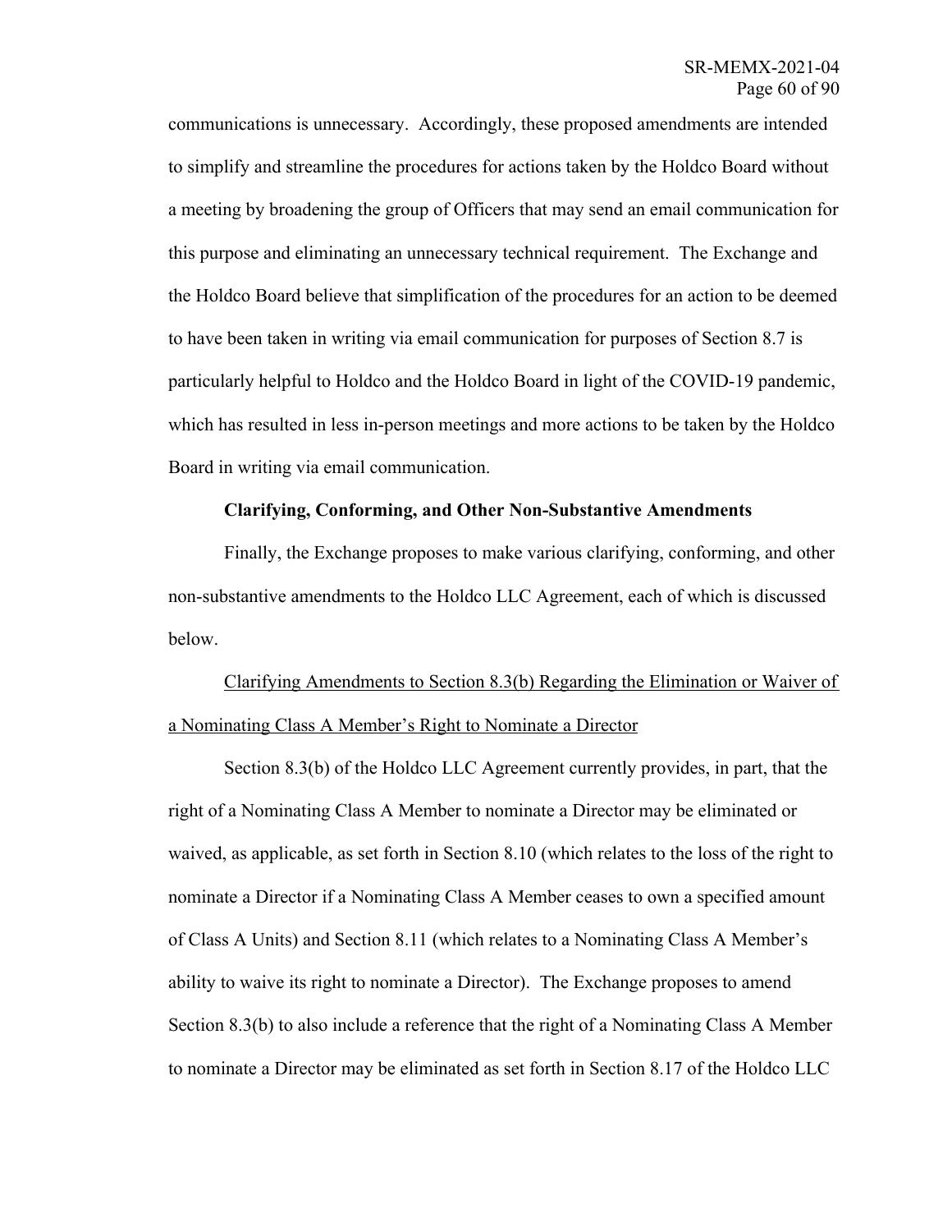communications is unnecessary. Accordingly, these proposed amendments are intended to simplify and streamline the procedures for actions taken by the Holdco Board without a meeting by broadening the group of Officers that may send an email communication for this purpose and eliminating an unnecessary technical requirement. The Exchange and the Holdco Board believe that simplification of the procedures for an action to be deemed to have been taken in writing via email communication for purposes of Section 8.7 is particularly helpful to Holdco and the Holdco Board in light of the COVID-19 pandemic, which has resulted in less in-person meetings and more actions to be taken by the Holdco Board in writing via email communication.

## **Clarifying, Conforming, and Other Non-Substantive Amendments**

Finally, the Exchange proposes to make various clarifying, conforming, and other non-substantive amendments to the Holdco LLC Agreement, each of which is discussed below.

Clarifying Amendments to Section 8.3(b) Regarding the Elimination or Waiver of a Nominating Class A Member's Right to Nominate a Director

Section 8.3(b) of the Holdco LLC Agreement currently provides, in part, that the right of a Nominating Class A Member to nominate a Director may be eliminated or waived, as applicable, as set forth in Section 8.10 (which relates to the loss of the right to nominate a Director if a Nominating Class A Member ceases to own a specified amount of Class A Units) and Section 8.11 (which relates to a Nominating Class A Member's ability to waive its right to nominate a Director). The Exchange proposes to amend Section 8.3(b) to also include a reference that the right of a Nominating Class A Member to nominate a Director may be eliminated as set forth in Section 8.17 of the Holdco LLC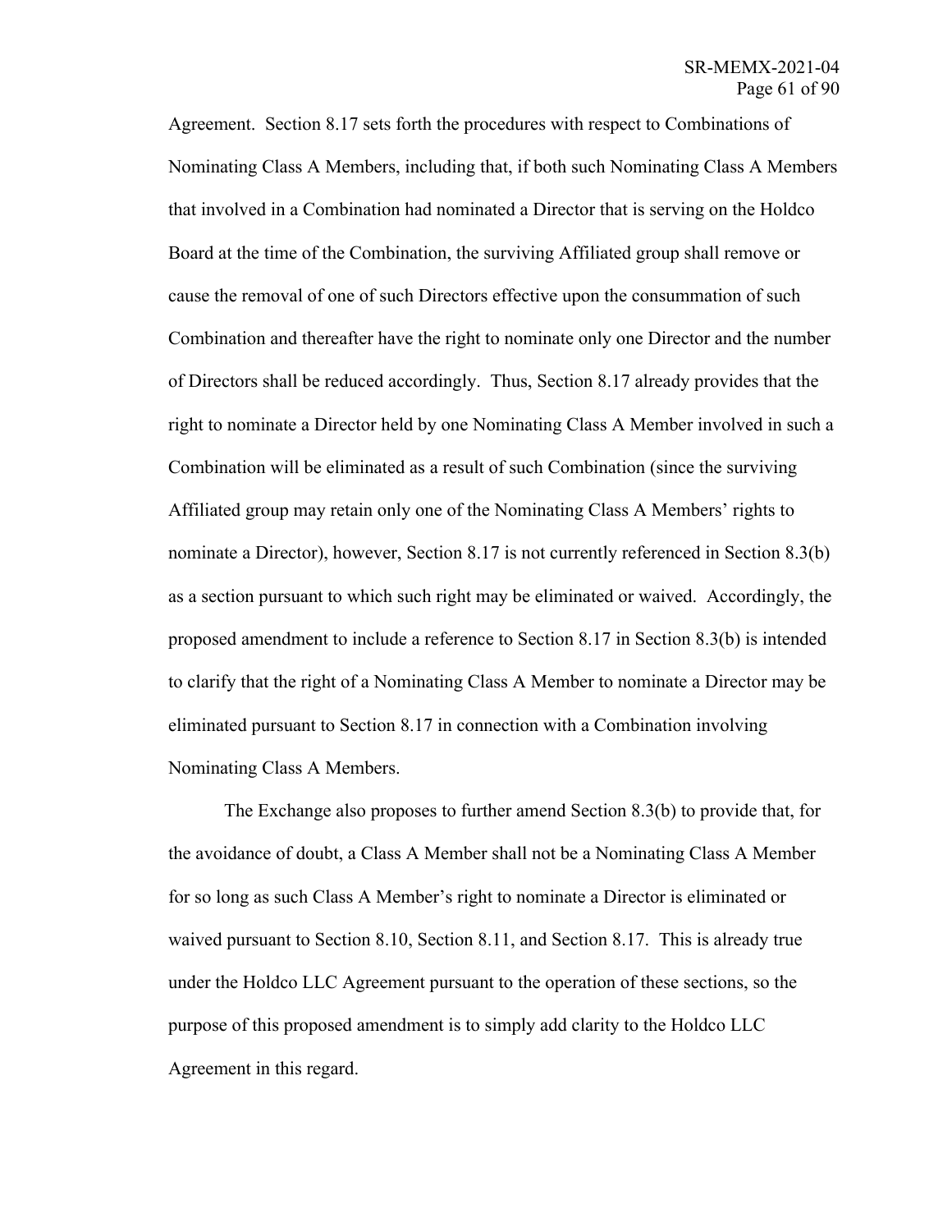Agreement. Section 8.17 sets forth the procedures with respect to Combinations of Nominating Class A Members, including that, if both such Nominating Class A Members that involved in a Combination had nominated a Director that is serving on the Holdco Board at the time of the Combination, the surviving Affiliated group shall remove or cause the removal of one of such Directors effective upon the consummation of such Combination and thereafter have the right to nominate only one Director and the number of Directors shall be reduced accordingly. Thus, Section 8.17 already provides that the right to nominate a Director held by one Nominating Class A Member involved in such a Combination will be eliminated as a result of such Combination (since the surviving Affiliated group may retain only one of the Nominating Class A Members' rights to nominate a Director), however, Section 8.17 is not currently referenced in Section 8.3(b) as a section pursuant to which such right may be eliminated or waived. Accordingly, the proposed amendment to include a reference to Section 8.17 in Section 8.3(b) is intended to clarify that the right of a Nominating Class A Member to nominate a Director may be eliminated pursuant to Section 8.17 in connection with a Combination involving Nominating Class A Members.

The Exchange also proposes to further amend Section 8.3(b) to provide that, for the avoidance of doubt, a Class A Member shall not be a Nominating Class A Member for so long as such Class A Member's right to nominate a Director is eliminated or waived pursuant to Section 8.10, Section 8.11, and Section 8.17. This is already true under the Holdco LLC Agreement pursuant to the operation of these sections, so the purpose of this proposed amendment is to simply add clarity to the Holdco LLC Agreement in this regard.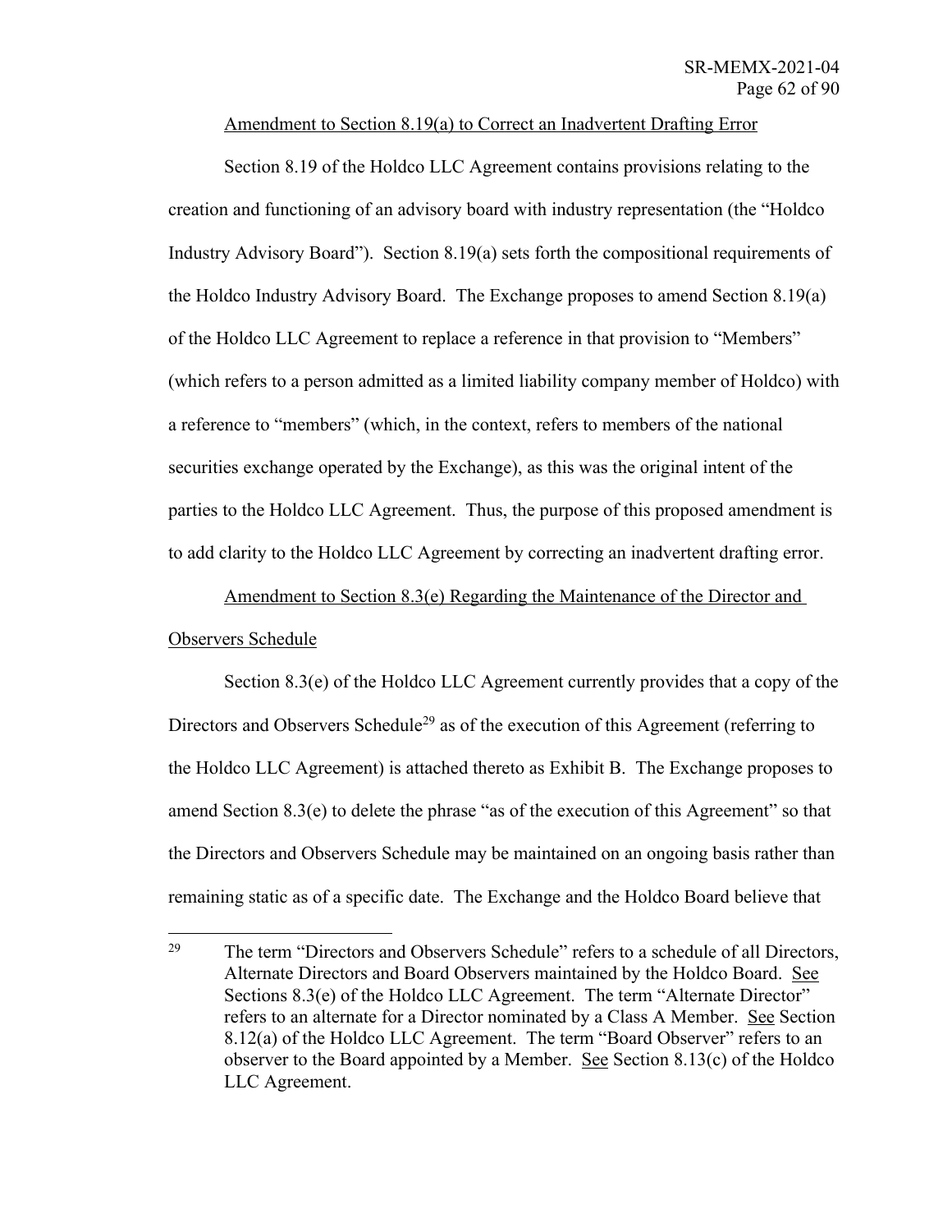## Amendment to Section 8.19(a) to Correct an Inadvertent Drafting Error

Section 8.19 of the Holdco LLC Agreement contains provisions relating to the creation and functioning of an advisory board with industry representation (the "Holdco Industry Advisory Board"). Section 8.19(a) sets forth the compositional requirements of the Holdco Industry Advisory Board. The Exchange proposes to amend Section 8.19(a) of the Holdco LLC Agreement to replace a reference in that provision to "Members" (which refers to a person admitted as a limited liability company member of Holdco) with a reference to "members" (which, in the context, refers to members of the national securities exchange operated by the Exchange), as this was the original intent of the parties to the Holdco LLC Agreement. Thus, the purpose of this proposed amendment is to add clarity to the Holdco LLC Agreement by correcting an inadvertent drafting error.

# Amendment to Section 8.3(e) Regarding the Maintenance of the Director and Observers Schedule

Section 8.3(e) of the Holdco LLC Agreement currently provides that a copy of the Directors and Observers Schedule<sup>29</sup> as of the execution of this Agreement (referring to the Holdco LLC Agreement) is attached thereto as Exhibit B. The Exchange proposes to amend Section 8.3(e) to delete the phrase "as of the execution of this Agreement" so that the Directors and Observers Schedule may be maintained on an ongoing basis rather than remaining static as of a specific date. The Exchange and the Holdco Board believe that

<sup>&</sup>lt;sup>29</sup> The term "Directors and Observers Schedule" refers to a schedule of all Directors, Alternate Directors and Board Observers maintained by the Holdco Board. See Sections 8.3(e) of the Holdco LLC Agreement. The term "Alternate Director" refers to an alternate for a Director nominated by a Class A Member. See Section 8.12(a) of the Holdco LLC Agreement. The term "Board Observer" refers to an observer to the Board appointed by a Member. See Section 8.13(c) of the Holdco LLC Agreement.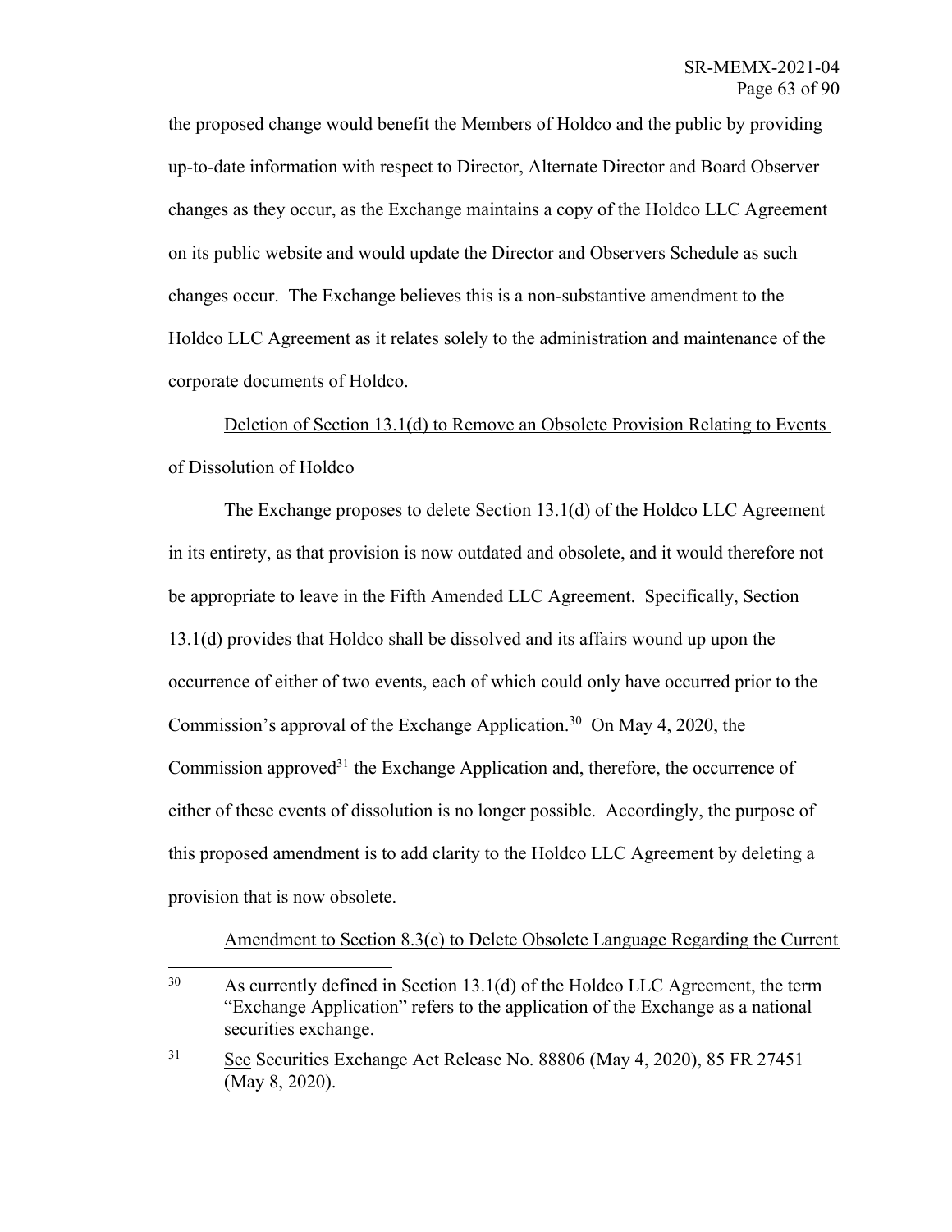the proposed change would benefit the Members of Holdco and the public by providing up-to-date information with respect to Director, Alternate Director and Board Observer changes as they occur, as the Exchange maintains a copy of the Holdco LLC Agreement on its public website and would update the Director and Observers Schedule as such changes occur. The Exchange believes this is a non-substantive amendment to the Holdco LLC Agreement as it relates solely to the administration and maintenance of the corporate documents of Holdco.

Deletion of Section 13.1(d) to Remove an Obsolete Provision Relating to Events of Dissolution of Holdco

The Exchange proposes to delete Section 13.1(d) of the Holdco LLC Agreement in its entirety, as that provision is now outdated and obsolete, and it would therefore not be appropriate to leave in the Fifth Amended LLC Agreement. Specifically, Section 13.1(d) provides that Holdco shall be dissolved and its affairs wound up upon the occurrence of either of two events, each of which could only have occurred prior to the Commission's approval of the Exchange Application. 30 On May 4, 2020, the Commission approved<sup>31</sup> the Exchange Application and, therefore, the occurrence of either of these events of dissolution is no longer possible. Accordingly, the purpose of this proposed amendment is to add clarity to the Holdco LLC Agreement by deleting a provision that is now obsolete.

Amendment to Section 8.3(c) to Delete Obsolete Language Regarding the Current

<sup>&</sup>lt;sup>30</sup> As currently defined in Section 13.1(d) of the Holdco LLC Agreement, the term "Exchange Application" refers to the application of the Exchange as a national securities exchange.

<sup>31</sup> See Securities Exchange Act Release No. 88806 (May 4, 2020), 85 FR 27451 (May 8, 2020).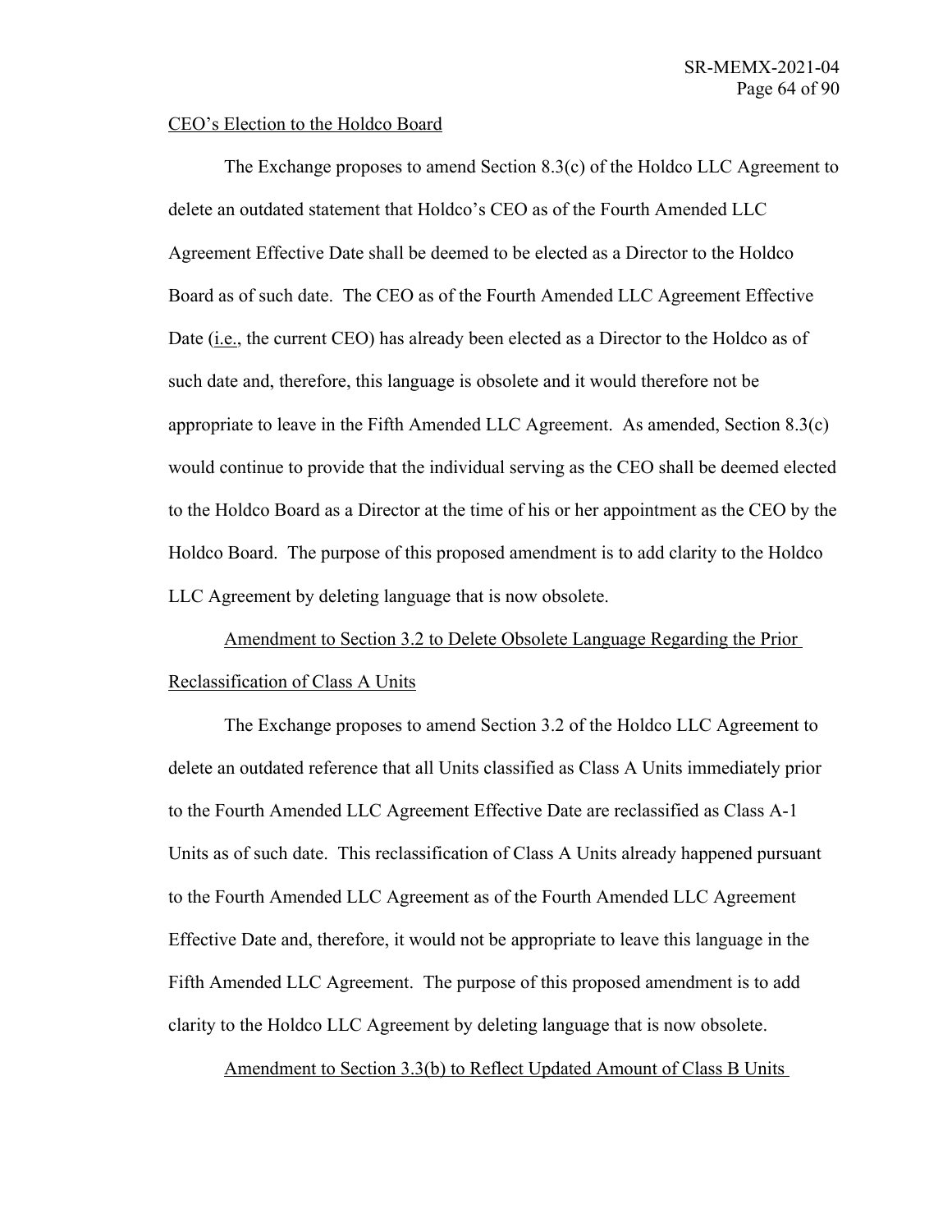#### CEO's Election to the Holdco Board

The Exchange proposes to amend Section 8.3(c) of the Holdco LLC Agreement to delete an outdated statement that Holdco's CEO as of the Fourth Amended LLC Agreement Effective Date shall be deemed to be elected as a Director to the Holdco Board as of such date. The CEO as of the Fourth Amended LLC Agreement Effective Date (i.e., the current CEO) has already been elected as a Director to the Holdco as of such date and, therefore, this language is obsolete and it would therefore not be appropriate to leave in the Fifth Amended LLC Agreement. As amended, Section 8.3(c) would continue to provide that the individual serving as the CEO shall be deemed elected to the Holdco Board as a Director at the time of his or her appointment as the CEO by the Holdco Board. The purpose of this proposed amendment is to add clarity to the Holdco LLC Agreement by deleting language that is now obsolete.

Amendment to Section 3.2 to Delete Obsolete Language Regarding the Prior Reclassification of Class A Units

The Exchange proposes to amend Section 3.2 of the Holdco LLC Agreement to delete an outdated reference that all Units classified as Class A Units immediately prior to the Fourth Amended LLC Agreement Effective Date are reclassified as Class A-1 Units as of such date. This reclassification of Class A Units already happened pursuant to the Fourth Amended LLC Agreement as of the Fourth Amended LLC Agreement Effective Date and, therefore, it would not be appropriate to leave this language in the Fifth Amended LLC Agreement. The purpose of this proposed amendment is to add clarity to the Holdco LLC Agreement by deleting language that is now obsolete.

Amendment to Section 3.3(b) to Reflect Updated Amount of Class B Units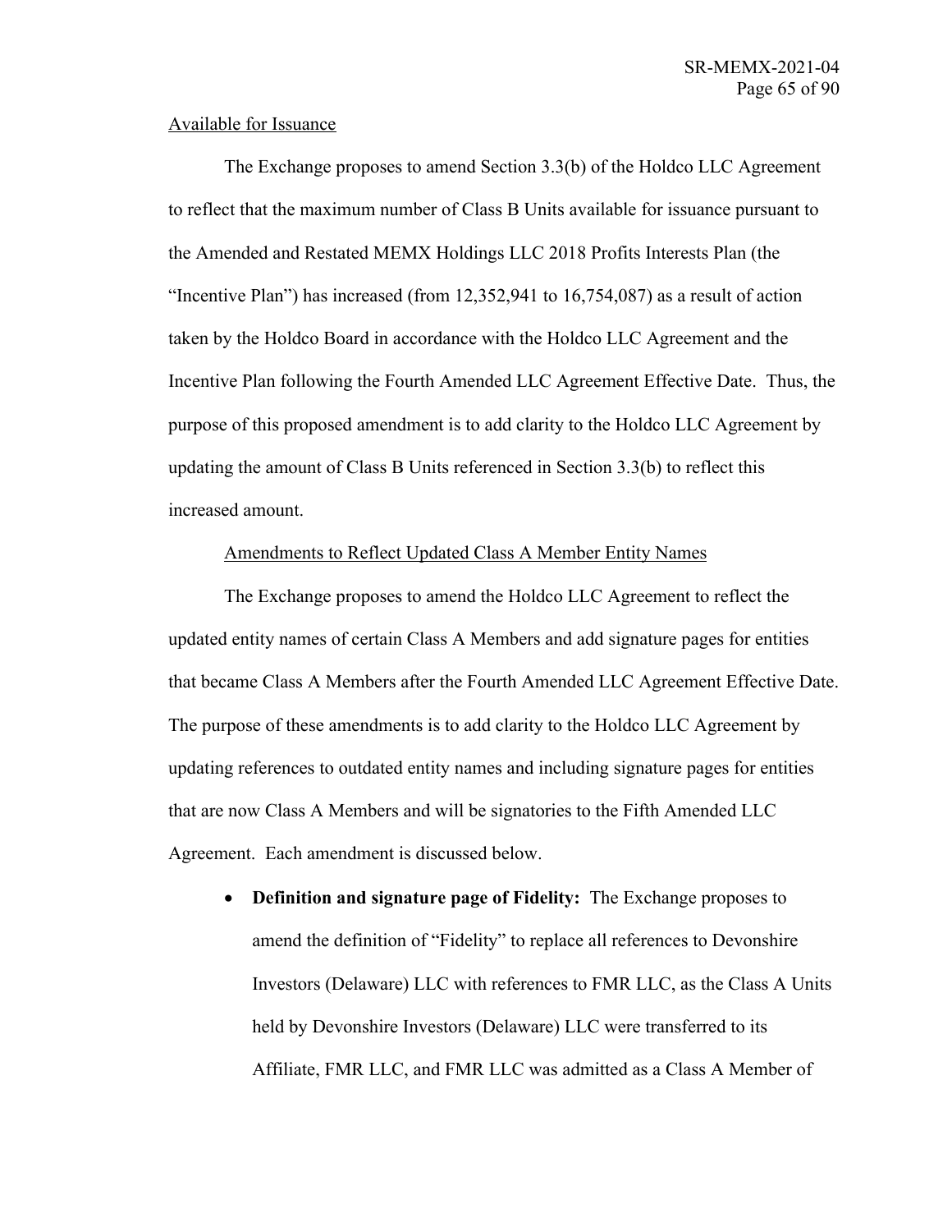## Available for Issuance

The Exchange proposes to amend Section 3.3(b) of the Holdco LLC Agreement to reflect that the maximum number of Class B Units available for issuance pursuant to the Amended and Restated MEMX Holdings LLC 2018 Profits Interests Plan (the "Incentive Plan") has increased (from 12,352,941 to 16,754,087) as a result of action taken by the Holdco Board in accordance with the Holdco LLC Agreement and the Incentive Plan following the Fourth Amended LLC Agreement Effective Date. Thus, the purpose of this proposed amendment is to add clarity to the Holdco LLC Agreement by updating the amount of Class B Units referenced in Section 3.3(b) to reflect this increased amount.

## Amendments to Reflect Updated Class A Member Entity Names

The Exchange proposes to amend the Holdco LLC Agreement to reflect the updated entity names of certain Class A Members and add signature pages for entities that became Class A Members after the Fourth Amended LLC Agreement Effective Date. The purpose of these amendments is to add clarity to the Holdco LLC Agreement by updating references to outdated entity names and including signature pages for entities that are now Class A Members and will be signatories to the Fifth Amended LLC Agreement. Each amendment is discussed below.

• **Definition and signature page of Fidelity:** The Exchange proposes to amend the definition of "Fidelity" to replace all references to Devonshire Investors (Delaware) LLC with references to FMR LLC, as the Class A Units held by Devonshire Investors (Delaware) LLC were transferred to its Affiliate, FMR LLC, and FMR LLC was admitted as a Class A Member of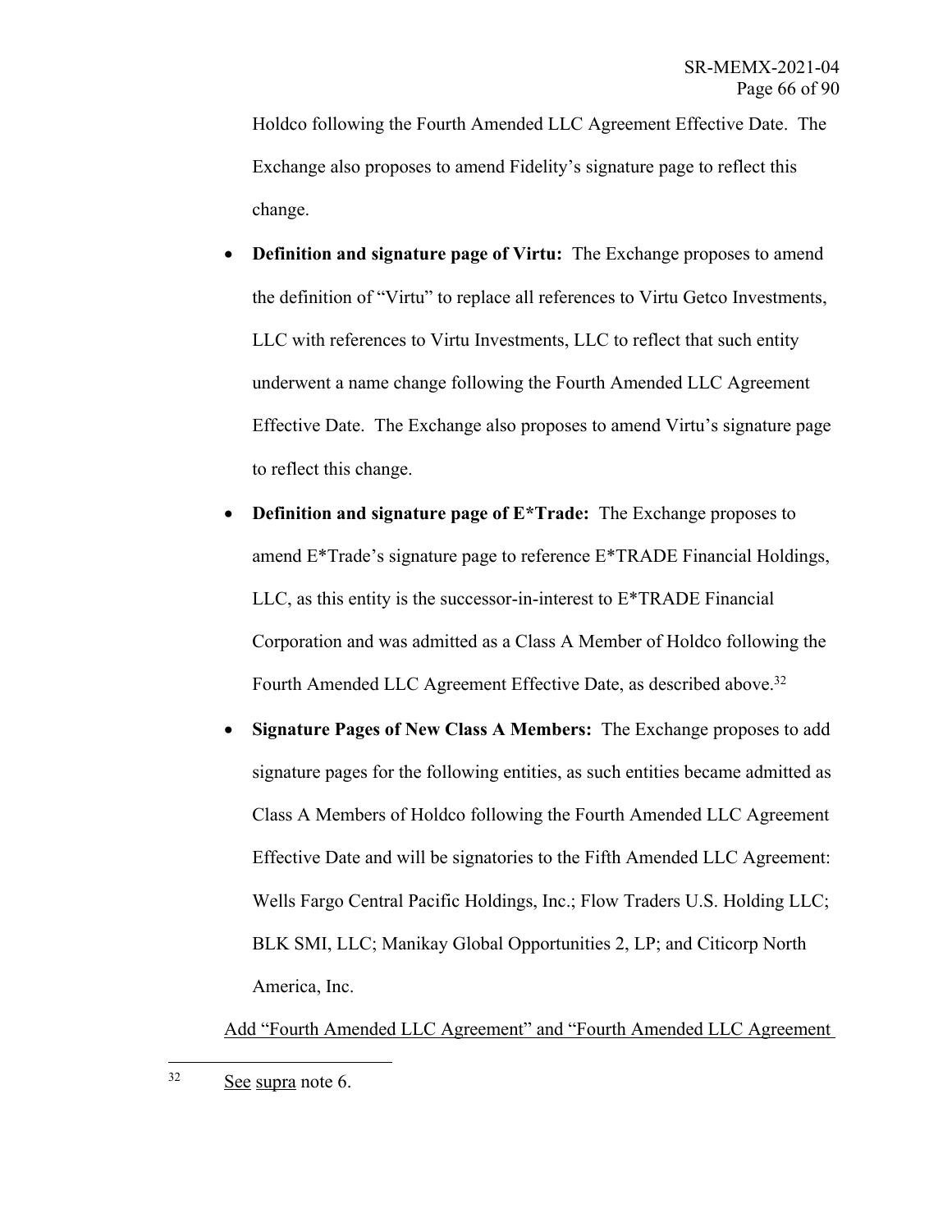Holdco following the Fourth Amended LLC Agreement Effective Date. The Exchange also proposes to amend Fidelity's signature page to reflect this change.

- **Definition and signature page of Virtu:** The Exchange proposes to amend the definition of "Virtu" to replace all references to Virtu Getco Investments, LLC with references to Virtu Investments, LLC to reflect that such entity underwent a name change following the Fourth Amended LLC Agreement Effective Date. The Exchange also proposes to amend Virtu's signature page to reflect this change.
- **Definition and signature page of E\*Trade:** The Exchange proposes to amend E\*Trade's signature page to reference E\*TRADE Financial Holdings, LLC, as this entity is the successor-in-interest to E\*TRADE Financial Corporation and was admitted as a Class A Member of Holdco following the Fourth Amended LLC Agreement Effective Date, as described above.<sup>32</sup>
- **Signature Pages of New Class A Members:** The Exchange proposes to add signature pages for the following entities, as such entities became admitted as Class A Members of Holdco following the Fourth Amended LLC Agreement Effective Date and will be signatories to the Fifth Amended LLC Agreement: Wells Fargo Central Pacific Holdings, Inc.; Flow Traders U.S. Holding LLC; BLK SMI, LLC; Manikay Global Opportunities 2, LP; and Citicorp North America, Inc.

Add "Fourth Amended LLC Agreement" and "Fourth Amended LLC Agreement

<sup>32</sup> See supra note 6.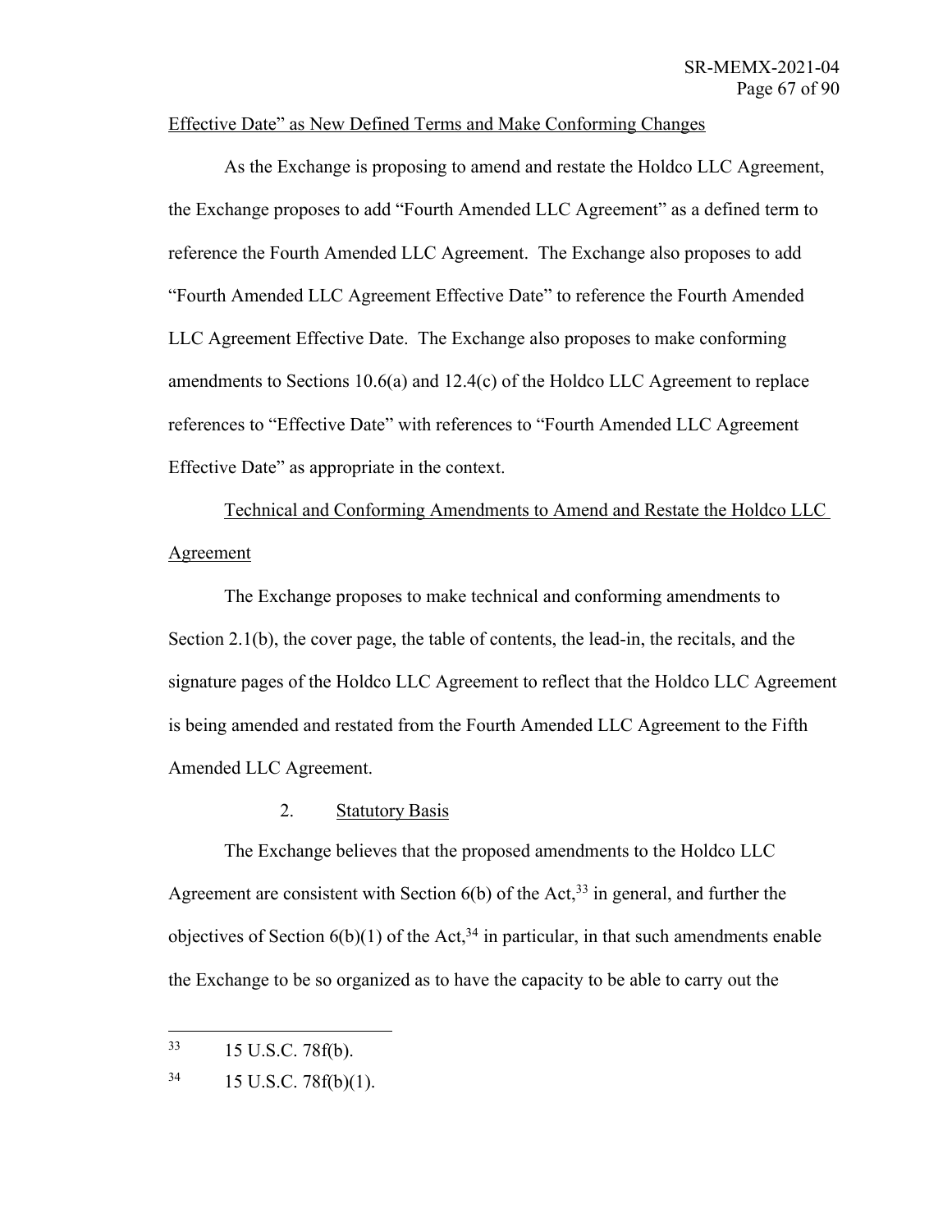## Effective Date" as New Defined Terms and Make Conforming Changes

As the Exchange is proposing to amend and restate the Holdco LLC Agreement, the Exchange proposes to add "Fourth Amended LLC Agreement" as a defined term to reference the Fourth Amended LLC Agreement. The Exchange also proposes to add "Fourth Amended LLC Agreement Effective Date" to reference the Fourth Amended LLC Agreement Effective Date. The Exchange also proposes to make conforming amendments to Sections 10.6(a) and 12.4(c) of the Holdco LLC Agreement to replace references to "Effective Date" with references to "Fourth Amended LLC Agreement Effective Date" as appropriate in the context.

Technical and Conforming Amendments to Amend and Restate the Holdco LLC Agreement

The Exchange proposes to make technical and conforming amendments to Section 2.1(b), the cover page, the table of contents, the lead-in, the recitals, and the signature pages of the Holdco LLC Agreement to reflect that the Holdco LLC Agreement is being amended and restated from the Fourth Amended LLC Agreement to the Fifth Amended LLC Agreement.

## 2. Statutory Basis

The Exchange believes that the proposed amendments to the Holdco LLC Agreement are consistent with Section  $6(b)$  of the Act,<sup>33</sup> in general, and further the objectives of Section  $6(b)(1)$  of the Act,<sup>34</sup> in particular, in that such amendments enable the Exchange to be so organized as to have the capacity to be able to carry out the

<sup>33</sup> 15 U.S.C. 78f(b).

 $34$  15 U.S.C. 78f(b)(1).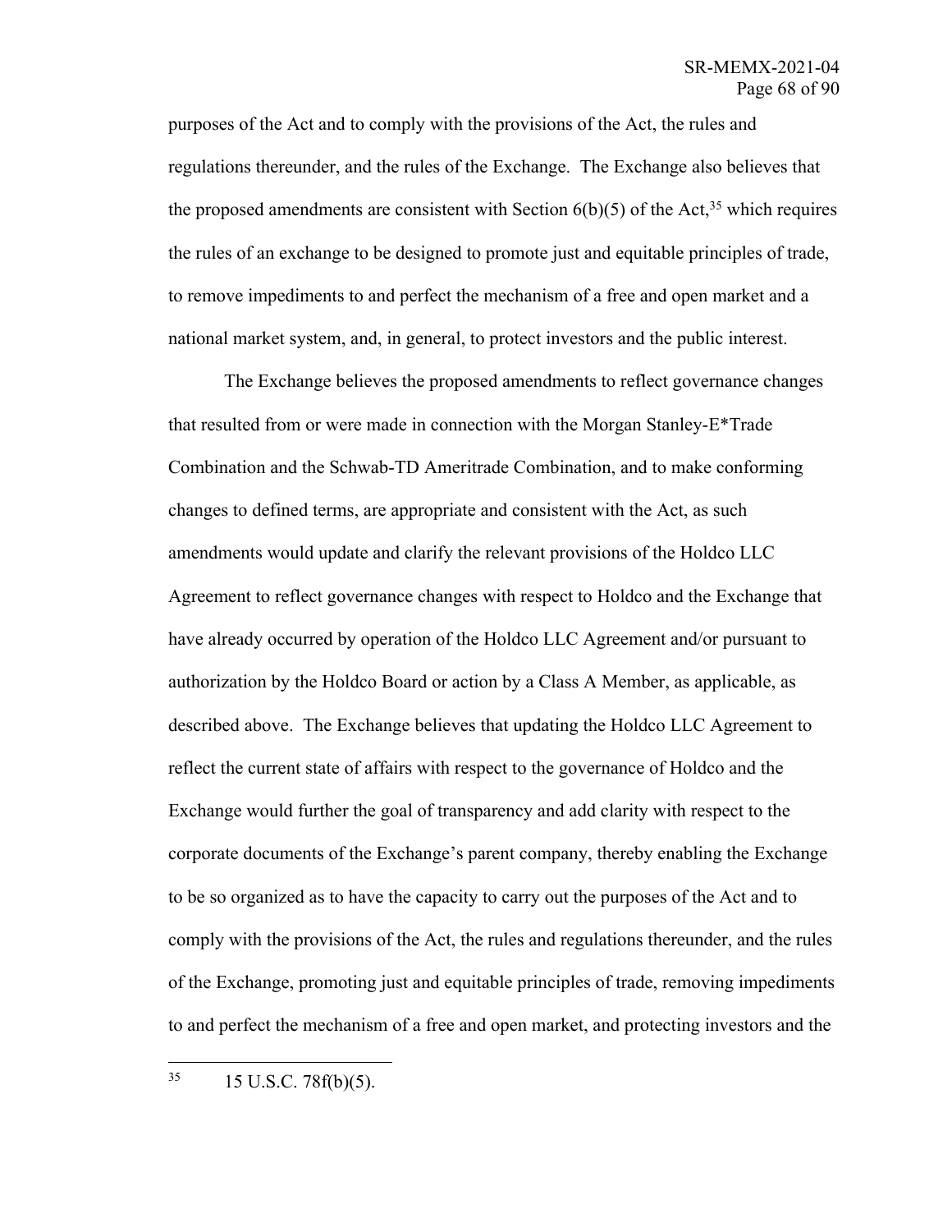purposes of the Act and to comply with the provisions of the Act, the rules and regulations thereunder, and the rules of the Exchange. The Exchange also believes that the proposed amendments are consistent with Section  $6(b)(5)$  of the Act,<sup>35</sup> which requires the rules of an exchange to be designed to promote just and equitable principles of trade, to remove impediments to and perfect the mechanism of a free and open market and a national market system, and, in general, to protect investors and the public interest.

The Exchange believes the proposed amendments to reflect governance changes that resulted from or were made in connection with the Morgan Stanley-E\*Trade Combination and the Schwab-TD Ameritrade Combination, and to make conforming changes to defined terms, are appropriate and consistent with the Act, as such amendments would update and clarify the relevant provisions of the Holdco LLC Agreement to reflect governance changes with respect to Holdco and the Exchange that have already occurred by operation of the Holdco LLC Agreement and/or pursuant to authorization by the Holdco Board or action by a Class A Member, as applicable, as described above. The Exchange believes that updating the Holdco LLC Agreement to reflect the current state of affairs with respect to the governance of Holdco and the Exchange would further the goal of transparency and add clarity with respect to the corporate documents of the Exchange's parent company, thereby enabling the Exchange to be so organized as to have the capacity to carry out the purposes of the Act and to comply with the provisions of the Act, the rules and regulations thereunder, and the rules of the Exchange, promoting just and equitable principles of trade, removing impediments to and perfect the mechanism of a free and open market, and protecting investors and the

 $35$  15 U.S.C. 78 $f(b)(5)$ .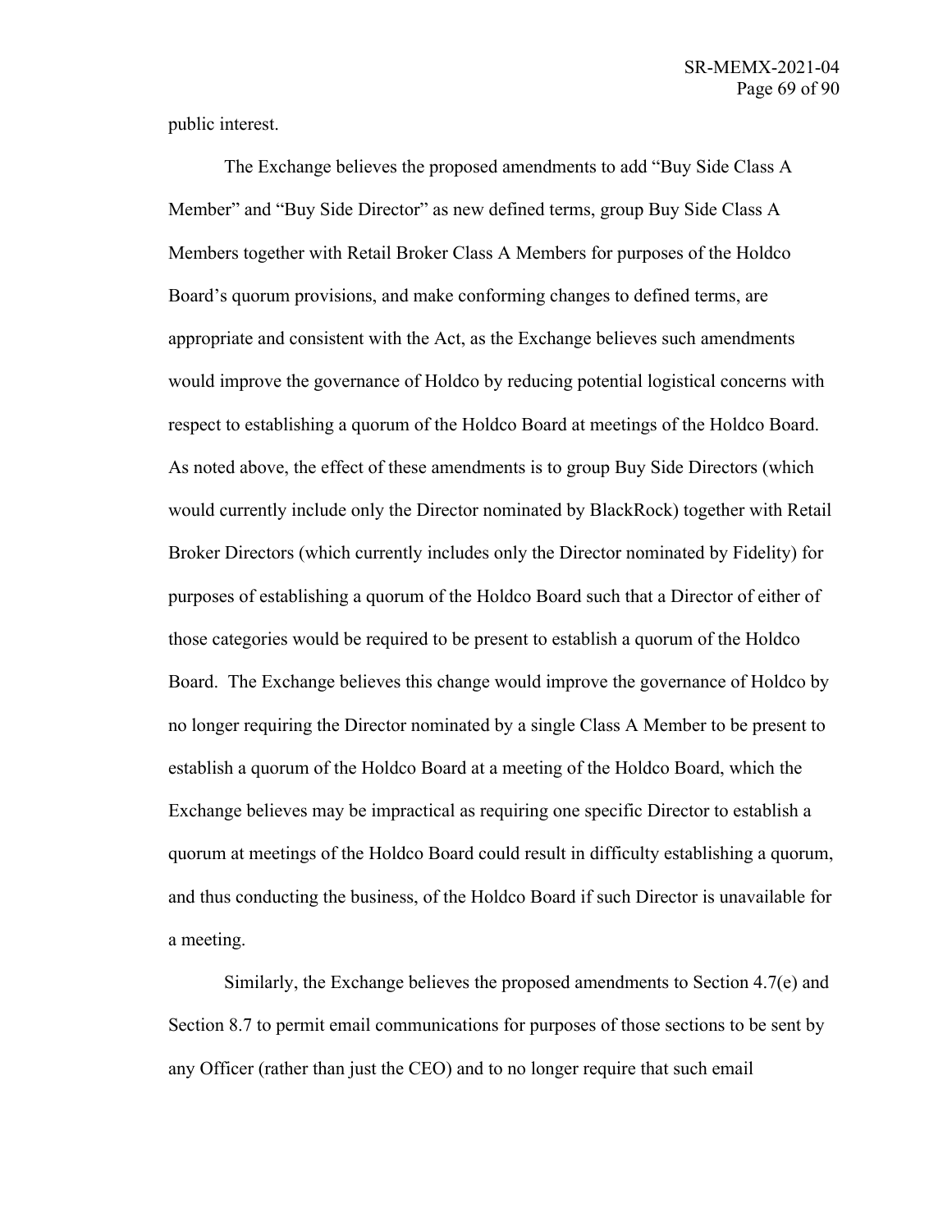public interest.

The Exchange believes the proposed amendments to add "Buy Side Class A Member" and "Buy Side Director" as new defined terms, group Buy Side Class A Members together with Retail Broker Class A Members for purposes of the Holdco Board's quorum provisions, and make conforming changes to defined terms, are appropriate and consistent with the Act, as the Exchange believes such amendments would improve the governance of Holdco by reducing potential logistical concerns with respect to establishing a quorum of the Holdco Board at meetings of the Holdco Board. As noted above, the effect of these amendments is to group Buy Side Directors (which would currently include only the Director nominated by BlackRock) together with Retail Broker Directors (which currently includes only the Director nominated by Fidelity) for purposes of establishing a quorum of the Holdco Board such that a Director of either of those categories would be required to be present to establish a quorum of the Holdco Board. The Exchange believes this change would improve the governance of Holdco by no longer requiring the Director nominated by a single Class A Member to be present to establish a quorum of the Holdco Board at a meeting of the Holdco Board, which the Exchange believes may be impractical as requiring one specific Director to establish a quorum at meetings of the Holdco Board could result in difficulty establishing a quorum, and thus conducting the business, of the Holdco Board if such Director is unavailable for a meeting.

Similarly, the Exchange believes the proposed amendments to Section 4.7(e) and Section 8.7 to permit email communications for purposes of those sections to be sent by any Officer (rather than just the CEO) and to no longer require that such email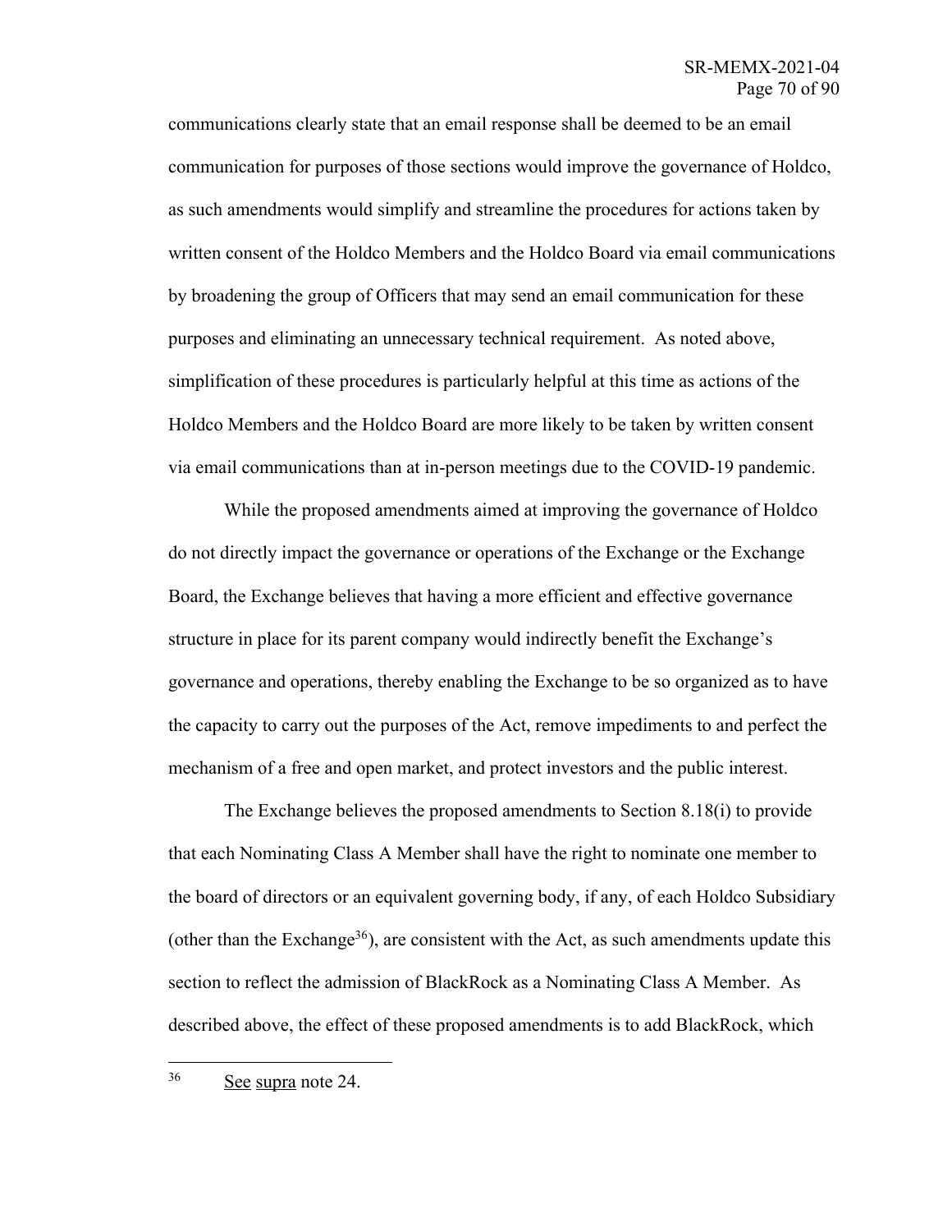communications clearly state that an email response shall be deemed to be an email communication for purposes of those sections would improve the governance of Holdco, as such amendments would simplify and streamline the procedures for actions taken by written consent of the Holdco Members and the Holdco Board via email communications by broadening the group of Officers that may send an email communication for these purposes and eliminating an unnecessary technical requirement. As noted above, simplification of these procedures is particularly helpful at this time as actions of the Holdco Members and the Holdco Board are more likely to be taken by written consent via email communications than at in-person meetings due to the COVID-19 pandemic.

While the proposed amendments aimed at improving the governance of Holdco do not directly impact the governance or operations of the Exchange or the Exchange Board, the Exchange believes that having a more efficient and effective governance structure in place for its parent company would indirectly benefit the Exchange's governance and operations, thereby enabling the Exchange to be so organized as to have the capacity to carry out the purposes of the Act, remove impediments to and perfect the mechanism of a free and open market, and protect investors and the public interest.

The Exchange believes the proposed amendments to Section 8.18(i) to provide that each Nominating Class A Member shall have the right to nominate one member to the board of directors or an equivalent governing body, if any, of each Holdco Subsidiary (other than the Exchange<sup>36</sup>), are consistent with the Act, as such amendments update this section to reflect the admission of BlackRock as a Nominating Class A Member. As described above, the effect of these proposed amendments is to add BlackRock, which

<sup>36</sup> See supra note 24.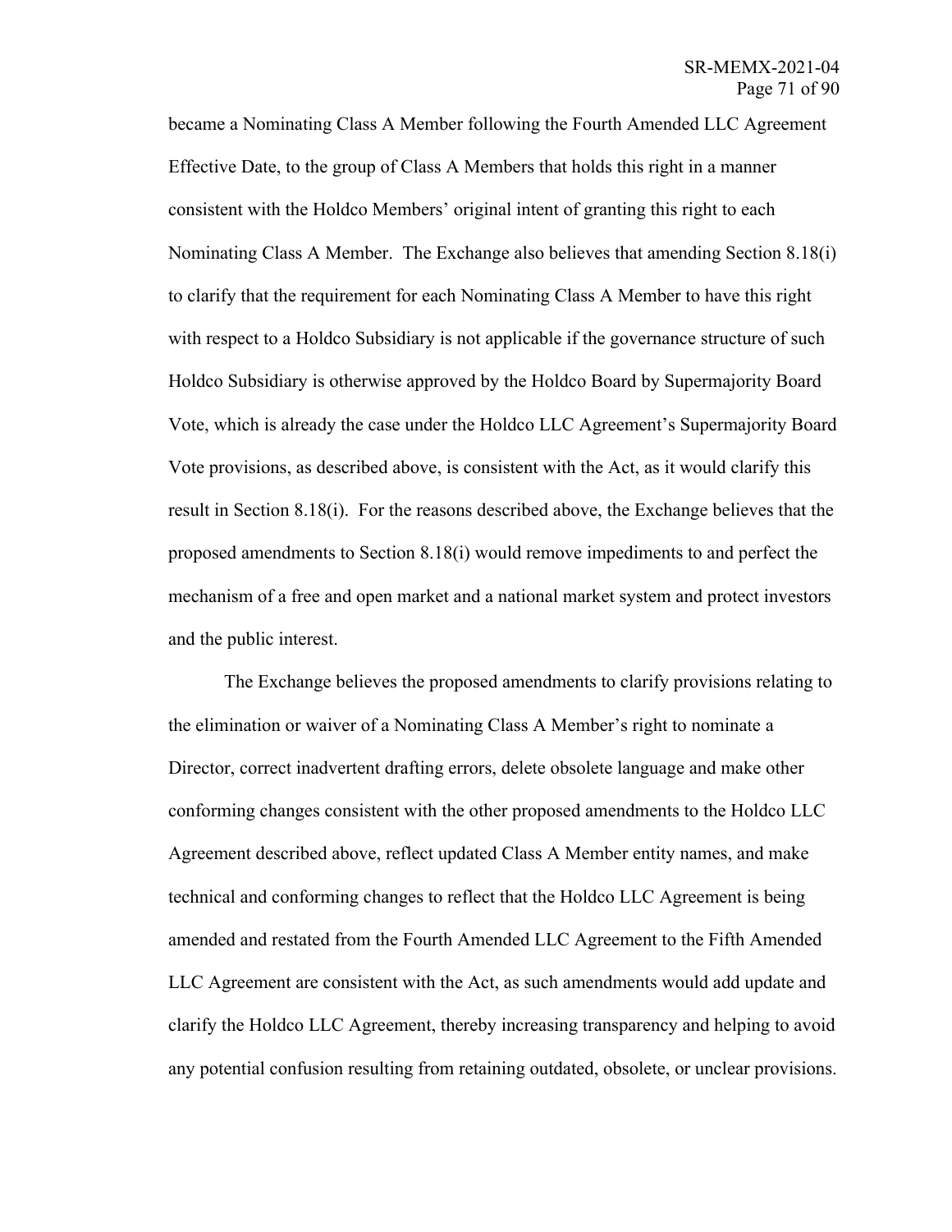became a Nominating Class A Member following the Fourth Amended LLC Agreement Effective Date, to the group of Class A Members that holds this right in a manner consistent with the Holdco Members' original intent of granting this right to each Nominating Class A Member. The Exchange also believes that amending Section 8.18(i) to clarify that the requirement for each Nominating Class A Member to have this right with respect to a Holdco Subsidiary is not applicable if the governance structure of such Holdco Subsidiary is otherwise approved by the Holdco Board by Supermajority Board Vote, which is already the case under the Holdco LLC Agreement's Supermajority Board Vote provisions, as described above, is consistent with the Act, as it would clarify this result in Section 8.18(i). For the reasons described above, the Exchange believes that the proposed amendments to Section 8.18(i) would remove impediments to and perfect the mechanism of a free and open market and a national market system and protect investors and the public interest.

The Exchange believes the proposed amendments to clarify provisions relating to the elimination or waiver of a Nominating Class A Member's right to nominate a Director, correct inadvertent drafting errors, delete obsolete language and make other conforming changes consistent with the other proposed amendments to the Holdco LLC Agreement described above, reflect updated Class A Member entity names, and make technical and conforming changes to reflect that the Holdco LLC Agreement is being amended and restated from the Fourth Amended LLC Agreement to the Fifth Amended LLC Agreement are consistent with the Act, as such amendments would add update and clarify the Holdco LLC Agreement, thereby increasing transparency and helping to avoid any potential confusion resulting from retaining outdated, obsolete, or unclear provisions.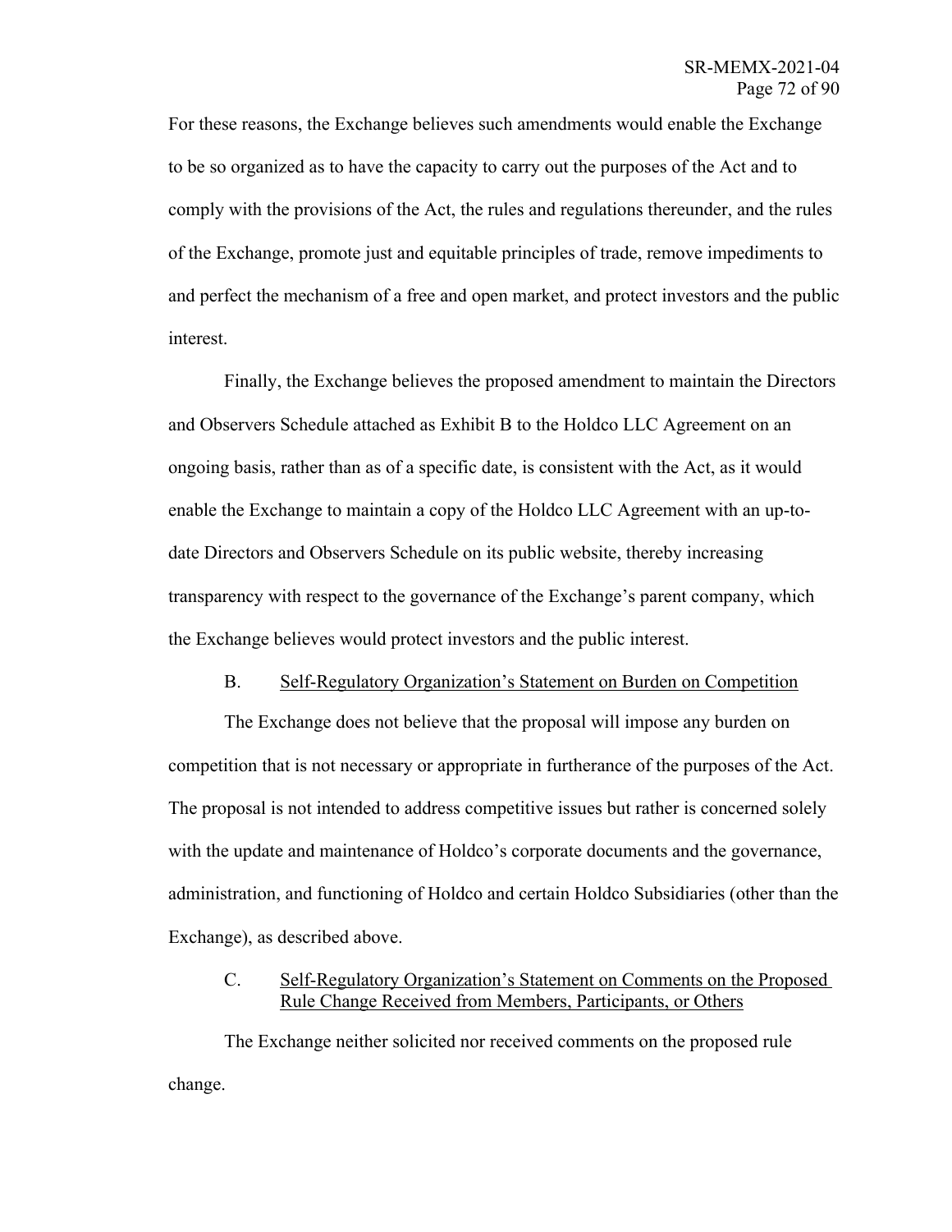For these reasons, the Exchange believes such amendments would enable the Exchange to be so organized as to have the capacity to carry out the purposes of the Act and to comply with the provisions of the Act, the rules and regulations thereunder, and the rules of the Exchange, promote just and equitable principles of trade, remove impediments to and perfect the mechanism of a free and open market, and protect investors and the public interest.

Finally, the Exchange believes the proposed amendment to maintain the Directors and Observers Schedule attached as Exhibit B to the Holdco LLC Agreement on an ongoing basis, rather than as of a specific date, is consistent with the Act, as it would enable the Exchange to maintain a copy of the Holdco LLC Agreement with an up-todate Directors and Observers Schedule on its public website, thereby increasing transparency with respect to the governance of the Exchange's parent company, which the Exchange believes would protect investors and the public interest.

## B. Self-Regulatory Organization's Statement on Burden on Competition

The Exchange does not believe that the proposal will impose any burden on competition that is not necessary or appropriate in furtherance of the purposes of the Act. The proposal is not intended to address competitive issues but rather is concerned solely with the update and maintenance of Holdco's corporate documents and the governance, administration, and functioning of Holdco and certain Holdco Subsidiaries (other than the Exchange), as described above.

## C. Self-Regulatory Organization's Statement on Comments on the Proposed Rule Change Received from Members, Participants, or Others

The Exchange neither solicited nor received comments on the proposed rule change.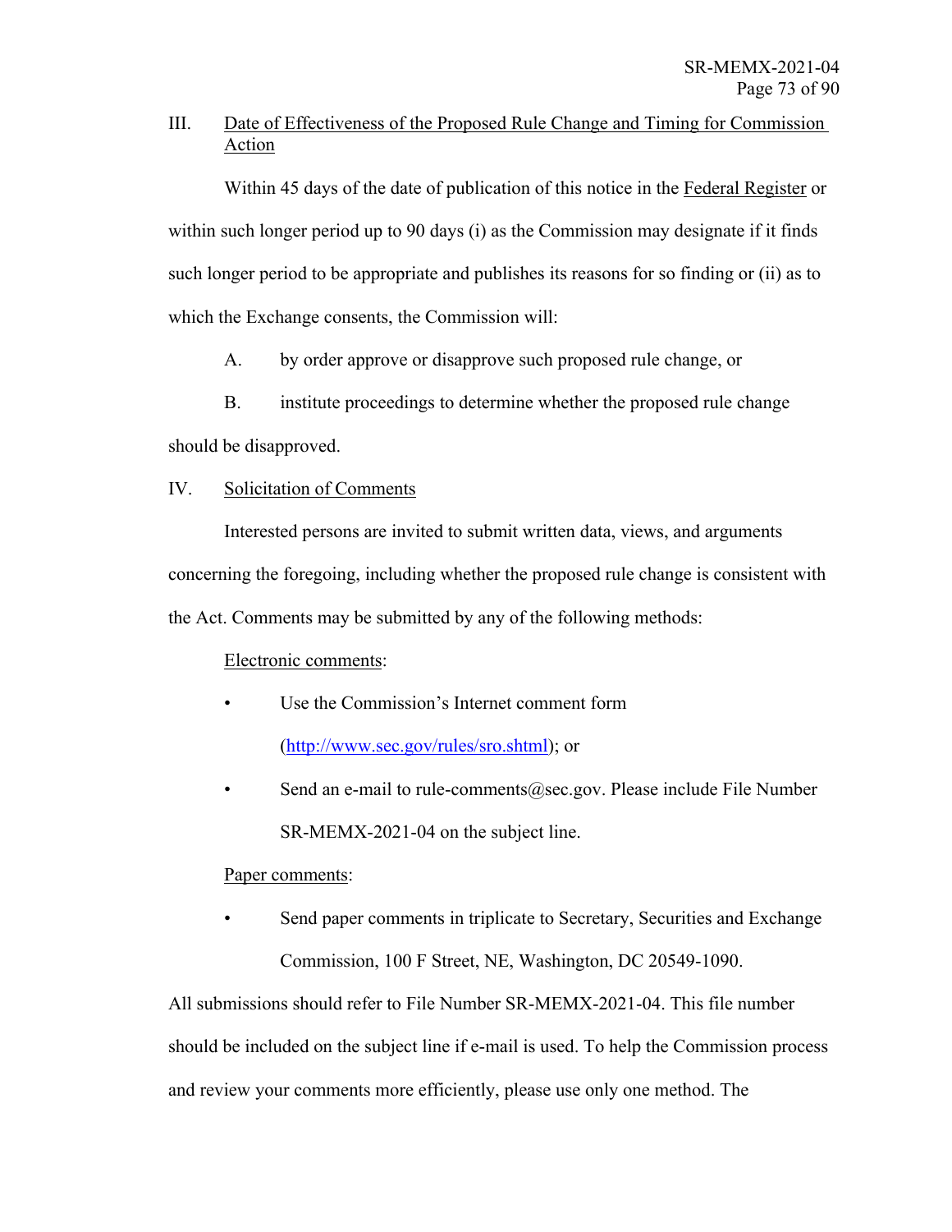## III. Date of Effectiveness of the Proposed Rule Change and Timing for Commission Action

Within 45 days of the date of publication of this notice in the Federal Register or within such longer period up to 90 days (i) as the Commission may designate if it finds such longer period to be appropriate and publishes its reasons for so finding or (ii) as to which the Exchange consents, the Commission will:

A. by order approve or disapprove such proposed rule change, or

B. institute proceedings to determine whether the proposed rule change

should be disapproved.

## IV. Solicitation of Comments

Interested persons are invited to submit written data, views, and arguments concerning the foregoing, including whether the proposed rule change is consistent with the Act. Comments may be submitted by any of the following methods:

## Electronic comments:

- Use the Commission's Internet comment form (http://www.sec.gov/rules/sro.shtml); or
- Send an e-mail to rule-comments@sec.gov. Please include File Number SR-MEMX-2021-04 on the subject line.

## Paper comments:

Send paper comments in triplicate to Secretary, Securities and Exchange Commission, 100 F Street, NE, Washington, DC 20549-1090.

All submissions should refer to File Number SR-MEMX-2021-04. This file number should be included on the subject line if e-mail is used. To help the Commission process and review your comments more efficiently, please use only one method. The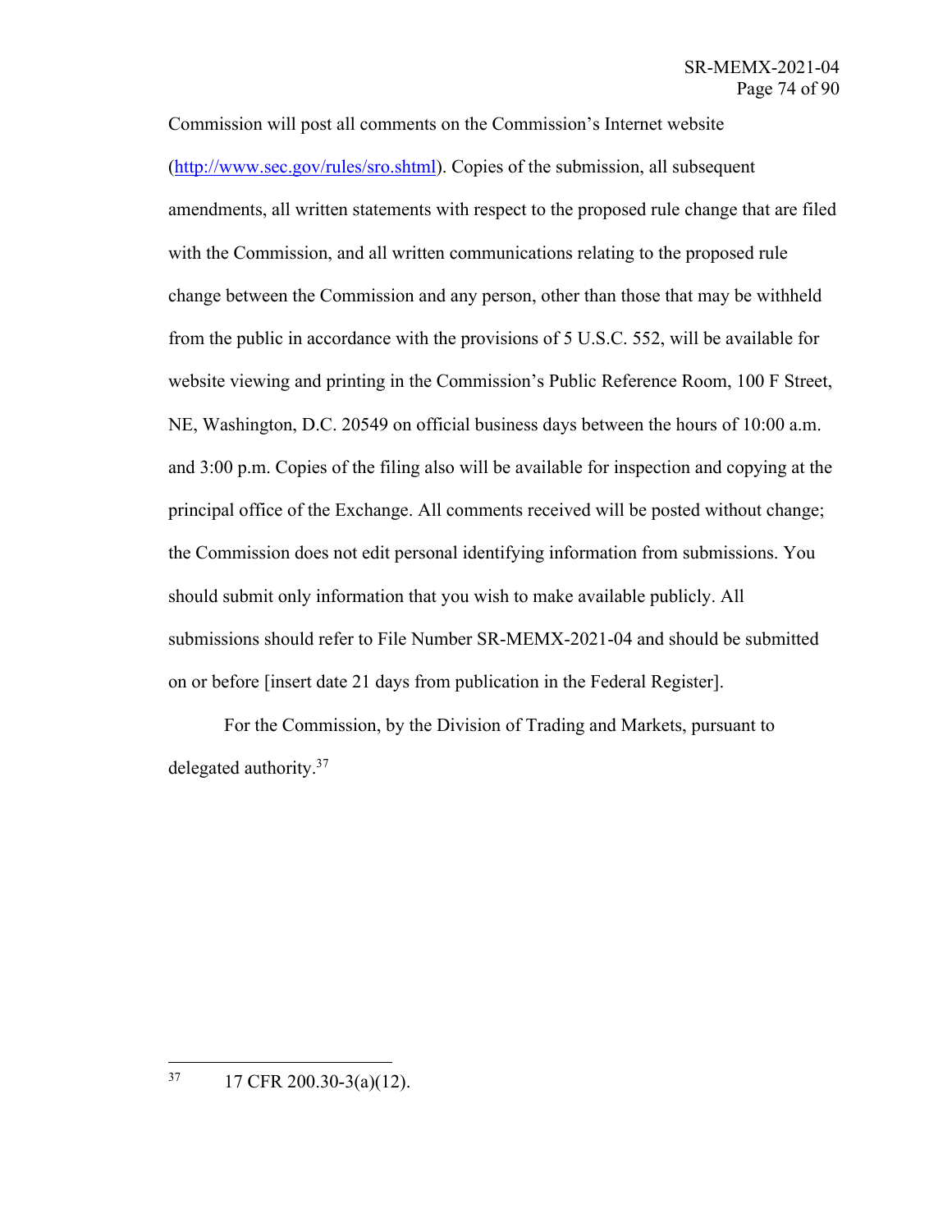Commission will post all comments on the Commission's Internet website (http://www.sec.gov/rules/sro.shtml). Copies of the submission, all subsequent amendments, all written statements with respect to the proposed rule change that are filed with the Commission, and all written communications relating to the proposed rule change between the Commission and any person, other than those that may be withheld from the public in accordance with the provisions of 5 U.S.C. 552, will be available for website viewing and printing in the Commission's Public Reference Room, 100 F Street, NE, Washington, D.C. 20549 on official business days between the hours of 10:00 a.m. and 3:00 p.m. Copies of the filing also will be available for inspection and copying at the principal office of the Exchange. All comments received will be posted without change; the Commission does not edit personal identifying information from submissions. You should submit only information that you wish to make available publicly. All submissions should refer to File Number SR-MEMX-2021-04 and should be submitted on or before [insert date 21 days from publication in the Federal Register].

 For the Commission, by the Division of Trading and Markets, pursuant to delegated authority.37

 $37$  17 CFR 200.30-3(a)(12).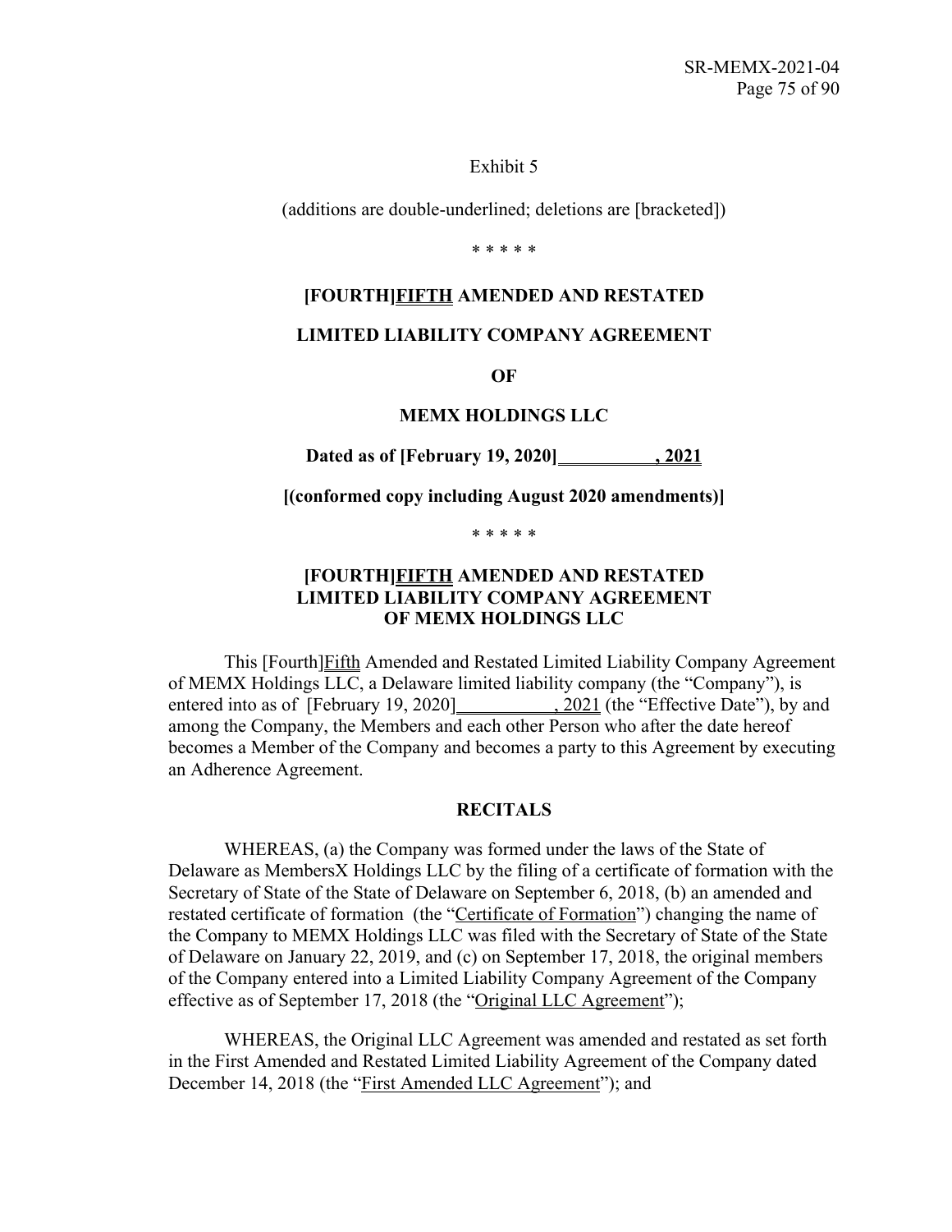#### Exhibit 5

(additions are double-underlined; deletions are [bracketed])

\* \* \* \* \*

#### **[FOURTH]FIFTH AMENDED AND RESTATED**

### **LIMITED LIABILITY COMPANY AGREEMENT**

**OF**

#### **MEMX HOLDINGS LLC**

**Dated as of [February 19, 2020] , 2021**

**[(conformed copy including August 2020 amendments)]**

\* \* \* \* \*

## **[FOURTH]FIFTH AMENDED AND RESTATED LIMITED LIABILITY COMPANY AGREEMENT OF MEMX HOLDINGS LLC**

This [Fourth]Fifth Amended and Restated Limited Liability Company Agreement of MEMX Holdings LLC, a Delaware limited liability company (the "Company"), is entered into as of [February 19, 2020] , 2021 (the "Effective Date"), by and among the Company, the Members and each other Person who after the date hereof becomes a Member of the Company and becomes a party to this Agreement by executing an Adherence Agreement.

#### **RECITALS**

WHEREAS, (a) the Company was formed under the laws of the State of Delaware as MembersX Holdings LLC by the filing of a certificate of formation with the Secretary of State of the State of Delaware on September 6, 2018, (b) an amended and restated certificate of formation (the "Certificate of Formation") changing the name of the Company to MEMX Holdings LLC was filed with the Secretary of State of the State of Delaware on January 22, 2019, and (c) on September 17, 2018, the original members of the Company entered into a Limited Liability Company Agreement of the Company effective as of September 17, 2018 (the "Original LLC Agreement");

WHEREAS, the Original LLC Agreement was amended and restated as set forth in the First Amended and Restated Limited Liability Agreement of the Company dated December 14, 2018 (the "First Amended LLC Agreement"); and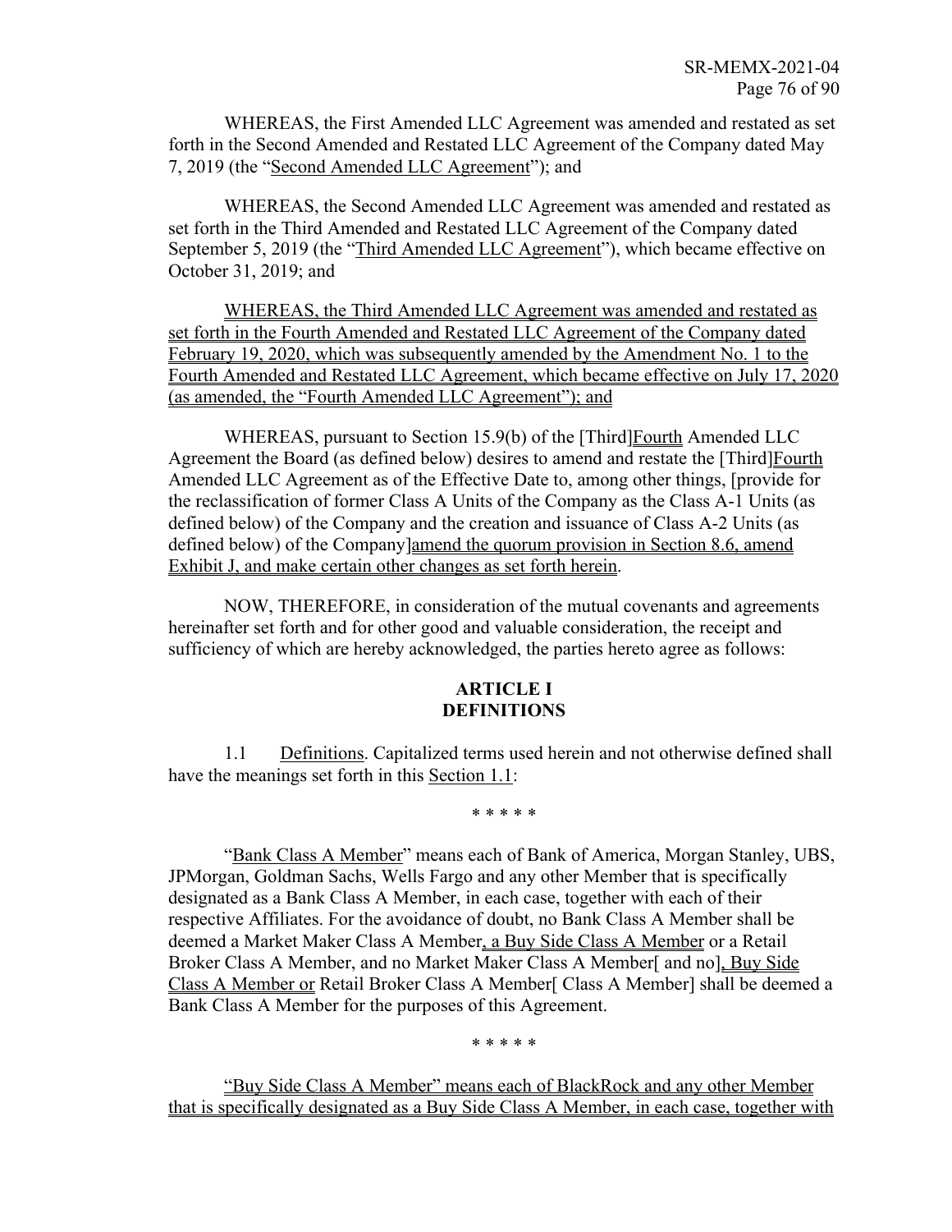WHEREAS, the First Amended LLC Agreement was amended and restated as set forth in the Second Amended and Restated LLC Agreement of the Company dated May 7, 2019 (the "Second Amended LLC Agreement"); and

WHEREAS, the Second Amended LLC Agreement was amended and restated as set forth in the Third Amended and Restated LLC Agreement of the Company dated September 5, 2019 (the "Third Amended LLC Agreement"), which became effective on October 31, 2019; and

WHEREAS, the Third Amended LLC Agreement was amended and restated as set forth in the Fourth Amended and Restated LLC Agreement of the Company dated February 19, 2020, which was subsequently amended by the Amendment No. 1 to the Fourth Amended and Restated LLC Agreement, which became effective on July 17, 2020 (as amended, the "Fourth Amended LLC Agreement"); and

WHEREAS, pursuant to Section 15.9(b) of the [Third] Fourth Amended LLC Agreement the Board (as defined below) desires to amend and restate the [Third]Fourth Amended LLC Agreement as of the Effective Date to, among other things, [provide for the reclassification of former Class A Units of the Company as the Class A-1 Units (as defined below) of the Company and the creation and issuance of Class A-2 Units (as defined below) of the Company]amend the quorum provision in Section 8.6, amend Exhibit J, and make certain other changes as set forth herein.

NOW, THEREFORE, in consideration of the mutual covenants and agreements hereinafter set forth and for other good and valuable consideration, the receipt and sufficiency of which are hereby acknowledged, the parties hereto agree as follows:

## **ARTICLE I DEFINITIONS**

1.1 Definitions. Capitalized terms used herein and not otherwise defined shall have the meanings set forth in this Section 1.1:

\* \* \* \* \*

"Bank Class A Member" means each of Bank of America, Morgan Stanley, UBS, JPMorgan, Goldman Sachs, Wells Fargo and any other Member that is specifically designated as a Bank Class A Member, in each case, together with each of their respective Affiliates. For the avoidance of doubt, no Bank Class A Member shall be deemed a Market Maker Class A Member, a Buy Side Class A Member or a Retail Broker Class A Member, and no Market Maker Class A Member[ and no], Buy Side Class A Member or Retail Broker Class A Member[ Class A Member] shall be deemed a Bank Class A Member for the purposes of this Agreement.

\* \* \* \* \*

"Buy Side Class A Member" means each of BlackRock and any other Member that is specifically designated as a Buy Side Class A Member, in each case, together with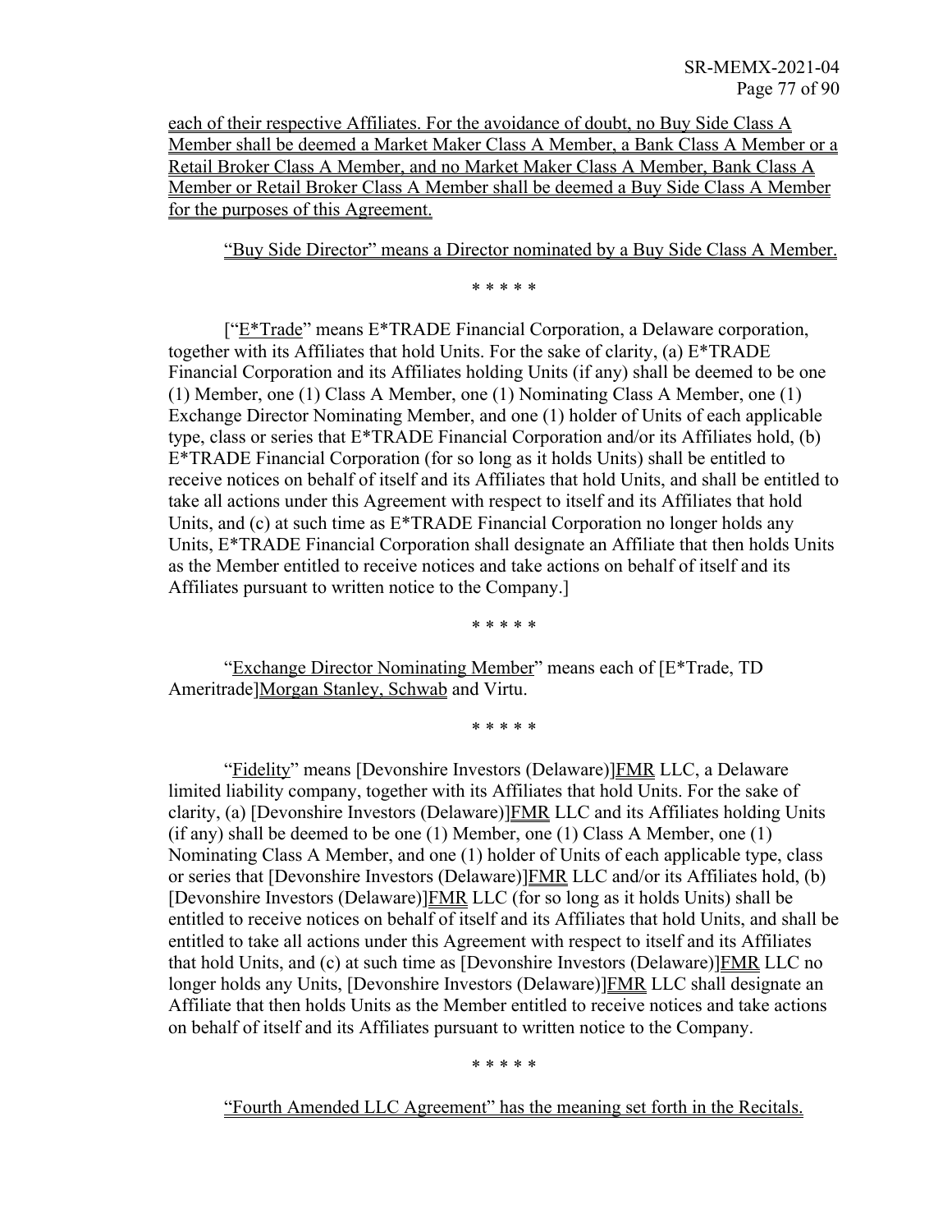each of their respective Affiliates. For the avoidance of doubt, no Buy Side Class A Member shall be deemed a Market Maker Class A Member, a Bank Class A Member or a Retail Broker Class A Member, and no Market Maker Class A Member, Bank Class A Member or Retail Broker Class A Member shall be deemed a Buy Side Class A Member for the purposes of this Agreement.

"Buy Side Director" means a Director nominated by a Buy Side Class A Member.

\* \* \* \* \*

["E\*Trade" means E\*TRADE Financial Corporation, a Delaware corporation, together with its Affiliates that hold Units. For the sake of clarity, (a) E\*TRADE Financial Corporation and its Affiliates holding Units (if any) shall be deemed to be one (1) Member, one (1) Class A Member, one (1) Nominating Class A Member, one (1) Exchange Director Nominating Member, and one (1) holder of Units of each applicable type, class or series that E\*TRADE Financial Corporation and/or its Affiliates hold, (b) E\*TRADE Financial Corporation (for so long as it holds Units) shall be entitled to receive notices on behalf of itself and its Affiliates that hold Units, and shall be entitled to take all actions under this Agreement with respect to itself and its Affiliates that hold Units, and (c) at such time as E\*TRADE Financial Corporation no longer holds any Units, E\*TRADE Financial Corporation shall designate an Affiliate that then holds Units as the Member entitled to receive notices and take actions on behalf of itself and its Affiliates pursuant to written notice to the Company.]

\* \* \* \* \*

"Exchange Director Nominating Member" means each of [E\*Trade, TD Ameritrade]Morgan Stanley, Schwab and Virtu.

\* \* \* \* \*

"Fidelity" means [Devonshire Investors (Delaware)]FMR LLC, a Delaware limited liability company, together with its Affiliates that hold Units. For the sake of clarity, (a) [Devonshire Investors (Delaware)] $FMR$  LLC and its Affiliates holding Units (if any) shall be deemed to be one (1) Member, one (1) Class A Member, one (1) Nominating Class A Member, and one (1) holder of Units of each applicable type, class or series that [Devonshire Investors (Delaware)]FMR LLC and/or its Affiliates hold, (b) [Devonshire Investors (Delaware)]FMR LLC (for so long as it holds Units) shall be entitled to receive notices on behalf of itself and its Affiliates that hold Units, and shall be entitled to take all actions under this Agreement with respect to itself and its Affiliates that hold Units, and (c) at such time as [Devonshire Investors (Delaware)]FMR LLC no longer holds any Units, [Devonshire Investors (Delaware)]**FMR** LLC shall designate an Affiliate that then holds Units as the Member entitled to receive notices and take actions on behalf of itself and its Affiliates pursuant to written notice to the Company.

\* \* \* \* \*

"Fourth Amended LLC Agreement" has the meaning set forth in the Recitals.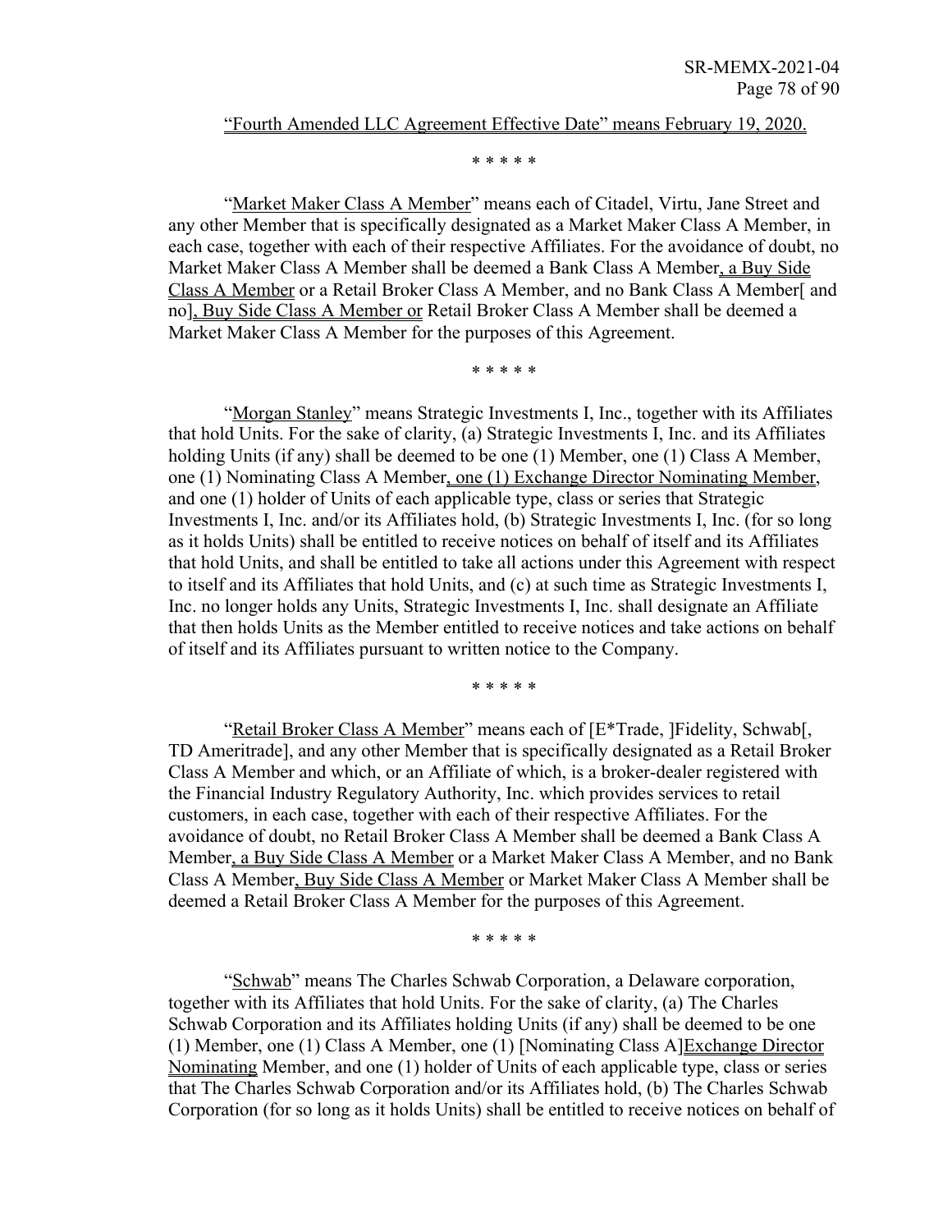#### "Fourth Amended LLC Agreement Effective Date" means February 19, 2020.

\* \* \* \* \*

"Market Maker Class A Member" means each of Citadel, Virtu, Jane Street and any other Member that is specifically designated as a Market Maker Class A Member, in each case, together with each of their respective Affiliates. For the avoidance of doubt, no Market Maker Class A Member shall be deemed a Bank Class A Member, a Buy Side Class A Member or a Retail Broker Class A Member, and no Bank Class A Member[ and no], Buy Side Class A Member or Retail Broker Class A Member shall be deemed a Market Maker Class A Member for the purposes of this Agreement.

\* \* \* \* \*

"Morgan Stanley" means Strategic Investments I, Inc., together with its Affiliates that hold Units. For the sake of clarity, (a) Strategic Investments I, Inc. and its Affiliates holding Units (if any) shall be deemed to be one (1) Member, one (1) Class A Member, one (1) Nominating Class A Member, one (1) Exchange Director Nominating Member, and one (1) holder of Units of each applicable type, class or series that Strategic Investments I, Inc. and/or its Affiliates hold, (b) Strategic Investments I, Inc. (for so long as it holds Units) shall be entitled to receive notices on behalf of itself and its Affiliates that hold Units, and shall be entitled to take all actions under this Agreement with respect to itself and its Affiliates that hold Units, and (c) at such time as Strategic Investments I, Inc. no longer holds any Units, Strategic Investments I, Inc. shall designate an Affiliate that then holds Units as the Member entitled to receive notices and take actions on behalf of itself and its Affiliates pursuant to written notice to the Company.

\* \* \* \* \*

"Retail Broker Class A Member" means each of [E\*Trade, ]Fidelity, Schwab[, TD Ameritrade], and any other Member that is specifically designated as a Retail Broker Class A Member and which, or an Affiliate of which, is a broker-dealer registered with the Financial Industry Regulatory Authority, Inc. which provides services to retail customers, in each case, together with each of their respective Affiliates. For the avoidance of doubt, no Retail Broker Class A Member shall be deemed a Bank Class A Member, a Buy Side Class A Member or a Market Maker Class A Member, and no Bank Class A Member, Buy Side Class A Member or Market Maker Class A Member shall be deemed a Retail Broker Class A Member for the purposes of this Agreement.

\* \* \* \* \*

"Schwab" means The Charles Schwab Corporation, a Delaware corporation, together with its Affiliates that hold Units. For the sake of clarity, (a) The Charles Schwab Corporation and its Affiliates holding Units (if any) shall be deemed to be one (1) Member, one (1) Class A Member, one (1) [Nominating Class A]Exchange Director Nominating Member, and one (1) holder of Units of each applicable type, class or series that The Charles Schwab Corporation and/or its Affiliates hold, (b) The Charles Schwab Corporation (for so long as it holds Units) shall be entitled to receive notices on behalf of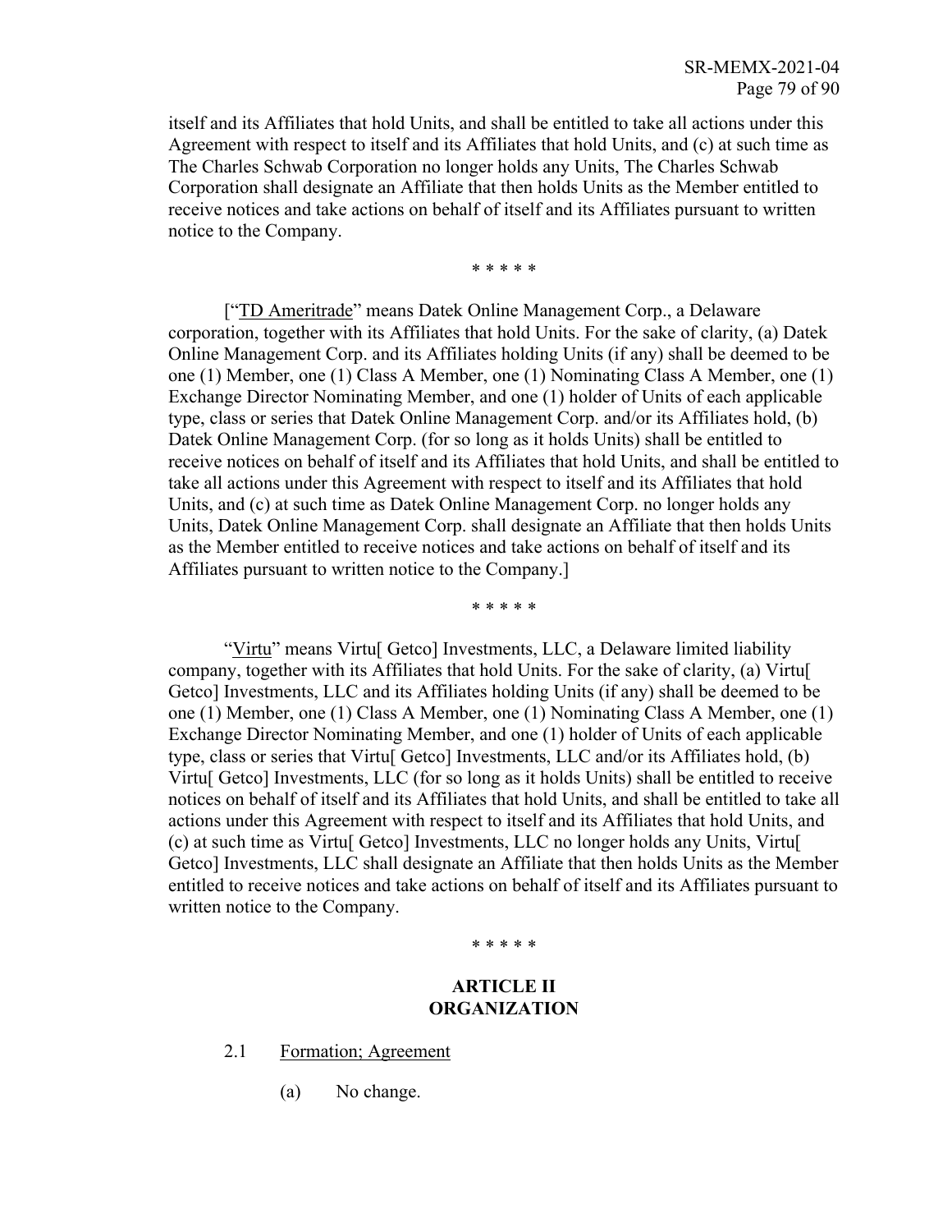itself and its Affiliates that hold Units, and shall be entitled to take all actions under this Agreement with respect to itself and its Affiliates that hold Units, and (c) at such time as The Charles Schwab Corporation no longer holds any Units, The Charles Schwab Corporation shall designate an Affiliate that then holds Units as the Member entitled to receive notices and take actions on behalf of itself and its Affiliates pursuant to written notice to the Company.

\* \* \* \* \*

["TD Ameritrade" means Datek Online Management Corp., a Delaware corporation, together with its Affiliates that hold Units. For the sake of clarity, (a) Datek Online Management Corp. and its Affiliates holding Units (if any) shall be deemed to be one (1) Member, one (1) Class A Member, one (1) Nominating Class A Member, one (1) Exchange Director Nominating Member, and one (1) holder of Units of each applicable type, class or series that Datek Online Management Corp. and/or its Affiliates hold, (b) Datek Online Management Corp. (for so long as it holds Units) shall be entitled to receive notices on behalf of itself and its Affiliates that hold Units, and shall be entitled to take all actions under this Agreement with respect to itself and its Affiliates that hold Units, and (c) at such time as Datek Online Management Corp. no longer holds any Units, Datek Online Management Corp. shall designate an Affiliate that then holds Units as the Member entitled to receive notices and take actions on behalf of itself and its Affiliates pursuant to written notice to the Company.]

\* \* \* \* \*

"Virtu" means Virtu Getco I Investments, LLC, a Delaware limited liability company, together with its Affiliates that hold Units. For the sake of clarity, (a) Virtu[ Getco] Investments, LLC and its Affiliates holding Units (if any) shall be deemed to be one (1) Member, one (1) Class A Member, one (1) Nominating Class A Member, one (1) Exchange Director Nominating Member, and one (1) holder of Units of each applicable type, class or series that Virtu[ Getco] Investments, LLC and/or its Affiliates hold, (b) Virtu[ Getco] Investments, LLC (for so long as it holds Units) shall be entitled to receive notices on behalf of itself and its Affiliates that hold Units, and shall be entitled to take all actions under this Agreement with respect to itself and its Affiliates that hold Units, and (c) at such time as Virtu[ Getco] Investments, LLC no longer holds any Units, Virtu[ Getco] Investments, LLC shall designate an Affiliate that then holds Units as the Member entitled to receive notices and take actions on behalf of itself and its Affiliates pursuant to written notice to the Company.

\* \* \* \* \*

### **ARTICLE II ORGANIZATION**

- 2.1 Formation; Agreement
	- (a) No change.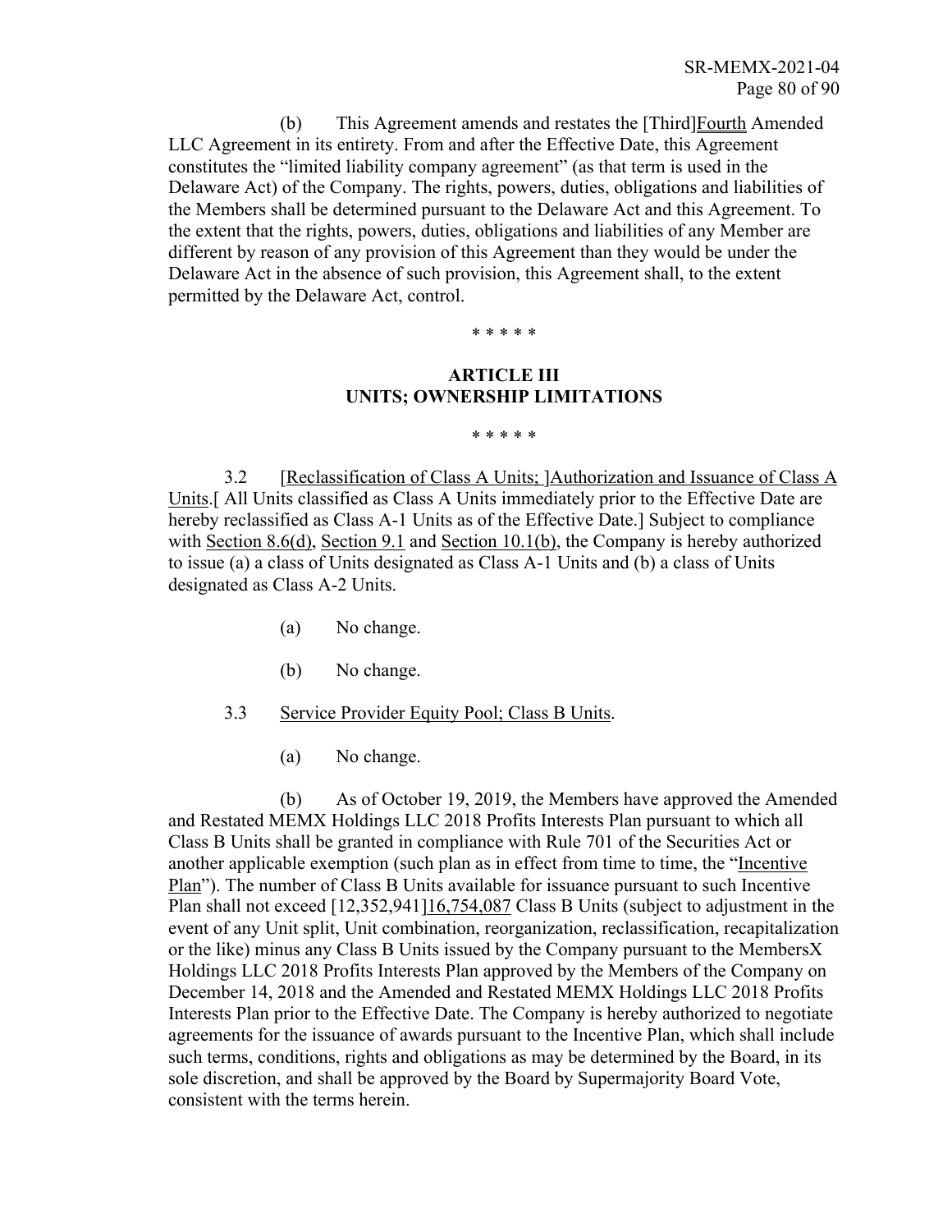(b) This Agreement amends and restates the [Third]Fourth Amended LLC Agreement in its entirety. From and after the Effective Date, this Agreement constitutes the "limited liability company agreement" (as that term is used in the Delaware Act) of the Company. The rights, powers, duties, obligations and liabilities of the Members shall be determined pursuant to the Delaware Act and this Agreement. To the extent that the rights, powers, duties, obligations and liabilities of any Member are different by reason of any provision of this Agreement than they would be under the Delaware Act in the absence of such provision, this Agreement shall, to the extent permitted by the Delaware Act, control.

\* \* \* \* \*

## **ARTICLE III UNITS; OWNERSHIP LIMITATIONS**

\* \* \* \* \*

3.2 [Reclassification of Class A Units; ]Authorization and Issuance of Class A Units.[ All Units classified as Class A Units immediately prior to the Effective Date are hereby reclassified as Class A-1 Units as of the Effective Date.] Subject to compliance with Section 8.6(d), Section 9.1 and Section 10.1(b), the Company is hereby authorized to issue (a) a class of Units designated as Class A-1 Units and (b) a class of Units designated as Class A-2 Units.

- (a) No change.
- (b) No change.
- 3.3 Service Provider Equity Pool; Class B Units.
	- (a) No change.

(b) As of October 19, 2019, the Members have approved the Amended and Restated MEMX Holdings LLC 2018 Profits Interests Plan pursuant to which all Class B Units shall be granted in compliance with Rule 701 of the Securities Act or another applicable exemption (such plan as in effect from time to time, the "Incentive Plan"). The number of Class B Units available for issuance pursuant to such Incentive Plan shall not exceed [12,352,941]16,754,087 Class B Units (subject to adjustment in the event of any Unit split, Unit combination, reorganization, reclassification, recapitalization or the like) minus any Class B Units issued by the Company pursuant to the MembersX Holdings LLC 2018 Profits Interests Plan approved by the Members of the Company on December 14, 2018 and the Amended and Restated MEMX Holdings LLC 2018 Profits Interests Plan prior to the Effective Date. The Company is hereby authorized to negotiate agreements for the issuance of awards pursuant to the Incentive Plan, which shall include such terms, conditions, rights and obligations as may be determined by the Board, in its sole discretion, and shall be approved by the Board by Supermajority Board Vote, consistent with the terms herein.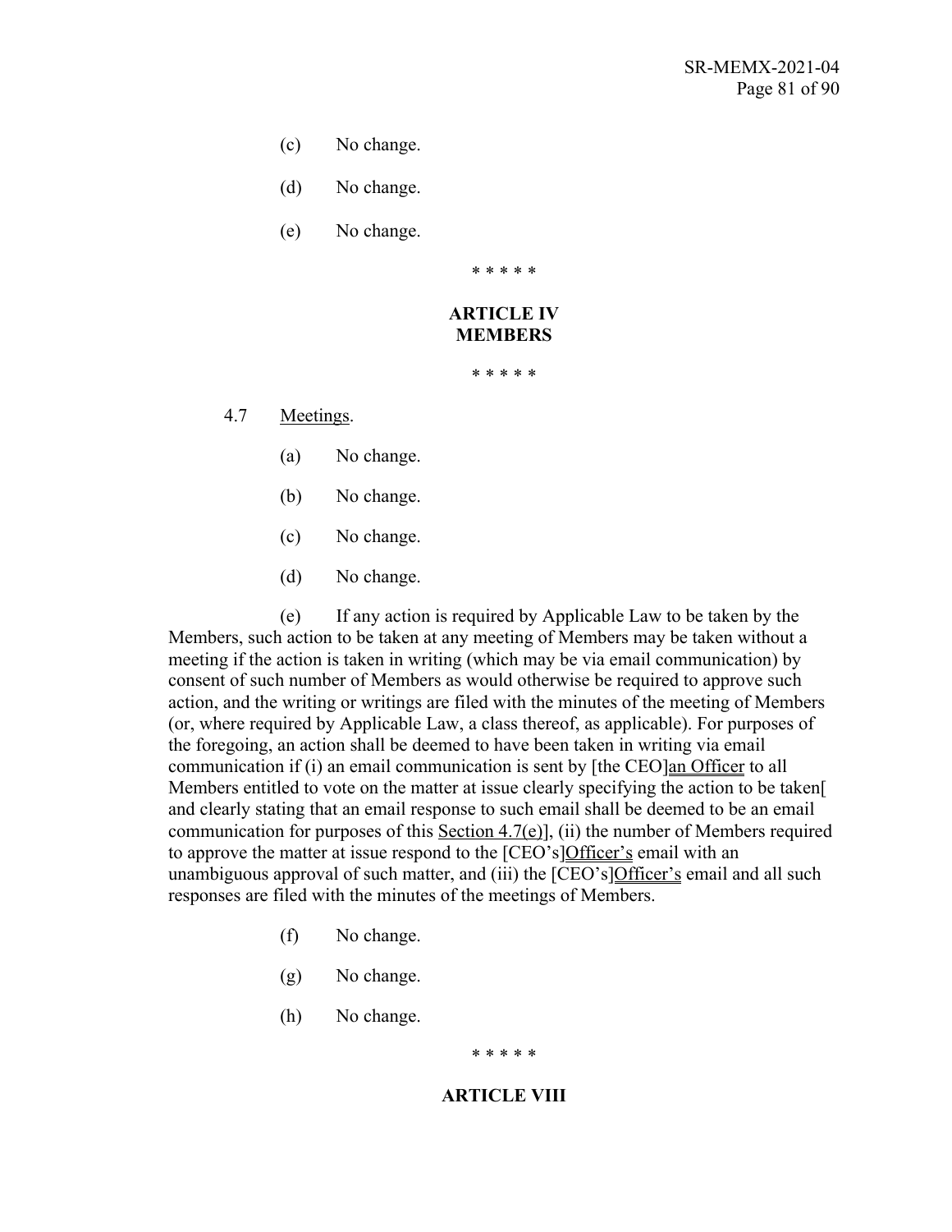- (c) No change.
- (d) No change.
- (e) No change.

\* \* \* \* \*

## **ARTICLE IV MEMBERS**

\* \* \* \* \*

4.7 Meetings.

- (a) No change.
- (b) No change.
- (c) No change.
- (d) No change.

(e) If any action is required by Applicable Law to be taken by the Members, such action to be taken at any meeting of Members may be taken without a meeting if the action is taken in writing (which may be via email communication) by consent of such number of Members as would otherwise be required to approve such action, and the writing or writings are filed with the minutes of the meeting of Members (or, where required by Applicable Law, a class thereof, as applicable). For purposes of the foregoing, an action shall be deemed to have been taken in writing via email communication if (i) an email communication is sent by [the CEO]an Officer to all Members entitled to vote on the matter at issue clearly specifying the action to be taken[ and clearly stating that an email response to such email shall be deemed to be an email communication for purposes of this Section 4.7(e)], (ii) the number of Members required to approve the matter at issue respond to the [CEO's]Officer's email with an unambiguous approval of such matter, and (iii) the [CEO's]Officer's email and all such responses are filed with the minutes of the meetings of Members.

- (f) No change.
- (g) No change.
- (h) No change.

\* \* \* \* \*

#### **ARTICLE VIII**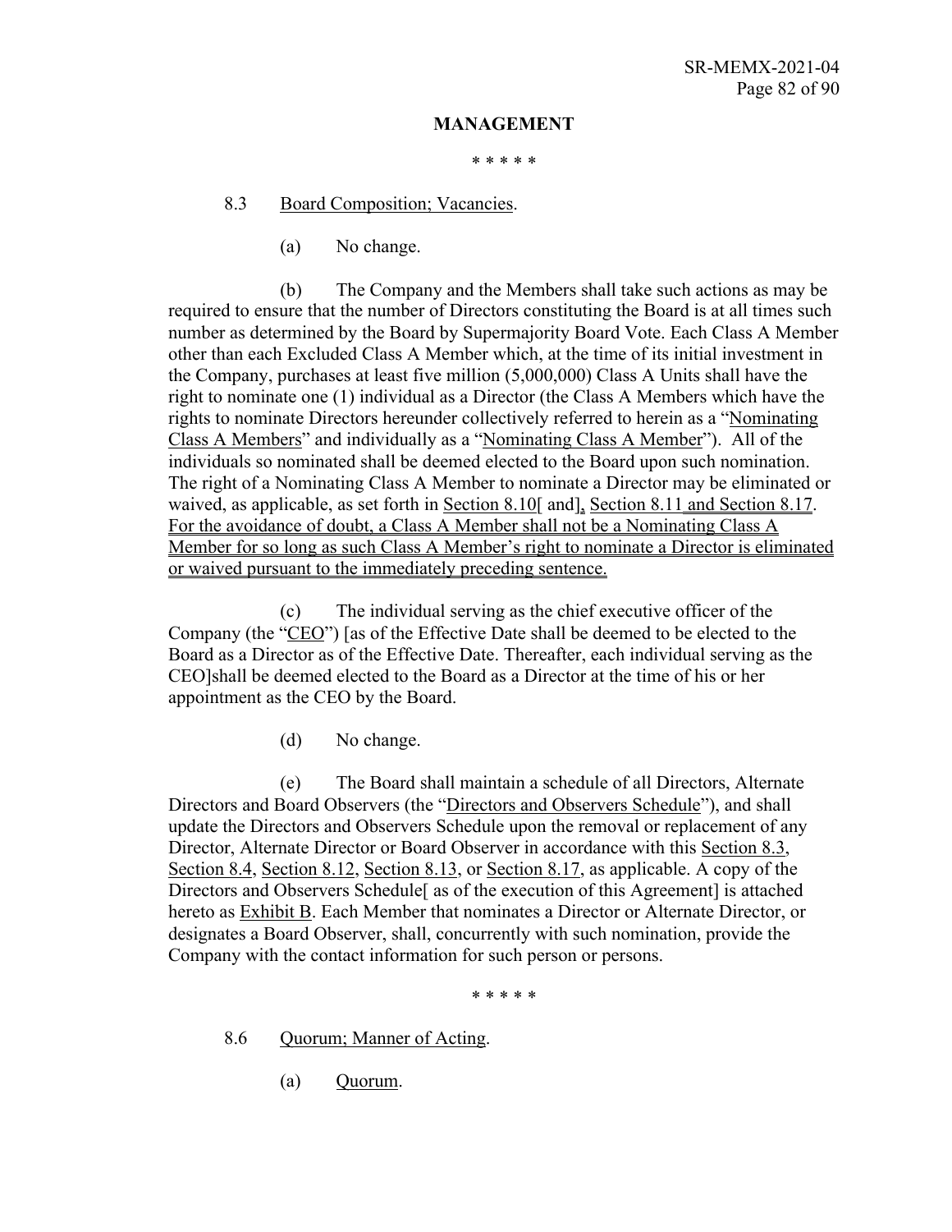#### **MANAGEMENT**

\* \* \* \* \*

8.3 Board Composition; Vacancies.

(a) No change.

(b) The Company and the Members shall take such actions as may be required to ensure that the number of Directors constituting the Board is at all times such number as determined by the Board by Supermajority Board Vote. Each Class A Member other than each Excluded Class A Member which, at the time of its initial investment in the Company, purchases at least five million (5,000,000) Class A Units shall have the right to nominate one (1) individual as a Director (the Class A Members which have the rights to nominate Directors hereunder collectively referred to herein as a "Nominating Class A Members" and individually as a "Nominating Class A Member"). All of the individuals so nominated shall be deemed elected to the Board upon such nomination. The right of a Nominating Class A Member to nominate a Director may be eliminated or waived, as applicable, as set forth in Section 8.10<sup>[</sup> and], Section 8.11 and Section 8.17. For the avoidance of doubt, a Class A Member shall not be a Nominating Class A Member for so long as such Class A Member's right to nominate a Director is eliminated or waived pursuant to the immediately preceding sentence.

(c) The individual serving as the chief executive officer of the Company (the "CEO") [as of the Effective Date shall be deemed to be elected to the Board as a Director as of the Effective Date. Thereafter, each individual serving as the CEO]shall be deemed elected to the Board as a Director at the time of his or her appointment as the CEO by the Board.

(d) No change.

(e) The Board shall maintain a schedule of all Directors, Alternate Directors and Board Observers (the "Directors and Observers Schedule"), and shall update the Directors and Observers Schedule upon the removal or replacement of any Director, Alternate Director or Board Observer in accordance with this Section 8.3, Section 8.4, Section 8.12, Section 8.13, or Section 8.17, as applicable. A copy of the Directors and Observers Schedule[ as of the execution of this Agreement] is attached hereto as Exhibit B. Each Member that nominates a Director or Alternate Director, or designates a Board Observer, shall, concurrently with such nomination, provide the Company with the contact information for such person or persons.

\* \* \* \* \*

8.6 Quorum; Manner of Acting.

(a) Quorum.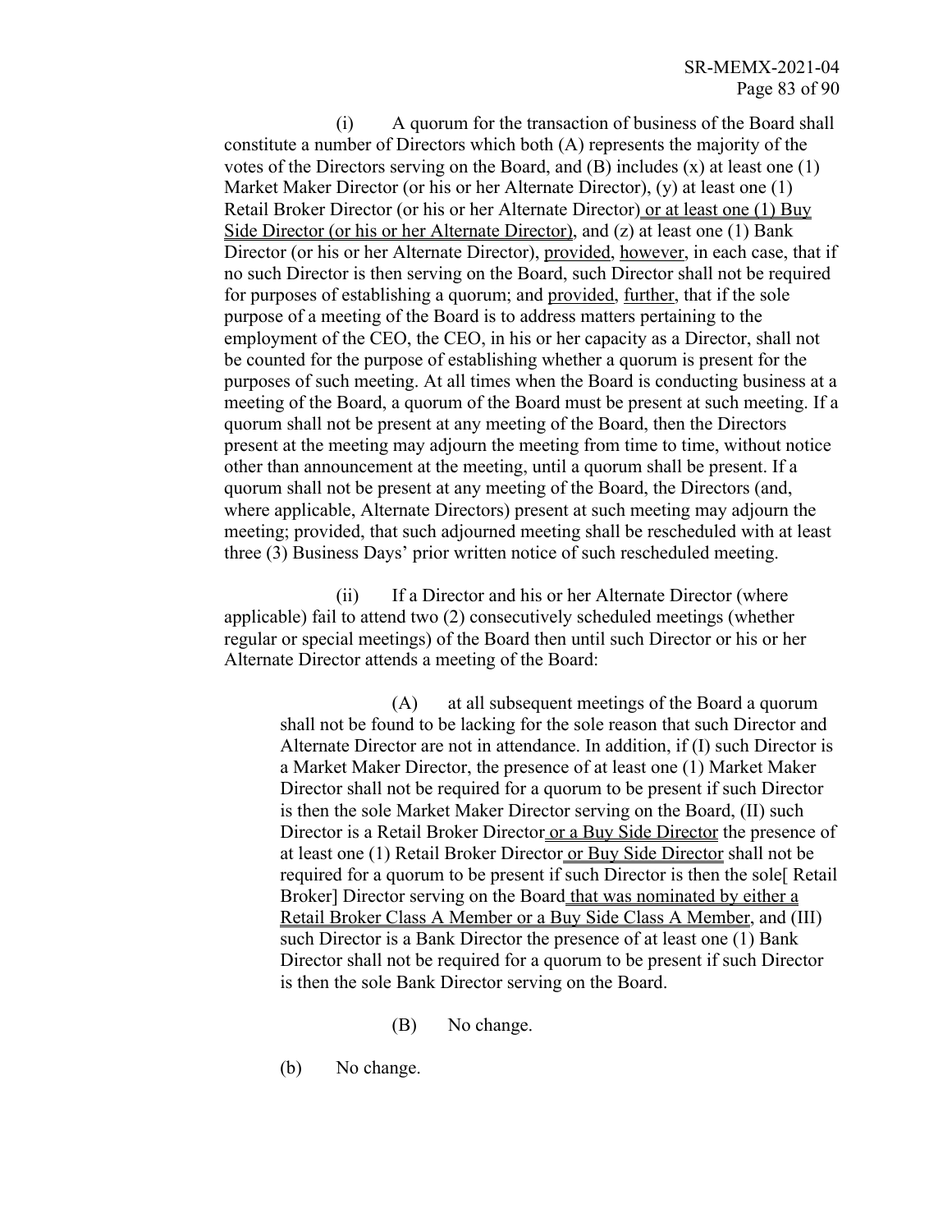(i) A quorum for the transaction of business of the Board shall constitute a number of Directors which both (A) represents the majority of the votes of the Directors serving on the Board, and  $(B)$  includes  $(x)$  at least one  $(1)$ Market Maker Director (or his or her Alternate Director), (y) at least one (1) Retail Broker Director (or his or her Alternate Director) or at least one (1) Buy Side Director (or his or her Alternate Director), and (z) at least one (1) Bank Director (or his or her Alternate Director), provided, however, in each case, that if no such Director is then serving on the Board, such Director shall not be required for purposes of establishing a quorum; and provided, further, that if the sole purpose of a meeting of the Board is to address matters pertaining to the employment of the CEO, the CEO, in his or her capacity as a Director, shall not be counted for the purpose of establishing whether a quorum is present for the purposes of such meeting. At all times when the Board is conducting business at a meeting of the Board, a quorum of the Board must be present at such meeting. If a quorum shall not be present at any meeting of the Board, then the Directors present at the meeting may adjourn the meeting from time to time, without notice other than announcement at the meeting, until a quorum shall be present. If a quorum shall not be present at any meeting of the Board, the Directors (and, where applicable, Alternate Directors) present at such meeting may adjourn the meeting; provided, that such adjourned meeting shall be rescheduled with at least three (3) Business Days' prior written notice of such rescheduled meeting.

(ii) If a Director and his or her Alternate Director (where applicable) fail to attend two (2) consecutively scheduled meetings (whether regular or special meetings) of the Board then until such Director or his or her Alternate Director attends a meeting of the Board:

(A) at all subsequent meetings of the Board a quorum shall not be found to be lacking for the sole reason that such Director and Alternate Director are not in attendance. In addition, if (I) such Director is a Market Maker Director, the presence of at least one (1) Market Maker Director shall not be required for a quorum to be present if such Director is then the sole Market Maker Director serving on the Board, (II) such Director is a Retail Broker Director or a Buy Side Director the presence of at least one (1) Retail Broker Director or Buy Side Director shall not be required for a quorum to be present if such Director is then the sole[ Retail Broker] Director serving on the Board that was nominated by either a Retail Broker Class A Member or a Buy Side Class A Member, and (III) such Director is a Bank Director the presence of at least one (1) Bank Director shall not be required for a quorum to be present if such Director is then the sole Bank Director serving on the Board.

- (B) No change.
- (b) No change.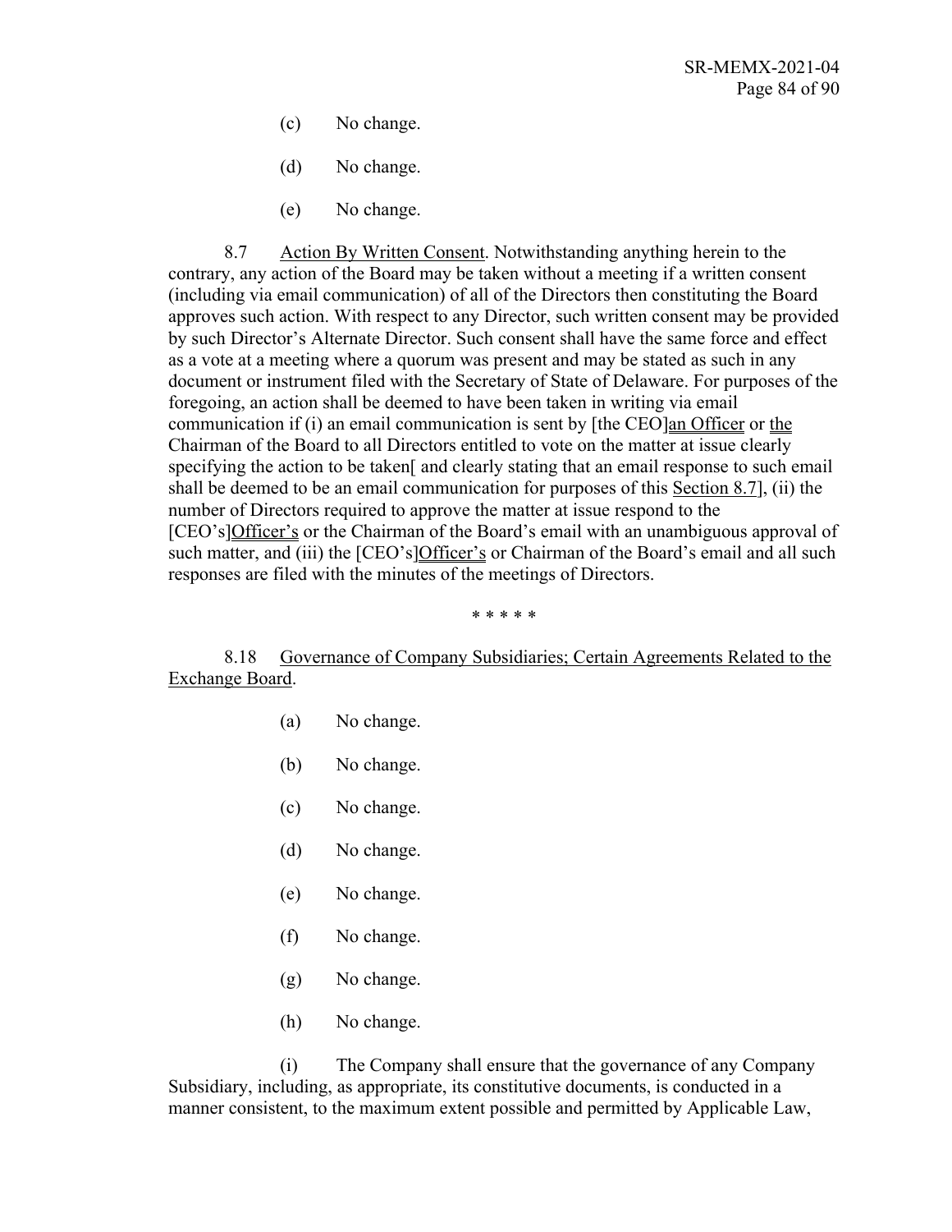- (c) No change.
- (d) No change.
- (e) No change.

8.7 Action By Written Consent. Notwithstanding anything herein to the contrary, any action of the Board may be taken without a meeting if a written consent (including via email communication) of all of the Directors then constituting the Board approves such action. With respect to any Director, such written consent may be provided by such Director's Alternate Director. Such consent shall have the same force and effect as a vote at a meeting where a quorum was present and may be stated as such in any document or instrument filed with the Secretary of State of Delaware. For purposes of the foregoing, an action shall be deemed to have been taken in writing via email communication if (i) an email communication is sent by [the CEO]an Officer or the Chairman of the Board to all Directors entitled to vote on the matter at issue clearly specifying the action to be taken<sup>[</sup> and clearly stating that an email response to such email shall be deemed to be an email communication for purposes of this Section 8.7], (ii) the number of Directors required to approve the matter at issue respond to the [CEO's]Officer's or the Chairman of the Board's email with an unambiguous approval of such matter, and (iii) the [CEO's]Officer's or Chairman of the Board's email and all such responses are filed with the minutes of the meetings of Directors.

\* \* \* \* \*

8.18 Governance of Company Subsidiaries; Certain Agreements Related to the Exchange Board.

- (a) No change.
- (b) No change.
- (c) No change.
- (d) No change.
- (e) No change.
- (f) No change.
- (g) No change.
- (h) No change.

(i) The Company shall ensure that the governance of any Company Subsidiary, including, as appropriate, its constitutive documents, is conducted in a manner consistent, to the maximum extent possible and permitted by Applicable Law,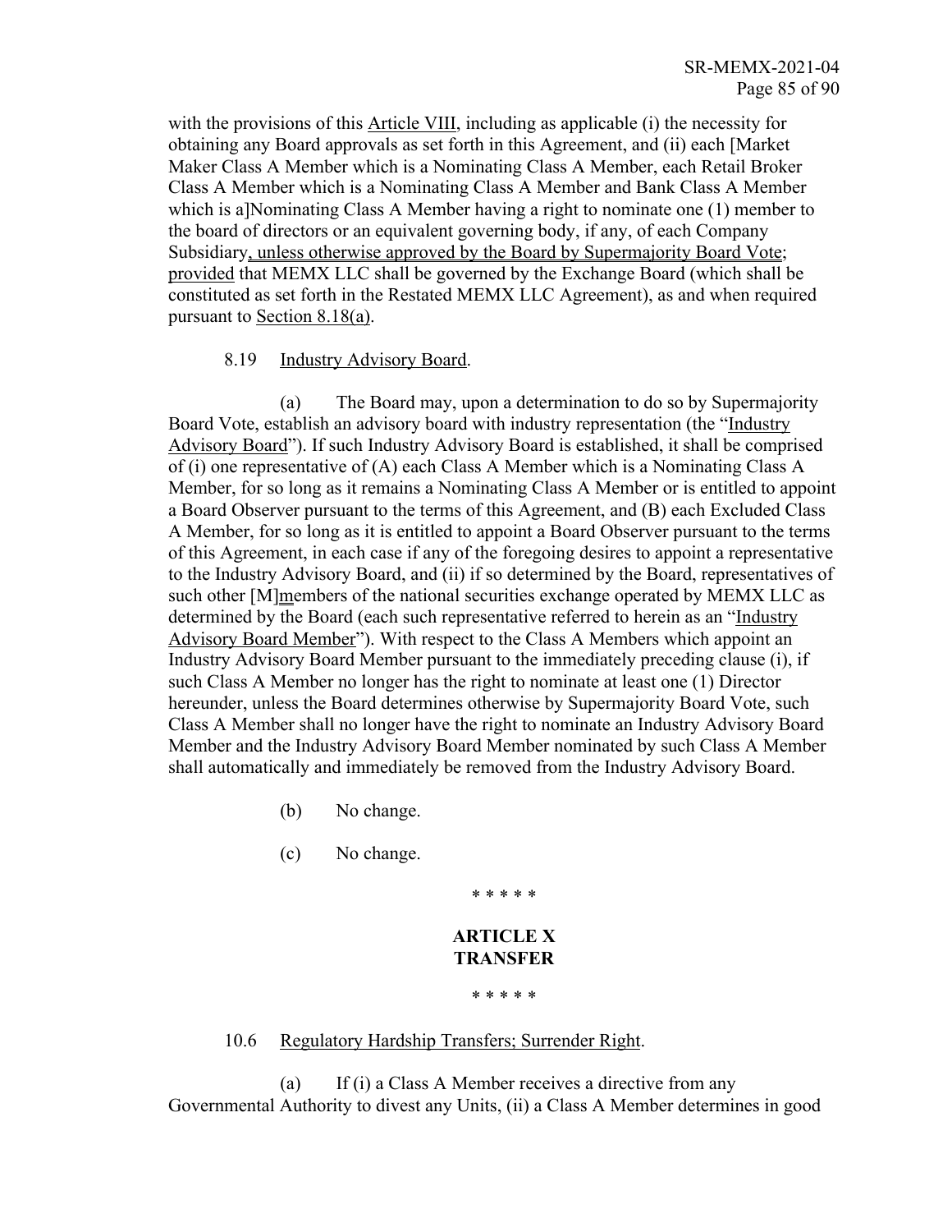with the provisions of this Article VIII, including as applicable (i) the necessity for obtaining any Board approvals as set forth in this Agreement, and (ii) each [Market Maker Class A Member which is a Nominating Class A Member, each Retail Broker Class A Member which is a Nominating Class A Member and Bank Class A Member which is a]Nominating Class A Member having a right to nominate one (1) member to the board of directors or an equivalent governing body, if any, of each Company Subsidiary, unless otherwise approved by the Board by Supermajority Board Vote; provided that MEMX LLC shall be governed by the Exchange Board (which shall be constituted as set forth in the Restated MEMX LLC Agreement), as and when required pursuant to Section 8.18(a).

### 8.19 Industry Advisory Board.

(a) The Board may, upon a determination to do so by Supermajority Board Vote, establish an advisory board with industry representation (the "Industry Advisory Board"). If such Industry Advisory Board is established, it shall be comprised of (i) one representative of (A) each Class A Member which is a Nominating Class A Member, for so long as it remains a Nominating Class A Member or is entitled to appoint a Board Observer pursuant to the terms of this Agreement, and (B) each Excluded Class A Member, for so long as it is entitled to appoint a Board Observer pursuant to the terms of this Agreement, in each case if any of the foregoing desires to appoint a representative to the Industry Advisory Board, and (ii) if so determined by the Board, representatives of such other [M]members of the national securities exchange operated by MEMX LLC as determined by the Board (each such representative referred to herein as an "Industry Advisory Board Member"). With respect to the Class A Members which appoint an Industry Advisory Board Member pursuant to the immediately preceding clause (i), if such Class A Member no longer has the right to nominate at least one (1) Director hereunder, unless the Board determines otherwise by Supermajority Board Vote, such Class A Member shall no longer have the right to nominate an Industry Advisory Board Member and the Industry Advisory Board Member nominated by such Class A Member shall automatically and immediately be removed from the Industry Advisory Board.

- (b) No change.
- (c) No change.

**ARTICLE X TRANSFER**

\* \* \* \* \*

\* \* \* \* \*

#### 10.6 Regulatory Hardship Transfers; Surrender Right.

(a) If (i) a Class A Member receives a directive from any Governmental Authority to divest any Units, (ii) a Class A Member determines in good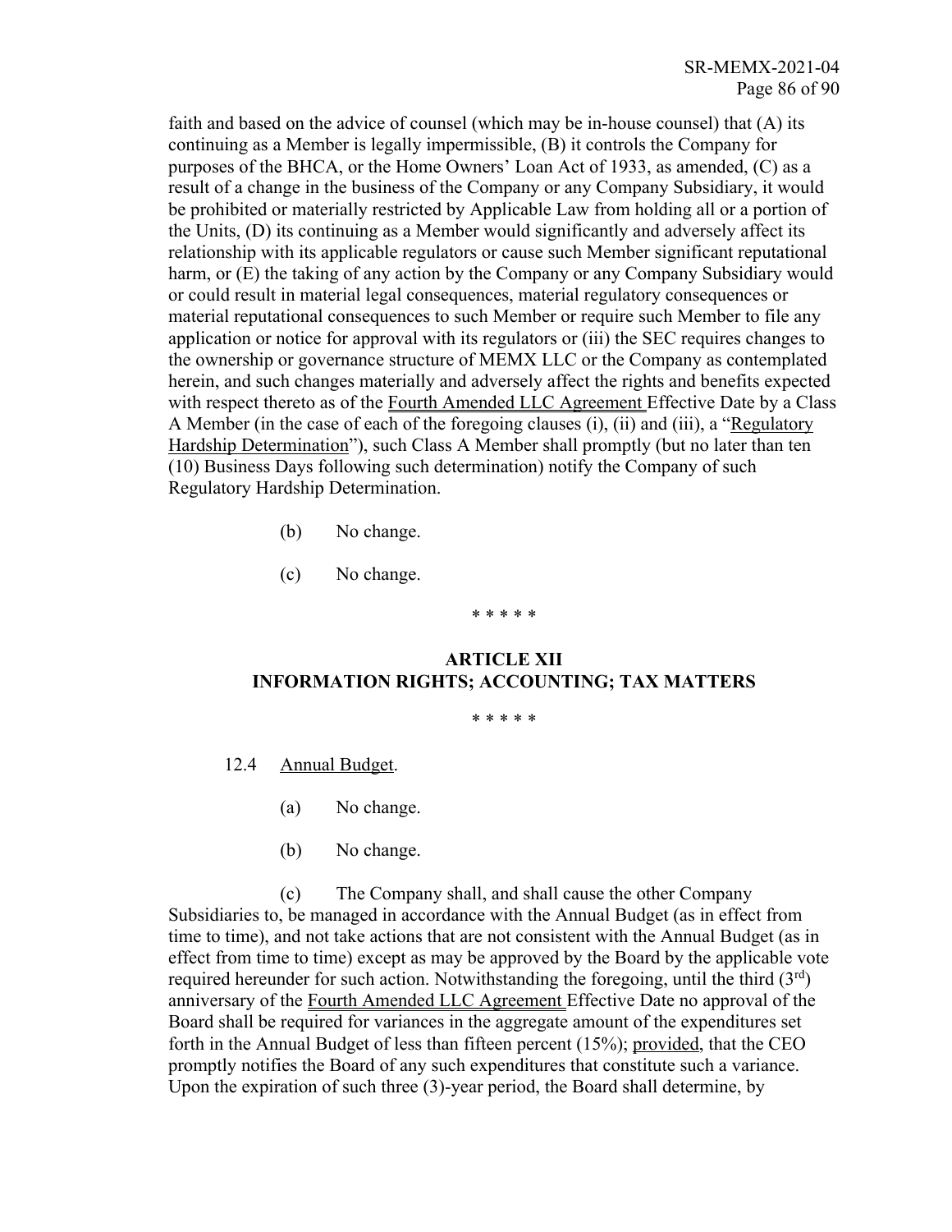faith and based on the advice of counsel (which may be in-house counsel) that (A) its continuing as a Member is legally impermissible, (B) it controls the Company for purposes of the BHCA, or the Home Owners' Loan Act of 1933, as amended, (C) as a result of a change in the business of the Company or any Company Subsidiary, it would be prohibited or materially restricted by Applicable Law from holding all or a portion of the Units, (D) its continuing as a Member would significantly and adversely affect its relationship with its applicable regulators or cause such Member significant reputational harm, or (E) the taking of any action by the Company or any Company Subsidiary would or could result in material legal consequences, material regulatory consequences or material reputational consequences to such Member or require such Member to file any application or notice for approval with its regulators or (iii) the SEC requires changes to the ownership or governance structure of MEMX LLC or the Company as contemplated herein, and such changes materially and adversely affect the rights and benefits expected with respect thereto as of the Fourth Amended LLC Agreement Effective Date by a Class A Member (in the case of each of the foregoing clauses (i), (ii) and (iii), a "Regulatory Hardship Determination"), such Class A Member shall promptly (but no later than ten (10) Business Days following such determination) notify the Company of such Regulatory Hardship Determination.

- (b) No change.
- (c) No change.

\* \* \* \* \*

## **ARTICLE XII INFORMATION RIGHTS; ACCOUNTING; TAX MATTERS**

\* \* \* \* \*

12.4 Annual Budget.

- (a) No change.
- (b) No change.

(c) The Company shall, and shall cause the other Company Subsidiaries to, be managed in accordance with the Annual Budget (as in effect from time to time), and not take actions that are not consistent with the Annual Budget (as in effect from time to time) except as may be approved by the Board by the applicable vote required hereunder for such action. Notwithstanding the foregoing, until the third  $(3<sup>rd</sup>)$ anniversary of the Fourth Amended LLC Agreement Effective Date no approval of the Board shall be required for variances in the aggregate amount of the expenditures set forth in the Annual Budget of less than fifteen percent (15%); provided, that the CEO promptly notifies the Board of any such expenditures that constitute such a variance. Upon the expiration of such three (3)-year period, the Board shall determine, by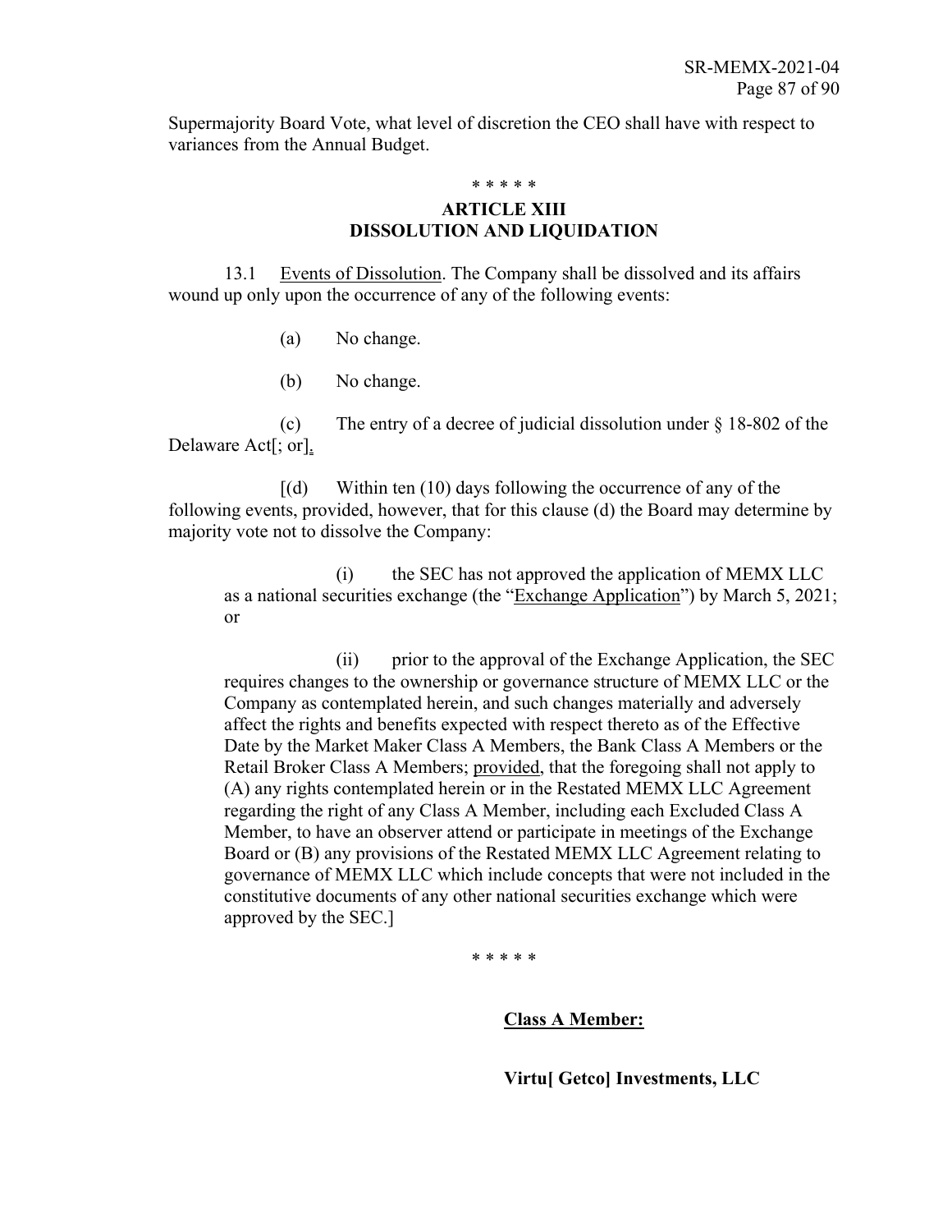Supermajority Board Vote, what level of discretion the CEO shall have with respect to variances from the Annual Budget.

\* \* \* \* \*

## **ARTICLE XIII DISSOLUTION AND LIQUIDATION**

13.1 Events of Dissolution. The Company shall be dissolved and its affairs wound up only upon the occurrence of any of the following events:

- (a) No change.
- (b) No change.

(c) The entry of a decree of judicial dissolution under § 18-802 of the Delaware Act[; or].

 $[(d)$  Within ten  $(10)$  days following the occurrence of any of the following events, provided, however, that for this clause (d) the Board may determine by majority vote not to dissolve the Company:

(i) the SEC has not approved the application of MEMX LLC as a national securities exchange (the "Exchange Application") by March 5, 2021; or

(ii) prior to the approval of the Exchange Application, the SEC requires changes to the ownership or governance structure of MEMX LLC or the Company as contemplated herein, and such changes materially and adversely affect the rights and benefits expected with respect thereto as of the Effective Date by the Market Maker Class A Members, the Bank Class A Members or the Retail Broker Class A Members; provided, that the foregoing shall not apply to (A) any rights contemplated herein or in the Restated MEMX LLC Agreement regarding the right of any Class A Member, including each Excluded Class A Member, to have an observer attend or participate in meetings of the Exchange Board or (B) any provisions of the Restated MEMX LLC Agreement relating to governance of MEMX LLC which include concepts that were not included in the constitutive documents of any other national securities exchange which were approved by the SEC.]

\* \* \* \* \*

#### **Class A Member:**

**Virtu[ Getco] Investments, LLC**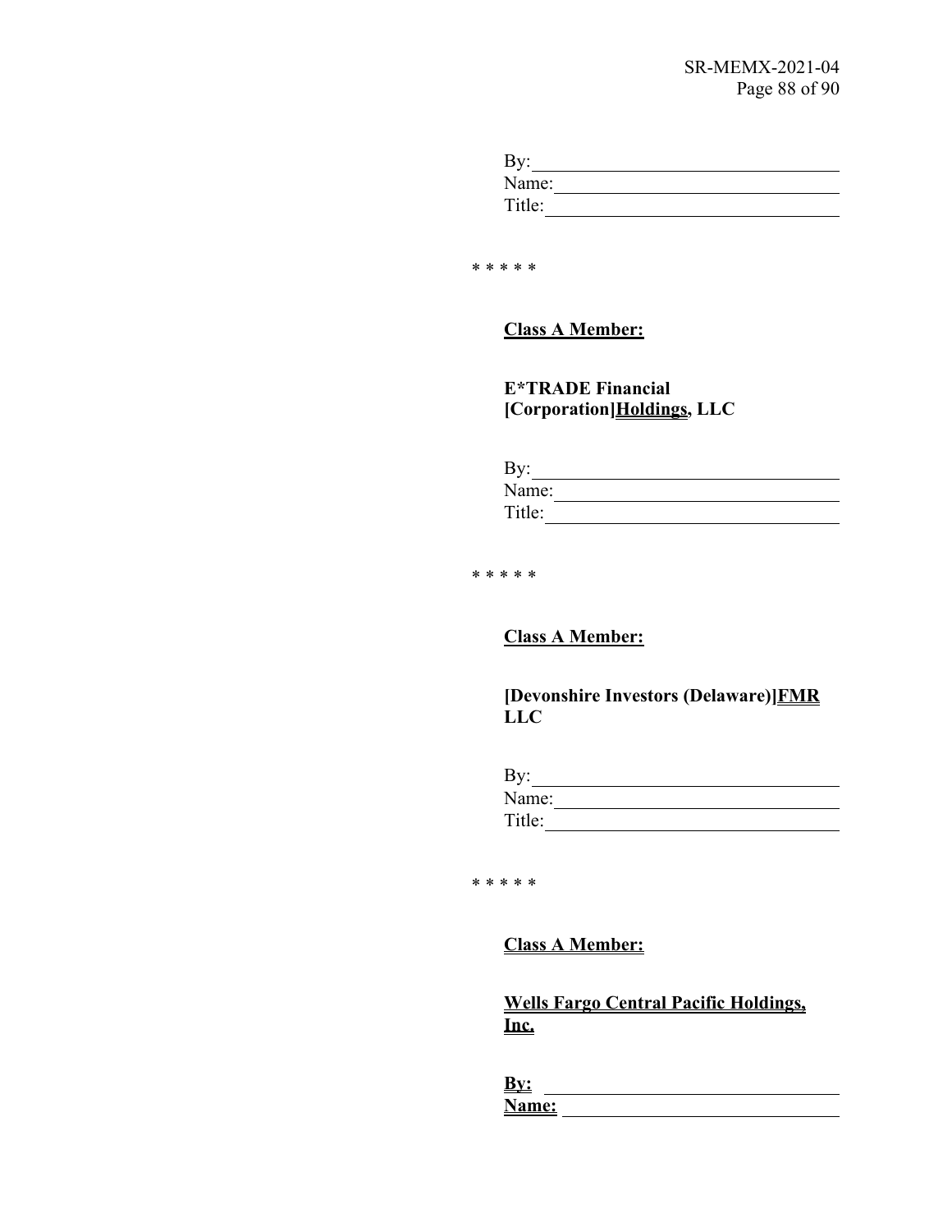| By:    |  |
|--------|--|
| Name:  |  |
| Title: |  |

\* \* \* \* \*

**Class A Member:**

**E\*TRADE Financial [Corporation]Holdings, LLC**

| By:    |  |
|--------|--|
| Name:  |  |
| Title: |  |

\* \* \* \* \*

**Class A Member:**

**[Devonshire Investors (Delaware)]FMR LLC**

| By:    |  |  |
|--------|--|--|
| Name:  |  |  |
| Title: |  |  |

\* \* \* \* \*

**Class A Member:**

**Wells Fargo Central Pacific Holdings, Inc.**

**By: Name:**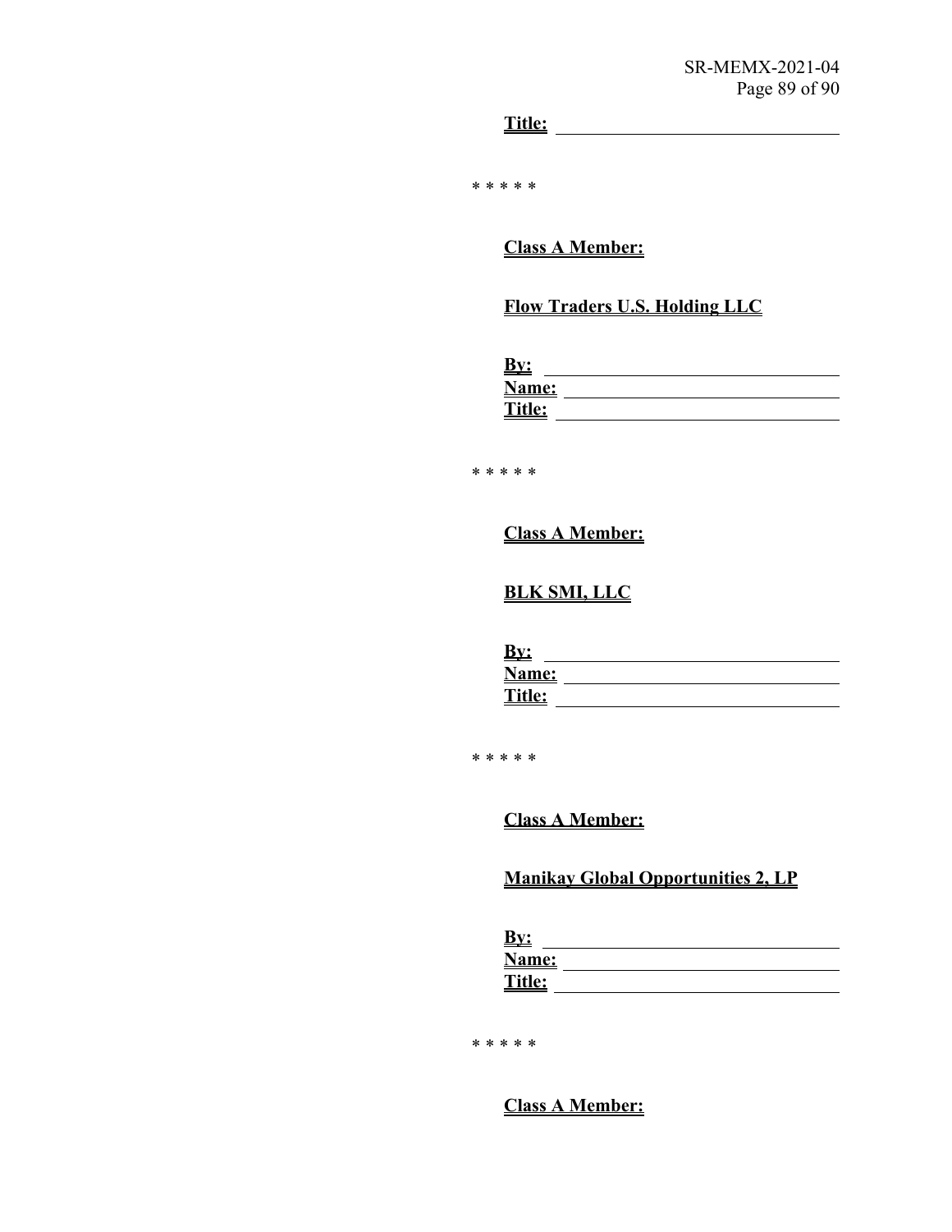**Title:**

\* \* \* \* \*

**Class A Member:**

## **Flow Traders U.S. Holding LLC**

| <u>Dy.</u>   |  |
|--------------|--|
| <b>Name:</b> |  |
| Title:       |  |

\* \* \* \* \*

**Class A Member:**

## **BLK SMI, LLC**

| <u>By:</u>    |  |
|---------------|--|
| Name:         |  |
| <b>Title:</b> |  |

\* \* \* \* \*

**Class A Member:**

## **Manikay Global Opportunities 2, LP**

| <u>By:</u> |  |
|------------|--|
| Name:      |  |
| Title:     |  |

\* \* \* \* \*

## **Class A Member:**